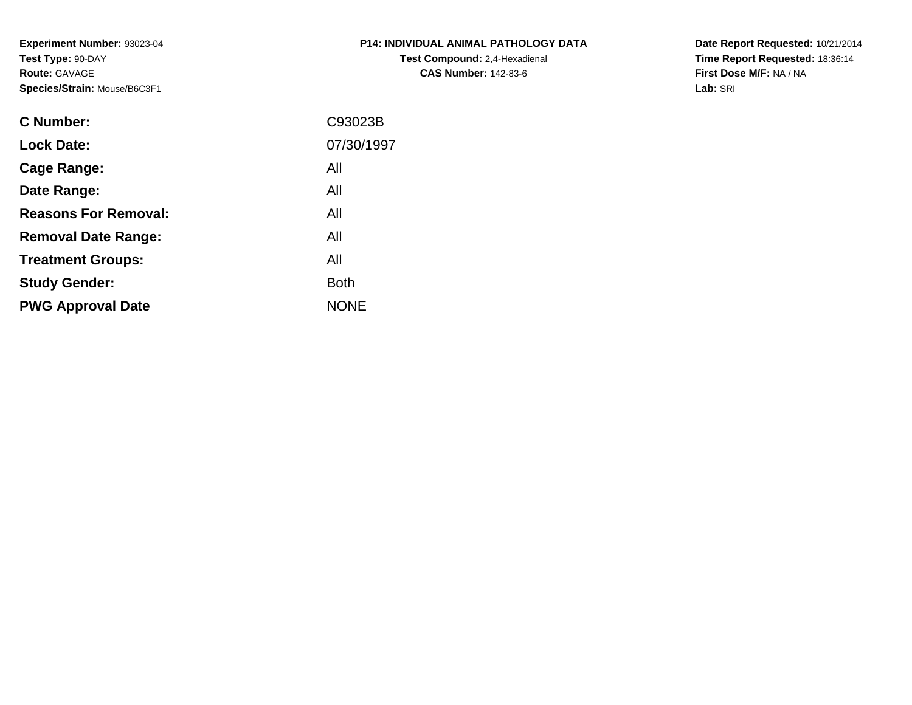**Experiment Number:** 93023-04**Test Type:** 90-DAY**Route:** GAVAGE**Species/Strain:** Mouse/B6C3F1

| <b>P14: INDIVIDUAL ANIMAL PATHOLOGY DATA</b> |
|----------------------------------------------|
| <b>Test Compound: 2,4-Hexadienal</b>         |
| <b>CAS Number: 142-83-6</b>                  |

**Date Report Requested:** 10/21/2014 **Time Report Requested:** 18:36:14**First Dose M/F:** NA / NA**Lab:** SRI

| C93023B     |
|-------------|
| 07/30/1997  |
| All         |
| All         |
| All         |
| All         |
| All         |
| <b>Both</b> |
| <b>NONE</b> |
|             |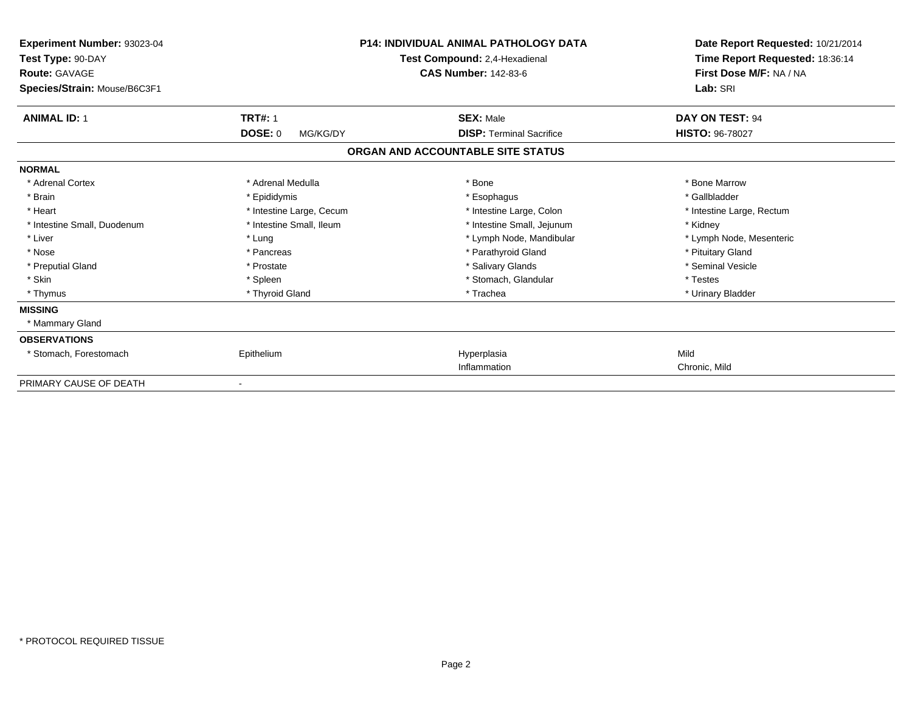| Experiment Number: 93023-04<br>Test Type: 90-DAY<br><b>Route: GAVAGE</b><br>Species/Strain: Mouse/B6C3F1 | <b>P14: INDIVIDUAL ANIMAL PATHOLOGY DATA</b><br>Test Compound: 2,4-Hexadienal<br><b>CAS Number: 142-83-6</b> |                                   | Date Report Requested: 10/21/2014<br>Time Report Requested: 18:36:14<br>First Dose M/F: NA / NA<br>Lab: SRI |                           |
|----------------------------------------------------------------------------------------------------------|--------------------------------------------------------------------------------------------------------------|-----------------------------------|-------------------------------------------------------------------------------------------------------------|---------------------------|
| <b>ANIMAL ID: 1</b>                                                                                      | <b>TRT#: 1</b>                                                                                               |                                   | <b>SEX: Male</b>                                                                                            | DAY ON TEST: 94           |
|                                                                                                          | <b>DOSE: 0</b><br>MG/KG/DY                                                                                   |                                   | <b>DISP:</b> Terminal Sacrifice                                                                             | <b>HISTO: 96-78027</b>    |
|                                                                                                          |                                                                                                              | ORGAN AND ACCOUNTABLE SITE STATUS |                                                                                                             |                           |
| <b>NORMAL</b>                                                                                            |                                                                                                              |                                   |                                                                                                             |                           |
| * Adrenal Cortex                                                                                         | * Adrenal Medulla                                                                                            | * Bone                            |                                                                                                             | * Bone Marrow             |
| * Brain                                                                                                  | * Epididymis                                                                                                 |                                   | * Esophagus                                                                                                 | * Gallbladder             |
| * Heart                                                                                                  | * Intestine Large, Cecum                                                                                     |                                   | * Intestine Large, Colon                                                                                    | * Intestine Large, Rectum |
| * Intestine Small, Duodenum                                                                              | * Intestine Small, Ileum                                                                                     |                                   | * Intestine Small, Jejunum                                                                                  | * Kidney                  |
| * Liver                                                                                                  | * Lung                                                                                                       |                                   | * Lymph Node, Mandibular                                                                                    | * Lymph Node, Mesenteric  |
| * Nose                                                                                                   | * Pancreas                                                                                                   |                                   | * Parathyroid Gland                                                                                         | * Pituitary Gland         |
| * Preputial Gland                                                                                        | * Prostate                                                                                                   |                                   | * Salivary Glands                                                                                           | * Seminal Vesicle         |
| * Skin                                                                                                   | * Spleen                                                                                                     |                                   | * Stomach, Glandular                                                                                        | * Testes                  |
| * Thymus                                                                                                 | * Thyroid Gland                                                                                              |                                   | * Trachea                                                                                                   | * Urinary Bladder         |
| <b>MISSING</b>                                                                                           |                                                                                                              |                                   |                                                                                                             |                           |
| * Mammary Gland                                                                                          |                                                                                                              |                                   |                                                                                                             |                           |
| <b>OBSERVATIONS</b>                                                                                      |                                                                                                              |                                   |                                                                                                             |                           |
| * Stomach, Forestomach                                                                                   | Epithelium                                                                                                   |                                   | Hyperplasia                                                                                                 | Mild                      |
|                                                                                                          |                                                                                                              |                                   | Inflammation                                                                                                | Chronic, Mild             |
| PRIMARY CAUSE OF DEATH                                                                                   |                                                                                                              |                                   |                                                                                                             |                           |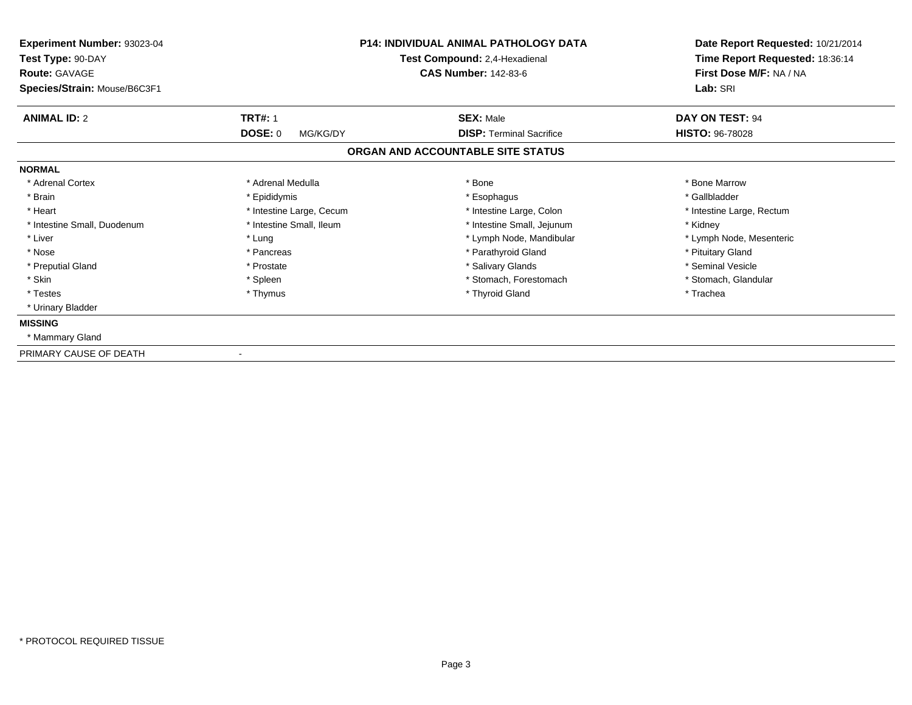| Experiment Number: 93023-04<br>Test Type: 90-DAY<br><b>Route: GAVAGE</b> |                            | <b>P14: INDIVIDUAL ANIMAL PATHOLOGY DATA</b><br>Test Compound: 2,4-Hexadienal<br><b>CAS Number: 142-83-6</b> | Date Report Requested: 10/21/2014<br>Time Report Requested: 18:36:14<br>First Dose M/F: NA / NA |
|--------------------------------------------------------------------------|----------------------------|--------------------------------------------------------------------------------------------------------------|-------------------------------------------------------------------------------------------------|
| Species/Strain: Mouse/B6C3F1                                             |                            |                                                                                                              | Lab: SRI                                                                                        |
| <b>ANIMAL ID: 2</b>                                                      | <b>TRT#: 1</b>             | <b>SEX: Male</b>                                                                                             | DAY ON TEST: 94                                                                                 |
|                                                                          | <b>DOSE: 0</b><br>MG/KG/DY | <b>DISP: Terminal Sacrifice</b>                                                                              | <b>HISTO: 96-78028</b>                                                                          |
|                                                                          |                            | ORGAN AND ACCOUNTABLE SITE STATUS                                                                            |                                                                                                 |
| <b>NORMAL</b>                                                            |                            |                                                                                                              |                                                                                                 |
| * Adrenal Cortex                                                         | * Adrenal Medulla          | * Bone                                                                                                       | * Bone Marrow                                                                                   |
| * Brain                                                                  | * Epididymis               | * Esophagus                                                                                                  | * Gallbladder                                                                                   |
| * Heart                                                                  | * Intestine Large, Cecum   | * Intestine Large, Colon                                                                                     | * Intestine Large, Rectum                                                                       |
| * Intestine Small, Duodenum                                              | * Intestine Small, Ileum   | * Intestine Small, Jejunum                                                                                   | * Kidney                                                                                        |
| * Liver                                                                  | * Lung                     | * Lymph Node, Mandibular                                                                                     | * Lymph Node, Mesenteric                                                                        |
| * Nose                                                                   | * Pancreas                 | * Parathyroid Gland                                                                                          | * Pituitary Gland                                                                               |
| * Preputial Gland                                                        | * Prostate                 | * Salivary Glands                                                                                            | * Seminal Vesicle                                                                               |
| * Skin                                                                   | * Spleen                   | * Stomach, Forestomach                                                                                       | * Stomach, Glandular                                                                            |
| * Testes                                                                 | * Thymus                   | * Thyroid Gland                                                                                              | * Trachea                                                                                       |
| * Urinary Bladder                                                        |                            |                                                                                                              |                                                                                                 |
| <b>MISSING</b>                                                           |                            |                                                                                                              |                                                                                                 |
| * Mammary Gland                                                          |                            |                                                                                                              |                                                                                                 |
| PRIMARY CAUSE OF DEATH                                                   |                            |                                                                                                              |                                                                                                 |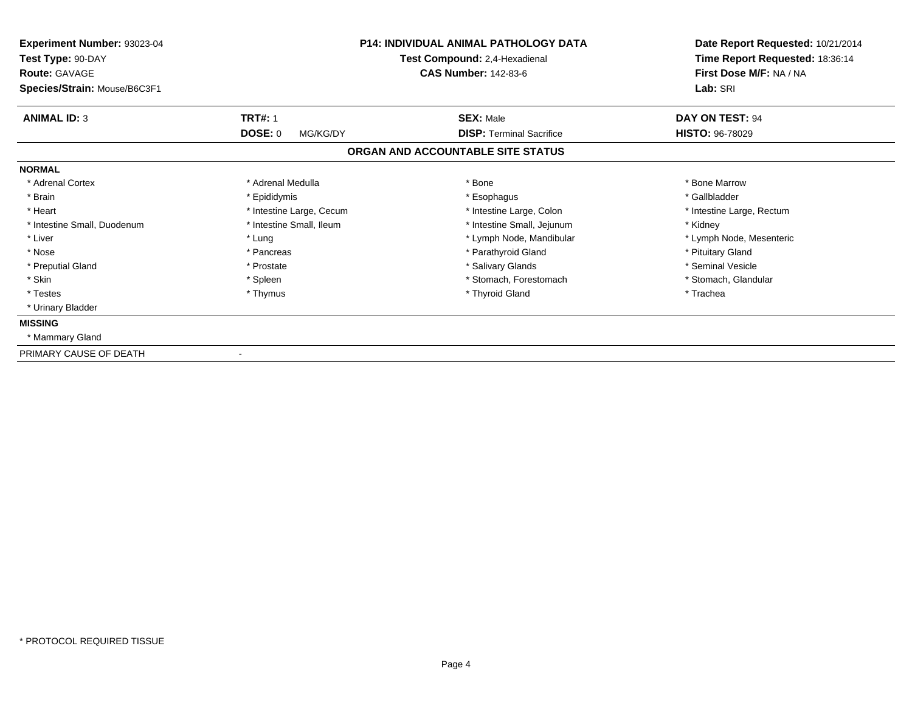| Experiment Number: 93023-04<br>Test Type: 90-DAY<br><b>Route: GAVAGE</b><br>Species/Strain: Mouse/B6C3F1 |                          | P14: INDIVIDUAL ANIMAL PATHOLOGY DATA<br>Test Compound: 2,4-Hexadienal<br><b>CAS Number: 142-83-6</b> | Date Report Requested: 10/21/2014<br>Time Report Requested: 18:36:14<br>First Dose M/F: NA / NA<br>Lab: SRI |
|----------------------------------------------------------------------------------------------------------|--------------------------|-------------------------------------------------------------------------------------------------------|-------------------------------------------------------------------------------------------------------------|
|                                                                                                          |                          |                                                                                                       |                                                                                                             |
| <b>ANIMAL ID: 3</b>                                                                                      | <b>TRT#: 1</b>           | <b>SEX: Male</b>                                                                                      | <b>DAY ON TEST: 94</b>                                                                                      |
|                                                                                                          | DOSE: 0<br>MG/KG/DY      | <b>DISP: Terminal Sacrifice</b>                                                                       | <b>HISTO: 96-78029</b>                                                                                      |
|                                                                                                          |                          | ORGAN AND ACCOUNTABLE SITE STATUS                                                                     |                                                                                                             |
| <b>NORMAL</b>                                                                                            |                          |                                                                                                       |                                                                                                             |
| * Adrenal Cortex                                                                                         | * Adrenal Medulla        | * Bone                                                                                                | * Bone Marrow                                                                                               |
| * Brain                                                                                                  | * Epididymis             | * Esophagus                                                                                           | * Gallbladder                                                                                               |
| * Heart                                                                                                  | * Intestine Large, Cecum | * Intestine Large, Colon                                                                              | * Intestine Large, Rectum                                                                                   |
| * Intestine Small, Duodenum                                                                              | * Intestine Small, Ileum | * Intestine Small, Jejunum                                                                            | * Kidney                                                                                                    |
| * Liver                                                                                                  | * Lung                   | * Lymph Node, Mandibular                                                                              | * Lymph Node, Mesenteric                                                                                    |
| * Nose                                                                                                   | * Pancreas               | * Parathyroid Gland                                                                                   | * Pituitary Gland                                                                                           |
| * Preputial Gland                                                                                        | * Prostate               | * Salivary Glands                                                                                     | * Seminal Vesicle                                                                                           |
| * Skin                                                                                                   | * Spleen                 | * Stomach, Forestomach                                                                                | * Stomach, Glandular                                                                                        |
| * Testes                                                                                                 | * Thymus                 | * Thyroid Gland                                                                                       | * Trachea                                                                                                   |
| * Urinary Bladder                                                                                        |                          |                                                                                                       |                                                                                                             |
| <b>MISSING</b>                                                                                           |                          |                                                                                                       |                                                                                                             |
| * Mammary Gland                                                                                          |                          |                                                                                                       |                                                                                                             |
| PRIMARY CAUSE OF DEATH                                                                                   |                          |                                                                                                       |                                                                                                             |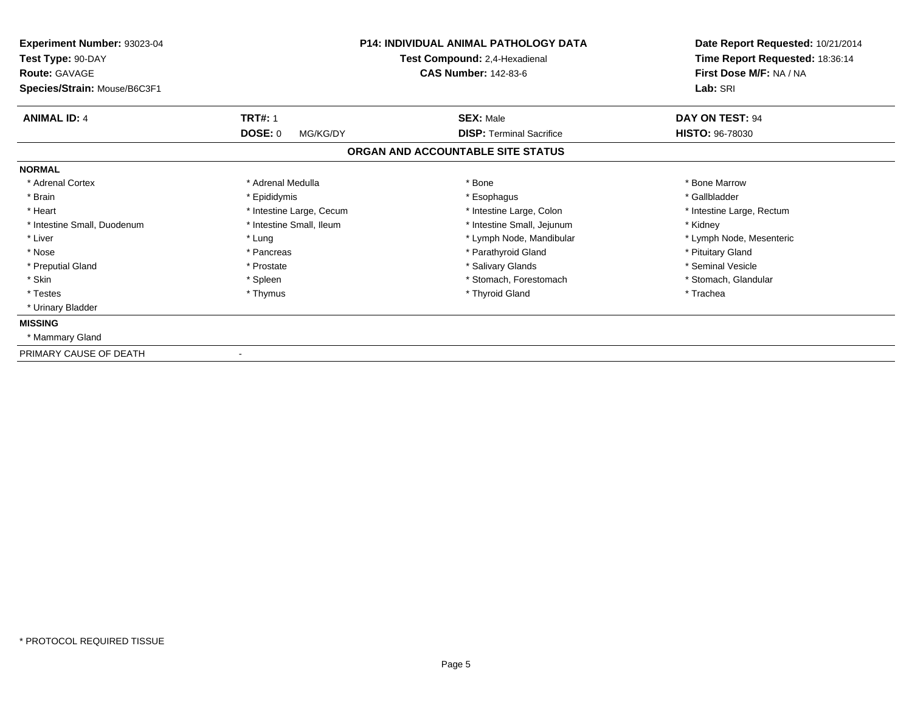| Experiment Number: 93023-04<br>Test Type: 90-DAY<br><b>Route: GAVAGE</b> |                            | <b>P14: INDIVIDUAL ANIMAL PATHOLOGY DATA</b><br>Test Compound: 2,4-Hexadienal<br><b>CAS Number: 142-83-6</b> | Date Report Requested: 10/21/2014<br>Time Report Requested: 18:36:14<br>First Dose M/F: NA / NA |
|--------------------------------------------------------------------------|----------------------------|--------------------------------------------------------------------------------------------------------------|-------------------------------------------------------------------------------------------------|
| Species/Strain: Mouse/B6C3F1                                             |                            |                                                                                                              | Lab: SRI                                                                                        |
| <b>ANIMAL ID: 4</b>                                                      | <b>TRT#: 1</b>             | <b>SEX: Male</b>                                                                                             | DAY ON TEST: 94                                                                                 |
|                                                                          | <b>DOSE: 0</b><br>MG/KG/DY | <b>DISP: Terminal Sacrifice</b>                                                                              | <b>HISTO: 96-78030</b>                                                                          |
|                                                                          |                            | ORGAN AND ACCOUNTABLE SITE STATUS                                                                            |                                                                                                 |
| <b>NORMAL</b>                                                            |                            |                                                                                                              |                                                                                                 |
| * Adrenal Cortex                                                         | * Adrenal Medulla          | * Bone                                                                                                       | * Bone Marrow                                                                                   |
| * Brain                                                                  | * Epididymis               | * Esophagus                                                                                                  | * Gallbladder                                                                                   |
| * Heart                                                                  | * Intestine Large, Cecum   | * Intestine Large, Colon                                                                                     | * Intestine Large, Rectum                                                                       |
| * Intestine Small, Duodenum                                              | * Intestine Small, Ileum   | * Intestine Small, Jejunum                                                                                   | * Kidney                                                                                        |
| * Liver                                                                  | * Lung                     | * Lymph Node, Mandibular                                                                                     | * Lymph Node, Mesenteric                                                                        |
| * Nose                                                                   | * Pancreas                 | * Parathyroid Gland                                                                                          | * Pituitary Gland                                                                               |
| * Preputial Gland                                                        | * Prostate                 | * Salivary Glands                                                                                            | * Seminal Vesicle                                                                               |
| * Skin                                                                   | * Spleen                   | * Stomach, Forestomach                                                                                       | * Stomach, Glandular                                                                            |
| * Testes                                                                 | * Thymus                   | * Thyroid Gland                                                                                              | * Trachea                                                                                       |
| * Urinary Bladder                                                        |                            |                                                                                                              |                                                                                                 |
| <b>MISSING</b>                                                           |                            |                                                                                                              |                                                                                                 |
| * Mammary Gland                                                          |                            |                                                                                                              |                                                                                                 |
| PRIMARY CAUSE OF DEATH                                                   |                            |                                                                                                              |                                                                                                 |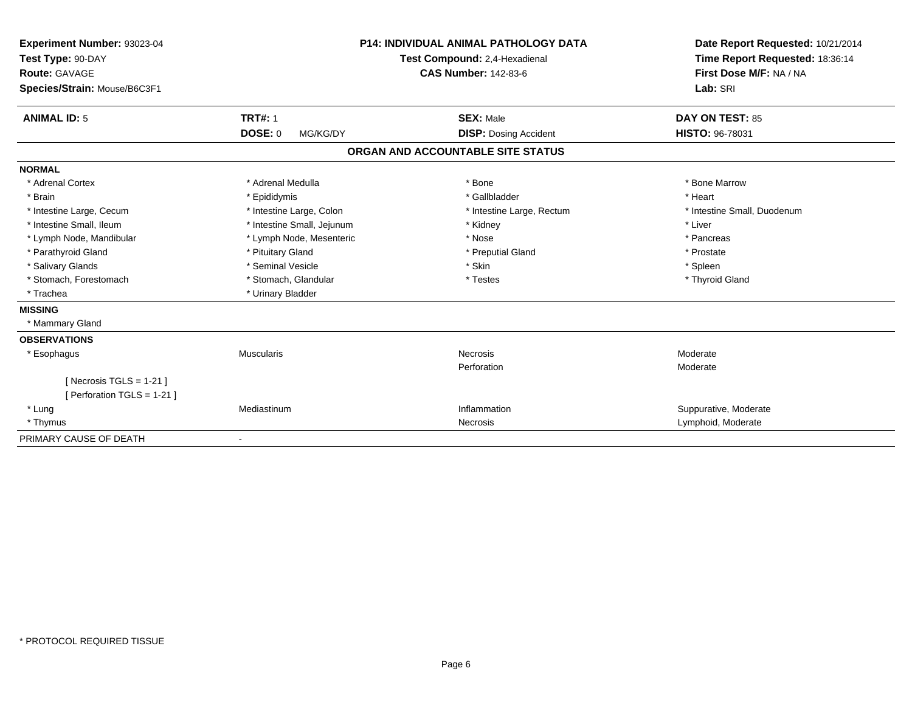| Experiment Number: 93023-04<br>Test Type: 90-DAY<br>Route: GAVAGE<br>Species/Strain: Mouse/B6C3F1 |                            | <b>P14: INDIVIDUAL ANIMAL PATHOLOGY DATA</b><br>Test Compound: 2,4-Hexadienal<br><b>CAS Number: 142-83-6</b> | Date Report Requested: 10/21/2014<br>Time Report Requested: 18:36:14<br>First Dose M/F: NA / NA<br>Lab: SRI |
|---------------------------------------------------------------------------------------------------|----------------------------|--------------------------------------------------------------------------------------------------------------|-------------------------------------------------------------------------------------------------------------|
| <b>ANIMAL ID: 5</b>                                                                               | <b>TRT#: 1</b>             | <b>SEX: Male</b>                                                                                             | DAY ON TEST: 85                                                                                             |
|                                                                                                   | DOSE: 0<br>MG/KG/DY        | <b>DISP:</b> Dosing Accident                                                                                 | <b>HISTO: 96-78031</b>                                                                                      |
|                                                                                                   |                            | ORGAN AND ACCOUNTABLE SITE STATUS                                                                            |                                                                                                             |
| <b>NORMAL</b>                                                                                     |                            |                                                                                                              |                                                                                                             |
| * Adrenal Cortex                                                                                  | * Adrenal Medulla          | * Bone                                                                                                       | * Bone Marrow                                                                                               |
| * Brain                                                                                           | * Epididymis               | * Gallbladder                                                                                                | * Heart                                                                                                     |
| * Intestine Large, Cecum                                                                          | * Intestine Large, Colon   | * Intestine Large, Rectum                                                                                    | * Intestine Small, Duodenum                                                                                 |
| * Intestine Small, Ileum                                                                          | * Intestine Small, Jejunum | * Kidney                                                                                                     | * Liver                                                                                                     |
| * Lymph Node, Mandibular                                                                          | * Lymph Node, Mesenteric   | * Nose                                                                                                       | * Pancreas                                                                                                  |
| * Parathyroid Gland                                                                               | * Pituitary Gland          | * Preputial Gland                                                                                            | * Prostate                                                                                                  |
| * Salivary Glands                                                                                 | * Seminal Vesicle          | * Skin                                                                                                       | * Spleen                                                                                                    |
| * Stomach, Forestomach                                                                            | * Stomach, Glandular       | * Testes                                                                                                     | * Thyroid Gland                                                                                             |
| * Trachea                                                                                         | * Urinary Bladder          |                                                                                                              |                                                                                                             |
| <b>MISSING</b>                                                                                    |                            |                                                                                                              |                                                                                                             |
| * Mammary Gland                                                                                   |                            |                                                                                                              |                                                                                                             |
| <b>OBSERVATIONS</b>                                                                               |                            |                                                                                                              |                                                                                                             |
| * Esophagus                                                                                       | <b>Muscularis</b>          | Necrosis                                                                                                     | Moderate                                                                                                    |
|                                                                                                   |                            | Perforation                                                                                                  | Moderate                                                                                                    |
| [Necrosis TGLS = $1-21$ ]                                                                         |                            |                                                                                                              |                                                                                                             |
| [ Perforation TGLS = 1-21 ]                                                                       |                            |                                                                                                              |                                                                                                             |
| * Lung                                                                                            | Mediastinum                | Inflammation                                                                                                 | Suppurative, Moderate                                                                                       |
| * Thymus                                                                                          |                            | Necrosis                                                                                                     | Lymphoid, Moderate                                                                                          |
| PRIMARY CAUSE OF DEATH                                                                            | $\overline{\phantom{a}}$   |                                                                                                              |                                                                                                             |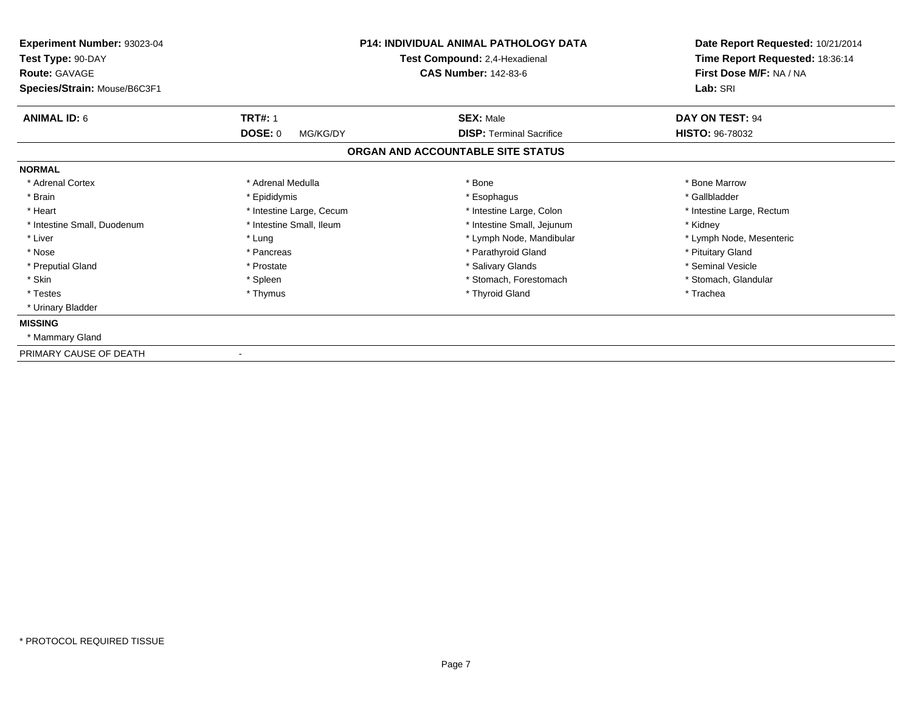| Experiment Number: 93023-04<br>Test Type: 90-DAY<br><b>Route: GAVAGE</b> |                            | <b>P14: INDIVIDUAL ANIMAL PATHOLOGY DATA</b><br>Test Compound: 2,4-Hexadienal<br><b>CAS Number: 142-83-6</b> | Date Report Requested: 10/21/2014<br>Time Report Requested: 18:36:14<br>First Dose M/F: NA / NA |
|--------------------------------------------------------------------------|----------------------------|--------------------------------------------------------------------------------------------------------------|-------------------------------------------------------------------------------------------------|
| Species/Strain: Mouse/B6C3F1                                             |                            |                                                                                                              | Lab: SRI                                                                                        |
| <b>ANIMAL ID: 6</b>                                                      | <b>TRT#: 1</b>             | <b>SEX: Male</b>                                                                                             | DAY ON TEST: 94                                                                                 |
|                                                                          | <b>DOSE: 0</b><br>MG/KG/DY | <b>DISP: Terminal Sacrifice</b>                                                                              | HISTO: 96-78032                                                                                 |
|                                                                          |                            | ORGAN AND ACCOUNTABLE SITE STATUS                                                                            |                                                                                                 |
| <b>NORMAL</b>                                                            |                            |                                                                                                              |                                                                                                 |
| * Adrenal Cortex                                                         | * Adrenal Medulla          | * Bone                                                                                                       | * Bone Marrow                                                                                   |
| * Brain                                                                  | * Epididymis               | * Esophagus                                                                                                  | * Gallbladder                                                                                   |
| * Heart                                                                  | * Intestine Large, Cecum   | * Intestine Large, Colon                                                                                     | * Intestine Large, Rectum                                                                       |
| * Intestine Small, Duodenum                                              | * Intestine Small, Ileum   | * Intestine Small, Jejunum                                                                                   | * Kidney                                                                                        |
| * Liver                                                                  | * Lung                     | * Lymph Node, Mandibular                                                                                     | * Lymph Node, Mesenteric                                                                        |
| * Nose                                                                   | * Pancreas                 | * Parathyroid Gland                                                                                          | * Pituitary Gland                                                                               |
| * Preputial Gland                                                        | * Prostate                 | * Salivary Glands                                                                                            | * Seminal Vesicle                                                                               |
| * Skin                                                                   | * Spleen                   | * Stomach, Forestomach                                                                                       | * Stomach, Glandular                                                                            |
| * Testes                                                                 | * Thymus                   | * Thyroid Gland                                                                                              | * Trachea                                                                                       |
| * Urinary Bladder                                                        |                            |                                                                                                              |                                                                                                 |
| <b>MISSING</b>                                                           |                            |                                                                                                              |                                                                                                 |
| * Mammary Gland                                                          |                            |                                                                                                              |                                                                                                 |
| PRIMARY CAUSE OF DEATH                                                   |                            |                                                                                                              |                                                                                                 |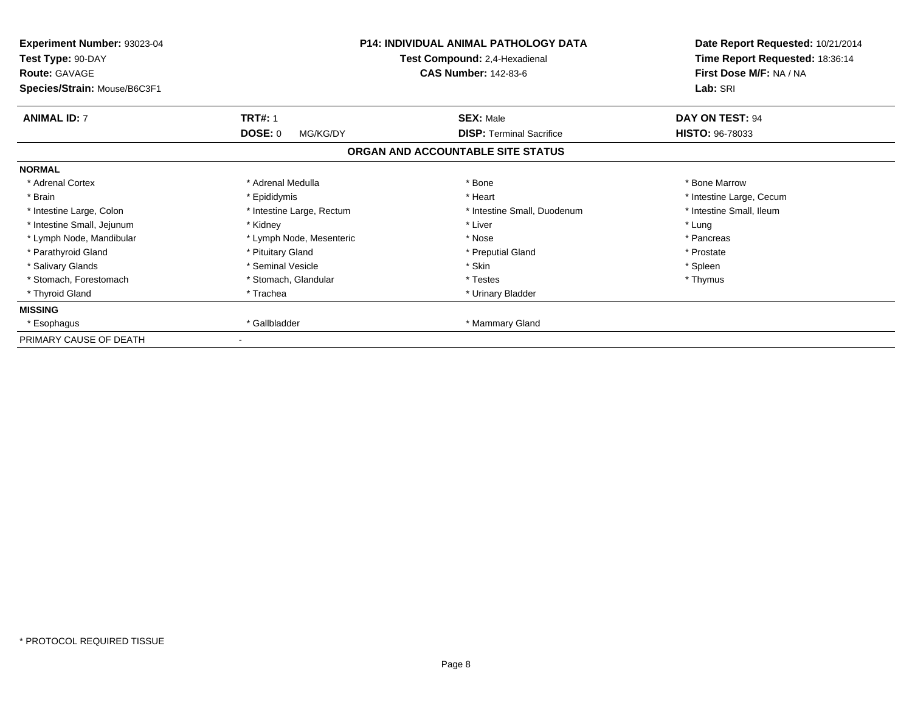| <b>Experiment Number: 93023-04</b><br>Test Type: 90-DAY<br><b>Route: GAVAGE</b><br>Species/Strain: Mouse/B6C3F1 |                            | <b>P14: INDIVIDUAL ANIMAL PATHOLOGY DATA</b><br>Test Compound: 2,4-Hexadienal<br><b>CAS Number: 142-83-6</b> | Date Report Requested: 10/21/2014<br>Time Report Requested: 18:36:14<br>First Dose M/F: NA / NA<br>Lab: SRI |
|-----------------------------------------------------------------------------------------------------------------|----------------------------|--------------------------------------------------------------------------------------------------------------|-------------------------------------------------------------------------------------------------------------|
| <b>ANIMAL ID: 7</b>                                                                                             | <b>TRT#: 1</b>             | <b>SEX: Male</b>                                                                                             | DAY ON TEST: 94                                                                                             |
|                                                                                                                 | <b>DOSE: 0</b><br>MG/KG/DY | <b>DISP: Terminal Sacrifice</b>                                                                              | <b>HISTO: 96-78033</b>                                                                                      |
|                                                                                                                 |                            | ORGAN AND ACCOUNTABLE SITE STATUS                                                                            |                                                                                                             |
| <b>NORMAL</b>                                                                                                   |                            |                                                                                                              |                                                                                                             |
| * Adrenal Cortex                                                                                                | * Adrenal Medulla          | * Bone                                                                                                       | * Bone Marrow                                                                                               |
| * Brain                                                                                                         | * Epididymis               | * Heart                                                                                                      | * Intestine Large, Cecum                                                                                    |
| * Intestine Large, Colon                                                                                        | * Intestine Large, Rectum  | * Intestine Small, Duodenum                                                                                  | * Intestine Small, Ileum                                                                                    |
| * Intestine Small, Jejunum                                                                                      | * Kidney                   | * Liver                                                                                                      | * Lung                                                                                                      |
| * Lymph Node, Mandibular                                                                                        | * Lymph Node, Mesenteric   | * Nose                                                                                                       | * Pancreas                                                                                                  |
| * Parathyroid Gland                                                                                             | * Pituitary Gland          | * Preputial Gland                                                                                            | * Prostate                                                                                                  |
| * Salivary Glands                                                                                               | * Seminal Vesicle          | * Skin                                                                                                       | * Spleen                                                                                                    |
| * Stomach, Forestomach                                                                                          | * Stomach, Glandular       | * Testes                                                                                                     | * Thymus                                                                                                    |
| * Thyroid Gland                                                                                                 | * Trachea                  | * Urinary Bladder                                                                                            |                                                                                                             |
| <b>MISSING</b>                                                                                                  |                            |                                                                                                              |                                                                                                             |
| * Esophagus                                                                                                     | * Gallbladder              | * Mammary Gland                                                                                              |                                                                                                             |
| PRIMARY CAUSE OF DEATH                                                                                          |                            |                                                                                                              |                                                                                                             |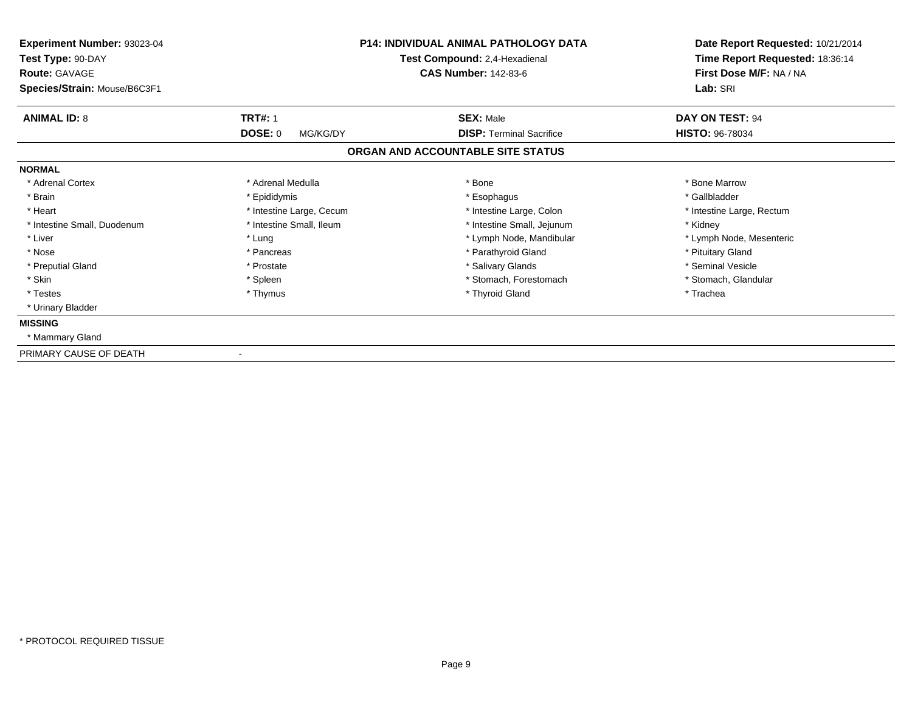| Experiment Number: 93023-04<br>Test Type: 90-DAY<br><b>Route: GAVAGE</b> |                            | <b>P14: INDIVIDUAL ANIMAL PATHOLOGY DATA</b><br>Test Compound: 2,4-Hexadienal<br><b>CAS Number: 142-83-6</b> | Date Report Requested: 10/21/2014<br>Time Report Requested: 18:36:14<br>First Dose M/F: NA / NA |
|--------------------------------------------------------------------------|----------------------------|--------------------------------------------------------------------------------------------------------------|-------------------------------------------------------------------------------------------------|
| Species/Strain: Mouse/B6C3F1                                             |                            |                                                                                                              | Lab: SRI                                                                                        |
| <b>ANIMAL ID: 8</b>                                                      | <b>TRT#: 1</b>             | <b>SEX: Male</b>                                                                                             | DAY ON TEST: 94                                                                                 |
|                                                                          | <b>DOSE: 0</b><br>MG/KG/DY | <b>DISP: Terminal Sacrifice</b>                                                                              | <b>HISTO: 96-78034</b>                                                                          |
|                                                                          |                            | ORGAN AND ACCOUNTABLE SITE STATUS                                                                            |                                                                                                 |
| <b>NORMAL</b>                                                            |                            |                                                                                                              |                                                                                                 |
| * Adrenal Cortex                                                         | * Adrenal Medulla          | * Bone                                                                                                       | * Bone Marrow                                                                                   |
| * Brain                                                                  | * Epididymis               | * Esophagus                                                                                                  | * Gallbladder                                                                                   |
| * Heart                                                                  | * Intestine Large, Cecum   | * Intestine Large, Colon                                                                                     | * Intestine Large, Rectum                                                                       |
| * Intestine Small, Duodenum                                              | * Intestine Small, Ileum   | * Intestine Small, Jejunum                                                                                   | * Kidney                                                                                        |
| * Liver                                                                  | * Lung                     | * Lymph Node, Mandibular                                                                                     | * Lymph Node, Mesenteric                                                                        |
| * Nose                                                                   | * Pancreas                 | * Parathyroid Gland                                                                                          | * Pituitary Gland                                                                               |
| * Preputial Gland                                                        | * Prostate                 | * Salivary Glands                                                                                            | * Seminal Vesicle                                                                               |
| * Skin                                                                   | * Spleen                   | * Stomach, Forestomach                                                                                       | * Stomach, Glandular                                                                            |
| * Testes                                                                 | * Thymus                   | * Thyroid Gland                                                                                              | * Trachea                                                                                       |
| * Urinary Bladder                                                        |                            |                                                                                                              |                                                                                                 |
| <b>MISSING</b>                                                           |                            |                                                                                                              |                                                                                                 |
| * Mammary Gland                                                          |                            |                                                                                                              |                                                                                                 |
| PRIMARY CAUSE OF DEATH                                                   |                            |                                                                                                              |                                                                                                 |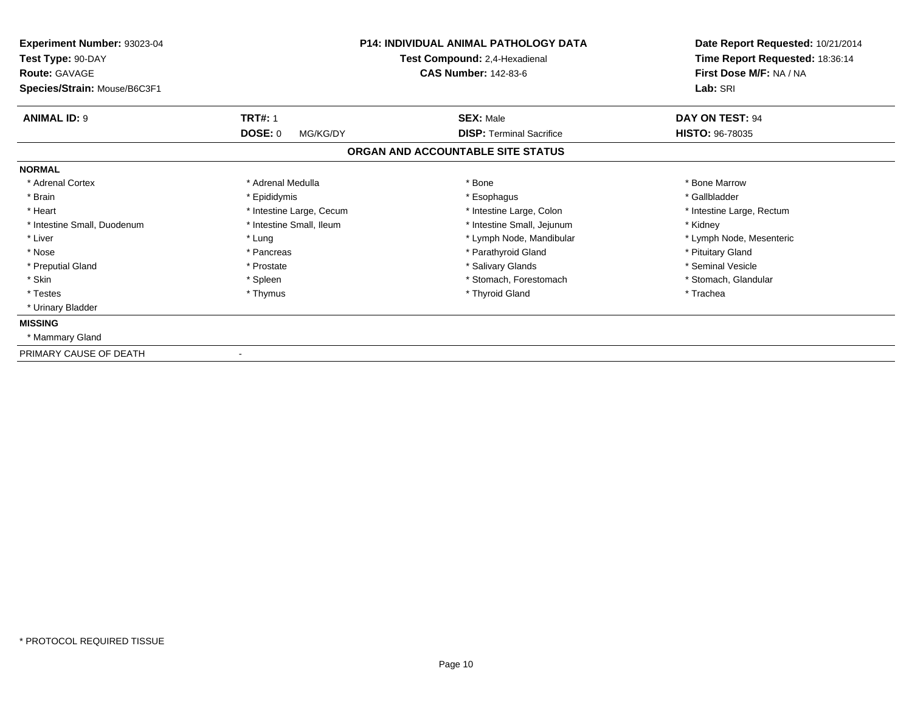| Experiment Number: 93023-04<br>Test Type: 90-DAY<br><b>Route: GAVAGE</b> |                            | <b>P14: INDIVIDUAL ANIMAL PATHOLOGY DATA</b><br>Test Compound: 2,4-Hexadienal<br><b>CAS Number: 142-83-6</b> | Date Report Requested: 10/21/2014<br>Time Report Requested: 18:36:14<br>First Dose M/F: NA / NA |
|--------------------------------------------------------------------------|----------------------------|--------------------------------------------------------------------------------------------------------------|-------------------------------------------------------------------------------------------------|
| Species/Strain: Mouse/B6C3F1                                             |                            |                                                                                                              | Lab: SRI                                                                                        |
| <b>ANIMAL ID: 9</b>                                                      | <b>TRT#: 1</b>             | <b>SEX: Male</b>                                                                                             | DAY ON TEST: 94                                                                                 |
|                                                                          | <b>DOSE: 0</b><br>MG/KG/DY | <b>DISP: Terminal Sacrifice</b>                                                                              | <b>HISTO: 96-78035</b>                                                                          |
|                                                                          |                            | ORGAN AND ACCOUNTABLE SITE STATUS                                                                            |                                                                                                 |
| <b>NORMAL</b>                                                            |                            |                                                                                                              |                                                                                                 |
| * Adrenal Cortex                                                         | * Adrenal Medulla          | * Bone                                                                                                       | * Bone Marrow                                                                                   |
| * Brain                                                                  | * Epididymis               | * Esophagus                                                                                                  | * Gallbladder                                                                                   |
| * Heart                                                                  | * Intestine Large, Cecum   | * Intestine Large, Colon                                                                                     | * Intestine Large, Rectum                                                                       |
| * Intestine Small, Duodenum                                              | * Intestine Small, Ileum   | * Intestine Small, Jejunum                                                                                   | * Kidney                                                                                        |
| * Liver                                                                  | * Lung                     | * Lymph Node, Mandibular                                                                                     | * Lymph Node, Mesenteric                                                                        |
| * Nose                                                                   | * Pancreas                 | * Parathyroid Gland                                                                                          | * Pituitary Gland                                                                               |
| * Preputial Gland                                                        | * Prostate                 | * Salivary Glands                                                                                            | * Seminal Vesicle                                                                               |
| * Skin                                                                   | * Spleen                   | * Stomach, Forestomach                                                                                       | * Stomach, Glandular                                                                            |
| * Testes                                                                 | * Thymus                   | * Thyroid Gland                                                                                              | * Trachea                                                                                       |
| * Urinary Bladder                                                        |                            |                                                                                                              |                                                                                                 |
| <b>MISSING</b>                                                           |                            |                                                                                                              |                                                                                                 |
| * Mammary Gland                                                          |                            |                                                                                                              |                                                                                                 |
| PRIMARY CAUSE OF DEATH                                                   |                            |                                                                                                              |                                                                                                 |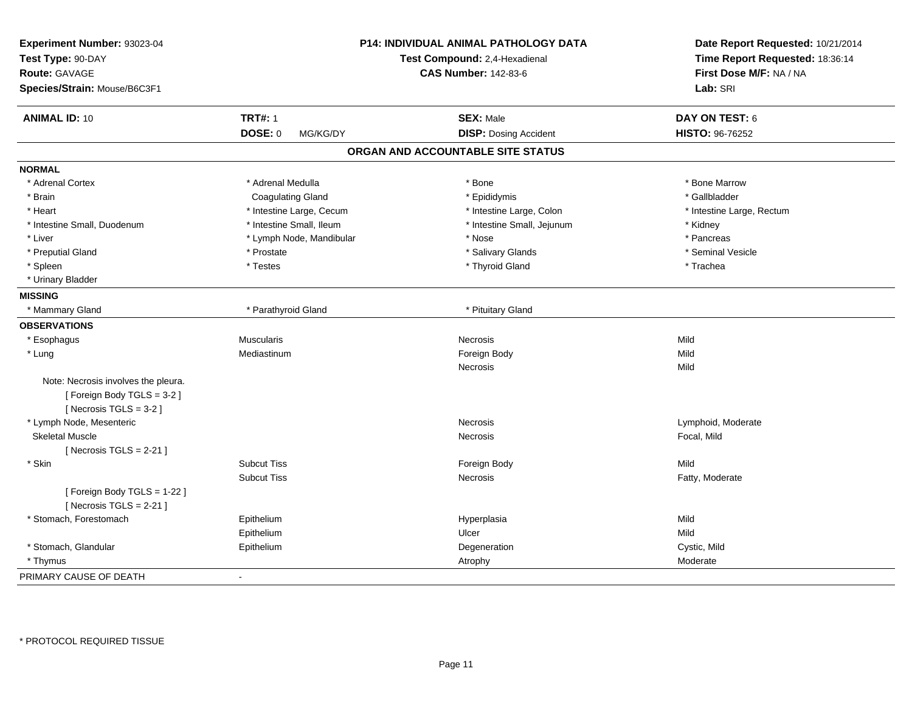| Experiment Number: 93023-04<br>Test Type: 90-DAY<br><b>Route: GAVAGE</b><br>Species/Strain: Mouse/B6C3F1 |                          | P14: INDIVIDUAL ANIMAL PATHOLOGY DATA<br>Test Compound: 2,4-Hexadienal<br><b>CAS Number: 142-83-6</b> | Date Report Requested: 10/21/2014<br>Time Report Requested: 18:36:14<br>First Dose M/F: NA / NA<br>Lab: SRI |
|----------------------------------------------------------------------------------------------------------|--------------------------|-------------------------------------------------------------------------------------------------------|-------------------------------------------------------------------------------------------------------------|
| <b>ANIMAL ID: 10</b>                                                                                     | <b>TRT#: 1</b>           | <b>SEX: Male</b>                                                                                      | DAY ON TEST: 6                                                                                              |
|                                                                                                          | DOSE: 0<br>MG/KG/DY      | <b>DISP: Dosing Accident</b>                                                                          | HISTO: 96-76252                                                                                             |
|                                                                                                          |                          | ORGAN AND ACCOUNTABLE SITE STATUS                                                                     |                                                                                                             |
| <b>NORMAL</b>                                                                                            |                          |                                                                                                       |                                                                                                             |
| * Adrenal Cortex                                                                                         | * Adrenal Medulla        | * Bone                                                                                                | * Bone Marrow                                                                                               |
| * Brain                                                                                                  | Coagulating Gland        | * Epididymis                                                                                          | * Gallbladder                                                                                               |
| * Heart                                                                                                  | * Intestine Large, Cecum | * Intestine Large, Colon                                                                              | * Intestine Large, Rectum                                                                                   |
| * Intestine Small, Duodenum                                                                              | * Intestine Small, Ileum | * Intestine Small, Jejunum                                                                            | * Kidney                                                                                                    |
| * Liver                                                                                                  | * Lymph Node, Mandibular | * Nose                                                                                                | * Pancreas                                                                                                  |
| * Preputial Gland                                                                                        | * Prostate               | * Salivary Glands                                                                                     | * Seminal Vesicle                                                                                           |
| * Spleen                                                                                                 | * Testes                 | * Thyroid Gland                                                                                       | * Trachea                                                                                                   |
| * Urinary Bladder                                                                                        |                          |                                                                                                       |                                                                                                             |
| <b>MISSING</b>                                                                                           |                          |                                                                                                       |                                                                                                             |
| * Mammary Gland                                                                                          | * Parathyroid Gland      | * Pituitary Gland                                                                                     |                                                                                                             |
| <b>OBSERVATIONS</b>                                                                                      |                          |                                                                                                       |                                                                                                             |
| * Esophagus                                                                                              | <b>Muscularis</b>        | <b>Necrosis</b>                                                                                       | Mild                                                                                                        |
| * Lung                                                                                                   | Mediastinum              | Foreign Body                                                                                          | Mild                                                                                                        |
|                                                                                                          |                          | Necrosis                                                                                              | Mild                                                                                                        |
| Note: Necrosis involves the pleura.                                                                      |                          |                                                                                                       |                                                                                                             |
| [Foreign Body TGLS = 3-2]                                                                                |                          |                                                                                                       |                                                                                                             |
| [Necrosis $TGLS = 3-2$ ]                                                                                 |                          |                                                                                                       |                                                                                                             |
| * Lymph Node, Mesenteric                                                                                 |                          | Necrosis                                                                                              | Lymphoid, Moderate                                                                                          |
| <b>Skeletal Muscle</b>                                                                                   |                          | Necrosis                                                                                              | Focal, Mild                                                                                                 |
| [Necrosis $TGLS = 2-21$ ]                                                                                |                          |                                                                                                       |                                                                                                             |
| * Skin                                                                                                   | <b>Subcut Tiss</b>       | Foreign Body                                                                                          | Mild                                                                                                        |
|                                                                                                          | <b>Subcut Tiss</b>       | Necrosis                                                                                              | Fatty, Moderate                                                                                             |
| [ Foreign Body TGLS = 1-22 ]<br>[Necrosis TGLS = $2-21$ ]                                                |                          |                                                                                                       |                                                                                                             |
| * Stomach, Forestomach                                                                                   | Epithelium               | Hyperplasia                                                                                           | Mild                                                                                                        |
|                                                                                                          | Epithelium               | Ulcer                                                                                                 | Mild                                                                                                        |
| * Stomach, Glandular                                                                                     | Epithelium               | Degeneration                                                                                          | Cystic, Mild                                                                                                |
| * Thymus                                                                                                 |                          | Atrophy                                                                                               | Moderate                                                                                                    |
| PRIMARY CAUSE OF DEATH                                                                                   | $\sim$                   |                                                                                                       |                                                                                                             |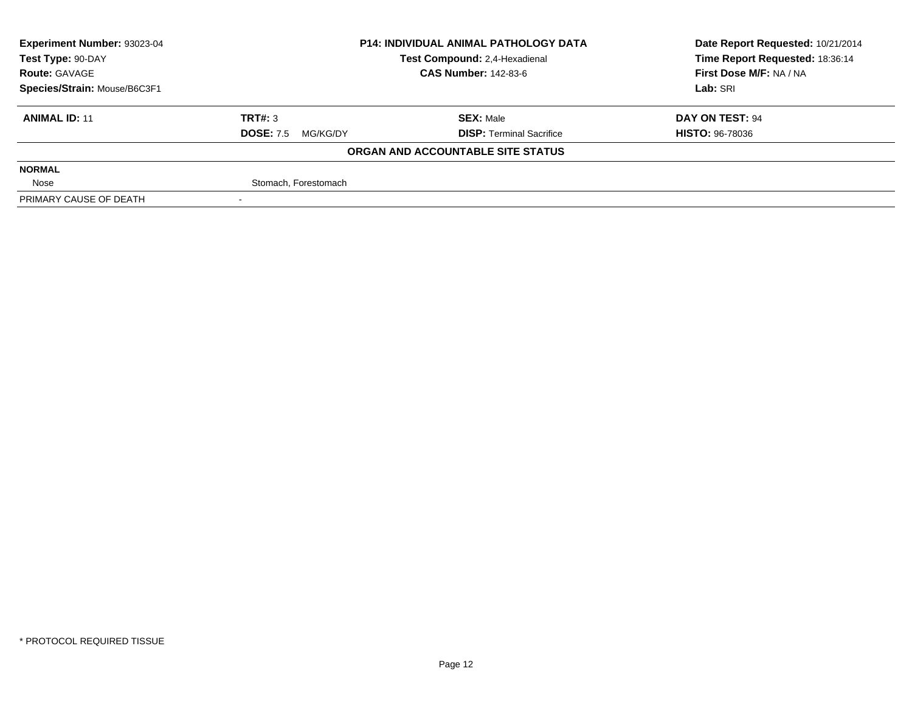| <b>Experiment Number: 93023-04</b>                 | <b>P14: INDIVIDUAL ANIMAL PATHOLOGY DATA</b> |                                   | Date Report Requested: 10/21/2014 |
|----------------------------------------------------|----------------------------------------------|-----------------------------------|-----------------------------------|
| Test Compound: 2,4-Hexadienal<br>Test Type: 90-DAY |                                              |                                   | Time Report Requested: 18:36:14   |
| <b>Route: GAVAGE</b>                               |                                              | <b>CAS Number: 142-83-6</b>       | First Dose M/F: NA / NA           |
| Species/Strain: Mouse/B6C3F1                       |                                              |                                   | Lab: SRI                          |
| <b>ANIMAL ID: 11</b>                               | TRT#: 3                                      | <b>SEX: Male</b>                  | DAY ON TEST: 94                   |
|                                                    | <b>DOSE: 7.5</b><br>MG/KG/DY                 | <b>DISP: Terminal Sacrifice</b>   | <b>HISTO: 96-78036</b>            |
|                                                    |                                              | ORGAN AND ACCOUNTABLE SITE STATUS |                                   |
| <b>NORMAL</b>                                      |                                              |                                   |                                   |
| Nose                                               | Stomach, Forestomach                         |                                   |                                   |
| PRIMARY CAUSE OF DEATH                             |                                              |                                   |                                   |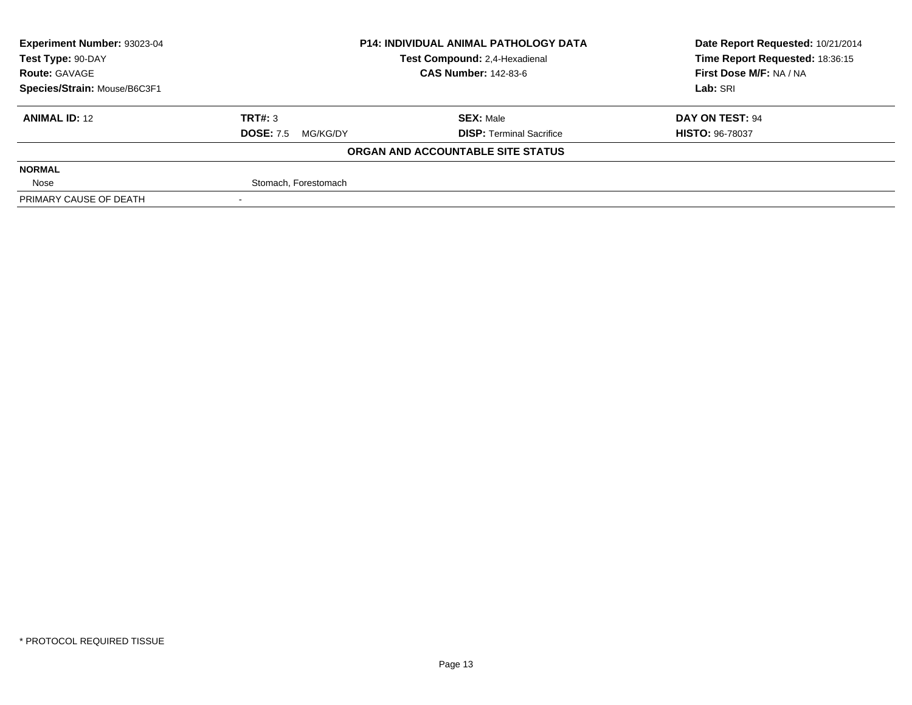| Experiment Number: 93023-04                        | <b>P14: INDIVIDUAL ANIMAL PATHOLOGY DATA</b> |                                   | Date Report Requested: 10/21/2014 |
|----------------------------------------------------|----------------------------------------------|-----------------------------------|-----------------------------------|
| Test Compound: 2,4-Hexadienal<br>Test Type: 90-DAY |                                              | Time Report Requested: 18:36:15   |                                   |
| <b>Route: GAVAGE</b>                               |                                              | <b>CAS Number: 142-83-6</b>       | First Dose M/F: NA / NA           |
| Species/Strain: Mouse/B6C3F1                       |                                              |                                   | Lab: SRI                          |
| <b>ANIMAL ID: 12</b>                               | TRT#: 3                                      | <b>SEX: Male</b>                  | DAY ON TEST: 94                   |
|                                                    | <b>DOSE: 7.5</b><br>MG/KG/DY                 | <b>DISP: Terminal Sacrifice</b>   | <b>HISTO: 96-78037</b>            |
|                                                    |                                              | ORGAN AND ACCOUNTABLE SITE STATUS |                                   |
| <b>NORMAL</b>                                      |                                              |                                   |                                   |
| Nose                                               | Stomach, Forestomach                         |                                   |                                   |
| PRIMARY CAUSE OF DEATH                             |                                              |                                   |                                   |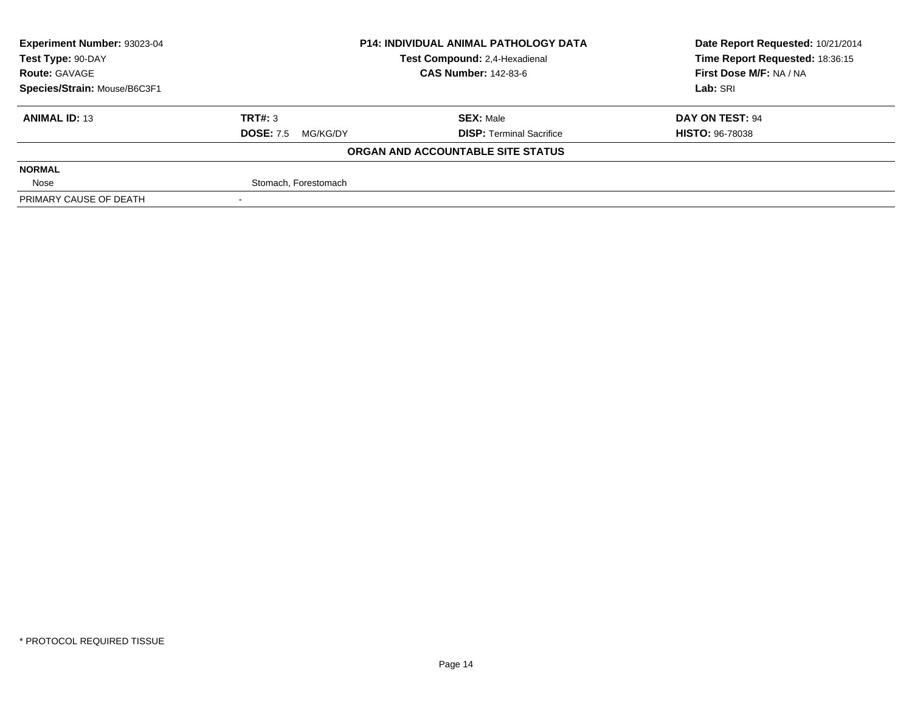| Experiment Number: 93023-04  | <b>P14: INDIVIDUAL ANIMAL PATHOLOGY DATA</b> |                                   | Date Report Requested: 10/21/2014 |
|------------------------------|----------------------------------------------|-----------------------------------|-----------------------------------|
| Test Type: 90-DAY            |                                              | Test Compound: 2,4-Hexadienal     | Time Report Requested: 18:36:15   |
| <b>Route: GAVAGE</b>         |                                              | <b>CAS Number: 142-83-6</b>       | First Dose M/F: NA / NA           |
| Species/Strain: Mouse/B6C3F1 |                                              |                                   | Lab: SRI                          |
| <b>ANIMAL ID: 13</b>         | TRT#: 3                                      | <b>SEX: Male</b>                  | DAY ON TEST: 94                   |
|                              | <b>DOSE: 7.5</b><br>MG/KG/DY                 | <b>DISP: Terminal Sacrifice</b>   | <b>HISTO: 96-78038</b>            |
|                              |                                              | ORGAN AND ACCOUNTABLE SITE STATUS |                                   |
| <b>NORMAL</b>                |                                              |                                   |                                   |
| Nose                         | Stomach, Forestomach                         |                                   |                                   |
| PRIMARY CAUSE OF DEATH       |                                              |                                   |                                   |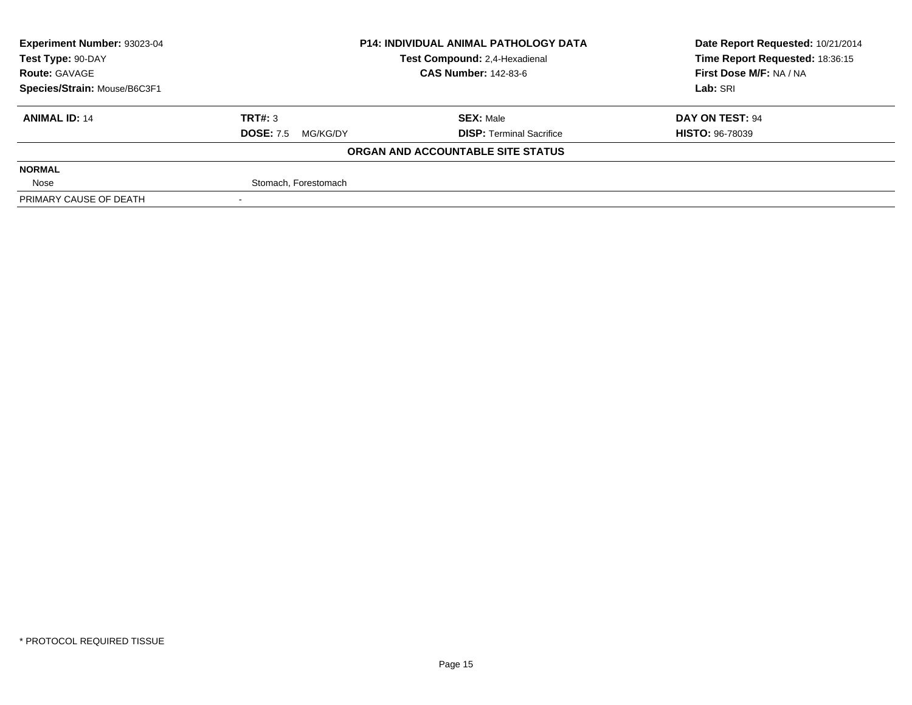| <b>Experiment Number: 93023-04</b> | <b>P14: INDIVIDUAL ANIMAL PATHOLOGY DATA</b><br>Test Compound: 2,4-Hexadienal |                                   | Date Report Requested: 10/21/2014 |
|------------------------------------|-------------------------------------------------------------------------------|-----------------------------------|-----------------------------------|
| Test Type: 90-DAY                  |                                                                               |                                   | Time Report Requested: 18:36:15   |
| <b>Route: GAVAGE</b>               |                                                                               | <b>CAS Number: 142-83-6</b>       | First Dose M/F: NA / NA           |
| Species/Strain: Mouse/B6C3F1       |                                                                               |                                   | Lab: SRI                          |
| <b>ANIMAL ID: 14</b>               | TRT#: 3                                                                       | <b>SEX: Male</b>                  | DAY ON TEST: 94                   |
|                                    | <b>DOSE: 7.5</b><br>MG/KG/DY                                                  | <b>DISP: Terminal Sacrifice</b>   | <b>HISTO: 96-78039</b>            |
|                                    |                                                                               | ORGAN AND ACCOUNTABLE SITE STATUS |                                   |
| <b>NORMAL</b>                      |                                                                               |                                   |                                   |
| Nose                               | Stomach, Forestomach                                                          |                                   |                                   |
| PRIMARY CAUSE OF DEATH             |                                                                               |                                   |                                   |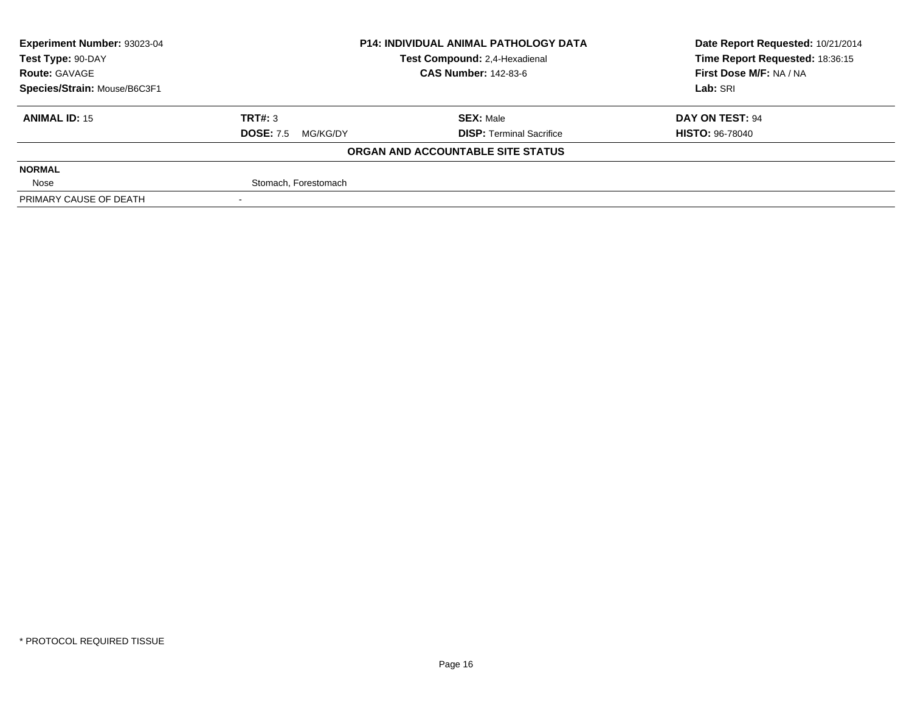| Experiment Number: 93023-04  | <b>P14: INDIVIDUAL ANIMAL PATHOLOGY DATA</b> |                                   | Date Report Requested: 10/21/2014 |
|------------------------------|----------------------------------------------|-----------------------------------|-----------------------------------|
| Test Type: 90-DAY            |                                              | Test Compound: 2,4-Hexadienal     | Time Report Requested: 18:36:15   |
| <b>Route: GAVAGE</b>         |                                              | <b>CAS Number: 142-83-6</b>       | First Dose M/F: NA / NA           |
| Species/Strain: Mouse/B6C3F1 |                                              |                                   | Lab: SRI                          |
| <b>ANIMAL ID: 15</b>         | TRT#: 3                                      | <b>SEX: Male</b>                  | DAY ON TEST: 94                   |
|                              | <b>DOSE: 7.5</b><br>MG/KG/DY                 | <b>DISP: Terminal Sacrifice</b>   | <b>HISTO: 96-78040</b>            |
|                              |                                              | ORGAN AND ACCOUNTABLE SITE STATUS |                                   |
| <b>NORMAL</b>                |                                              |                                   |                                   |
| Nose                         | Stomach, Forestomach                         |                                   |                                   |
| PRIMARY CAUSE OF DEATH       |                                              |                                   |                                   |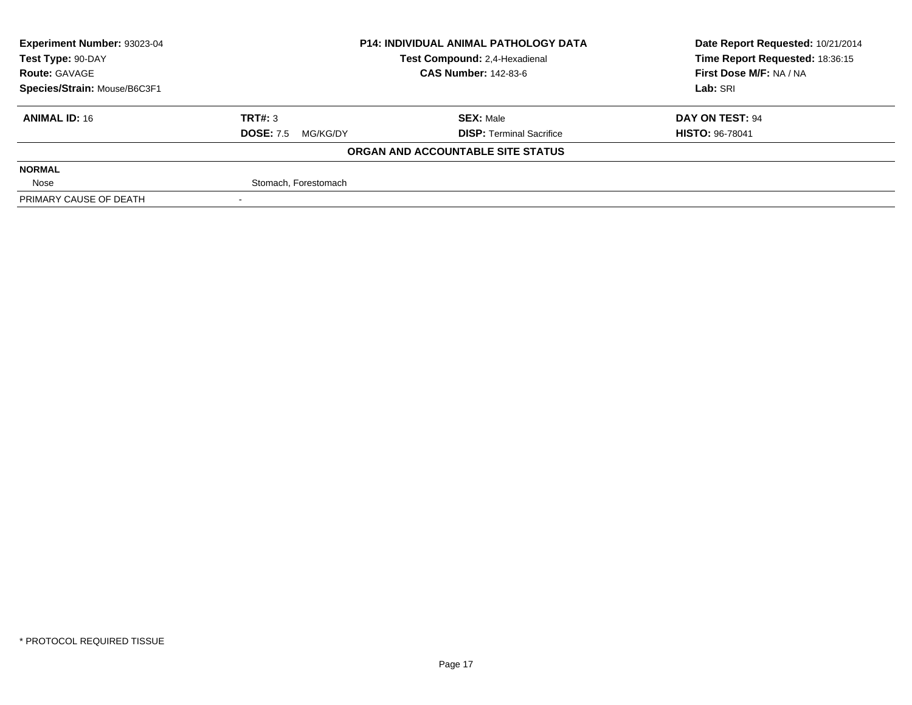| Experiment Number: 93023-04  | <b>P14: INDIVIDUAL ANIMAL PATHOLOGY DATA</b><br>Test Compound: 2,4-Hexadienal |                                   | Date Report Requested: 10/21/2014 |
|------------------------------|-------------------------------------------------------------------------------|-----------------------------------|-----------------------------------|
| Test Type: 90-DAY            |                                                                               |                                   | Time Report Requested: 18:36:15   |
| <b>Route: GAVAGE</b>         |                                                                               | <b>CAS Number: 142-83-6</b>       | First Dose M/F: NA / NA           |
| Species/Strain: Mouse/B6C3F1 |                                                                               |                                   | Lab: SRI                          |
| <b>ANIMAL ID: 16</b>         | TRT#: 3                                                                       | <b>SEX: Male</b>                  | DAY ON TEST: 94                   |
|                              | <b>DOSE: 7.5</b><br>MG/KG/DY                                                  | <b>DISP: Terminal Sacrifice</b>   | <b>HISTO: 96-78041</b>            |
|                              |                                                                               | ORGAN AND ACCOUNTABLE SITE STATUS |                                   |
| <b>NORMAL</b>                |                                                                               |                                   |                                   |
| Nose                         | Stomach, Forestomach                                                          |                                   |                                   |
| PRIMARY CAUSE OF DEATH       |                                                                               |                                   |                                   |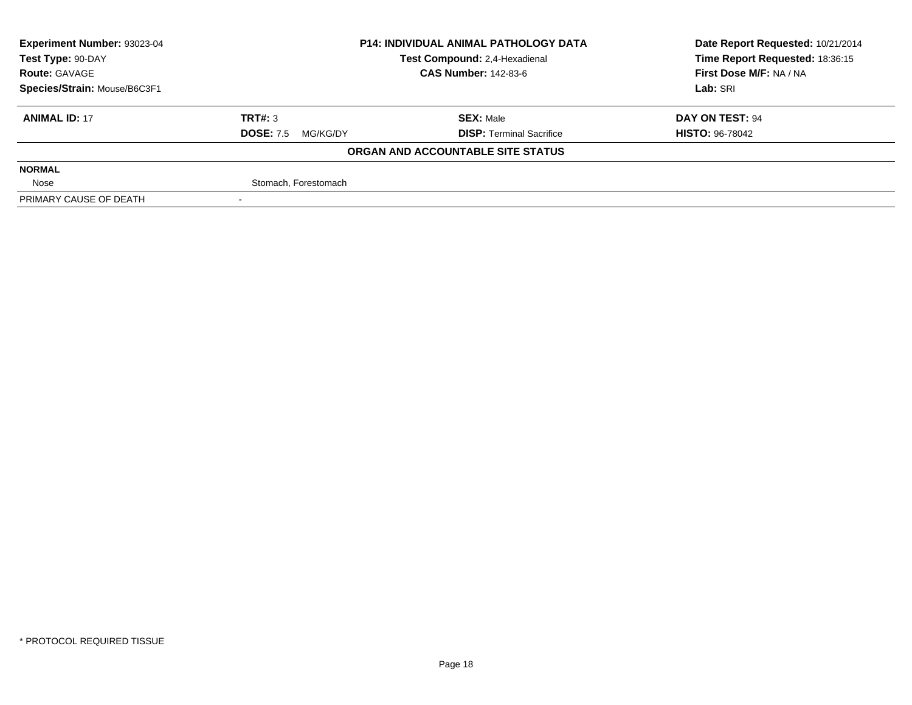| Experiment Number: 93023-04  | <b>P14: INDIVIDUAL ANIMAL PATHOLOGY DATA</b> |                                   | Date Report Requested: 10/21/2014 |
|------------------------------|----------------------------------------------|-----------------------------------|-----------------------------------|
| Test Type: 90-DAY            |                                              | Test Compound: 2,4-Hexadienal     | Time Report Requested: 18:36:15   |
| <b>Route: GAVAGE</b>         |                                              | <b>CAS Number: 142-83-6</b>       | First Dose M/F: NA / NA           |
| Species/Strain: Mouse/B6C3F1 |                                              |                                   | Lab: SRI                          |
| <b>ANIMAL ID: 17</b>         | TRT#: 3                                      | <b>SEX: Male</b>                  | DAY ON TEST: 94                   |
|                              | <b>DOSE: 7.5</b><br>MG/KG/DY                 | <b>DISP: Terminal Sacrifice</b>   | <b>HISTO: 96-78042</b>            |
|                              |                                              | ORGAN AND ACCOUNTABLE SITE STATUS |                                   |
| <b>NORMAL</b>                |                                              |                                   |                                   |
| Nose                         | Stomach, Forestomach                         |                                   |                                   |
| PRIMARY CAUSE OF DEATH       |                                              |                                   |                                   |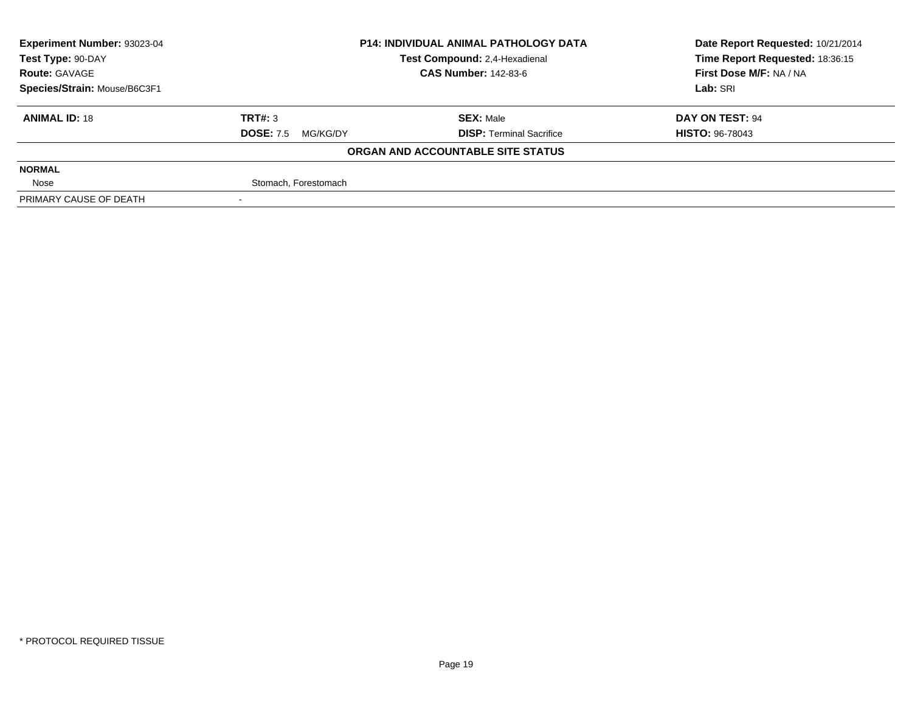| Experiment Number: 93023-04  | <b>P14: INDIVIDUAL ANIMAL PATHOLOGY DATA</b> |                                   | Date Report Requested: 10/21/2014 |
|------------------------------|----------------------------------------------|-----------------------------------|-----------------------------------|
| Test Type: 90-DAY            |                                              | Test Compound: 2,4-Hexadienal     | Time Report Requested: 18:36:15   |
| <b>Route: GAVAGE</b>         |                                              | <b>CAS Number: 142-83-6</b>       | First Dose M/F: NA / NA           |
| Species/Strain: Mouse/B6C3F1 |                                              |                                   | Lab: SRI                          |
| <b>ANIMAL ID: 18</b>         | TRT#: 3                                      | <b>SEX: Male</b>                  | DAY ON TEST: 94                   |
|                              | <b>DOSE: 7.5</b><br>MG/KG/DY                 | <b>DISP: Terminal Sacrifice</b>   | <b>HISTO: 96-78043</b>            |
|                              |                                              | ORGAN AND ACCOUNTABLE SITE STATUS |                                   |
| <b>NORMAL</b>                |                                              |                                   |                                   |
| Nose                         | Stomach, Forestomach                         |                                   |                                   |
| PRIMARY CAUSE OF DEATH       |                                              |                                   |                                   |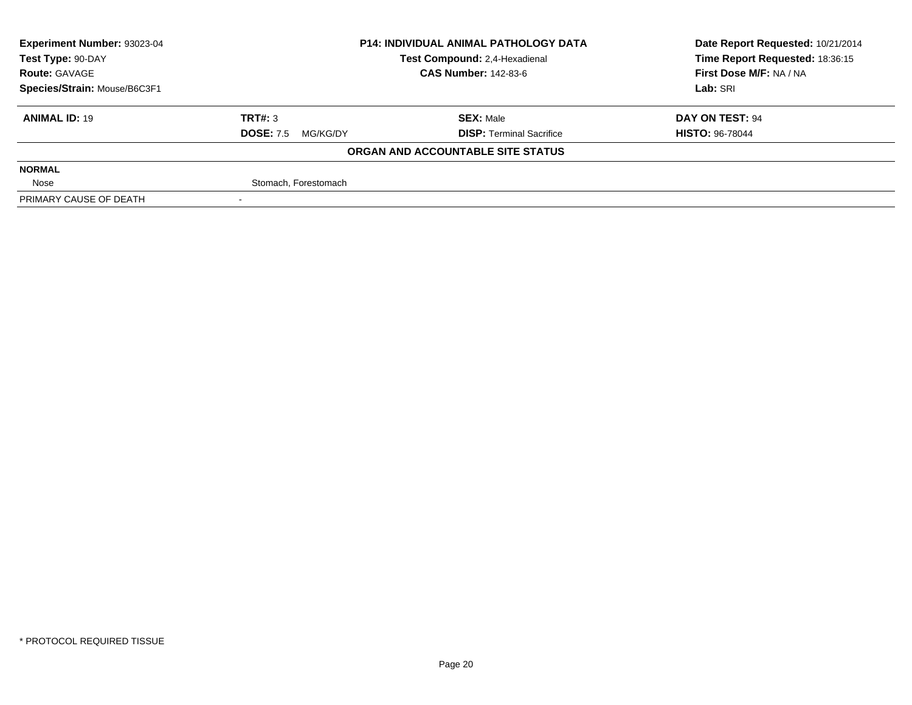| Experiment Number: 93023-04  | <b>P14: INDIVIDUAL ANIMAL PATHOLOGY DATA</b> |                                   | Date Report Requested: 10/21/2014 |
|------------------------------|----------------------------------------------|-----------------------------------|-----------------------------------|
| Test Type: 90-DAY            |                                              | Test Compound: 2,4-Hexadienal     | Time Report Requested: 18:36:15   |
| <b>Route: GAVAGE</b>         |                                              | <b>CAS Number: 142-83-6</b>       | First Dose M/F: NA / NA           |
| Species/Strain: Mouse/B6C3F1 |                                              |                                   | Lab: SRI                          |
| <b>ANIMAL ID: 19</b>         | TRT#: 3                                      | <b>SEX: Male</b>                  | DAY ON TEST: 94                   |
|                              | <b>DOSE: 7.5</b><br>MG/KG/DY                 | <b>DISP: Terminal Sacrifice</b>   | <b>HISTO: 96-78044</b>            |
|                              |                                              | ORGAN AND ACCOUNTABLE SITE STATUS |                                   |
| <b>NORMAL</b>                |                                              |                                   |                                   |
| Nose                         | Stomach, Forestomach                         |                                   |                                   |
| PRIMARY CAUSE OF DEATH       |                                              |                                   |                                   |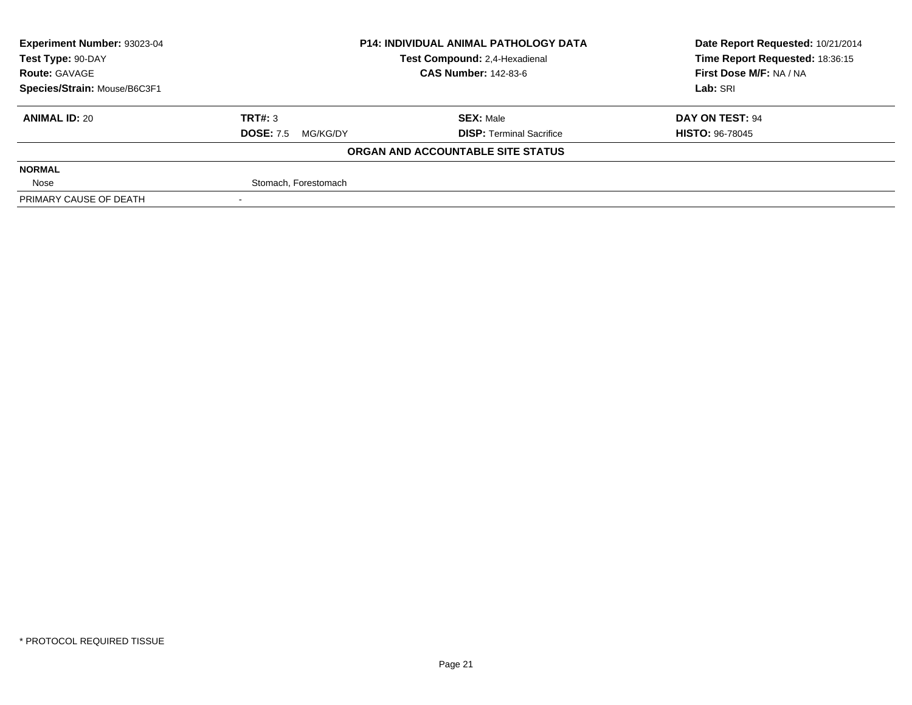| Experiment Number: 93023-04  | <b>P14: INDIVIDUAL ANIMAL PATHOLOGY DATA</b> |                                   | Date Report Requested: 10/21/2014 |
|------------------------------|----------------------------------------------|-----------------------------------|-----------------------------------|
| Test Type: 90-DAY            |                                              | Test Compound: 2,4-Hexadienal     | Time Report Requested: 18:36:15   |
| <b>Route: GAVAGE</b>         |                                              | <b>CAS Number: 142-83-6</b>       | First Dose M/F: NA / NA           |
| Species/Strain: Mouse/B6C3F1 |                                              |                                   | Lab: SRI                          |
| <b>ANIMAL ID: 20</b>         | TRT#: 3                                      | <b>SEX: Male</b>                  | DAY ON TEST: 94                   |
|                              | <b>DOSE: 7.5</b><br>MG/KG/DY                 | <b>DISP: Terminal Sacrifice</b>   | <b>HISTO: 96-78045</b>            |
|                              |                                              | ORGAN AND ACCOUNTABLE SITE STATUS |                                   |
| <b>NORMAL</b>                |                                              |                                   |                                   |
| Nose                         | Stomach, Forestomach                         |                                   |                                   |
| PRIMARY CAUSE OF DEATH       |                                              |                                   |                                   |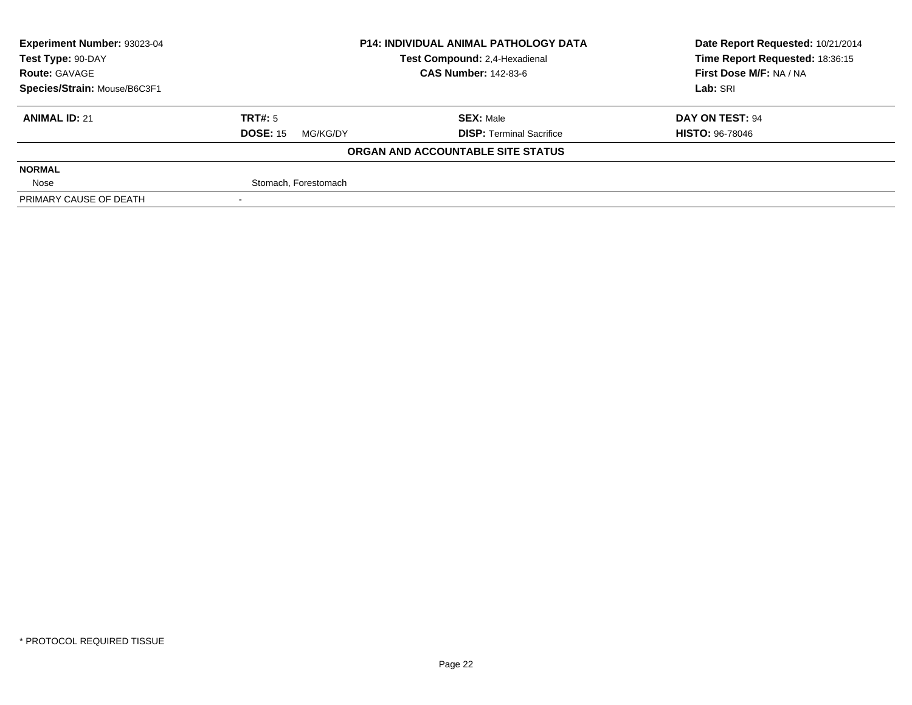| <b>Experiment Number: 93023-04</b> | <b>P14: INDIVIDUAL ANIMAL PATHOLOGY DATA</b><br>Test Compound: 2,4-Hexadienal |                                   | Date Report Requested: 10/21/2014 |
|------------------------------------|-------------------------------------------------------------------------------|-----------------------------------|-----------------------------------|
| Test Type: 90-DAY                  |                                                                               |                                   | Time Report Requested: 18:36:15   |
| <b>Route: GAVAGE</b>               |                                                                               | <b>CAS Number: 142-83-6</b>       | First Dose M/F: NA / NA           |
| Species/Strain: Mouse/B6C3F1       |                                                                               |                                   | Lab: SRI                          |
| <b>ANIMAL ID: 21</b>               | TRT#: 5                                                                       | <b>SEX: Male</b>                  | DAY ON TEST: 94                   |
|                                    | <b>DOSE: 15</b><br>MG/KG/DY                                                   | <b>DISP: Terminal Sacrifice</b>   | <b>HISTO: 96-78046</b>            |
|                                    |                                                                               | ORGAN AND ACCOUNTABLE SITE STATUS |                                   |
| <b>NORMAL</b>                      |                                                                               |                                   |                                   |
| Nose                               | Stomach, Forestomach                                                          |                                   |                                   |
| PRIMARY CAUSE OF DEATH             |                                                                               |                                   |                                   |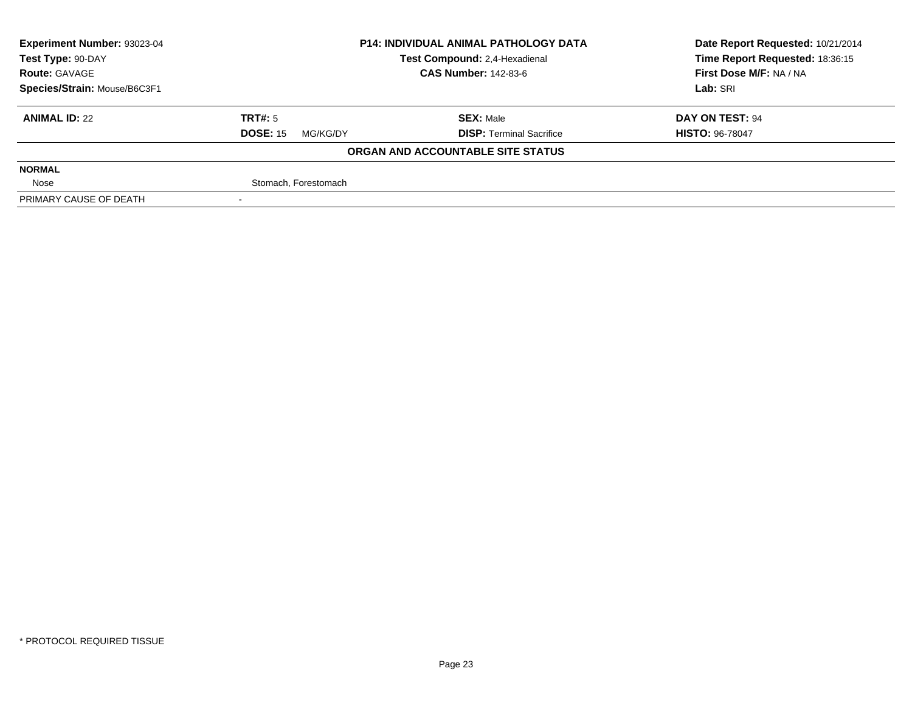| Experiment Number: 93023-04  | <b>P14: INDIVIDUAL ANIMAL PATHOLOGY DATA</b><br>Test Compound: 2,4-Hexadienal |                                   | Date Report Requested: 10/21/2014 |
|------------------------------|-------------------------------------------------------------------------------|-----------------------------------|-----------------------------------|
| Test Type: 90-DAY            |                                                                               |                                   | Time Report Requested: 18:36:15   |
| <b>Route: GAVAGE</b>         |                                                                               | <b>CAS Number: 142-83-6</b>       | First Dose M/F: NA / NA           |
| Species/Strain: Mouse/B6C3F1 |                                                                               |                                   | Lab: SRI                          |
| <b>ANIMAL ID: 22</b>         | TRT#: 5                                                                       | <b>SEX: Male</b>                  | DAY ON TEST: 94                   |
|                              | <b>DOSE: 15</b><br>MG/KG/DY                                                   | <b>DISP: Terminal Sacrifice</b>   | <b>HISTO: 96-78047</b>            |
|                              |                                                                               | ORGAN AND ACCOUNTABLE SITE STATUS |                                   |
| <b>NORMAL</b>                |                                                                               |                                   |                                   |
| Nose                         | Stomach, Forestomach                                                          |                                   |                                   |
| PRIMARY CAUSE OF DEATH       |                                                                               |                                   |                                   |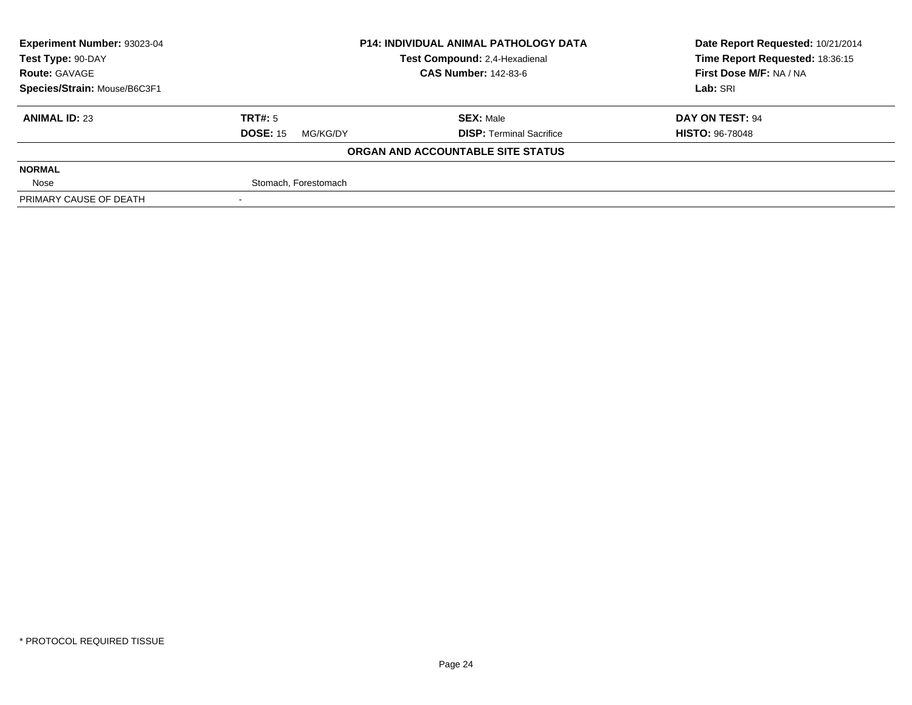| <b>Experiment Number: 93023-04</b> |                             | <b>P14: INDIVIDUAL ANIMAL PATHOLOGY DATA</b> | Date Report Requested: 10/21/2014 |
|------------------------------------|-----------------------------|----------------------------------------------|-----------------------------------|
| Test Type: 90-DAY                  |                             | Test Compound: 2,4-Hexadienal                | Time Report Requested: 18:36:15   |
| <b>Route: GAVAGE</b>               | <b>CAS Number: 142-83-6</b> |                                              | First Dose M/F: NA / NA           |
| Species/Strain: Mouse/B6C3F1       |                             | Lab: SRI                                     |                                   |
| <b>ANIMAL ID: 23</b>               | TRT#: 5                     | <b>SEX: Male</b>                             | DAY ON TEST: 94                   |
|                                    | <b>DOSE: 15</b><br>MG/KG/DY | <b>DISP: Terminal Sacrifice</b>              | <b>HISTO: 96-78048</b>            |
|                                    |                             | ORGAN AND ACCOUNTABLE SITE STATUS            |                                   |
| <b>NORMAL</b>                      |                             |                                              |                                   |
| Nose                               | Stomach, Forestomach        |                                              |                                   |
| PRIMARY CAUSE OF DEATH             |                             |                                              |                                   |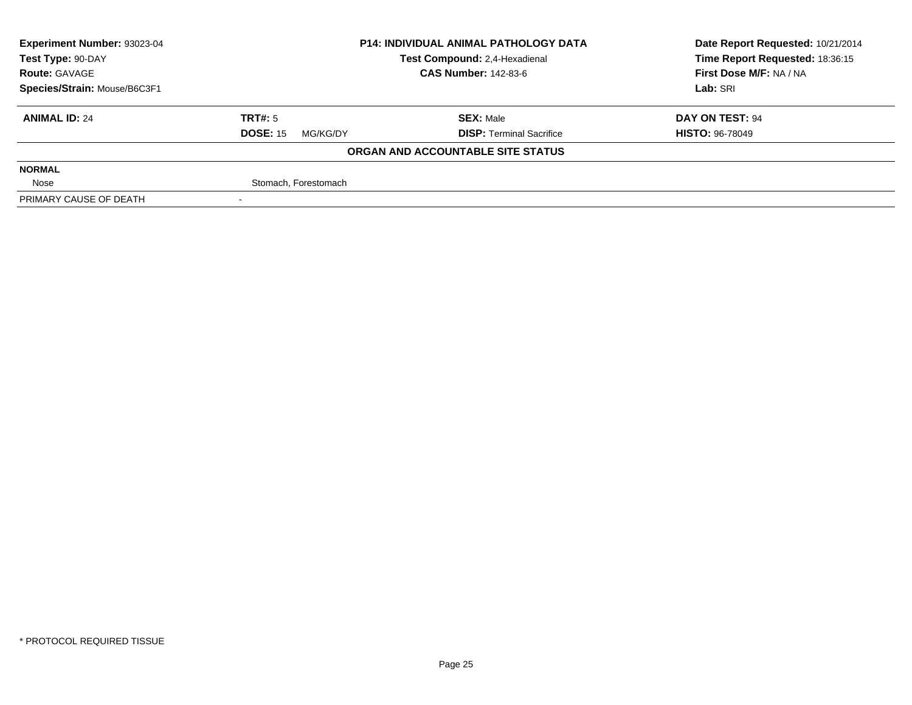| <b>Experiment Number: 93023-04</b> | <b>P14: INDIVIDUAL ANIMAL PATHOLOGY DATA</b><br>Test Compound: 2,4-Hexadienal<br><b>CAS Number: 142-83-6</b> |                                   | Date Report Requested: 10/21/2014 |
|------------------------------------|--------------------------------------------------------------------------------------------------------------|-----------------------------------|-----------------------------------|
| Test Type: 90-DAY                  |                                                                                                              |                                   | Time Report Requested: 18:36:15   |
| <b>Route: GAVAGE</b>               |                                                                                                              |                                   | First Dose M/F: NA / NA           |
| Species/Strain: Mouse/B6C3F1       |                                                                                                              | Lab: SRI                          |                                   |
| <b>ANIMAL ID: 24</b>               | TRT#: 5                                                                                                      | <b>SEX: Male</b>                  | DAY ON TEST: 94                   |
|                                    | <b>DOSE: 15</b><br>MG/KG/DY                                                                                  | <b>DISP: Terminal Sacrifice</b>   | <b>HISTO: 96-78049</b>            |
|                                    |                                                                                                              | ORGAN AND ACCOUNTABLE SITE STATUS |                                   |
| <b>NORMAL</b>                      |                                                                                                              |                                   |                                   |
| Nose                               | Stomach, Forestomach                                                                                         |                                   |                                   |
| PRIMARY CAUSE OF DEATH             |                                                                                                              |                                   |                                   |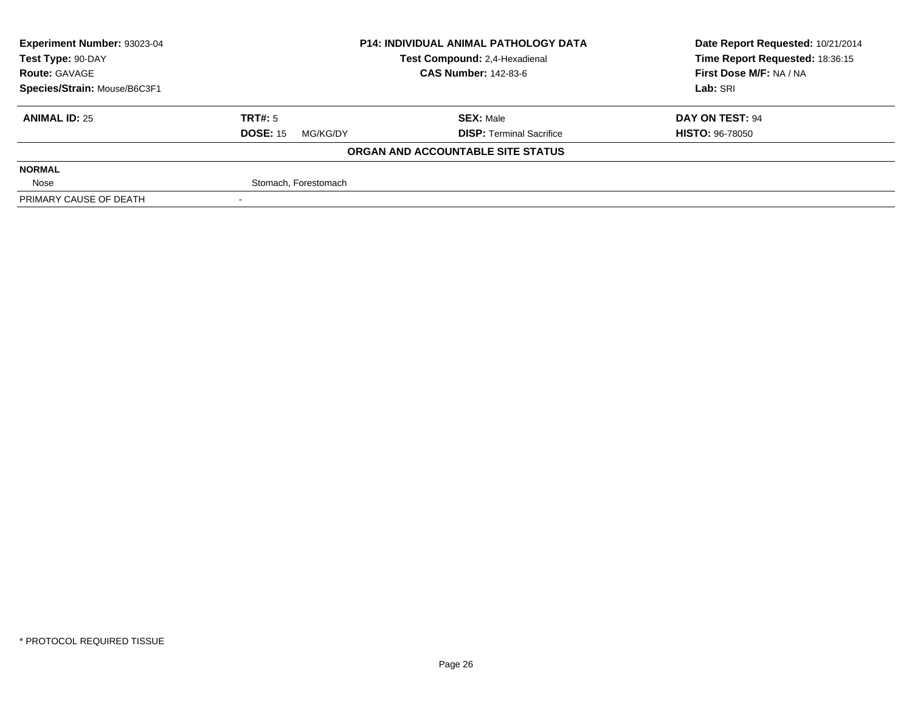| Experiment Number: 93023-04  | <b>P14: INDIVIDUAL ANIMAL PATHOLOGY DATA</b> |                                   | Date Report Requested: 10/21/2014 |  |
|------------------------------|----------------------------------------------|-----------------------------------|-----------------------------------|--|
| Test Type: 90-DAY            |                                              | Test Compound: 2,4-Hexadienal     | Time Report Requested: 18:36:15   |  |
| <b>Route: GAVAGE</b>         |                                              | <b>CAS Number: 142-83-6</b>       | First Dose M/F: NA / NA           |  |
| Species/Strain: Mouse/B6C3F1 |                                              |                                   | Lab: SRI                          |  |
| <b>ANIMAL ID: 25</b>         | TRT#: 5                                      | <b>SEX: Male</b>                  | DAY ON TEST: 94                   |  |
|                              | <b>DOSE: 15</b><br>MG/KG/DY                  | <b>DISP: Terminal Sacrifice</b>   | <b>HISTO: 96-78050</b>            |  |
|                              |                                              | ORGAN AND ACCOUNTABLE SITE STATUS |                                   |  |
| <b>NORMAL</b>                |                                              |                                   |                                   |  |
| Nose                         | Stomach, Forestomach                         |                                   |                                   |  |
| PRIMARY CAUSE OF DEATH       |                                              |                                   |                                   |  |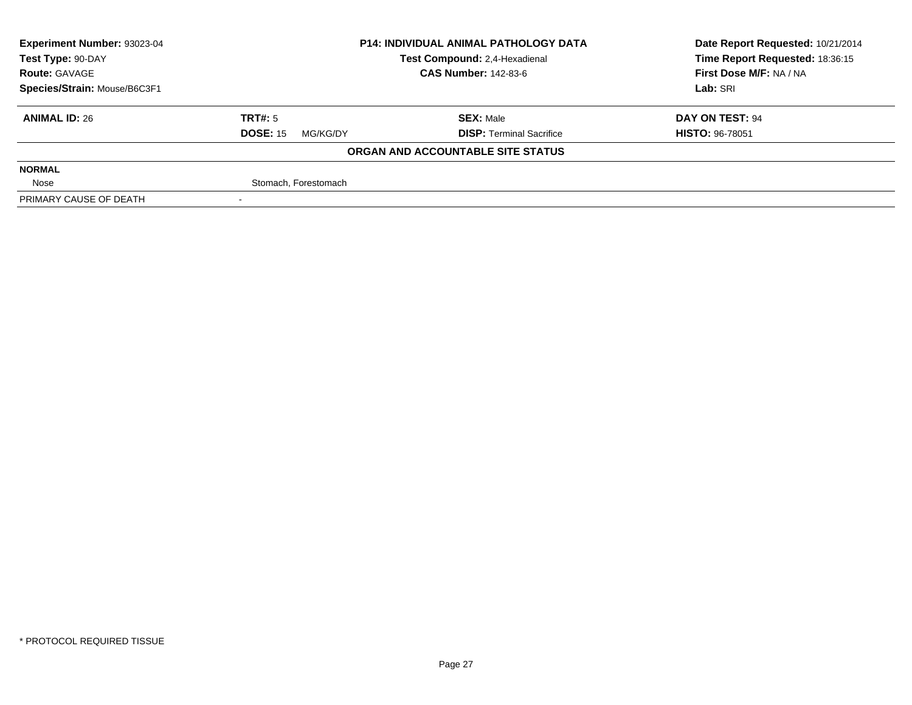| Experiment Number: 93023-04  | <b>P14: INDIVIDUAL ANIMAL PATHOLOGY DATA</b> |                                   | Date Report Requested: 10/21/2014 |
|------------------------------|----------------------------------------------|-----------------------------------|-----------------------------------|
| Test Type: 90-DAY            |                                              | Test Compound: 2,4-Hexadienal     | Time Report Requested: 18:36:15   |
| <b>Route: GAVAGE</b>         |                                              | <b>CAS Number: 142-83-6</b>       | First Dose M/F: NA / NA           |
| Species/Strain: Mouse/B6C3F1 |                                              |                                   | Lab: SRI                          |
| <b>ANIMAL ID: 26</b>         | TRT#: 5                                      | <b>SEX: Male</b>                  | DAY ON TEST: 94                   |
|                              | <b>DOSE: 15</b><br>MG/KG/DY                  | <b>DISP: Terminal Sacrifice</b>   | <b>HISTO: 96-78051</b>            |
|                              |                                              | ORGAN AND ACCOUNTABLE SITE STATUS |                                   |
| <b>NORMAL</b>                |                                              |                                   |                                   |
| Nose                         | Stomach, Forestomach                         |                                   |                                   |
| PRIMARY CAUSE OF DEATH       |                                              |                                   |                                   |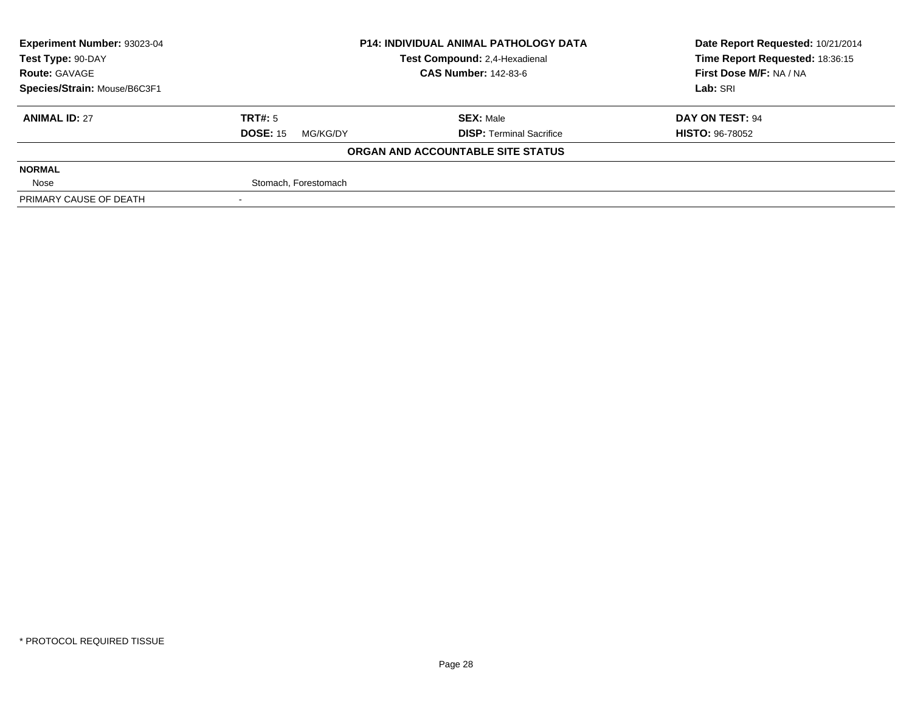| <b>Experiment Number: 93023-04</b> | <b>P14: INDIVIDUAL ANIMAL PATHOLOGY DATA</b> |                                   | Date Report Requested: 10/21/2014 |
|------------------------------------|----------------------------------------------|-----------------------------------|-----------------------------------|
| Test Type: 90-DAY                  |                                              | Test Compound: 2,4-Hexadienal     | Time Report Requested: 18:36:15   |
| <b>Route: GAVAGE</b>               |                                              | <b>CAS Number: 142-83-6</b>       | First Dose M/F: NA / NA           |
| Species/Strain: Mouse/B6C3F1       |                                              | Lab: SRI                          |                                   |
| <b>ANIMAL ID: 27</b>               | TRT#: 5                                      | <b>SEX: Male</b>                  | DAY ON TEST: 94                   |
|                                    | <b>DOSE: 15</b><br>MG/KG/DY                  | <b>DISP: Terminal Sacrifice</b>   | <b>HISTO: 96-78052</b>            |
|                                    |                                              | ORGAN AND ACCOUNTABLE SITE STATUS |                                   |
| <b>NORMAL</b>                      |                                              |                                   |                                   |
| Nose                               | Stomach, Forestomach                         |                                   |                                   |
| PRIMARY CAUSE OF DEATH             |                                              |                                   |                                   |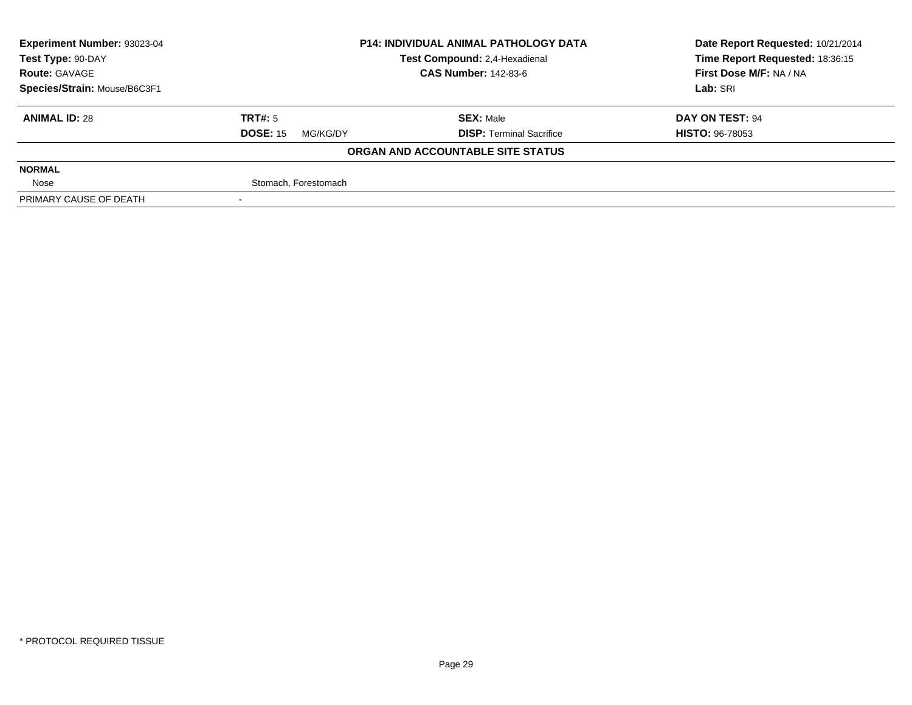| <b>Experiment Number: 93023-04</b> |                             | <b>P14: INDIVIDUAL ANIMAL PATHOLOGY DATA</b> | Date Report Requested: 10/21/2014 |
|------------------------------------|-----------------------------|----------------------------------------------|-----------------------------------|
| Test Type: 90-DAY                  |                             | Test Compound: 2,4-Hexadienal                | Time Report Requested: 18:36:15   |
| <b>Route: GAVAGE</b>               | <b>CAS Number: 142-83-6</b> |                                              | First Dose M/F: NA / NA           |
| Species/Strain: Mouse/B6C3F1       |                             |                                              | Lab: SRI                          |
| <b>ANIMAL ID: 28</b>               | TRT#: 5                     | <b>SEX: Male</b>                             | DAY ON TEST: 94                   |
|                                    | <b>DOSE: 15</b><br>MG/KG/DY | <b>DISP: Terminal Sacrifice</b>              | <b>HISTO: 96-78053</b>            |
|                                    |                             | ORGAN AND ACCOUNTABLE SITE STATUS            |                                   |
| <b>NORMAL</b>                      |                             |                                              |                                   |
| Nose                               | Stomach, Forestomach        |                                              |                                   |
| PRIMARY CAUSE OF DEATH             |                             |                                              |                                   |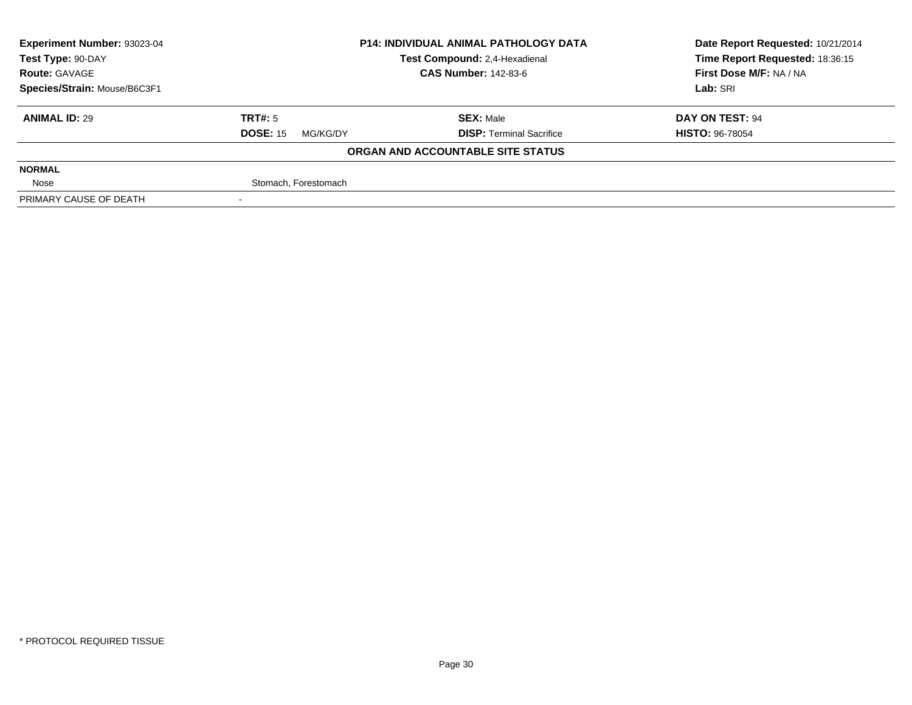| Experiment Number: 93023-04  | <b>P14: INDIVIDUAL ANIMAL PATHOLOGY DATA</b> |                                   | Date Report Requested: 10/21/2014 |  |
|------------------------------|----------------------------------------------|-----------------------------------|-----------------------------------|--|
| Test Type: 90-DAY            |                                              | Test Compound: 2,4-Hexadienal     | Time Report Requested: 18:36:15   |  |
| <b>Route: GAVAGE</b>         |                                              | <b>CAS Number: 142-83-6</b>       | First Dose M/F: NA / NA           |  |
| Species/Strain: Mouse/B6C3F1 |                                              |                                   | Lab: SRI                          |  |
| <b>ANIMAL ID: 29</b>         | TRT#: 5                                      | <b>SEX: Male</b>                  | DAY ON TEST: 94                   |  |
|                              | <b>DOSE: 15</b><br>MG/KG/DY                  | <b>DISP: Terminal Sacrifice</b>   | <b>HISTO: 96-78054</b>            |  |
|                              |                                              | ORGAN AND ACCOUNTABLE SITE STATUS |                                   |  |
| <b>NORMAL</b>                |                                              |                                   |                                   |  |
| Nose                         | Stomach, Forestomach                         |                                   |                                   |  |
| PRIMARY CAUSE OF DEATH       |                                              |                                   |                                   |  |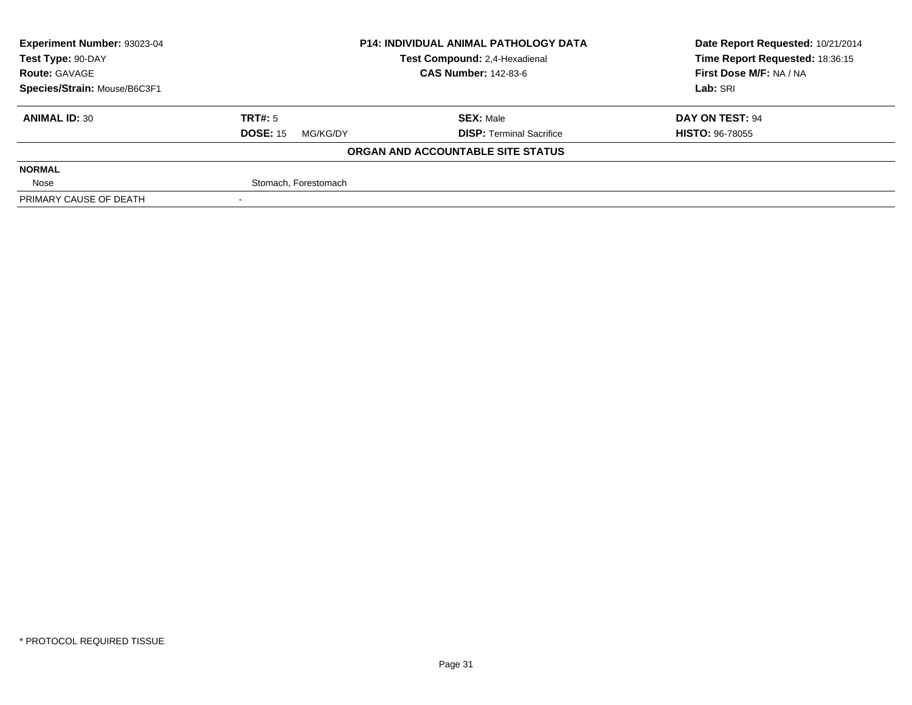| <b>Experiment Number: 93023-04</b> |                             | <b>P14: INDIVIDUAL ANIMAL PATHOLOGY DATA</b> | Date Report Requested: 10/21/2014 |
|------------------------------------|-----------------------------|----------------------------------------------|-----------------------------------|
| Test Type: 90-DAY                  |                             | Test Compound: 2,4-Hexadienal                | Time Report Requested: 18:36:15   |
| <b>Route: GAVAGE</b>               | <b>CAS Number: 142-83-6</b> |                                              | First Dose M/F: NA / NA           |
| Species/Strain: Mouse/B6C3F1       |                             | Lab: SRI                                     |                                   |
| <b>ANIMAL ID: 30</b>               | TRT#: 5                     | <b>SEX: Male</b>                             | DAY ON TEST: 94                   |
|                                    | <b>DOSE: 15</b><br>MG/KG/DY | <b>DISP: Terminal Sacrifice</b>              | <b>HISTO: 96-78055</b>            |
|                                    |                             | ORGAN AND ACCOUNTABLE SITE STATUS            |                                   |
| <b>NORMAL</b>                      |                             |                                              |                                   |
| Nose                               | Stomach, Forestomach        |                                              |                                   |
| PRIMARY CAUSE OF DEATH             |                             |                                              |                                   |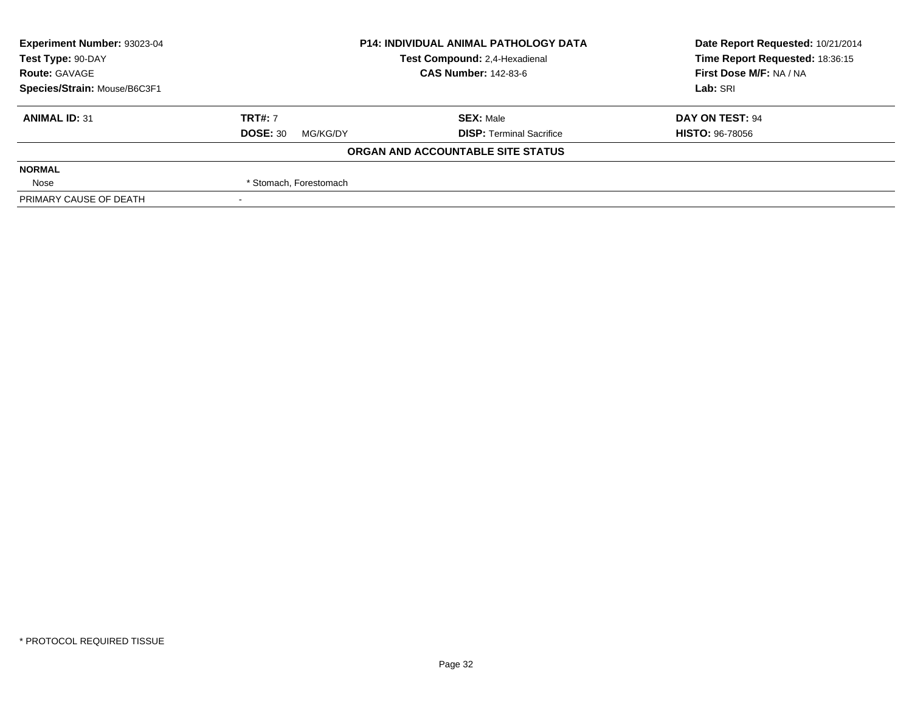| Experiment Number: 93023-04  | <b>P14: INDIVIDUAL ANIMAL PATHOLOGY DATA</b> |                                   | Date Report Requested: 10/21/2014 |  |
|------------------------------|----------------------------------------------|-----------------------------------|-----------------------------------|--|
| Test Type: 90-DAY            |                                              | Test Compound: 2,4-Hexadienal     | Time Report Requested: 18:36:15   |  |
| <b>Route: GAVAGE</b>         |                                              | <b>CAS Number: 142-83-6</b>       | First Dose M/F: NA / NA           |  |
| Species/Strain: Mouse/B6C3F1 |                                              |                                   | Lab: SRI                          |  |
| <b>ANIMAL ID: 31</b>         | <b>TRT#: 7</b>                               | <b>SEX: Male</b>                  | DAY ON TEST: 94                   |  |
|                              | <b>DOSE: 30</b><br>MG/KG/DY                  | <b>DISP: Terminal Sacrifice</b>   | <b>HISTO: 96-78056</b>            |  |
|                              |                                              | ORGAN AND ACCOUNTABLE SITE STATUS |                                   |  |
| <b>NORMAL</b>                |                                              |                                   |                                   |  |
| Nose                         | * Stomach, Forestomach                       |                                   |                                   |  |
| PRIMARY CAUSE OF DEATH       |                                              |                                   |                                   |  |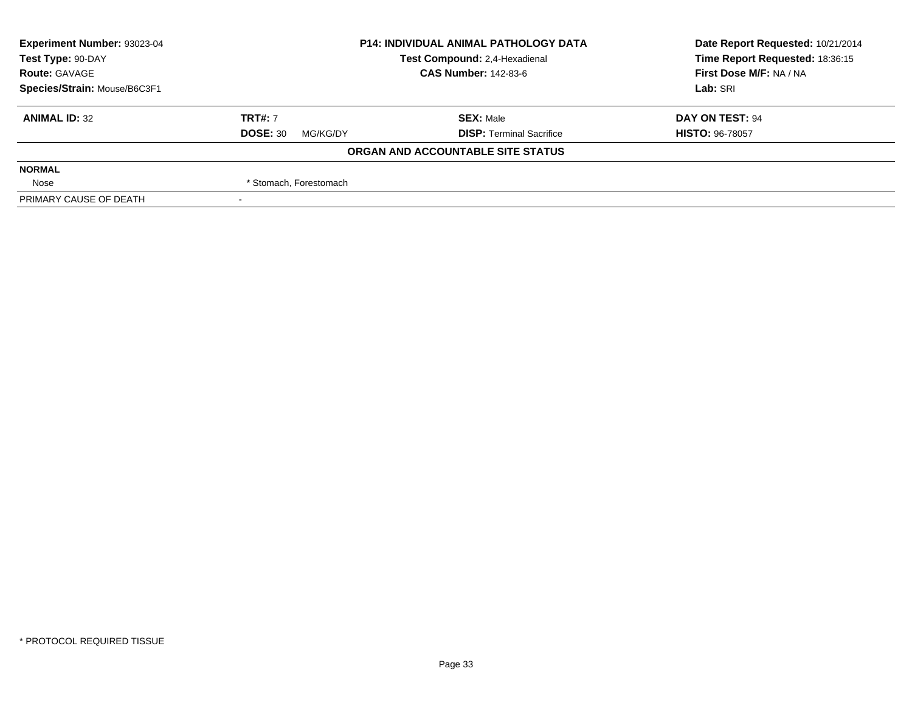| Experiment Number: 93023-04  | <b>P14: INDIVIDUAL ANIMAL PATHOLOGY DATA</b> |                                   | Date Report Requested: 10/21/2014 |  |
|------------------------------|----------------------------------------------|-----------------------------------|-----------------------------------|--|
| Test Type: 90-DAY            |                                              | Test Compound: 2,4-Hexadienal     | Time Report Requested: 18:36:15   |  |
| <b>Route: GAVAGE</b>         |                                              | <b>CAS Number: 142-83-6</b>       | First Dose M/F: NA / NA           |  |
| Species/Strain: Mouse/B6C3F1 |                                              |                                   | Lab: SRI                          |  |
| <b>ANIMAL ID: 32</b>         | <b>TRT#: 7</b>                               | <b>SEX: Male</b>                  | DAY ON TEST: 94                   |  |
|                              | <b>DOSE: 30</b><br>MG/KG/DY                  | <b>DISP: Terminal Sacrifice</b>   | <b>HISTO: 96-78057</b>            |  |
|                              |                                              | ORGAN AND ACCOUNTABLE SITE STATUS |                                   |  |
| <b>NORMAL</b>                |                                              |                                   |                                   |  |
| Nose                         | * Stomach, Forestomach                       |                                   |                                   |  |
| PRIMARY CAUSE OF DEATH       |                                              |                                   |                                   |  |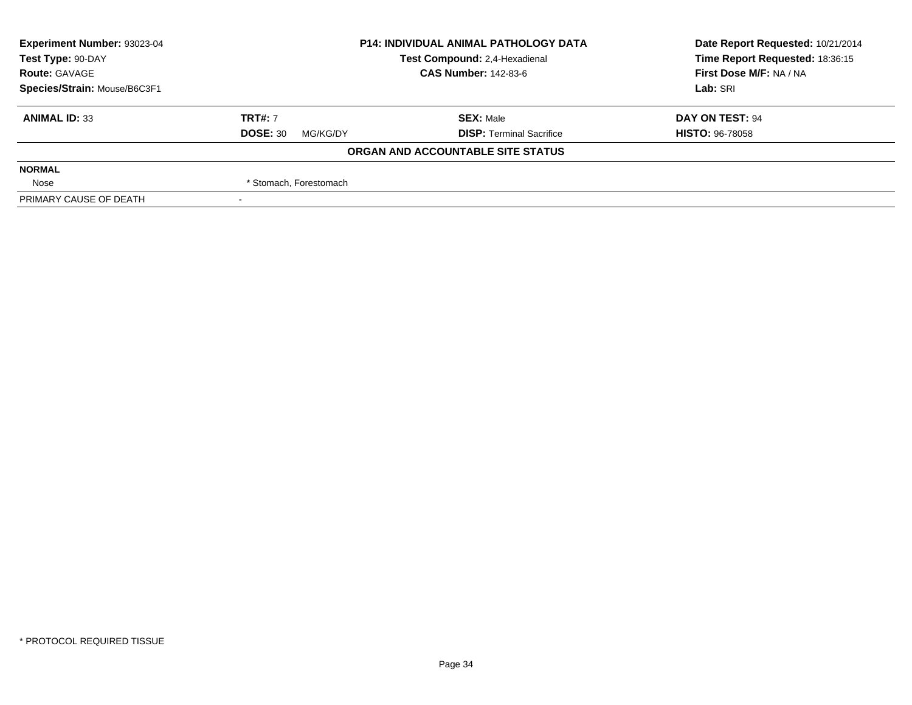| <b>Experiment Number: 93023-04</b> | <b>P14: INDIVIDUAL ANIMAL PATHOLOGY DATA</b> |                                   | Date Report Requested: 10/21/2014 |
|------------------------------------|----------------------------------------------|-----------------------------------|-----------------------------------|
| Test Type: 90-DAY                  |                                              | Test Compound: 2,4-Hexadienal     | Time Report Requested: 18:36:15   |
| <b>Route: GAVAGE</b>               |                                              | <b>CAS Number: 142-83-6</b>       | First Dose M/F: NA / NA           |
| Species/Strain: Mouse/B6C3F1       |                                              | Lab: SRI                          |                                   |
| <b>ANIMAL ID: 33</b>               | <b>TRT#: 7</b>                               | <b>SEX: Male</b>                  | DAY ON TEST: 94                   |
|                                    | <b>DOSE: 30</b><br>MG/KG/DY                  | <b>DISP: Terminal Sacrifice</b>   | <b>HISTO: 96-78058</b>            |
|                                    |                                              | ORGAN AND ACCOUNTABLE SITE STATUS |                                   |
| <b>NORMAL</b>                      |                                              |                                   |                                   |
| Nose                               | * Stomach, Forestomach                       |                                   |                                   |
| PRIMARY CAUSE OF DEATH             |                                              |                                   |                                   |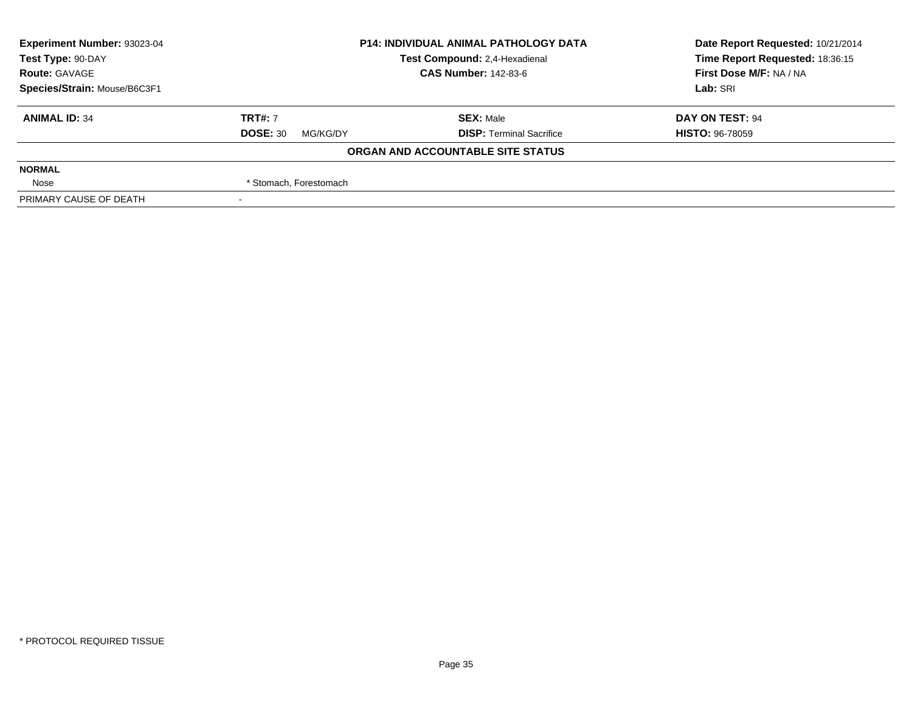| <b>Experiment Number: 93023-04</b> | <b>P14: INDIVIDUAL ANIMAL PATHOLOGY DATA</b> |                                   | Date Report Requested: 10/21/2014 |
|------------------------------------|----------------------------------------------|-----------------------------------|-----------------------------------|
| Test Type: 90-DAY                  |                                              | Test Compound: 2,4-Hexadienal     | Time Report Requested: 18:36:15   |
| <b>Route: GAVAGE</b>               |                                              | <b>CAS Number: 142-83-6</b>       | First Dose M/F: NA / NA           |
| Species/Strain: Mouse/B6C3F1       |                                              | Lab: SRI                          |                                   |
| <b>ANIMAL ID: 34</b>               | <b>TRT#: 7</b>                               | <b>SEX: Male</b>                  | DAY ON TEST: 94                   |
|                                    | <b>DOSE: 30</b><br>MG/KG/DY                  | <b>DISP: Terminal Sacrifice</b>   | <b>HISTO: 96-78059</b>            |
|                                    |                                              | ORGAN AND ACCOUNTABLE SITE STATUS |                                   |
| <b>NORMAL</b>                      |                                              |                                   |                                   |
| Nose                               | * Stomach, Forestomach                       |                                   |                                   |
| PRIMARY CAUSE OF DEATH             |                                              |                                   |                                   |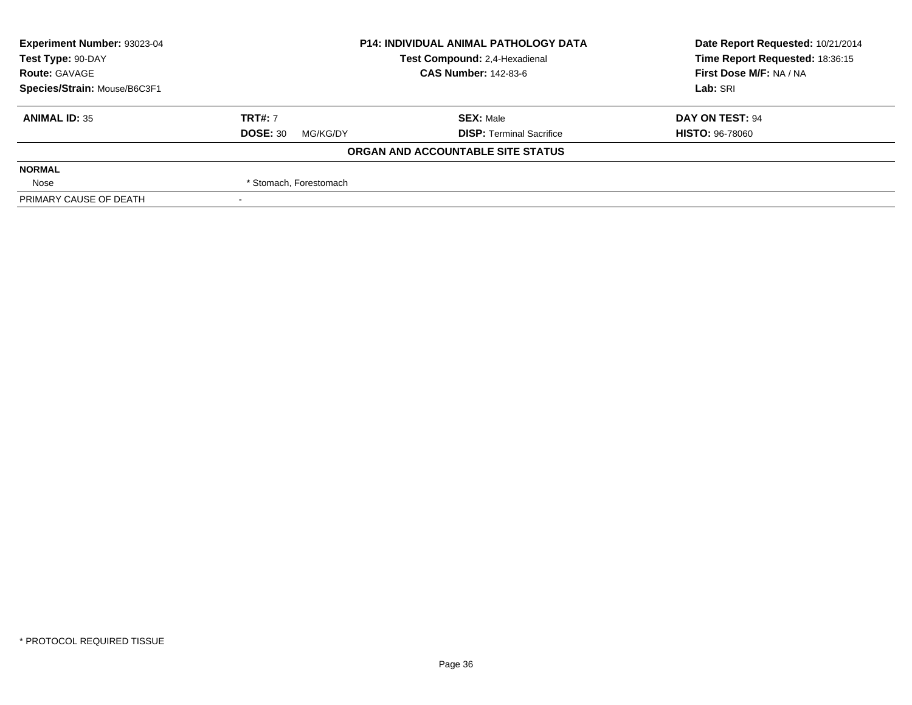| <b>Experiment Number: 93023-04</b> | <b>P14: INDIVIDUAL ANIMAL PATHOLOGY DATA</b><br>Test Compound: 2,4-Hexadienal<br><b>CAS Number: 142-83-6</b> |                                   | Date Report Requested: 10/21/2014<br>Time Report Requested: 18:36:15<br>First Dose M/F: NA / NA |
|------------------------------------|--------------------------------------------------------------------------------------------------------------|-----------------------------------|-------------------------------------------------------------------------------------------------|
| Test Type: 90-DAY                  |                                                                                                              |                                   |                                                                                                 |
| <b>Route: GAVAGE</b>               |                                                                                                              |                                   |                                                                                                 |
| Species/Strain: Mouse/B6C3F1       |                                                                                                              |                                   | Lab: SRI                                                                                        |
| <b>ANIMAL ID: 35</b>               | <b>TRT#: 7</b>                                                                                               | <b>SEX: Male</b>                  | DAY ON TEST: 94                                                                                 |
|                                    | <b>DOSE: 30</b><br>MG/KG/DY                                                                                  | <b>DISP: Terminal Sacrifice</b>   | <b>HISTO: 96-78060</b>                                                                          |
|                                    |                                                                                                              | ORGAN AND ACCOUNTABLE SITE STATUS |                                                                                                 |
| <b>NORMAL</b>                      |                                                                                                              |                                   |                                                                                                 |
| Nose                               | * Stomach, Forestomach                                                                                       |                                   |                                                                                                 |
| PRIMARY CAUSE OF DEATH             |                                                                                                              |                                   |                                                                                                 |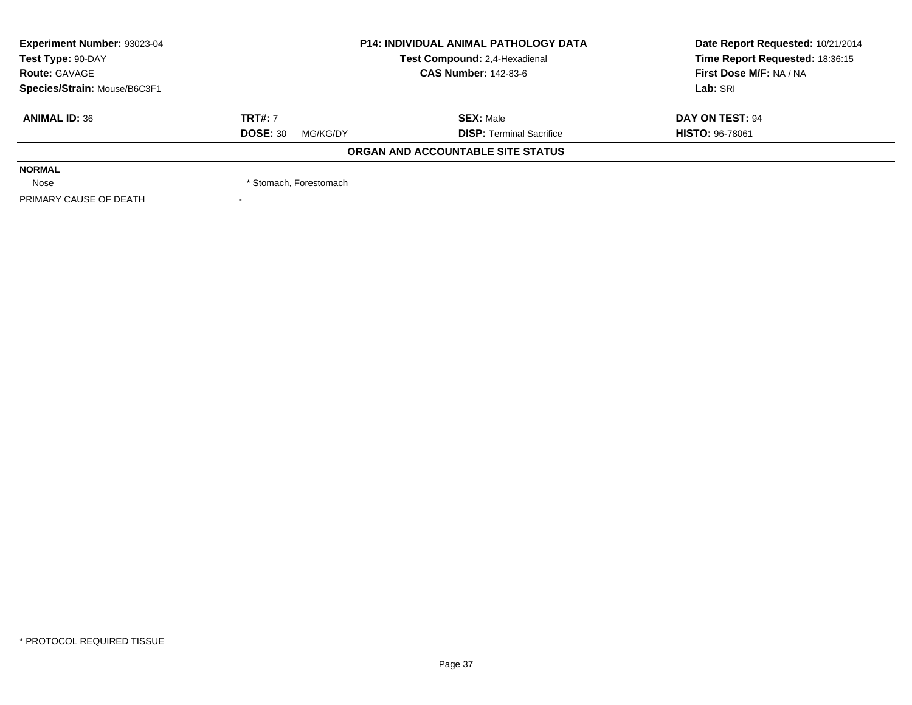| Experiment Number: 93023-04<br><b>P14: INDIVIDUAL ANIMAL PATHOLOGY DATA</b> |                             |                                   | Date Report Requested: 10/21/2014 |  |
|-----------------------------------------------------------------------------|-----------------------------|-----------------------------------|-----------------------------------|--|
| Test Type: 90-DAY                                                           |                             | Test Compound: 2,4-Hexadienal     | Time Report Requested: 18:36:15   |  |
| <b>Route: GAVAGE</b>                                                        |                             | <b>CAS Number: 142-83-6</b>       | First Dose M/F: NA / NA           |  |
| Species/Strain: Mouse/B6C3F1                                                |                             |                                   | Lab: SRI                          |  |
| <b>ANIMAL ID: 36</b>                                                        | <b>TRT#: 7</b>              | <b>SEX: Male</b>                  | DAY ON TEST: 94                   |  |
|                                                                             | <b>DOSE: 30</b><br>MG/KG/DY | <b>DISP: Terminal Sacrifice</b>   | <b>HISTO: 96-78061</b>            |  |
|                                                                             |                             | ORGAN AND ACCOUNTABLE SITE STATUS |                                   |  |
| <b>NORMAL</b>                                                               |                             |                                   |                                   |  |
| Nose                                                                        | * Stomach, Forestomach      |                                   |                                   |  |
| PRIMARY CAUSE OF DEATH                                                      |                             |                                   |                                   |  |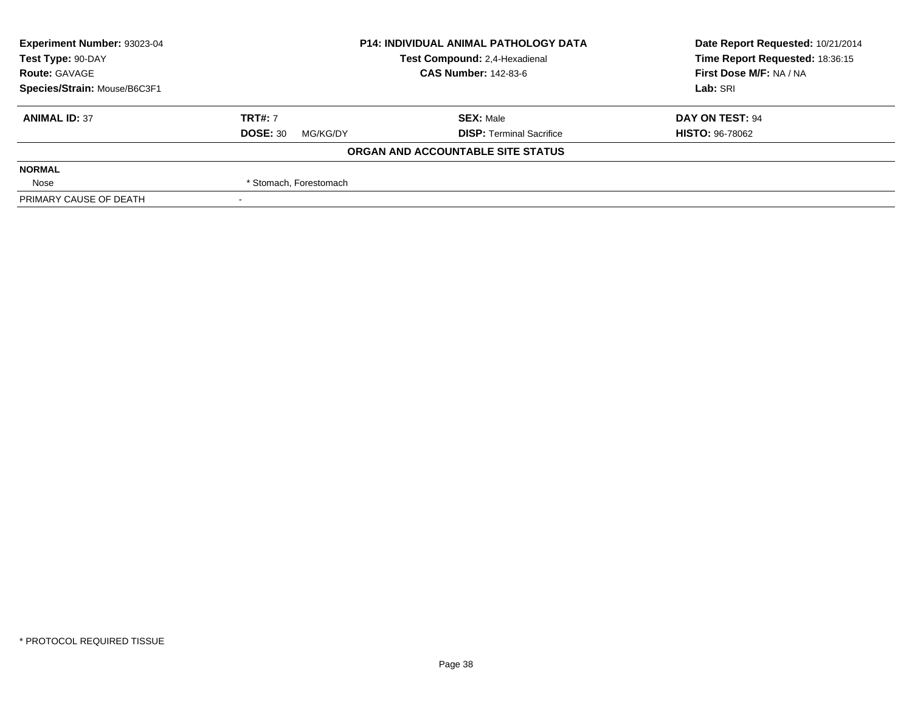| Experiment Number: 93023-04  | <b>P14: INDIVIDUAL ANIMAL PATHOLOGY DATA</b><br>Test Compound: 2,4-Hexadienal |                                   | Date Report Requested: 10/21/2014 |
|------------------------------|-------------------------------------------------------------------------------|-----------------------------------|-----------------------------------|
| Test Type: 90-DAY            |                                                                               |                                   | Time Report Requested: 18:36:15   |
| <b>Route: GAVAGE</b>         |                                                                               | <b>CAS Number: 142-83-6</b>       | First Dose M/F: NA / NA           |
| Species/Strain: Mouse/B6C3F1 |                                                                               |                                   | Lab: SRI                          |
| <b>ANIMAL ID: 37</b>         | <b>TRT#: 7</b>                                                                | <b>SEX: Male</b>                  | DAY ON TEST: 94                   |
|                              | <b>DOSE: 30</b><br>MG/KG/DY                                                   | <b>DISP: Terminal Sacrifice</b>   | <b>HISTO: 96-78062</b>            |
|                              |                                                                               | ORGAN AND ACCOUNTABLE SITE STATUS |                                   |
| <b>NORMAL</b>                |                                                                               |                                   |                                   |
| Nose                         | * Stomach, Forestomach                                                        |                                   |                                   |
| PRIMARY CAUSE OF DEATH       |                                                                               |                                   |                                   |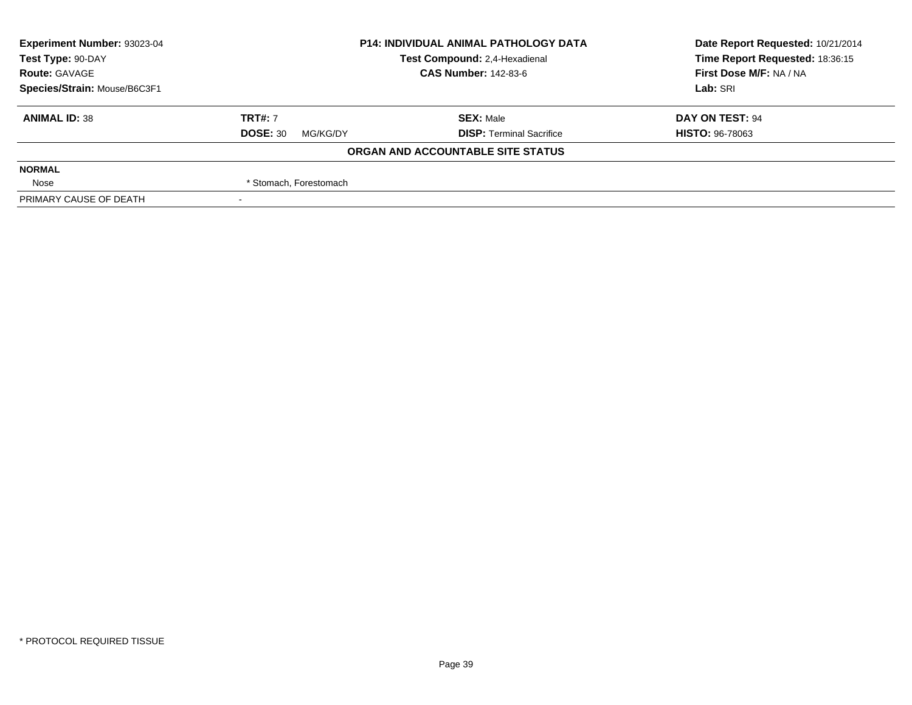| <b>Experiment Number: 93023-04</b> | <b>P14: INDIVIDUAL ANIMAL PATHOLOGY DATA</b> |                                   | Date Report Requested: 10/21/2014 |
|------------------------------------|----------------------------------------------|-----------------------------------|-----------------------------------|
| Test Type: 90-DAY                  |                                              | Test Compound: 2,4-Hexadienal     | Time Report Requested: 18:36:15   |
| <b>Route: GAVAGE</b>               |                                              | <b>CAS Number: 142-83-6</b>       | First Dose M/F: NA / NA           |
| Species/Strain: Mouse/B6C3F1       |                                              |                                   | Lab: SRI                          |
| <b>ANIMAL ID: 38</b>               | <b>TRT#: 7</b>                               | <b>SEX: Male</b>                  | DAY ON TEST: 94                   |
|                                    | <b>DOSE: 30</b><br>MG/KG/DY                  | <b>DISP: Terminal Sacrifice</b>   | <b>HISTO: 96-78063</b>            |
|                                    |                                              | ORGAN AND ACCOUNTABLE SITE STATUS |                                   |
| <b>NORMAL</b>                      |                                              |                                   |                                   |
| Nose                               | * Stomach, Forestomach                       |                                   |                                   |
| PRIMARY CAUSE OF DEATH             |                                              |                                   |                                   |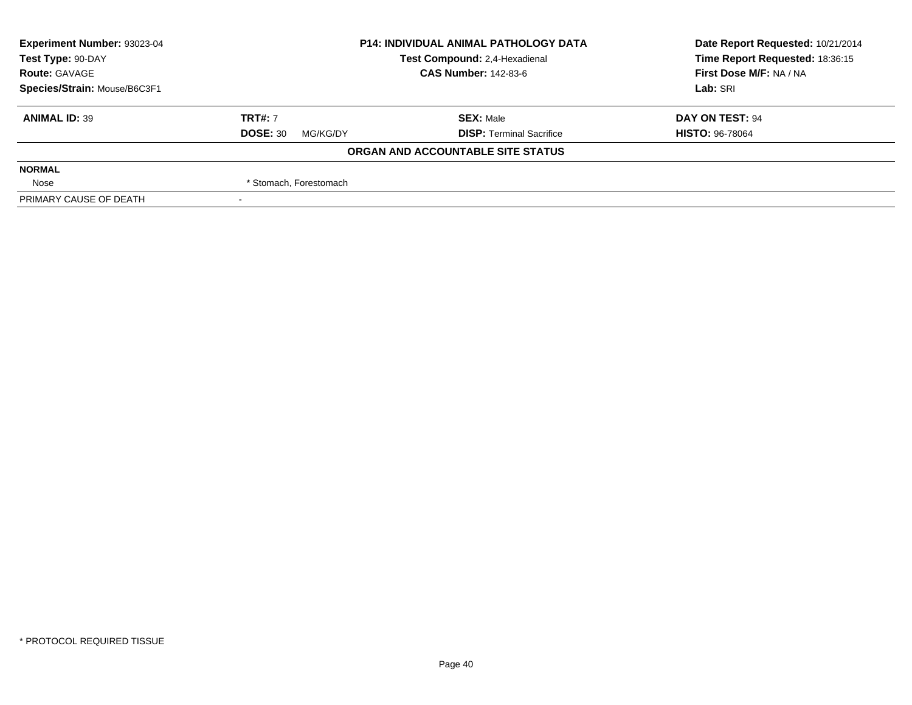| Experiment Number: 93023-04<br><b>P14: INDIVIDUAL ANIMAL PATHOLOGY DATA</b> |                             |                                   | Date Report Requested: 10/21/2014 |
|-----------------------------------------------------------------------------|-----------------------------|-----------------------------------|-----------------------------------|
| Test Type: 90-DAY                                                           |                             | Test Compound: 2,4-Hexadienal     | Time Report Requested: 18:36:15   |
| <b>Route: GAVAGE</b>                                                        |                             | <b>CAS Number: 142-83-6</b>       | First Dose M/F: NA / NA           |
| Species/Strain: Mouse/B6C3F1                                                |                             |                                   | Lab: SRI                          |
| <b>ANIMAL ID: 39</b>                                                        | <b>TRT#: 7</b>              | <b>SEX: Male</b>                  | DAY ON TEST: 94                   |
|                                                                             | <b>DOSE: 30</b><br>MG/KG/DY | <b>DISP: Terminal Sacrifice</b>   | <b>HISTO: 96-78064</b>            |
|                                                                             |                             | ORGAN AND ACCOUNTABLE SITE STATUS |                                   |
| <b>NORMAL</b>                                                               |                             |                                   |                                   |
| Nose                                                                        | * Stomach, Forestomach      |                                   |                                   |
| PRIMARY CAUSE OF DEATH                                                      |                             |                                   |                                   |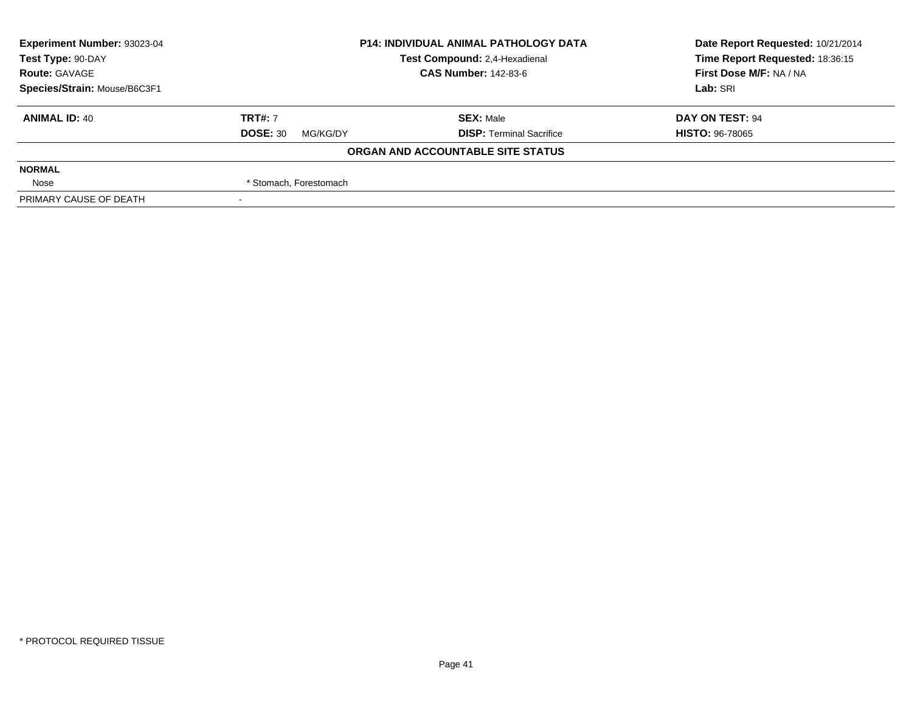| Experiment Number: 93023-04                        | <b>P14: INDIVIDUAL ANIMAL PATHOLOGY DATA</b> |                                   | Date Report Requested: 10/21/2014 |  |
|----------------------------------------------------|----------------------------------------------|-----------------------------------|-----------------------------------|--|
| Test Compound: 2,4-Hexadienal<br>Test Type: 90-DAY |                                              |                                   | Time Report Requested: 18:36:15   |  |
| <b>Route: GAVAGE</b>                               |                                              | <b>CAS Number: 142-83-6</b>       | First Dose M/F: NA / NA           |  |
| Species/Strain: Mouse/B6C3F1                       |                                              |                                   | Lab: SRI                          |  |
| <b>ANIMAL ID: 40</b>                               | <b>TRT#: 7</b>                               | <b>SEX: Male</b>                  | DAY ON TEST: 94                   |  |
|                                                    | <b>DOSE: 30</b><br>MG/KG/DY                  | <b>DISP: Terminal Sacrifice</b>   | <b>HISTO: 96-78065</b>            |  |
|                                                    |                                              | ORGAN AND ACCOUNTABLE SITE STATUS |                                   |  |
| <b>NORMAL</b>                                      |                                              |                                   |                                   |  |
| Nose                                               | * Stomach, Forestomach                       |                                   |                                   |  |
| PRIMARY CAUSE OF DEATH                             |                                              |                                   |                                   |  |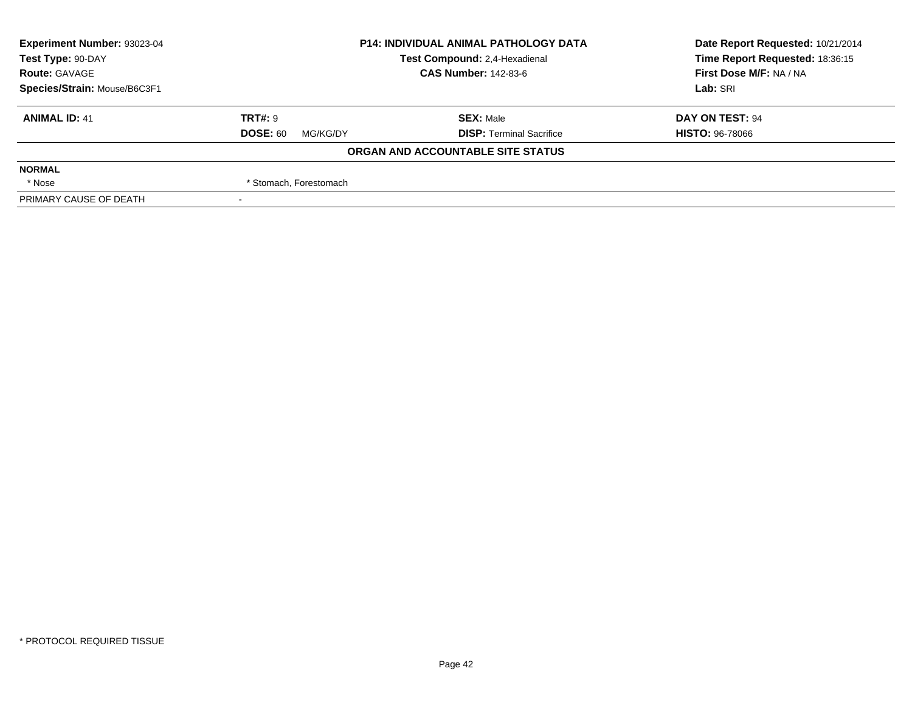| Experiment Number: 93023-04  |                               | <b>P14: INDIVIDUAL ANIMAL PATHOLOGY DATA</b> | Date Report Requested: 10/21/2014 |
|------------------------------|-------------------------------|----------------------------------------------|-----------------------------------|
| Test Type: 90-DAY            | Test Compound: 2,4-Hexadienal |                                              | Time Report Requested: 18:36:15   |
| <b>Route: GAVAGE</b>         |                               | <b>CAS Number: 142-83-6</b>                  | First Dose M/F: NA / NA           |
| Species/Strain: Mouse/B6C3F1 |                               |                                              | Lab: SRI                          |
| <b>ANIMAL ID: 41</b>         | <b>TRT#: 9</b>                | <b>SEX: Male</b>                             | DAY ON TEST: 94                   |
|                              | <b>DOSE: 60</b><br>MG/KG/DY   | <b>DISP: Terminal Sacrifice</b>              | <b>HISTO: 96-78066</b>            |
|                              |                               | ORGAN AND ACCOUNTABLE SITE STATUS            |                                   |
| <b>NORMAL</b>                |                               |                                              |                                   |
| * Nose                       | * Stomach, Forestomach        |                                              |                                   |
| PRIMARY CAUSE OF DEATH       |                               |                                              |                                   |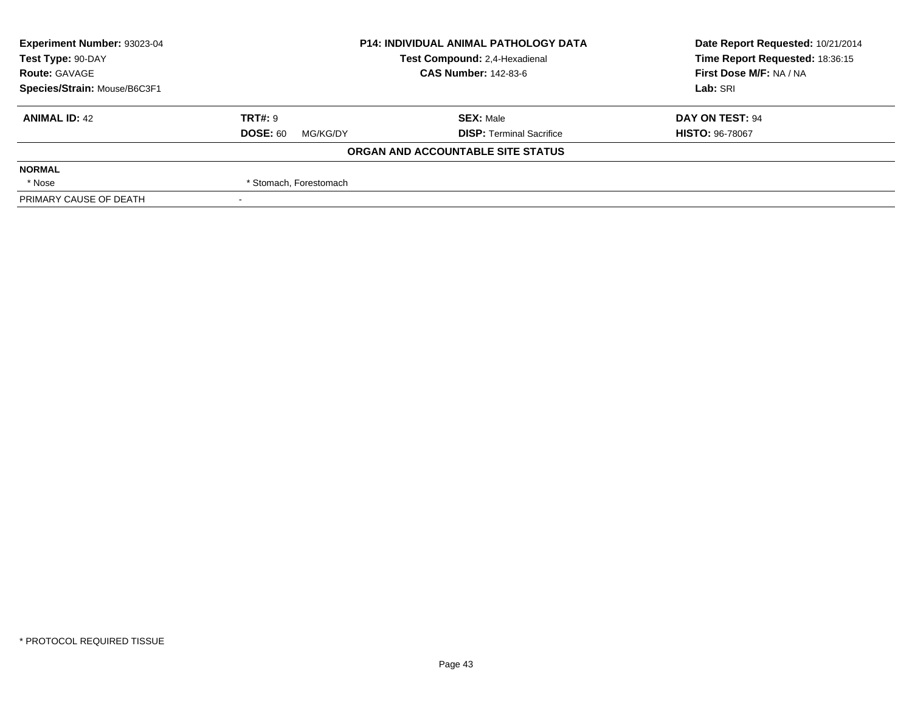| Experiment Number: 93023-04  | <b>P14: INDIVIDUAL ANIMAL PATHOLOGY DATA</b> |                                   | Date Report Requested: 10/21/2014 |  |
|------------------------------|----------------------------------------------|-----------------------------------|-----------------------------------|--|
| Test Type: 90-DAY            |                                              | Test Compound: 2,4-Hexadienal     | Time Report Requested: 18:36:15   |  |
| <b>Route: GAVAGE</b>         |                                              | <b>CAS Number: 142-83-6</b>       | First Dose M/F: NA / NA           |  |
| Species/Strain: Mouse/B6C3F1 |                                              |                                   | Lab: SRI                          |  |
| <b>ANIMAL ID: 42</b>         | <b>TRT#: 9</b>                               | <b>SEX: Male</b>                  | DAY ON TEST: 94                   |  |
|                              | <b>DOSE: 60</b><br>MG/KG/DY                  | <b>DISP: Terminal Sacrifice</b>   | <b>HISTO: 96-78067</b>            |  |
|                              |                                              | ORGAN AND ACCOUNTABLE SITE STATUS |                                   |  |
| <b>NORMAL</b>                |                                              |                                   |                                   |  |
| * Nose                       | * Stomach, Forestomach                       |                                   |                                   |  |
| PRIMARY CAUSE OF DEATH       |                                              |                                   |                                   |  |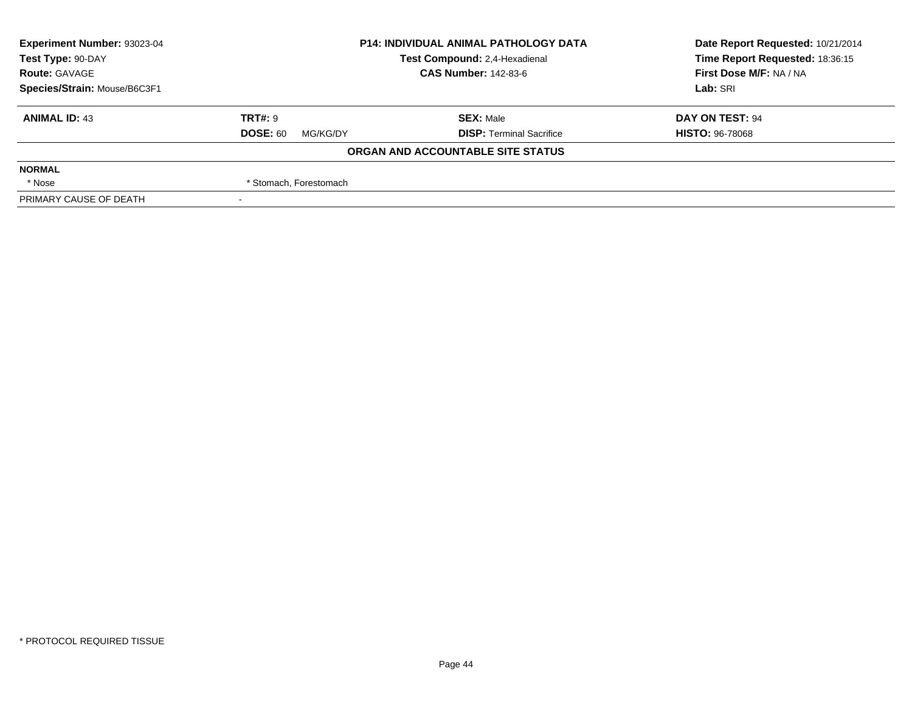| <b>Experiment Number: 93023-04</b> | <b>P14: INDIVIDUAL ANIMAL PATHOLOGY DATA</b> |                                   | Date Report Requested: 10/21/2014 |
|------------------------------------|----------------------------------------------|-----------------------------------|-----------------------------------|
| Test Type: 90-DAY                  |                                              | Test Compound: 2,4-Hexadienal     | Time Report Requested: 18:36:15   |
| <b>Route: GAVAGE</b>               |                                              | <b>CAS Number: 142-83-6</b>       | First Dose M/F: NA / NA           |
| Species/Strain: Mouse/B6C3F1       |                                              |                                   | Lab: SRI                          |
| <b>ANIMAL ID: 43</b>               | <b>TRT#: 9</b>                               | <b>SEX: Male</b>                  | DAY ON TEST: 94                   |
|                                    | <b>DOSE: 60</b><br>MG/KG/DY                  | <b>DISP: Terminal Sacrifice</b>   | <b>HISTO: 96-78068</b>            |
|                                    |                                              | ORGAN AND ACCOUNTABLE SITE STATUS |                                   |
| <b>NORMAL</b>                      |                                              |                                   |                                   |
| * Nose                             | * Stomach, Forestomach                       |                                   |                                   |
| PRIMARY CAUSE OF DEATH             |                                              |                                   |                                   |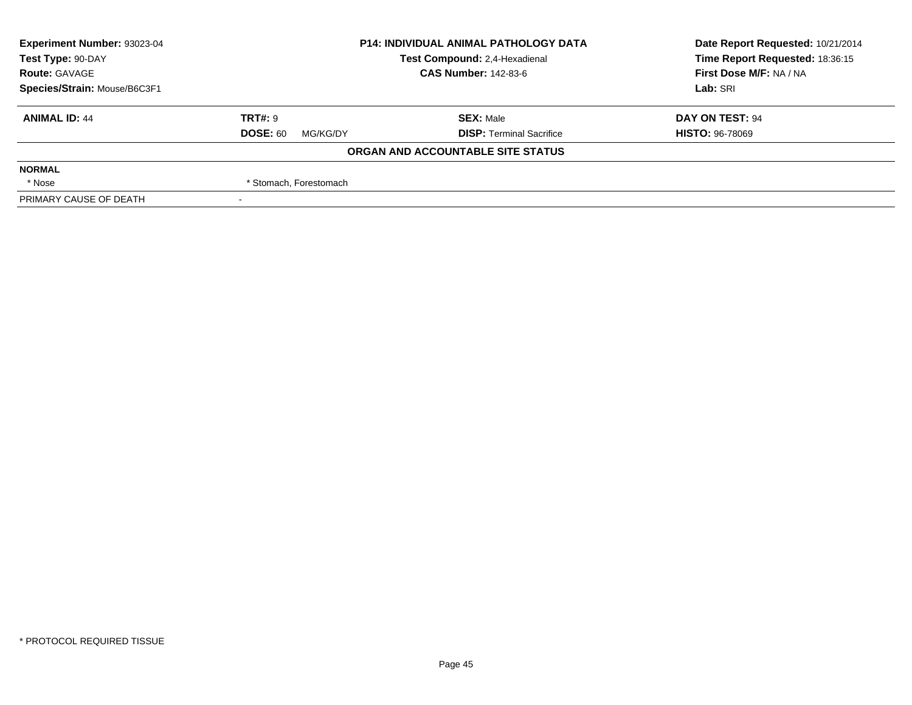| Experiment Number: 93023-04  |                             | <b>P14: INDIVIDUAL ANIMAL PATHOLOGY DATA</b> | Date Report Requested: 10/21/2014 |  |
|------------------------------|-----------------------------|----------------------------------------------|-----------------------------------|--|
| Test Type: 90-DAY            |                             | Test Compound: 2,4-Hexadienal                | Time Report Requested: 18:36:15   |  |
| <b>Route: GAVAGE</b>         |                             | <b>CAS Number: 142-83-6</b>                  | First Dose M/F: NA / NA           |  |
| Species/Strain: Mouse/B6C3F1 |                             |                                              | Lab: SRI                          |  |
| <b>ANIMAL ID: 44</b>         | <b>TRT#: 9</b>              | <b>SEX: Male</b>                             | DAY ON TEST: 94                   |  |
|                              | <b>DOSE: 60</b><br>MG/KG/DY | <b>DISP: Terminal Sacrifice</b>              | <b>HISTO: 96-78069</b>            |  |
|                              |                             | ORGAN AND ACCOUNTABLE SITE STATUS            |                                   |  |
| <b>NORMAL</b>                |                             |                                              |                                   |  |
| * Nose                       | * Stomach, Forestomach      |                                              |                                   |  |
| PRIMARY CAUSE OF DEATH       |                             |                                              |                                   |  |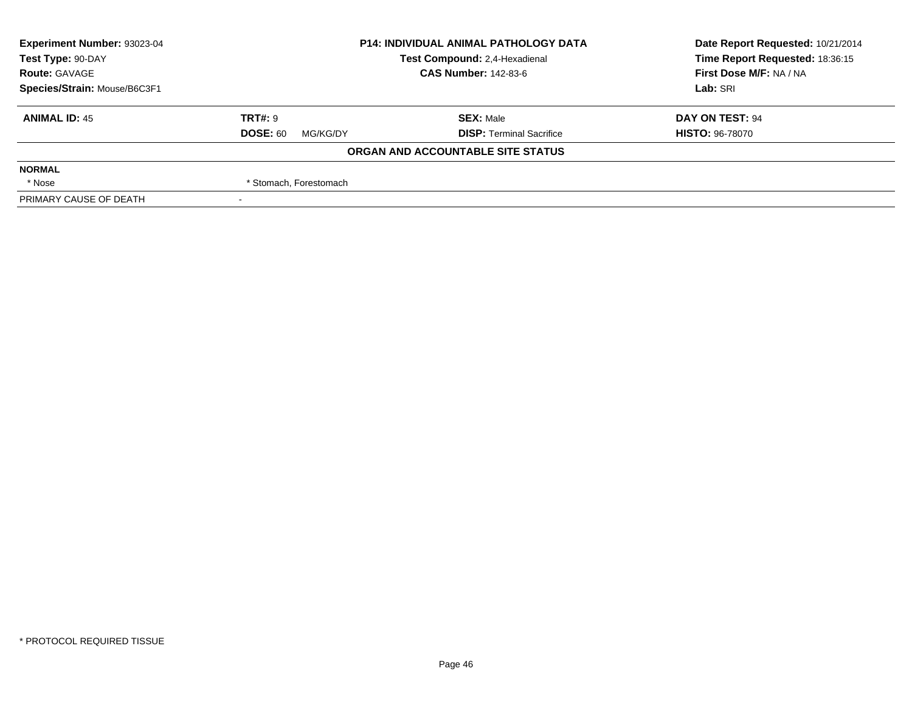| Experiment Number: 93023-04<br><b>P14: INDIVIDUAL ANIMAL PATHOLOGY DATA</b> |                             |                                   | Date Report Requested: 10/21/2014 |  |
|-----------------------------------------------------------------------------|-----------------------------|-----------------------------------|-----------------------------------|--|
| Test Type: 90-DAY                                                           |                             | Test Compound: 2,4-Hexadienal     | Time Report Requested: 18:36:15   |  |
| <b>Route: GAVAGE</b>                                                        |                             | <b>CAS Number: 142-83-6</b>       | First Dose M/F: NA / NA           |  |
| Species/Strain: Mouse/B6C3F1                                                |                             |                                   | Lab: SRI                          |  |
| <b>ANIMAL ID: 45</b>                                                        | <b>TRT#: 9</b>              | <b>SEX: Male</b>                  | DAY ON TEST: 94                   |  |
|                                                                             | <b>DOSE: 60</b><br>MG/KG/DY | <b>DISP: Terminal Sacrifice</b>   | <b>HISTO: 96-78070</b>            |  |
|                                                                             |                             | ORGAN AND ACCOUNTABLE SITE STATUS |                                   |  |
| <b>NORMAL</b>                                                               |                             |                                   |                                   |  |
| * Nose                                                                      | * Stomach, Forestomach      |                                   |                                   |  |
| PRIMARY CAUSE OF DEATH                                                      |                             |                                   |                                   |  |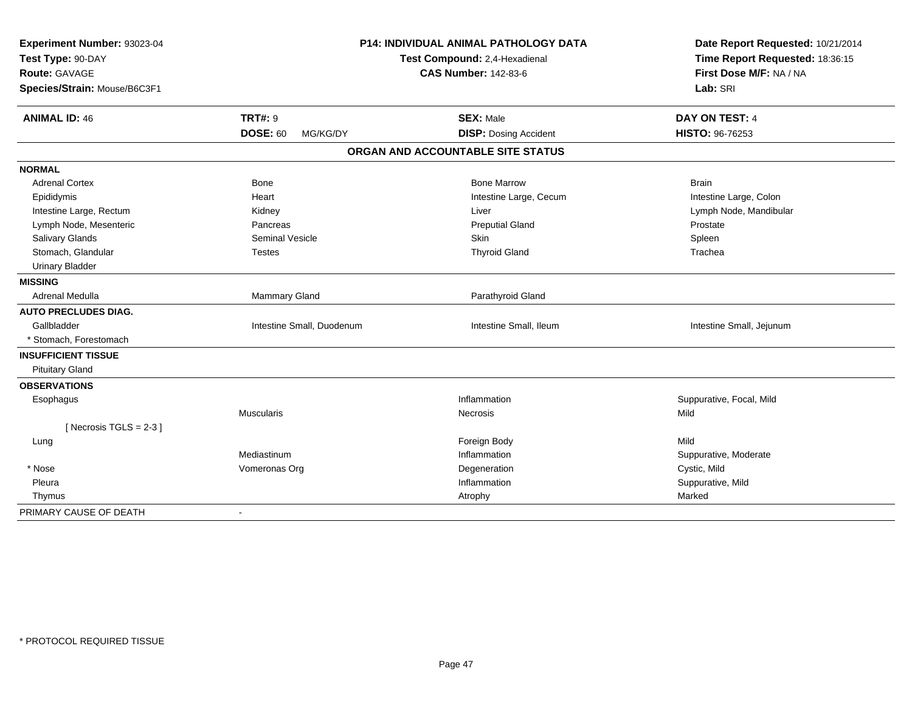| Experiment Number: 93023-04<br>Test Type: 90-DAY |                             | P14: INDIVIDUAL ANIMAL PATHOLOGY DATA<br>Test Compound: 2,4-Hexadienal | Date Report Requested: 10/21/2014<br>Time Report Requested: 18:36:15<br>First Dose M/F: NA / NA |
|--------------------------------------------------|-----------------------------|------------------------------------------------------------------------|-------------------------------------------------------------------------------------------------|
| <b>Route: GAVAGE</b>                             |                             | <b>CAS Number: 142-83-6</b>                                            |                                                                                                 |
| Species/Strain: Mouse/B6C3F1                     |                             |                                                                        | Lab: SRI                                                                                        |
| <b>ANIMAL ID: 46</b>                             | <b>TRT#: 9</b>              | <b>SEX: Male</b>                                                       | DAY ON TEST: 4                                                                                  |
|                                                  | <b>DOSE: 60</b><br>MG/KG/DY | <b>DISP: Dosing Accident</b>                                           | HISTO: 96-76253                                                                                 |
|                                                  |                             | ORGAN AND ACCOUNTABLE SITE STATUS                                      |                                                                                                 |
| <b>NORMAL</b>                                    |                             |                                                                        |                                                                                                 |
| <b>Adrenal Cortex</b>                            | Bone                        | <b>Bone Marrow</b>                                                     | <b>Brain</b>                                                                                    |
| Epididymis                                       | Heart                       | Intestine Large, Cecum                                                 | Intestine Large, Colon                                                                          |
| Intestine Large, Rectum                          | Kidney                      | Liver                                                                  | Lymph Node, Mandibular                                                                          |
| Lymph Node, Mesenteric                           | Pancreas                    | <b>Preputial Gland</b>                                                 | Prostate                                                                                        |
| Salivary Glands                                  | <b>Seminal Vesicle</b>      | Skin                                                                   | Spleen                                                                                          |
| Stomach, Glandular                               | <b>Testes</b>               | <b>Thyroid Gland</b>                                                   | Trachea                                                                                         |
| <b>Urinary Bladder</b>                           |                             |                                                                        |                                                                                                 |
| <b>MISSING</b>                                   |                             |                                                                        |                                                                                                 |
| Adrenal Medulla                                  | Mammary Gland               | Parathyroid Gland                                                      |                                                                                                 |
| <b>AUTO PRECLUDES DIAG.</b>                      |                             |                                                                        |                                                                                                 |
| Gallbladder                                      | Intestine Small, Duodenum   | Intestine Small, Ileum                                                 | Intestine Small, Jejunum                                                                        |
| * Stomach, Forestomach                           |                             |                                                                        |                                                                                                 |
| <b>INSUFFICIENT TISSUE</b>                       |                             |                                                                        |                                                                                                 |
| <b>Pituitary Gland</b>                           |                             |                                                                        |                                                                                                 |
| <b>OBSERVATIONS</b>                              |                             |                                                                        |                                                                                                 |
| Esophagus                                        |                             | Inflammation                                                           | Suppurative, Focal, Mild                                                                        |
|                                                  | <b>Muscularis</b>           | Necrosis                                                               | Mild                                                                                            |
| [ Necrosis $TGLS = 2-3$ ]                        |                             |                                                                        |                                                                                                 |
| Lung                                             |                             | Foreign Body                                                           | Mild                                                                                            |
|                                                  | Mediastinum                 | Inflammation                                                           | Suppurative, Moderate                                                                           |
| * Nose                                           | Vomeronas Org               | Degeneration                                                           | Cystic, Mild                                                                                    |
| Pleura                                           |                             | Inflammation                                                           | Suppurative, Mild                                                                               |
| Thymus                                           |                             | Atrophy                                                                | Marked                                                                                          |
| PRIMARY CAUSE OF DEATH                           | $\overline{\phantom{a}}$    |                                                                        |                                                                                                 |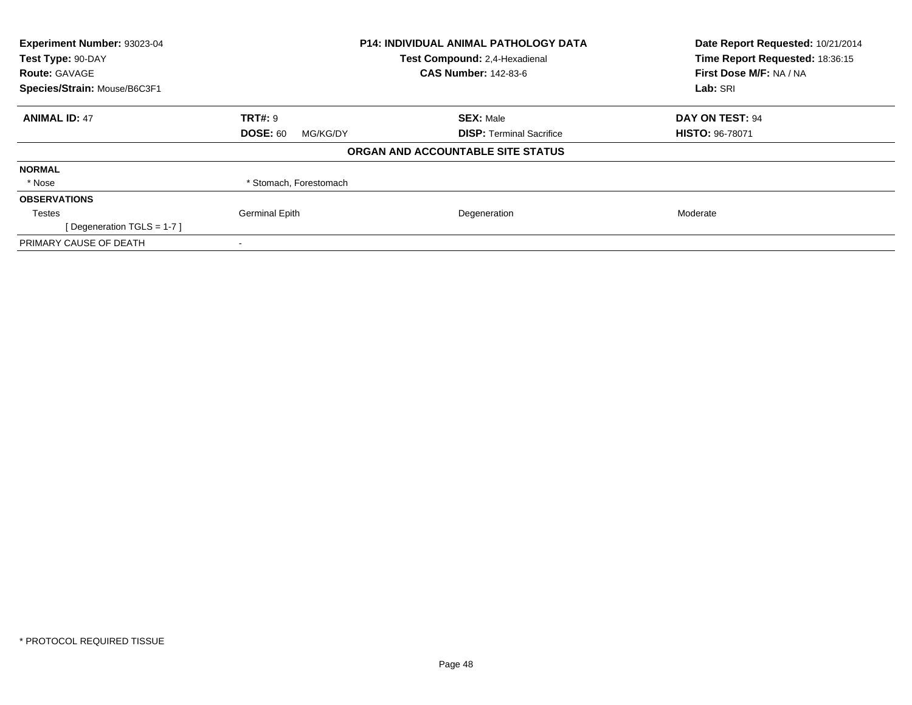| Experiment Number: 93023-04  |                               | <b>P14: INDIVIDUAL ANIMAL PATHOLOGY DATA</b> | Date Report Requested: 10/21/2014<br>Time Report Requested: 18:36:15 |
|------------------------------|-------------------------------|----------------------------------------------|----------------------------------------------------------------------|
| Test Type: 90-DAY            | Test Compound: 2,4-Hexadienal |                                              |                                                                      |
| <b>Route: GAVAGE</b>         |                               | <b>CAS Number: 142-83-6</b>                  | First Dose M/F: NA / NA                                              |
| Species/Strain: Mouse/B6C3F1 |                               |                                              | Lab: SRI                                                             |
| <b>ANIMAL ID: 47</b>         | <b>TRT#: 9</b>                | <b>SEX: Male</b>                             | DAY ON TEST: 94                                                      |
|                              | <b>DOSE: 60</b><br>MG/KG/DY   | <b>DISP:</b> Terminal Sacrifice              | <b>HISTO: 96-78071</b>                                               |
|                              |                               | ORGAN AND ACCOUNTABLE SITE STATUS            |                                                                      |
| <b>NORMAL</b>                |                               |                                              |                                                                      |
| * Nose                       | * Stomach, Forestomach        |                                              |                                                                      |
| <b>OBSERVATIONS</b>          |                               |                                              |                                                                      |
| Testes                       | <b>Germinal Epith</b>         | Degeneration                                 | Moderate                                                             |
| [Degeneration TGLS = 1-7]    |                               |                                              |                                                                      |
| PRIMARY CAUSE OF DEATH       |                               |                                              |                                                                      |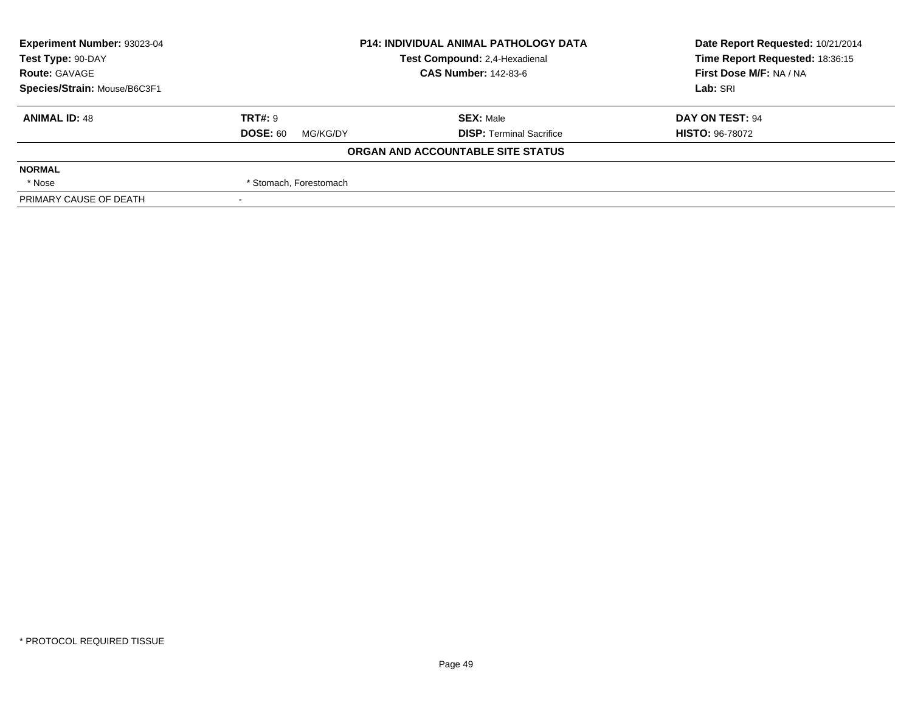| Experiment Number: 93023-04  | <b>P14: INDIVIDUAL ANIMAL PATHOLOGY DATA</b> |                                   | Date Report Requested: 10/21/2014 |  |
|------------------------------|----------------------------------------------|-----------------------------------|-----------------------------------|--|
| Test Type: 90-DAY            |                                              | Test Compound: 2,4-Hexadienal     | Time Report Requested: 18:36:15   |  |
| <b>Route: GAVAGE</b>         |                                              | <b>CAS Number: 142-83-6</b>       | First Dose M/F: NA / NA           |  |
| Species/Strain: Mouse/B6C3F1 |                                              |                                   | Lab: SRI                          |  |
| <b>ANIMAL ID: 48</b>         | <b>TRT#: 9</b>                               | <b>SEX: Male</b>                  | DAY ON TEST: 94                   |  |
|                              | <b>DOSE: 60</b><br>MG/KG/DY                  | <b>DISP: Terminal Sacrifice</b>   | <b>HISTO: 96-78072</b>            |  |
|                              |                                              | ORGAN AND ACCOUNTABLE SITE STATUS |                                   |  |
| <b>NORMAL</b>                |                                              |                                   |                                   |  |
| * Nose                       | * Stomach, Forestomach                       |                                   |                                   |  |
| PRIMARY CAUSE OF DEATH       |                                              |                                   |                                   |  |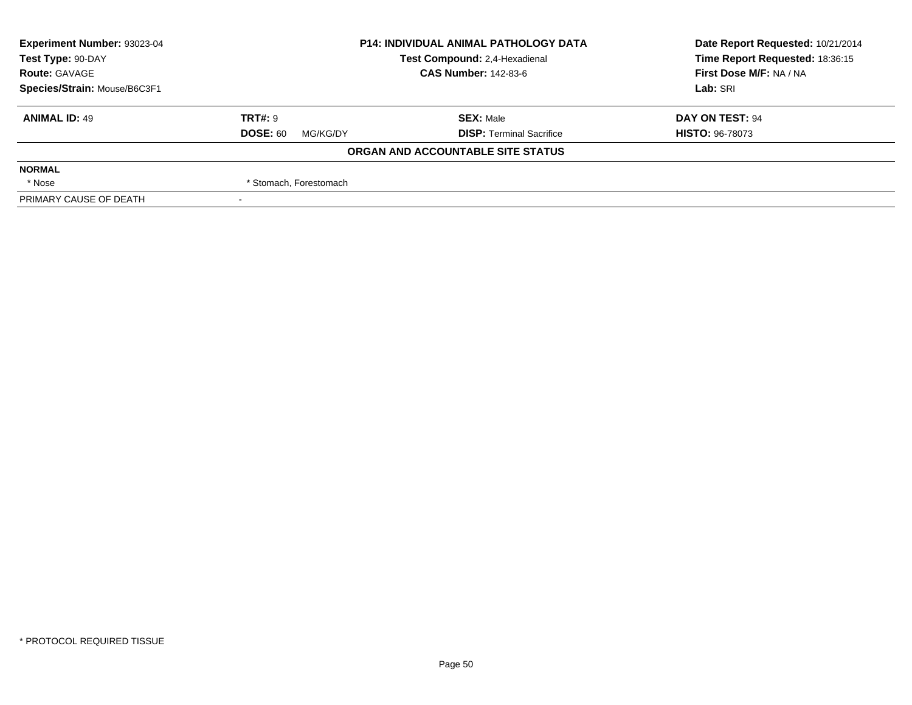| Experiment Number: 93023-04  | <b>P14: INDIVIDUAL ANIMAL PATHOLOGY DATA</b> |                                   | Date Report Requested: 10/21/2014 |  |
|------------------------------|----------------------------------------------|-----------------------------------|-----------------------------------|--|
| Test Type: 90-DAY            |                                              | Test Compound: 2,4-Hexadienal     | Time Report Requested: 18:36:15   |  |
| <b>Route: GAVAGE</b>         |                                              | <b>CAS Number: 142-83-6</b>       | First Dose M/F: NA / NA           |  |
| Species/Strain: Mouse/B6C3F1 |                                              |                                   | Lab: SRI                          |  |
| <b>ANIMAL ID: 49</b>         | <b>TRT#: 9</b>                               | <b>SEX: Male</b>                  | DAY ON TEST: 94                   |  |
|                              | <b>DOSE: 60</b><br>MG/KG/DY                  | <b>DISP: Terminal Sacrifice</b>   | <b>HISTO: 96-78073</b>            |  |
|                              |                                              | ORGAN AND ACCOUNTABLE SITE STATUS |                                   |  |
| <b>NORMAL</b>                |                                              |                                   |                                   |  |
| * Nose                       | * Stomach, Forestomach                       |                                   |                                   |  |
| PRIMARY CAUSE OF DEATH       |                                              |                                   |                                   |  |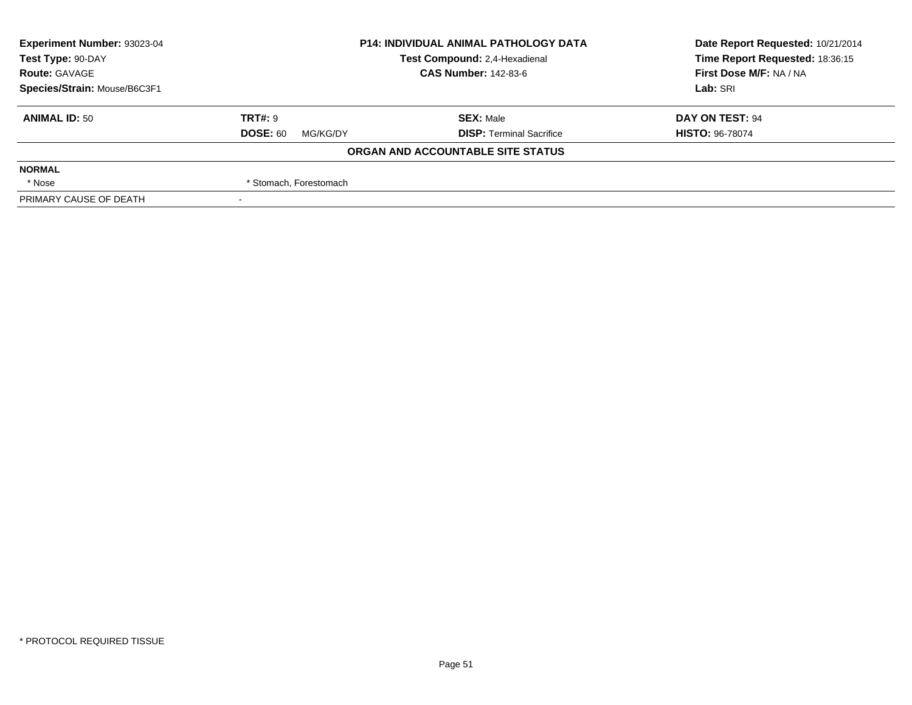| Experiment Number: 93023-04  | <b>P14: INDIVIDUAL ANIMAL PATHOLOGY DATA</b><br>Test Compound: 2,4-Hexadienal |                                   | Date Report Requested: 10/21/2014 |  |
|------------------------------|-------------------------------------------------------------------------------|-----------------------------------|-----------------------------------|--|
| Test Type: 90-DAY            |                                                                               |                                   | Time Report Requested: 18:36:15   |  |
| <b>Route: GAVAGE</b>         |                                                                               | <b>CAS Number: 142-83-6</b>       | First Dose M/F: NA / NA           |  |
| Species/Strain: Mouse/B6C3F1 |                                                                               |                                   | Lab: SRI                          |  |
| <b>ANIMAL ID: 50</b>         | <b>TRT#: 9</b>                                                                | <b>SEX: Male</b>                  | DAY ON TEST: 94                   |  |
|                              | <b>DOSE: 60</b><br>MG/KG/DY                                                   | <b>DISP: Terminal Sacrifice</b>   | <b>HISTO: 96-78074</b>            |  |
|                              |                                                                               | ORGAN AND ACCOUNTABLE SITE STATUS |                                   |  |
| <b>NORMAL</b>                |                                                                               |                                   |                                   |  |
| * Nose                       | * Stomach, Forestomach                                                        |                                   |                                   |  |
| PRIMARY CAUSE OF DEATH       |                                                                               |                                   |                                   |  |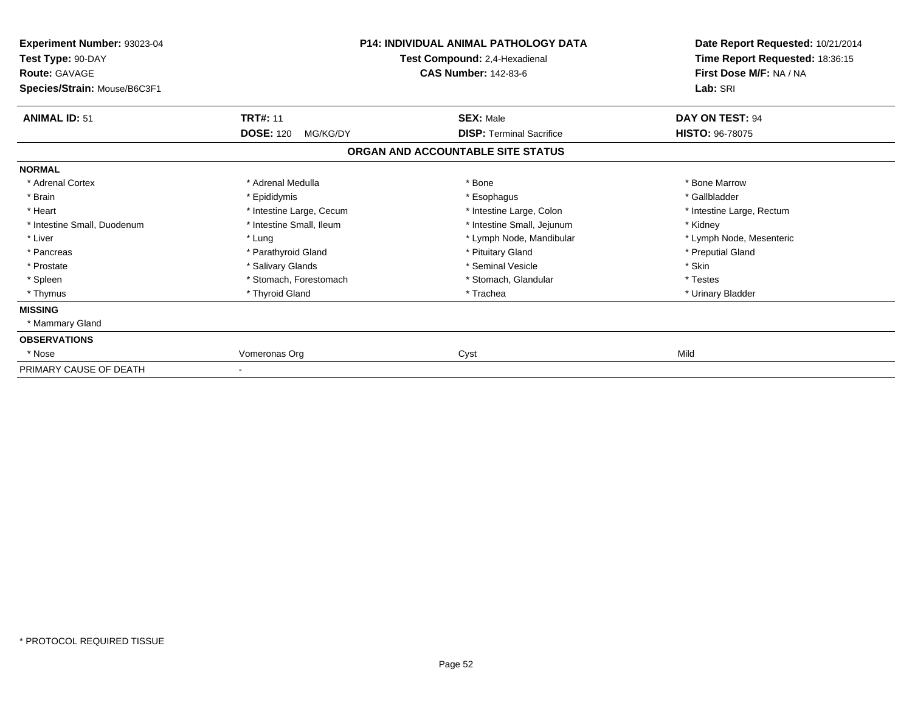| Experiment Number: 93023-04<br>Test Type: 90-DAY<br><b>Route: GAVAGE</b><br>Species/Strain: Mouse/B6C3F1 | <b>P14: INDIVIDUAL ANIMAL PATHOLOGY DATA</b><br>Test Compound: 2,4-Hexadienal<br><b>CAS Number: 142-83-6</b> |                                   | Date Report Requested: 10/21/2014<br>Time Report Requested: 18:36:15<br>First Dose M/F: NA / NA<br>Lab: SRI |
|----------------------------------------------------------------------------------------------------------|--------------------------------------------------------------------------------------------------------------|-----------------------------------|-------------------------------------------------------------------------------------------------------------|
| <b>ANIMAL ID: 51</b>                                                                                     | <b>TRT#: 11</b>                                                                                              | <b>SEX: Male</b>                  | DAY ON TEST: 94                                                                                             |
|                                                                                                          | <b>DOSE: 120</b><br>MG/KG/DY                                                                                 | <b>DISP: Terminal Sacrifice</b>   | <b>HISTO: 96-78075</b>                                                                                      |
|                                                                                                          |                                                                                                              | ORGAN AND ACCOUNTABLE SITE STATUS |                                                                                                             |
| <b>NORMAL</b>                                                                                            |                                                                                                              |                                   |                                                                                                             |
| * Adrenal Cortex                                                                                         | * Adrenal Medulla                                                                                            | * Bone                            | * Bone Marrow                                                                                               |
| * Brain                                                                                                  | * Epididymis                                                                                                 | * Esophagus                       | * Gallbladder                                                                                               |
| * Heart                                                                                                  | * Intestine Large, Cecum                                                                                     | * Intestine Large, Colon          | * Intestine Large, Rectum                                                                                   |
| * Intestine Small, Duodenum                                                                              | * Intestine Small, Ileum                                                                                     | * Intestine Small, Jejunum        | * Kidney                                                                                                    |
| * Liver                                                                                                  | * Lung                                                                                                       | * Lymph Node, Mandibular          | * Lymph Node, Mesenteric                                                                                    |
| * Pancreas                                                                                               | * Parathyroid Gland                                                                                          | * Pituitary Gland                 | * Preputial Gland                                                                                           |
| * Prostate                                                                                               | * Salivary Glands                                                                                            | * Seminal Vesicle                 | * Skin                                                                                                      |
| * Spleen                                                                                                 | * Stomach, Forestomach                                                                                       | * Stomach, Glandular              | * Testes                                                                                                    |
| * Thymus                                                                                                 | * Thyroid Gland                                                                                              | * Trachea                         | * Urinary Bladder                                                                                           |
| <b>MISSING</b>                                                                                           |                                                                                                              |                                   |                                                                                                             |
| * Mammary Gland                                                                                          |                                                                                                              |                                   |                                                                                                             |
| <b>OBSERVATIONS</b>                                                                                      |                                                                                                              |                                   |                                                                                                             |
| * Nose                                                                                                   | Vomeronas Org                                                                                                | Cyst                              | Mild                                                                                                        |
| PRIMARY CAUSE OF DEATH                                                                                   |                                                                                                              |                                   |                                                                                                             |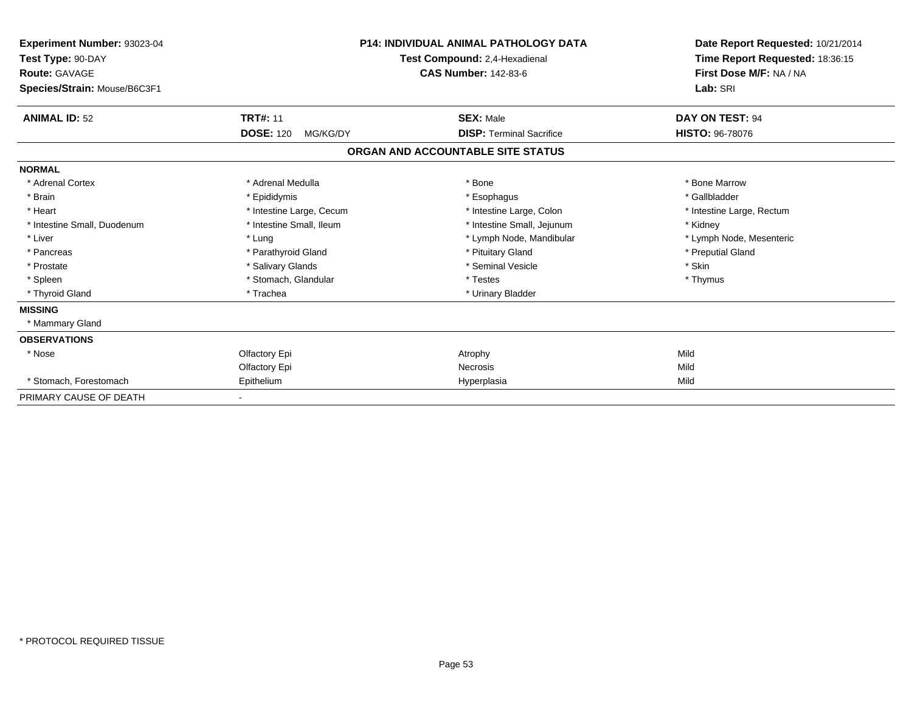| <b>Experiment Number: 93023-04</b><br>Test Type: 90-DAY<br><b>Route: GAVAGE</b><br>Species/Strain: Mouse/B6C3F1 |                              | P14: INDIVIDUAL ANIMAL PATHOLOGY DATA<br>Test Compound: 2,4-Hexadienal<br><b>CAS Number: 142-83-6</b> | Date Report Requested: 10/21/2014<br>Time Report Requested: 18:36:15<br>First Dose M/F: NA / NA<br>Lab: SRI |
|-----------------------------------------------------------------------------------------------------------------|------------------------------|-------------------------------------------------------------------------------------------------------|-------------------------------------------------------------------------------------------------------------|
| <b>ANIMAL ID: 52</b>                                                                                            | <b>TRT#: 11</b>              | <b>SEX: Male</b>                                                                                      | DAY ON TEST: 94                                                                                             |
|                                                                                                                 | <b>DOSE: 120</b><br>MG/KG/DY | <b>DISP: Terminal Sacrifice</b>                                                                       | <b>HISTO: 96-78076</b>                                                                                      |
|                                                                                                                 |                              | ORGAN AND ACCOUNTABLE SITE STATUS                                                                     |                                                                                                             |
| <b>NORMAL</b>                                                                                                   |                              |                                                                                                       |                                                                                                             |
| * Adrenal Cortex                                                                                                | * Adrenal Medulla            | * Bone                                                                                                | * Bone Marrow                                                                                               |
| * Brain                                                                                                         | * Epididymis                 | * Esophagus                                                                                           | * Gallbladder                                                                                               |
| * Heart                                                                                                         | * Intestine Large, Cecum     | * Intestine Large, Colon                                                                              | * Intestine Large, Rectum                                                                                   |
| * Intestine Small, Duodenum                                                                                     | * Intestine Small, Ileum     | * Intestine Small, Jejunum                                                                            | * Kidney                                                                                                    |
| * Liver                                                                                                         | * Lung                       | * Lymph Node, Mandibular                                                                              | * Lymph Node, Mesenteric                                                                                    |
| * Pancreas                                                                                                      | * Parathyroid Gland          | * Pituitary Gland                                                                                     | * Preputial Gland                                                                                           |
| * Prostate                                                                                                      | * Salivary Glands            | * Seminal Vesicle                                                                                     | * Skin                                                                                                      |
| * Spleen                                                                                                        | * Stomach, Glandular         | * Testes                                                                                              | * Thymus                                                                                                    |
| * Thyroid Gland                                                                                                 | * Trachea                    | * Urinary Bladder                                                                                     |                                                                                                             |
| <b>MISSING</b>                                                                                                  |                              |                                                                                                       |                                                                                                             |
| * Mammary Gland                                                                                                 |                              |                                                                                                       |                                                                                                             |
| <b>OBSERVATIONS</b>                                                                                             |                              |                                                                                                       |                                                                                                             |
| * Nose                                                                                                          | Olfactory Epi                | Atrophy                                                                                               | Mild                                                                                                        |
|                                                                                                                 | Olfactory Epi                | <b>Necrosis</b>                                                                                       | Mild                                                                                                        |
| * Stomach, Forestomach                                                                                          | Epithelium                   | Hyperplasia                                                                                           | Mild                                                                                                        |
| PRIMARY CAUSE OF DEATH                                                                                          |                              |                                                                                                       |                                                                                                             |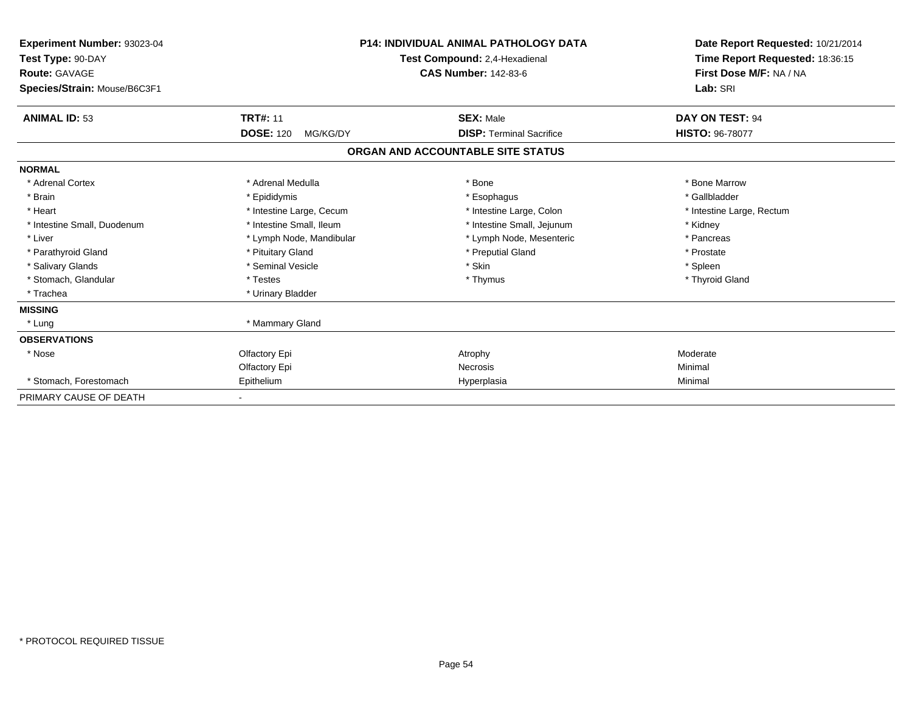| Experiment Number: 93023-04<br>Test Type: 90-DAY<br><b>Route: GAVAGE</b><br>Species/Strain: Mouse/B6C3F1 |                              | <b>P14: INDIVIDUAL ANIMAL PATHOLOGY DATA</b><br>Test Compound: 2,4-Hexadienal<br><b>CAS Number: 142-83-6</b> | Date Report Requested: 10/21/2014<br>Time Report Requested: 18:36:15<br>First Dose M/F: NA / NA<br>Lab: SRI |
|----------------------------------------------------------------------------------------------------------|------------------------------|--------------------------------------------------------------------------------------------------------------|-------------------------------------------------------------------------------------------------------------|
| <b>ANIMAL ID: 53</b>                                                                                     | <b>TRT#: 11</b>              | <b>SEX: Male</b>                                                                                             | DAY ON TEST: 94                                                                                             |
|                                                                                                          | <b>DOSE: 120</b><br>MG/KG/DY | <b>DISP: Terminal Sacrifice</b>                                                                              | <b>HISTO: 96-78077</b>                                                                                      |
|                                                                                                          |                              | ORGAN AND ACCOUNTABLE SITE STATUS                                                                            |                                                                                                             |
| <b>NORMAL</b>                                                                                            |                              |                                                                                                              |                                                                                                             |
| * Adrenal Cortex                                                                                         | * Adrenal Medulla            | * Bone                                                                                                       | * Bone Marrow                                                                                               |
| * Brain                                                                                                  | * Epididymis                 | * Esophagus                                                                                                  | * Gallbladder                                                                                               |
| * Heart                                                                                                  | * Intestine Large, Cecum     | * Intestine Large, Colon                                                                                     | * Intestine Large, Rectum                                                                                   |
| * Intestine Small, Duodenum                                                                              | * Intestine Small, Ileum     | * Intestine Small, Jejunum                                                                                   | * Kidney                                                                                                    |
| * Liver                                                                                                  | * Lymph Node, Mandibular     | * Lymph Node, Mesenteric                                                                                     | * Pancreas                                                                                                  |
| * Parathyroid Gland                                                                                      | * Pituitary Gland            | * Preputial Gland                                                                                            | * Prostate                                                                                                  |
| * Salivary Glands                                                                                        | * Seminal Vesicle            | * Skin                                                                                                       | * Spleen                                                                                                    |
| * Stomach, Glandular                                                                                     | * Testes                     | * Thymus                                                                                                     | * Thyroid Gland                                                                                             |
| * Trachea                                                                                                | * Urinary Bladder            |                                                                                                              |                                                                                                             |
| <b>MISSING</b>                                                                                           |                              |                                                                                                              |                                                                                                             |
| * Lung                                                                                                   | * Mammary Gland              |                                                                                                              |                                                                                                             |
| <b>OBSERVATIONS</b>                                                                                      |                              |                                                                                                              |                                                                                                             |
| * Nose                                                                                                   | Olfactory Epi                | Atrophy                                                                                                      | Moderate                                                                                                    |
|                                                                                                          | Olfactory Epi                | <b>Necrosis</b>                                                                                              | Minimal                                                                                                     |
| * Stomach, Forestomach                                                                                   | Epithelium                   | Hyperplasia                                                                                                  | Minimal                                                                                                     |
| PRIMARY CAUSE OF DEATH                                                                                   |                              |                                                                                                              |                                                                                                             |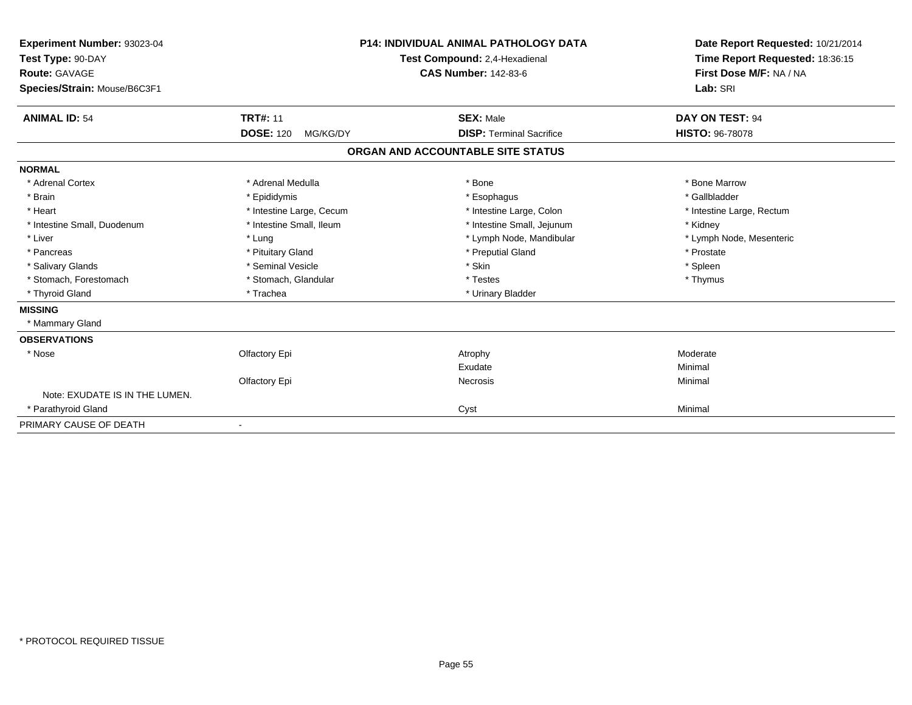| Experiment Number: 93023-04<br>Test Type: 90-DAY<br>Route: GAVAGE<br>Species/Strain: Mouse/B6C3F1 | <b>P14: INDIVIDUAL ANIMAL PATHOLOGY DATA</b><br>Test Compound: 2,4-Hexadienal<br><b>CAS Number: 142-83-6</b> |                                   | Date Report Requested: 10/21/2014<br>Time Report Requested: 18:36:15<br>First Dose M/F: NA / NA<br>Lab: SRI |  |
|---------------------------------------------------------------------------------------------------|--------------------------------------------------------------------------------------------------------------|-----------------------------------|-------------------------------------------------------------------------------------------------------------|--|
| <b>ANIMAL ID: 54</b>                                                                              | <b>TRT#: 11</b>                                                                                              | <b>SEX: Male</b>                  | DAY ON TEST: 94                                                                                             |  |
|                                                                                                   | <b>DOSE: 120</b><br>MG/KG/DY                                                                                 | <b>DISP: Terminal Sacrifice</b>   | <b>HISTO: 96-78078</b>                                                                                      |  |
|                                                                                                   |                                                                                                              | ORGAN AND ACCOUNTABLE SITE STATUS |                                                                                                             |  |
| <b>NORMAL</b>                                                                                     |                                                                                                              |                                   |                                                                                                             |  |
| * Adrenal Cortex                                                                                  | * Adrenal Medulla                                                                                            | * Bone                            | * Bone Marrow                                                                                               |  |
| * Brain                                                                                           | * Epididymis                                                                                                 | * Esophagus                       | * Gallbladder                                                                                               |  |
| * Heart                                                                                           | * Intestine Large, Cecum                                                                                     | * Intestine Large, Colon          | * Intestine Large, Rectum                                                                                   |  |
| * Intestine Small, Duodenum                                                                       | * Intestine Small, Ileum                                                                                     | * Intestine Small, Jejunum        | * Kidney                                                                                                    |  |
| * Liver                                                                                           | * Lung                                                                                                       | * Lymph Node, Mandibular          | * Lymph Node, Mesenteric                                                                                    |  |
| * Pancreas                                                                                        | * Pituitary Gland                                                                                            | * Preputial Gland                 | * Prostate                                                                                                  |  |
| * Salivary Glands                                                                                 | * Seminal Vesicle                                                                                            | * Skin                            | * Spleen                                                                                                    |  |
| * Stomach, Forestomach                                                                            | * Stomach, Glandular                                                                                         | * Testes                          | * Thymus                                                                                                    |  |
| * Thyroid Gland                                                                                   | * Trachea                                                                                                    | * Urinary Bladder                 |                                                                                                             |  |
| <b>MISSING</b>                                                                                    |                                                                                                              |                                   |                                                                                                             |  |
| * Mammary Gland                                                                                   |                                                                                                              |                                   |                                                                                                             |  |
| <b>OBSERVATIONS</b>                                                                               |                                                                                                              |                                   |                                                                                                             |  |
| * Nose                                                                                            | Olfactory Epi                                                                                                | Atrophy                           | Moderate                                                                                                    |  |
|                                                                                                   |                                                                                                              | Exudate                           | Minimal                                                                                                     |  |
|                                                                                                   | Olfactory Epi                                                                                                | <b>Necrosis</b>                   | Minimal                                                                                                     |  |
| Note: EXUDATE IS IN THE LUMEN.                                                                    |                                                                                                              |                                   |                                                                                                             |  |
| * Parathyroid Gland                                                                               |                                                                                                              | Cyst                              | Minimal                                                                                                     |  |
| PRIMARY CAUSE OF DEATH                                                                            |                                                                                                              |                                   |                                                                                                             |  |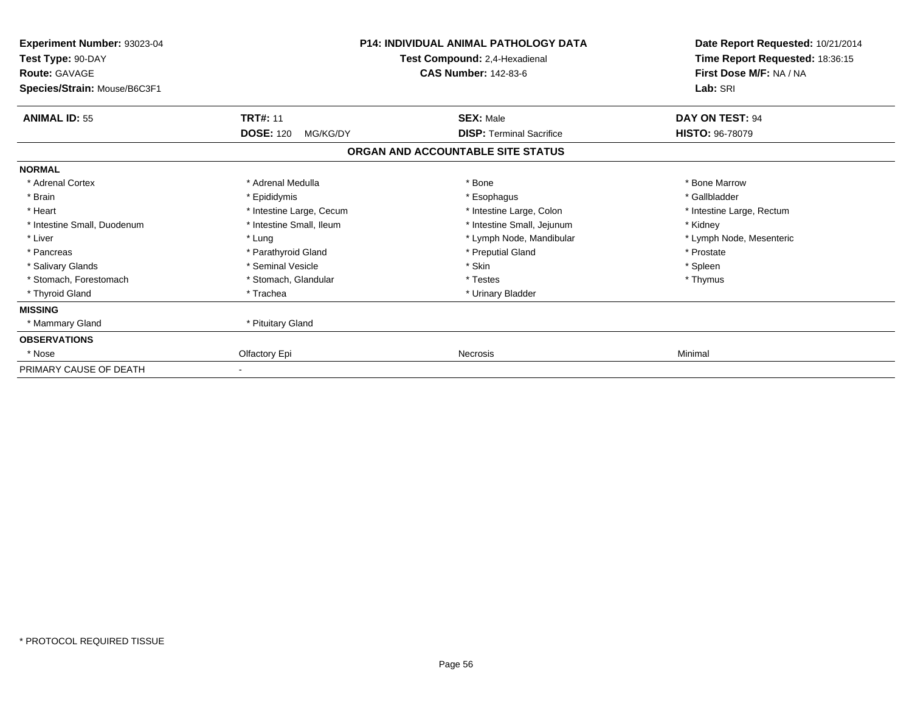| Experiment Number: 93023-04<br>Test Type: 90-DAY<br><b>Route: GAVAGE</b><br>Species/Strain: Mouse/B6C3F1 |                              | <b>P14: INDIVIDUAL ANIMAL PATHOLOGY DATA</b><br>Test Compound: 2,4-Hexadienal<br><b>CAS Number: 142-83-6</b> | Date Report Requested: 10/21/2014<br>Time Report Requested: 18:36:15<br>First Dose M/F: NA / NA<br>Lab: SRI |
|----------------------------------------------------------------------------------------------------------|------------------------------|--------------------------------------------------------------------------------------------------------------|-------------------------------------------------------------------------------------------------------------|
| <b>ANIMAL ID: 55</b>                                                                                     | <b>TRT#: 11</b>              | <b>SEX: Male</b>                                                                                             | DAY ON TEST: 94                                                                                             |
|                                                                                                          | <b>DOSE: 120</b><br>MG/KG/DY | <b>DISP: Terminal Sacrifice</b><br>ORGAN AND ACCOUNTABLE SITE STATUS                                         | <b>HISTO: 96-78079</b>                                                                                      |
| <b>NORMAL</b>                                                                                            |                              |                                                                                                              |                                                                                                             |
| * Adrenal Cortex                                                                                         | * Adrenal Medulla            | * Bone                                                                                                       | * Bone Marrow                                                                                               |
| * Brain                                                                                                  | * Epididymis                 | * Esophagus                                                                                                  | * Gallbladder                                                                                               |
| * Heart                                                                                                  | * Intestine Large, Cecum     | * Intestine Large, Colon                                                                                     | * Intestine Large, Rectum                                                                                   |
| * Intestine Small, Duodenum                                                                              | * Intestine Small, Ileum     | * Intestine Small, Jejunum                                                                                   | * Kidney                                                                                                    |
| * Liver                                                                                                  | * Lung                       | * Lymph Node, Mandibular                                                                                     | * Lymph Node, Mesenteric                                                                                    |
| * Pancreas                                                                                               | * Parathyroid Gland          | * Preputial Gland                                                                                            | * Prostate                                                                                                  |
| * Salivary Glands                                                                                        | * Seminal Vesicle            | * Skin                                                                                                       | * Spleen                                                                                                    |
| * Stomach, Forestomach                                                                                   | * Stomach, Glandular         | * Testes                                                                                                     | * Thymus                                                                                                    |
| * Thyroid Gland                                                                                          | * Trachea                    | * Urinary Bladder                                                                                            |                                                                                                             |
| <b>MISSING</b>                                                                                           |                              |                                                                                                              |                                                                                                             |
| * Mammary Gland                                                                                          | * Pituitary Gland            |                                                                                                              |                                                                                                             |
| <b>OBSERVATIONS</b>                                                                                      |                              |                                                                                                              |                                                                                                             |
| * Nose                                                                                                   | Olfactory Epi                | <b>Necrosis</b>                                                                                              | Minimal                                                                                                     |
| PRIMARY CAUSE OF DEATH                                                                                   |                              |                                                                                                              |                                                                                                             |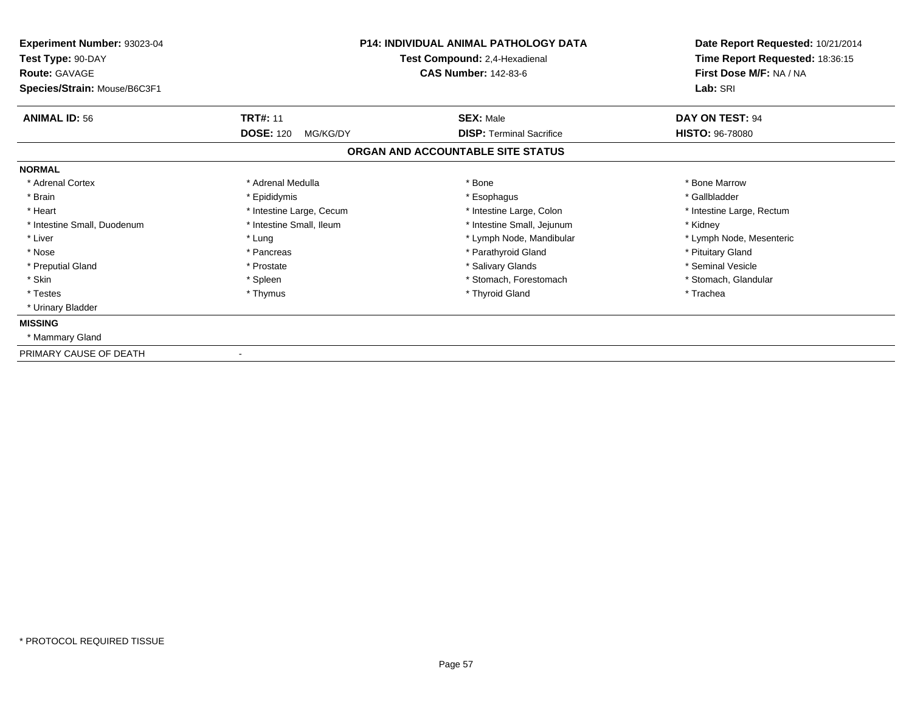| Experiment Number: 93023-04<br>Test Type: 90-DAY<br><b>Route: GAVAGE</b> | <b>P14: INDIVIDUAL ANIMAL PATHOLOGY DATA</b><br>Test Compound: 2,4-Hexadienal<br><b>CAS Number: 142-83-6</b> |                                   | Date Report Requested: 10/21/2014<br>Time Report Requested: 18:36:15<br>First Dose M/F: NA / NA<br>Lab: SRI |  |
|--------------------------------------------------------------------------|--------------------------------------------------------------------------------------------------------------|-----------------------------------|-------------------------------------------------------------------------------------------------------------|--|
| Species/Strain: Mouse/B6C3F1                                             |                                                                                                              |                                   |                                                                                                             |  |
| <b>ANIMAL ID: 56</b>                                                     | <b>TRT#: 11</b>                                                                                              | <b>SEX: Male</b>                  | DAY ON TEST: 94                                                                                             |  |
|                                                                          | <b>DOSE: 120</b><br>MG/KG/DY                                                                                 | <b>DISP: Terminal Sacrifice</b>   | <b>HISTO: 96-78080</b>                                                                                      |  |
|                                                                          |                                                                                                              | ORGAN AND ACCOUNTABLE SITE STATUS |                                                                                                             |  |
| <b>NORMAL</b>                                                            |                                                                                                              |                                   |                                                                                                             |  |
| * Adrenal Cortex                                                         | * Adrenal Medulla                                                                                            | * Bone                            | * Bone Marrow                                                                                               |  |
| * Brain                                                                  | * Epididymis                                                                                                 | * Esophagus                       | * Gallbladder                                                                                               |  |
| * Heart                                                                  | * Intestine Large, Cecum                                                                                     | * Intestine Large, Colon          | * Intestine Large, Rectum                                                                                   |  |
| * Intestine Small, Duodenum                                              | * Intestine Small, Ileum                                                                                     | * Intestine Small, Jejunum        | * Kidney                                                                                                    |  |
| * Liver                                                                  | * Lung                                                                                                       | * Lymph Node, Mandibular          | * Lymph Node, Mesenteric                                                                                    |  |
| * Nose                                                                   | * Pancreas                                                                                                   | * Parathyroid Gland               | * Pituitary Gland                                                                                           |  |
| * Preputial Gland                                                        | * Prostate                                                                                                   | * Salivary Glands                 | * Seminal Vesicle                                                                                           |  |
| * Skin                                                                   | * Spleen                                                                                                     | * Stomach, Forestomach            | * Stomach, Glandular                                                                                        |  |
| * Testes                                                                 | * Thymus                                                                                                     | * Thyroid Gland                   | * Trachea                                                                                                   |  |
| * Urinary Bladder                                                        |                                                                                                              |                                   |                                                                                                             |  |
| <b>MISSING</b>                                                           |                                                                                                              |                                   |                                                                                                             |  |
| * Mammary Gland                                                          |                                                                                                              |                                   |                                                                                                             |  |
| PRIMARY CAUSE OF DEATH                                                   |                                                                                                              |                                   |                                                                                                             |  |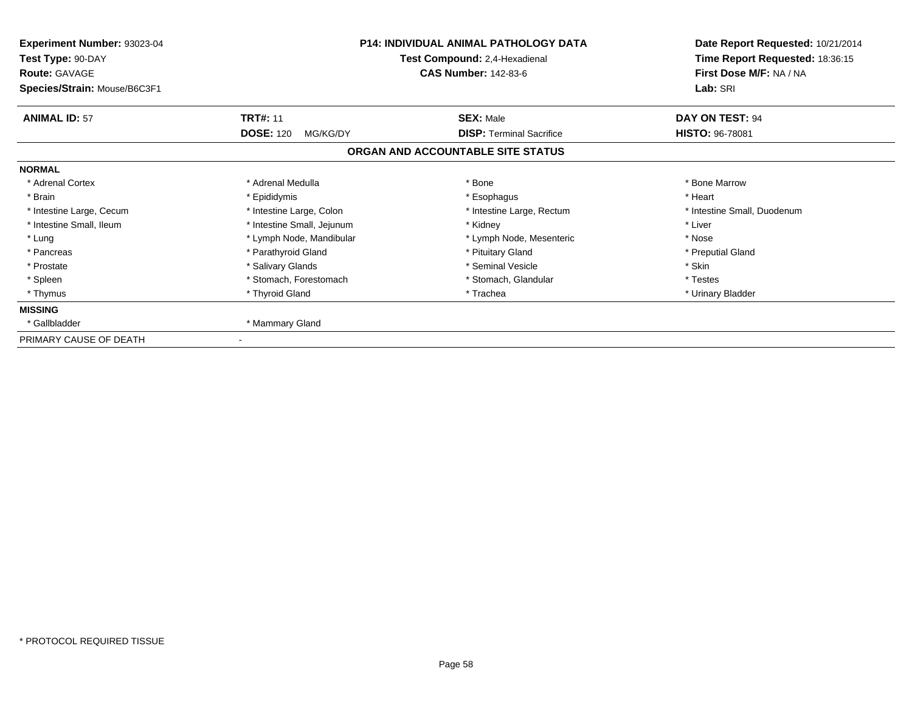| <b>Experiment Number: 93023-04</b><br>Test Type: 90-DAY<br><b>Route: GAVAGE</b><br>Species/Strain: Mouse/B6C3F1 |                              | <b>P14: INDIVIDUAL ANIMAL PATHOLOGY DATA</b><br>Test Compound: 2,4-Hexadienal<br><b>CAS Number: 142-83-6</b> | Date Report Requested: 10/21/2014<br>Time Report Requested: 18:36:15<br>First Dose M/F: NA / NA<br>Lab: SRI |
|-----------------------------------------------------------------------------------------------------------------|------------------------------|--------------------------------------------------------------------------------------------------------------|-------------------------------------------------------------------------------------------------------------|
| <b>ANIMAL ID: 57</b>                                                                                            | <b>TRT#: 11</b>              | <b>SEX: Male</b>                                                                                             | DAY ON TEST: 94                                                                                             |
|                                                                                                                 | <b>DOSE: 120</b><br>MG/KG/DY | <b>DISP: Terminal Sacrifice</b>                                                                              | <b>HISTO: 96-78081</b>                                                                                      |
|                                                                                                                 |                              | ORGAN AND ACCOUNTABLE SITE STATUS                                                                            |                                                                                                             |
| <b>NORMAL</b>                                                                                                   |                              |                                                                                                              |                                                                                                             |
| * Adrenal Cortex                                                                                                | * Adrenal Medulla            | * Bone                                                                                                       | * Bone Marrow                                                                                               |
| * Brain                                                                                                         | * Epididymis                 | * Esophagus                                                                                                  | * Heart                                                                                                     |
| * Intestine Large, Cecum                                                                                        | * Intestine Large, Colon     | * Intestine Large, Rectum                                                                                    | * Intestine Small, Duodenum                                                                                 |
| * Intestine Small, Ileum                                                                                        | * Intestine Small, Jejunum   | * Kidney                                                                                                     | * Liver                                                                                                     |
| * Lung                                                                                                          | * Lymph Node, Mandibular     | * Lymph Node, Mesenteric                                                                                     | * Nose                                                                                                      |
| * Pancreas                                                                                                      | * Parathyroid Gland          | * Pituitary Gland                                                                                            | * Preputial Gland                                                                                           |
| * Prostate                                                                                                      | * Salivary Glands            | * Seminal Vesicle                                                                                            | * Skin                                                                                                      |
| * Spleen                                                                                                        | * Stomach, Forestomach       | * Stomach, Glandular                                                                                         | * Testes                                                                                                    |
| * Thymus                                                                                                        | * Thyroid Gland              | * Trachea                                                                                                    | * Urinary Bladder                                                                                           |
| <b>MISSING</b>                                                                                                  |                              |                                                                                                              |                                                                                                             |
| * Gallbladder                                                                                                   | * Mammary Gland              |                                                                                                              |                                                                                                             |
| PRIMARY CAUSE OF DEATH                                                                                          |                              |                                                                                                              |                                                                                                             |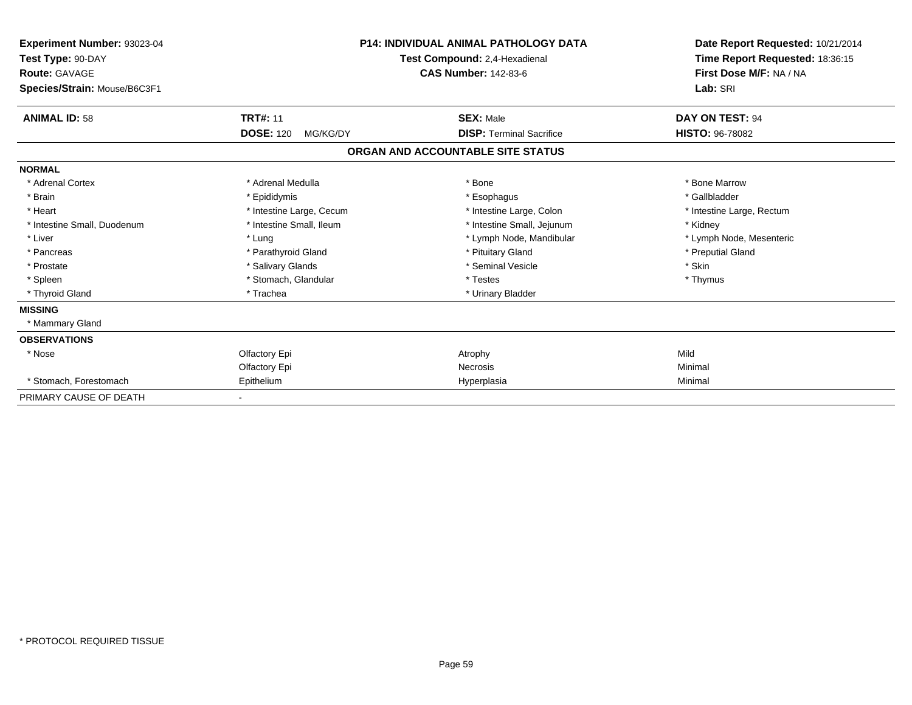| <b>Experiment Number: 93023-04</b><br>Test Type: 90-DAY<br><b>Route: GAVAGE</b><br>Species/Strain: Mouse/B6C3F1 |                              | P14: INDIVIDUAL ANIMAL PATHOLOGY DATA<br>Test Compound: 2,4-Hexadienal<br><b>CAS Number: 142-83-6</b> | Date Report Requested: 10/21/2014<br>Time Report Requested: 18:36:15<br>First Dose M/F: NA / NA<br>Lab: SRI |
|-----------------------------------------------------------------------------------------------------------------|------------------------------|-------------------------------------------------------------------------------------------------------|-------------------------------------------------------------------------------------------------------------|
| <b>ANIMAL ID: 58</b>                                                                                            | <b>TRT#: 11</b>              | <b>SEX: Male</b>                                                                                      | DAY ON TEST: 94                                                                                             |
|                                                                                                                 | <b>DOSE: 120</b><br>MG/KG/DY | <b>DISP: Terminal Sacrifice</b>                                                                       | <b>HISTO: 96-78082</b>                                                                                      |
|                                                                                                                 |                              | ORGAN AND ACCOUNTABLE SITE STATUS                                                                     |                                                                                                             |
| <b>NORMAL</b>                                                                                                   |                              |                                                                                                       |                                                                                                             |
| * Adrenal Cortex                                                                                                | * Adrenal Medulla            | * Bone                                                                                                | * Bone Marrow                                                                                               |
| * Brain                                                                                                         | * Epididymis                 | * Esophagus                                                                                           | * Gallbladder                                                                                               |
| * Heart                                                                                                         | * Intestine Large, Cecum     | * Intestine Large, Colon                                                                              | * Intestine Large, Rectum                                                                                   |
| * Intestine Small, Duodenum                                                                                     | * Intestine Small, Ileum     | * Intestine Small, Jejunum                                                                            | * Kidney                                                                                                    |
| * Liver                                                                                                         | * Lung                       | * Lymph Node, Mandibular                                                                              | * Lymph Node, Mesenteric                                                                                    |
| * Pancreas                                                                                                      | * Parathyroid Gland          | * Pituitary Gland                                                                                     | * Preputial Gland                                                                                           |
| * Prostate                                                                                                      | * Salivary Glands            | * Seminal Vesicle                                                                                     | * Skin                                                                                                      |
| * Spleen                                                                                                        | * Stomach, Glandular         | * Testes                                                                                              | * Thymus                                                                                                    |
| * Thyroid Gland                                                                                                 | * Trachea                    | * Urinary Bladder                                                                                     |                                                                                                             |
| <b>MISSING</b>                                                                                                  |                              |                                                                                                       |                                                                                                             |
| * Mammary Gland                                                                                                 |                              |                                                                                                       |                                                                                                             |
| <b>OBSERVATIONS</b>                                                                                             |                              |                                                                                                       |                                                                                                             |
| * Nose                                                                                                          | Olfactory Epi                | Atrophy                                                                                               | Mild                                                                                                        |
|                                                                                                                 | Olfactory Epi                | <b>Necrosis</b>                                                                                       | Minimal                                                                                                     |
| * Stomach, Forestomach                                                                                          | Epithelium                   | Hyperplasia                                                                                           | Minimal                                                                                                     |
| PRIMARY CAUSE OF DEATH                                                                                          |                              |                                                                                                       |                                                                                                             |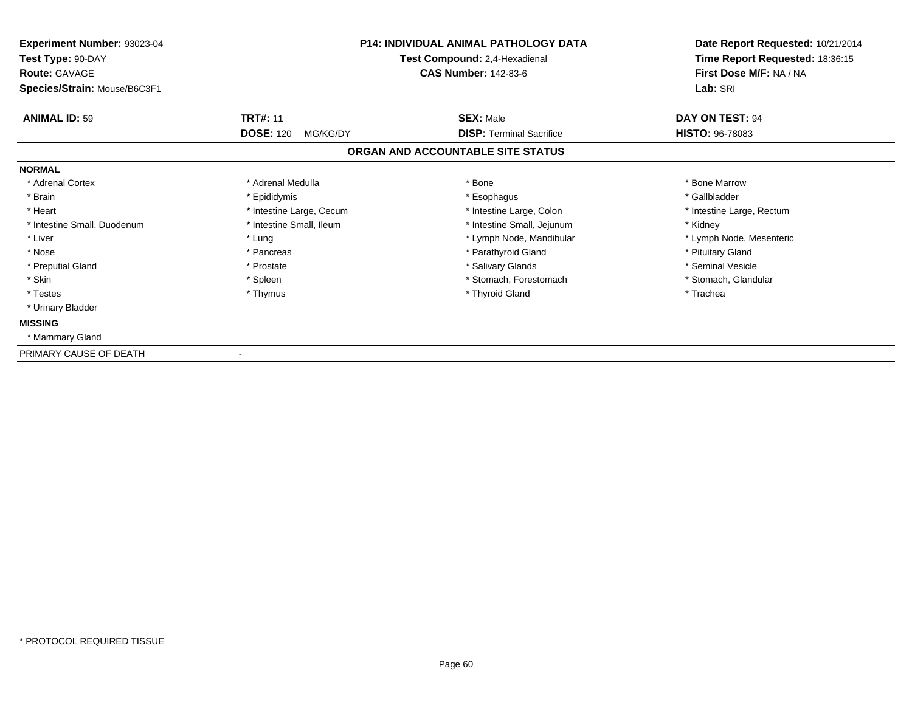| Experiment Number: 93023-04<br>Test Type: 90-DAY<br><b>Route: GAVAGE</b><br>Species/Strain: Mouse/B6C3F1 | <b>P14: INDIVIDUAL ANIMAL PATHOLOGY DATA</b><br>Test Compound: 2,4-Hexadienal<br><b>CAS Number: 142-83-6</b> |                                   | Date Report Requested: 10/21/2014<br>Time Report Requested: 18:36:15<br>First Dose M/F: NA / NA<br>Lab: SRI |  |
|----------------------------------------------------------------------------------------------------------|--------------------------------------------------------------------------------------------------------------|-----------------------------------|-------------------------------------------------------------------------------------------------------------|--|
|                                                                                                          |                                                                                                              |                                   |                                                                                                             |  |
| <b>ANIMAL ID: 59</b>                                                                                     | <b>TRT#: 11</b>                                                                                              | <b>SEX: Male</b>                  | DAY ON TEST: 94                                                                                             |  |
|                                                                                                          | <b>DOSE: 120</b><br>MG/KG/DY                                                                                 | <b>DISP: Terminal Sacrifice</b>   | <b>HISTO: 96-78083</b>                                                                                      |  |
|                                                                                                          |                                                                                                              | ORGAN AND ACCOUNTABLE SITE STATUS |                                                                                                             |  |
| <b>NORMAL</b>                                                                                            |                                                                                                              |                                   |                                                                                                             |  |
| * Adrenal Cortex                                                                                         | * Adrenal Medulla                                                                                            | * Bone                            | * Bone Marrow                                                                                               |  |
| * Brain                                                                                                  | * Epididymis                                                                                                 | * Esophagus                       | * Gallbladder                                                                                               |  |
| * Heart                                                                                                  | * Intestine Large, Cecum                                                                                     | * Intestine Large, Colon          | * Intestine Large, Rectum                                                                                   |  |
| * Intestine Small, Duodenum                                                                              | * Intestine Small, Ileum                                                                                     | * Intestine Small, Jejunum        | * Kidney                                                                                                    |  |
| * Liver                                                                                                  | * Lung                                                                                                       | * Lymph Node, Mandibular          | * Lymph Node, Mesenteric                                                                                    |  |
| * Nose                                                                                                   | * Pancreas                                                                                                   | * Parathyroid Gland               | * Pituitary Gland                                                                                           |  |
| * Preputial Gland                                                                                        | * Prostate                                                                                                   | * Salivary Glands                 | * Seminal Vesicle                                                                                           |  |
| * Skin                                                                                                   | * Spleen                                                                                                     | * Stomach, Forestomach            | * Stomach, Glandular                                                                                        |  |
| * Testes                                                                                                 | * Thymus                                                                                                     | * Thyroid Gland                   | * Trachea                                                                                                   |  |
| * Urinary Bladder                                                                                        |                                                                                                              |                                   |                                                                                                             |  |
| <b>MISSING</b>                                                                                           |                                                                                                              |                                   |                                                                                                             |  |
| * Mammary Gland                                                                                          |                                                                                                              |                                   |                                                                                                             |  |
| PRIMARY CAUSE OF DEATH                                                                                   |                                                                                                              |                                   |                                                                                                             |  |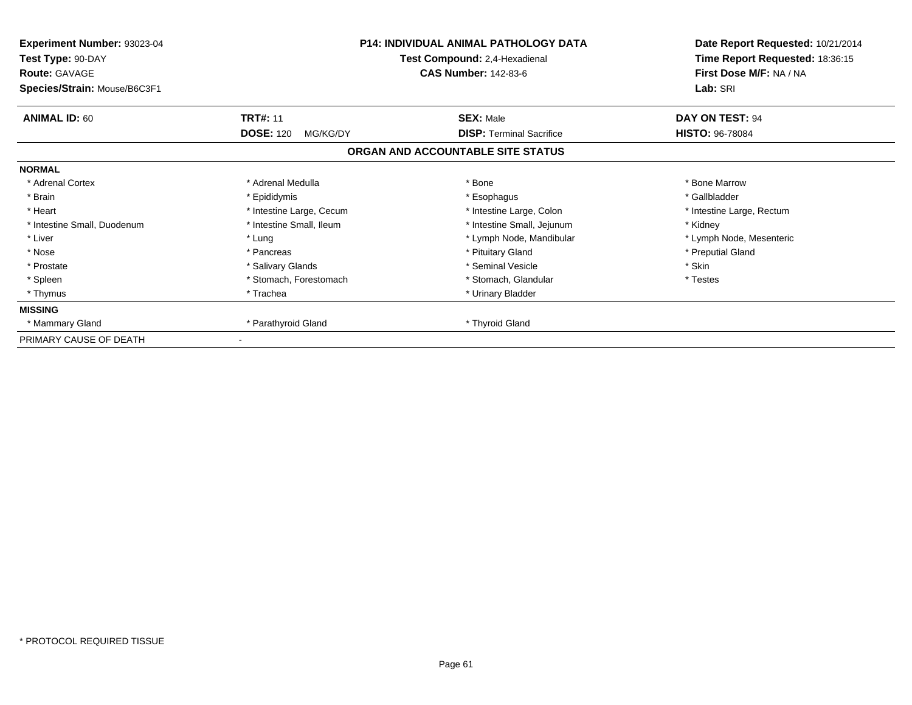| Experiment Number: 93023-04<br>Test Type: 90-DAY<br><b>Route: GAVAGE</b><br>Species/Strain: Mouse/B6C3F1 |                              | <b>P14: INDIVIDUAL ANIMAL PATHOLOGY DATA</b><br>Test Compound: 2,4-Hexadienal<br><b>CAS Number: 142-83-6</b> | Date Report Requested: 10/21/2014<br>Time Report Requested: 18:36:15<br>First Dose M/F: NA / NA<br>Lab: SRI |
|----------------------------------------------------------------------------------------------------------|------------------------------|--------------------------------------------------------------------------------------------------------------|-------------------------------------------------------------------------------------------------------------|
| <b>ANIMAL ID: 60</b>                                                                                     | <b>TRT#: 11</b>              | <b>SEX: Male</b>                                                                                             | DAY ON TEST: 94                                                                                             |
|                                                                                                          | <b>DOSE: 120</b><br>MG/KG/DY | <b>DISP:</b> Terminal Sacrifice                                                                              | <b>HISTO: 96-78084</b>                                                                                      |
|                                                                                                          |                              | ORGAN AND ACCOUNTABLE SITE STATUS                                                                            |                                                                                                             |
| <b>NORMAL</b>                                                                                            |                              |                                                                                                              |                                                                                                             |
| * Adrenal Cortex                                                                                         | * Adrenal Medulla            | * Bone                                                                                                       | * Bone Marrow                                                                                               |
| * Brain                                                                                                  | * Epididymis                 | * Esophagus                                                                                                  | * Gallbladder                                                                                               |
| * Heart                                                                                                  | * Intestine Large, Cecum     | * Intestine Large, Colon                                                                                     | * Intestine Large, Rectum                                                                                   |
| * Intestine Small, Duodenum                                                                              | * Intestine Small, Ileum     | * Intestine Small, Jejunum                                                                                   | * Kidney                                                                                                    |
| * Liver                                                                                                  | * Lung                       | * Lymph Node, Mandibular                                                                                     | * Lymph Node, Mesenteric                                                                                    |
| * Nose                                                                                                   | * Pancreas                   | * Pituitary Gland                                                                                            | * Preputial Gland                                                                                           |
| * Prostate                                                                                               | * Salivary Glands            | * Seminal Vesicle                                                                                            | * Skin                                                                                                      |
| * Spleen                                                                                                 | * Stomach, Forestomach       | * Stomach, Glandular                                                                                         | * Testes                                                                                                    |
| * Thymus                                                                                                 | * Trachea                    | * Urinary Bladder                                                                                            |                                                                                                             |
| <b>MISSING</b>                                                                                           |                              |                                                                                                              |                                                                                                             |
| * Mammary Gland                                                                                          | * Parathyroid Gland          | * Thyroid Gland                                                                                              |                                                                                                             |
| PRIMARY CAUSE OF DEATH                                                                                   |                              |                                                                                                              |                                                                                                             |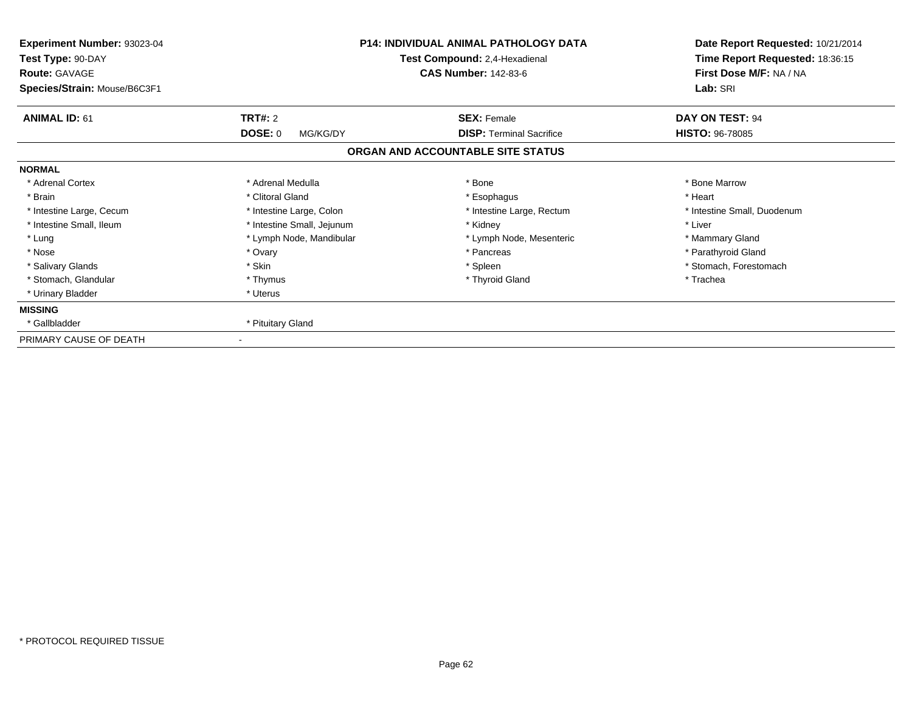| <b>Experiment Number: 93023-04</b><br>Test Type: 90-DAY<br><b>Route: GAVAGE</b><br>Species/Strain: Mouse/B6C3F1 |                            | <b>P14: INDIVIDUAL ANIMAL PATHOLOGY DATA</b><br>Test Compound: 2,4-Hexadienal<br><b>CAS Number: 142-83-6</b> | Date Report Requested: 10/21/2014<br>Time Report Requested: 18:36:15<br>First Dose M/F: NA / NA<br>Lab: SRI |
|-----------------------------------------------------------------------------------------------------------------|----------------------------|--------------------------------------------------------------------------------------------------------------|-------------------------------------------------------------------------------------------------------------|
| <b>ANIMAL ID: 61</b>                                                                                            | <b>TRT#: 2</b>             | <b>SEX: Female</b>                                                                                           | DAY ON TEST: 94                                                                                             |
|                                                                                                                 | <b>DOSE: 0</b><br>MG/KG/DY | <b>DISP:</b> Terminal Sacrifice                                                                              | <b>HISTO: 96-78085</b>                                                                                      |
|                                                                                                                 |                            | ORGAN AND ACCOUNTABLE SITE STATUS                                                                            |                                                                                                             |
| <b>NORMAL</b>                                                                                                   |                            |                                                                                                              |                                                                                                             |
| * Adrenal Cortex                                                                                                | * Adrenal Medulla          | * Bone                                                                                                       | * Bone Marrow                                                                                               |
| * Brain                                                                                                         | * Clitoral Gland           | * Esophagus                                                                                                  | * Heart                                                                                                     |
| * Intestine Large, Cecum                                                                                        | * Intestine Large, Colon   | * Intestine Large, Rectum                                                                                    | * Intestine Small, Duodenum                                                                                 |
| * Intestine Small, Ileum                                                                                        | * Intestine Small, Jejunum | * Kidney                                                                                                     | * Liver                                                                                                     |
| * Lung                                                                                                          | * Lymph Node, Mandibular   | * Lymph Node, Mesenteric                                                                                     | * Mammary Gland                                                                                             |
| * Nose                                                                                                          | * Ovary                    | * Pancreas                                                                                                   | * Parathyroid Gland                                                                                         |
| * Salivary Glands                                                                                               | * Skin                     | * Spleen                                                                                                     | * Stomach, Forestomach                                                                                      |
| * Stomach, Glandular                                                                                            | * Thymus                   | * Thyroid Gland                                                                                              | * Trachea                                                                                                   |
| * Urinary Bladder                                                                                               | * Uterus                   |                                                                                                              |                                                                                                             |
| <b>MISSING</b>                                                                                                  |                            |                                                                                                              |                                                                                                             |
| * Gallbladder                                                                                                   | * Pituitary Gland          |                                                                                                              |                                                                                                             |
| PRIMARY CAUSE OF DEATH                                                                                          |                            |                                                                                                              |                                                                                                             |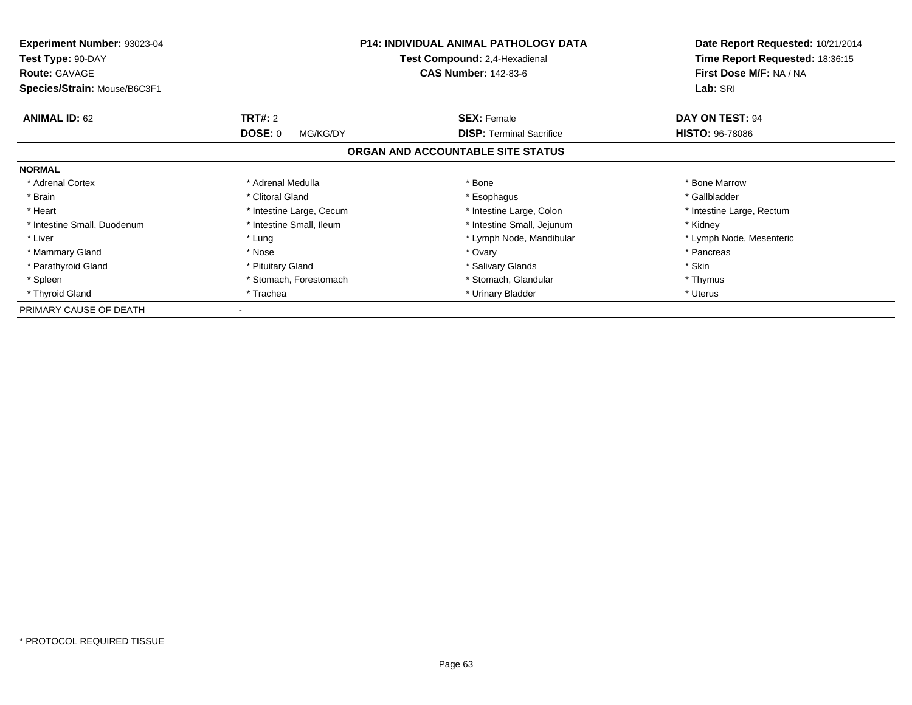| <b>Experiment Number: 93023-04</b><br>Test Type: 90-DAY<br><b>Route: GAVAGE</b> | <b>P14: INDIVIDUAL ANIMAL PATHOLOGY DATA</b><br>Test Compound: 2,4-Hexadienal<br><b>CAS Number: 142-83-6</b> |                                   | Date Report Requested: 10/21/2014<br>Time Report Requested: 18:36:15<br>First Dose M/F: NA / NA |  |
|---------------------------------------------------------------------------------|--------------------------------------------------------------------------------------------------------------|-----------------------------------|-------------------------------------------------------------------------------------------------|--|
| Species/Strain: Mouse/B6C3F1                                                    |                                                                                                              | Lab: SRI                          |                                                                                                 |  |
| <b>ANIMAL ID: 62</b>                                                            | <b>TRT#: 2</b>                                                                                               | <b>SEX: Female</b>                | DAY ON TEST: 94                                                                                 |  |
|                                                                                 | <b>DOSE: 0</b><br>MG/KG/DY                                                                                   | <b>DISP:</b> Terminal Sacrifice   | <b>HISTO: 96-78086</b>                                                                          |  |
|                                                                                 |                                                                                                              | ORGAN AND ACCOUNTABLE SITE STATUS |                                                                                                 |  |
| <b>NORMAL</b>                                                                   |                                                                                                              |                                   |                                                                                                 |  |
| * Adrenal Cortex                                                                | * Adrenal Medulla                                                                                            | * Bone                            | * Bone Marrow                                                                                   |  |
| * Brain                                                                         | * Clitoral Gland                                                                                             | * Esophagus                       | * Gallbladder                                                                                   |  |
| * Heart                                                                         | * Intestine Large, Cecum                                                                                     | * Intestine Large, Colon          | * Intestine Large, Rectum                                                                       |  |
| * Intestine Small, Duodenum                                                     | * Intestine Small, Ileum                                                                                     | * Intestine Small, Jejunum        | * Kidney                                                                                        |  |
| * Liver                                                                         | * Lung                                                                                                       | * Lymph Node, Mandibular          | * Lymph Node, Mesenteric                                                                        |  |
| * Mammary Gland                                                                 | * Nose                                                                                                       | * Ovary                           | * Pancreas                                                                                      |  |
| * Parathyroid Gland                                                             | * Pituitary Gland                                                                                            | * Salivary Glands                 | * Skin                                                                                          |  |
| * Spleen                                                                        | * Stomach, Forestomach                                                                                       | * Stomach, Glandular              | * Thymus                                                                                        |  |
| * Thyroid Gland                                                                 | * Trachea                                                                                                    | * Urinary Bladder                 | * Uterus                                                                                        |  |
| PRIMARY CAUSE OF DEATH                                                          |                                                                                                              |                                   |                                                                                                 |  |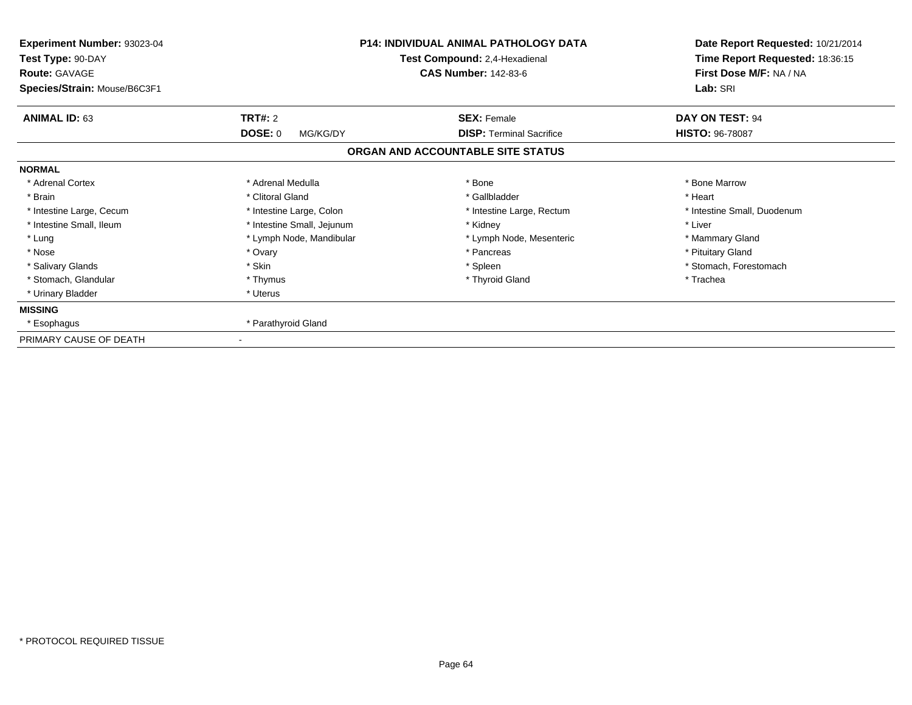| <b>Experiment Number: 93023-04</b><br>Test Type: 90-DAY<br><b>Route: GAVAGE</b><br>Species/Strain: Mouse/B6C3F1 |                            | <b>P14: INDIVIDUAL ANIMAL PATHOLOGY DATA</b><br>Test Compound: 2,4-Hexadienal<br><b>CAS Number: 142-83-6</b> | Date Report Requested: 10/21/2014<br>Time Report Requested: 18:36:15<br>First Dose M/F: NA / NA<br>Lab: SRI |
|-----------------------------------------------------------------------------------------------------------------|----------------------------|--------------------------------------------------------------------------------------------------------------|-------------------------------------------------------------------------------------------------------------|
| <b>ANIMAL ID: 63</b>                                                                                            | <b>TRT#: 2</b>             | <b>SEX: Female</b>                                                                                           | DAY ON TEST: 94                                                                                             |
|                                                                                                                 | <b>DOSE: 0</b><br>MG/KG/DY | <b>DISP:</b> Terminal Sacrifice                                                                              | <b>HISTO: 96-78087</b>                                                                                      |
|                                                                                                                 |                            | ORGAN AND ACCOUNTABLE SITE STATUS                                                                            |                                                                                                             |
| <b>NORMAL</b>                                                                                                   |                            |                                                                                                              |                                                                                                             |
| * Adrenal Cortex                                                                                                | * Adrenal Medulla          | * Bone                                                                                                       | * Bone Marrow                                                                                               |
| * Brain                                                                                                         | * Clitoral Gland           | * Gallbladder                                                                                                | * Heart                                                                                                     |
| * Intestine Large, Cecum                                                                                        | * Intestine Large, Colon   | * Intestine Large, Rectum                                                                                    | * Intestine Small, Duodenum                                                                                 |
| * Intestine Small, Ileum                                                                                        | * Intestine Small, Jejunum | * Kidney                                                                                                     | * Liver                                                                                                     |
| * Lung                                                                                                          | * Lymph Node, Mandibular   | * Lymph Node, Mesenteric                                                                                     | * Mammary Gland                                                                                             |
| * Nose                                                                                                          | * Ovary                    | * Pancreas                                                                                                   | * Pituitary Gland                                                                                           |
| * Salivary Glands                                                                                               | * Skin                     | * Spleen                                                                                                     | * Stomach, Forestomach                                                                                      |
| * Stomach, Glandular                                                                                            | * Thymus                   | * Thyroid Gland                                                                                              | * Trachea                                                                                                   |
| * Urinary Bladder                                                                                               | * Uterus                   |                                                                                                              |                                                                                                             |
| <b>MISSING</b>                                                                                                  |                            |                                                                                                              |                                                                                                             |
| * Esophagus                                                                                                     | * Parathyroid Gland        |                                                                                                              |                                                                                                             |
| PRIMARY CAUSE OF DEATH                                                                                          |                            |                                                                                                              |                                                                                                             |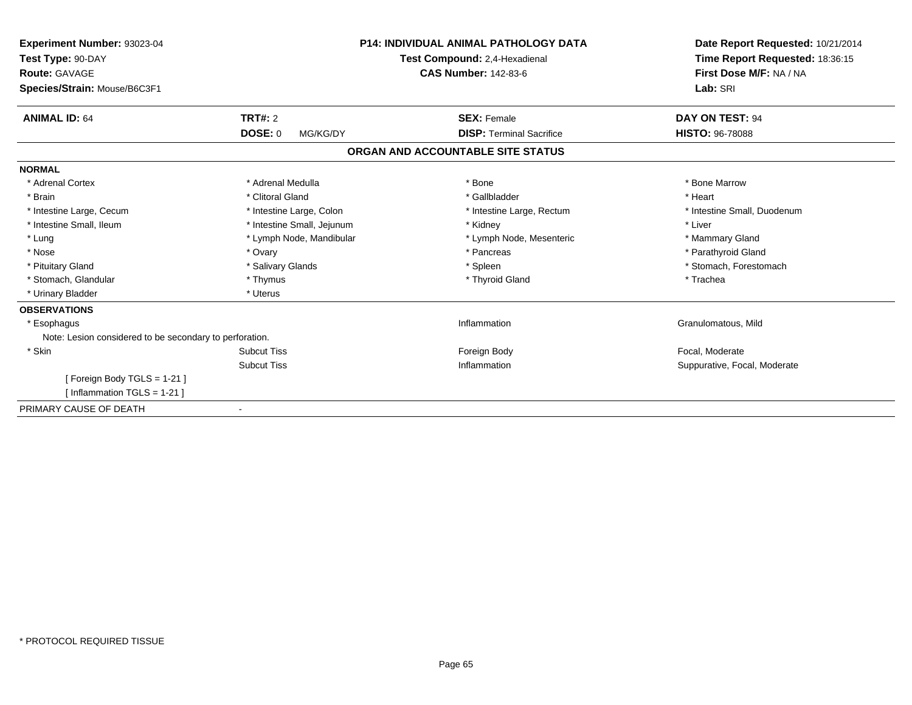| Experiment Number: 93023-04<br>Test Type: 90-DAY<br><b>Route: GAVAGE</b><br>Species/Strain: Mouse/B6C3F1 |                            | <b>P14: INDIVIDUAL ANIMAL PATHOLOGY DATA</b><br>Test Compound: 2,4-Hexadienal<br><b>CAS Number: 142-83-6</b> | Date Report Requested: 10/21/2014<br>Time Report Requested: 18:36:15<br>First Dose M/F: NA / NA<br>Lab: SRI |
|----------------------------------------------------------------------------------------------------------|----------------------------|--------------------------------------------------------------------------------------------------------------|-------------------------------------------------------------------------------------------------------------|
| <b>ANIMAL ID: 64</b>                                                                                     | <b>TRT#: 2</b>             | <b>SEX: Female</b>                                                                                           | DAY ON TEST: 94                                                                                             |
|                                                                                                          | <b>DOSE: 0</b><br>MG/KG/DY | <b>DISP: Terminal Sacrifice</b>                                                                              | <b>HISTO: 96-78088</b>                                                                                      |
|                                                                                                          |                            | ORGAN AND ACCOUNTABLE SITE STATUS                                                                            |                                                                                                             |
| <b>NORMAL</b>                                                                                            |                            |                                                                                                              |                                                                                                             |
| * Adrenal Cortex                                                                                         | * Adrenal Medulla          | * Bone                                                                                                       | * Bone Marrow                                                                                               |
| * Brain                                                                                                  | * Clitoral Gland           | * Gallbladder                                                                                                | * Heart                                                                                                     |
| * Intestine Large, Cecum                                                                                 | * Intestine Large, Colon   | * Intestine Large, Rectum                                                                                    | * Intestine Small, Duodenum                                                                                 |
| * Intestine Small, Ileum                                                                                 | * Intestine Small, Jejunum | * Kidney                                                                                                     | * Liver                                                                                                     |
| * Lung                                                                                                   | * Lymph Node, Mandibular   | * Lymph Node, Mesenteric                                                                                     | * Mammary Gland                                                                                             |
| * Nose                                                                                                   | * Ovary                    | * Pancreas                                                                                                   | * Parathyroid Gland                                                                                         |
| * Pituitary Gland                                                                                        | * Salivary Glands          | * Spleen                                                                                                     | * Stomach, Forestomach                                                                                      |
| * Stomach, Glandular                                                                                     | * Thymus                   | * Thyroid Gland                                                                                              | * Trachea                                                                                                   |
| * Urinary Bladder                                                                                        | * Uterus                   |                                                                                                              |                                                                                                             |
| <b>OBSERVATIONS</b>                                                                                      |                            |                                                                                                              |                                                                                                             |
| * Esophagus                                                                                              |                            | Inflammation                                                                                                 | Granulomatous, Mild                                                                                         |
| Note: Lesion considered to be secondary to perforation.                                                  |                            |                                                                                                              |                                                                                                             |
| * Skin                                                                                                   | <b>Subcut Tiss</b>         | Foreign Body                                                                                                 | Focal, Moderate                                                                                             |
|                                                                                                          | <b>Subcut Tiss</b>         | Inflammation                                                                                                 | Suppurative, Focal, Moderate                                                                                |
| [Foreign Body TGLS = $1-21$ ]<br>[Inflammation TGLS = $1-21$ ]                                           |                            |                                                                                                              |                                                                                                             |
| PRIMARY CAUSE OF DEATH                                                                                   |                            |                                                                                                              |                                                                                                             |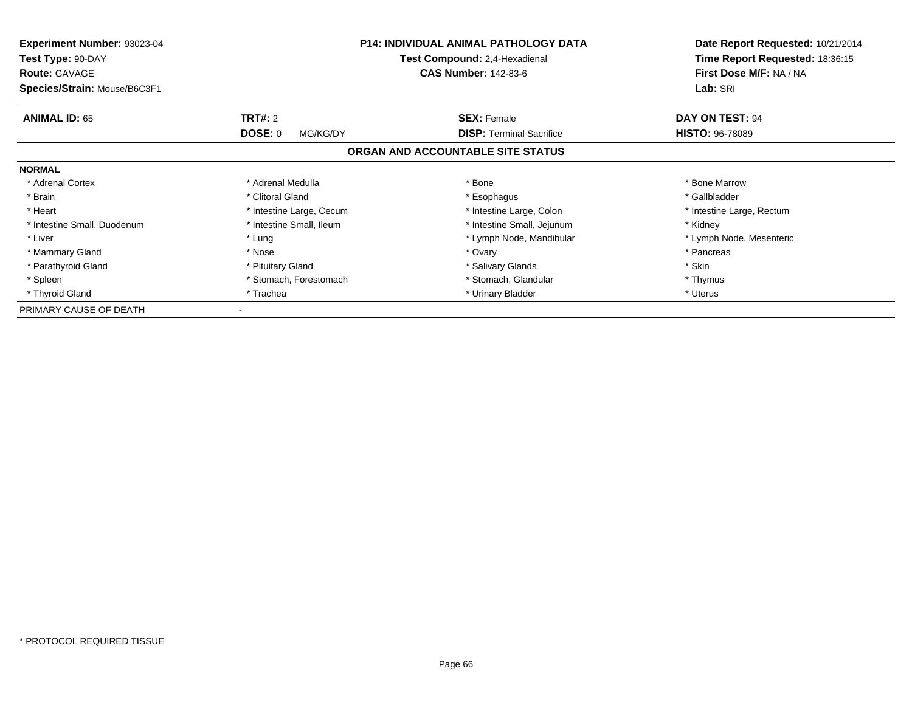| <b>Experiment Number: 93023-04</b><br>Test Type: 90-DAY<br><b>Route: GAVAGE</b> | <b>P14: INDIVIDUAL ANIMAL PATHOLOGY DATA</b><br>Test Compound: 2,4-Hexadienal<br><b>CAS Number: 142-83-6</b> |                                   | Date Report Requested: 10/21/2014<br>Time Report Requested: 18:36:15<br>First Dose M/F: NA / NA |  |
|---------------------------------------------------------------------------------|--------------------------------------------------------------------------------------------------------------|-----------------------------------|-------------------------------------------------------------------------------------------------|--|
| Species/Strain: Mouse/B6C3F1                                                    |                                                                                                              | Lab: SRI                          |                                                                                                 |  |
| <b>ANIMAL ID: 65</b>                                                            | <b>TRT#: 2</b>                                                                                               | <b>SEX: Female</b>                | DAY ON TEST: 94                                                                                 |  |
|                                                                                 | <b>DOSE: 0</b><br>MG/KG/DY                                                                                   | <b>DISP:</b> Terminal Sacrifice   | <b>HISTO: 96-78089</b>                                                                          |  |
|                                                                                 |                                                                                                              | ORGAN AND ACCOUNTABLE SITE STATUS |                                                                                                 |  |
| <b>NORMAL</b>                                                                   |                                                                                                              |                                   |                                                                                                 |  |
| * Adrenal Cortex                                                                | * Adrenal Medulla                                                                                            | * Bone                            | * Bone Marrow                                                                                   |  |
| * Brain                                                                         | * Clitoral Gland                                                                                             | * Esophagus                       | * Gallbladder                                                                                   |  |
| * Heart                                                                         | * Intestine Large, Cecum                                                                                     | * Intestine Large, Colon          | * Intestine Large, Rectum                                                                       |  |
| * Intestine Small, Duodenum                                                     | * Intestine Small, Ileum                                                                                     | * Intestine Small, Jejunum        | * Kidney                                                                                        |  |
| * Liver                                                                         | * Lung                                                                                                       | * Lymph Node, Mandibular          | * Lymph Node, Mesenteric                                                                        |  |
| * Mammary Gland                                                                 | * Nose                                                                                                       | * Ovary                           | * Pancreas                                                                                      |  |
| * Parathyroid Gland                                                             | * Pituitary Gland                                                                                            | * Salivary Glands                 | * Skin                                                                                          |  |
| * Spleen                                                                        | * Stomach, Forestomach                                                                                       | * Stomach, Glandular              | * Thymus                                                                                        |  |
| * Thyroid Gland                                                                 | * Trachea                                                                                                    | * Urinary Bladder                 | * Uterus                                                                                        |  |
| PRIMARY CAUSE OF DEATH                                                          |                                                                                                              |                                   |                                                                                                 |  |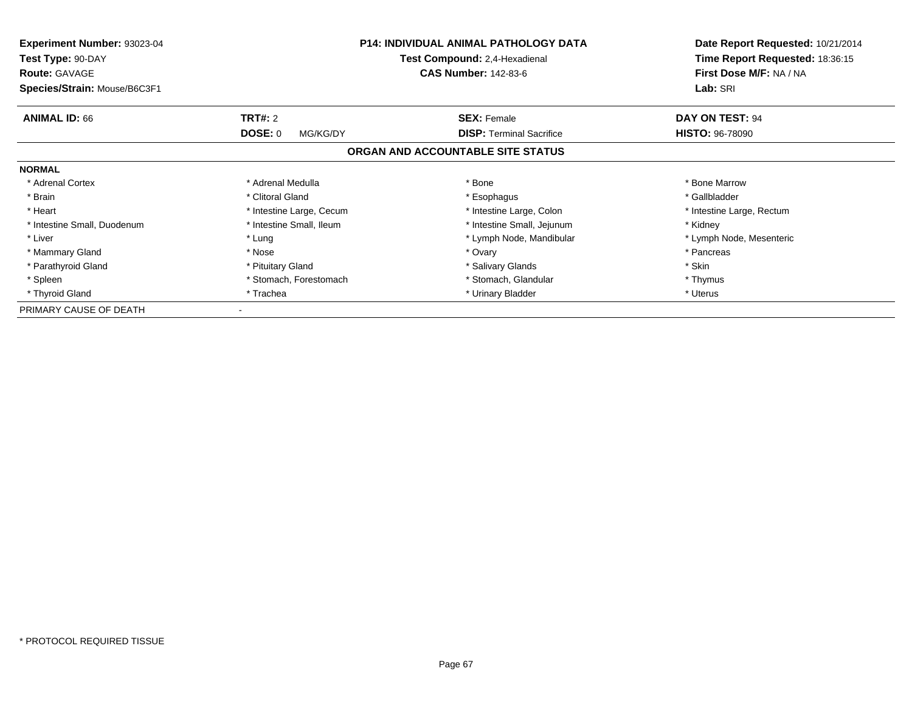| <b>Experiment Number: 93023-04</b><br>Test Type: 90-DAY<br><b>Route: GAVAGE</b> | <b>P14: INDIVIDUAL ANIMAL PATHOLOGY DATA</b><br>Test Compound: 2,4-Hexadienal<br><b>CAS Number: 142-83-6</b> |                                   | Date Report Requested: 10/21/2014<br>Time Report Requested: 18:36:15<br>First Dose M/F: NA / NA |  |
|---------------------------------------------------------------------------------|--------------------------------------------------------------------------------------------------------------|-----------------------------------|-------------------------------------------------------------------------------------------------|--|
| Species/Strain: Mouse/B6C3F1                                                    |                                                                                                              | Lab: SRI                          |                                                                                                 |  |
| <b>ANIMAL ID: 66</b>                                                            | <b>TRT#: 2</b>                                                                                               | <b>SEX: Female</b>                | DAY ON TEST: 94                                                                                 |  |
|                                                                                 | <b>DOSE: 0</b><br>MG/KG/DY                                                                                   | <b>DISP:</b> Terminal Sacrifice   | <b>HISTO: 96-78090</b>                                                                          |  |
|                                                                                 |                                                                                                              | ORGAN AND ACCOUNTABLE SITE STATUS |                                                                                                 |  |
| <b>NORMAL</b>                                                                   |                                                                                                              |                                   |                                                                                                 |  |
| * Adrenal Cortex                                                                | * Adrenal Medulla                                                                                            | * Bone                            | * Bone Marrow                                                                                   |  |
| * Brain                                                                         | * Clitoral Gland                                                                                             | * Esophagus                       | * Gallbladder                                                                                   |  |
| * Heart                                                                         | * Intestine Large, Cecum                                                                                     | * Intestine Large, Colon          | * Intestine Large, Rectum                                                                       |  |
| * Intestine Small, Duodenum                                                     | * Intestine Small, Ileum                                                                                     | * Intestine Small, Jejunum        | * Kidney                                                                                        |  |
| * Liver                                                                         | * Lung                                                                                                       | * Lymph Node, Mandibular          | * Lymph Node, Mesenteric                                                                        |  |
| * Mammary Gland                                                                 | * Nose                                                                                                       | * Ovary                           | * Pancreas                                                                                      |  |
| * Parathyroid Gland                                                             | * Pituitary Gland                                                                                            | * Salivary Glands                 | * Skin                                                                                          |  |
| * Spleen                                                                        | * Stomach, Forestomach                                                                                       | * Stomach, Glandular              | * Thymus                                                                                        |  |
| * Thyroid Gland                                                                 | * Trachea                                                                                                    | * Urinary Bladder                 | * Uterus                                                                                        |  |
| PRIMARY CAUSE OF DEATH                                                          |                                                                                                              |                                   |                                                                                                 |  |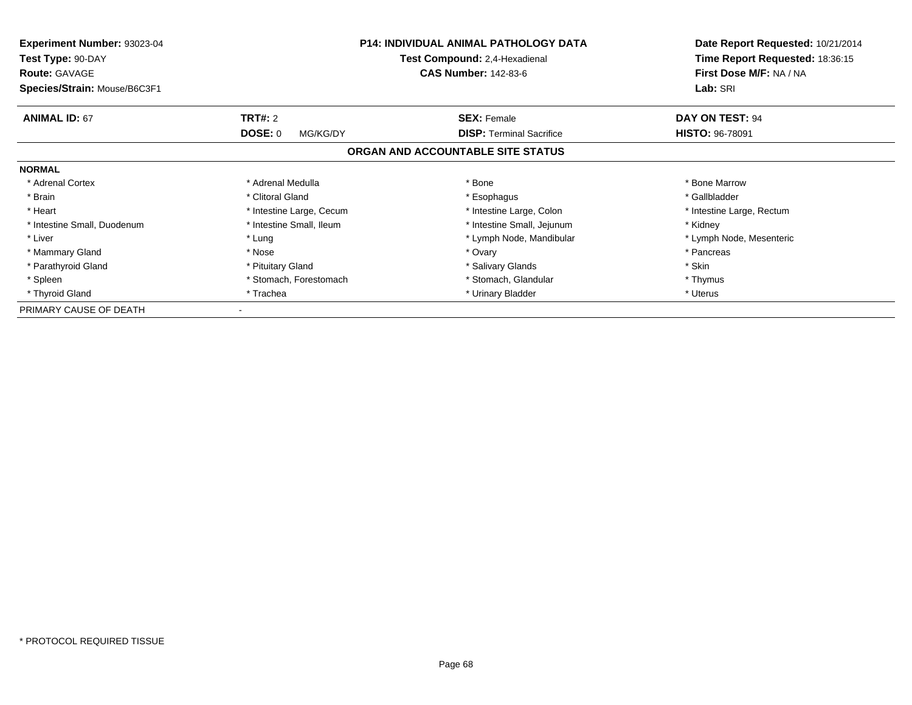| <b>Experiment Number: 93023-04</b><br>Test Type: 90-DAY<br><b>Route: GAVAGE</b> | <b>P14: INDIVIDUAL ANIMAL PATHOLOGY DATA</b><br>Test Compound: 2,4-Hexadienal<br><b>CAS Number: 142-83-6</b> |                                   | Date Report Requested: 10/21/2014<br>Time Report Requested: 18:36:15<br>First Dose M/F: NA / NA |
|---------------------------------------------------------------------------------|--------------------------------------------------------------------------------------------------------------|-----------------------------------|-------------------------------------------------------------------------------------------------|
| Species/Strain: Mouse/B6C3F1                                                    |                                                                                                              |                                   | Lab: SRI                                                                                        |
| <b>ANIMAL ID: 67</b>                                                            | <b>TRT#: 2</b>                                                                                               | <b>SEX: Female</b>                | <b>DAY ON TEST: 94</b>                                                                          |
|                                                                                 | <b>DOSE: 0</b><br>MG/KG/DY                                                                                   | <b>DISP:</b> Terminal Sacrifice   | <b>HISTO: 96-78091</b>                                                                          |
|                                                                                 |                                                                                                              | ORGAN AND ACCOUNTABLE SITE STATUS |                                                                                                 |
| <b>NORMAL</b>                                                                   |                                                                                                              |                                   |                                                                                                 |
| * Adrenal Cortex                                                                | * Adrenal Medulla                                                                                            | * Bone                            | * Bone Marrow                                                                                   |
| * Brain                                                                         | * Clitoral Gland                                                                                             | * Esophagus                       | * Gallbladder                                                                                   |
| * Heart                                                                         | * Intestine Large, Cecum                                                                                     | * Intestine Large, Colon          | * Intestine Large, Rectum                                                                       |
| * Intestine Small, Duodenum                                                     | * Intestine Small, Ileum                                                                                     | * Intestine Small, Jejunum        | * Kidney                                                                                        |
| * Liver                                                                         | * Lung                                                                                                       | * Lymph Node, Mandibular          | * Lymph Node, Mesenteric                                                                        |
| * Mammary Gland                                                                 | * Nose                                                                                                       | * Ovary                           | * Pancreas                                                                                      |
| * Parathyroid Gland                                                             | * Pituitary Gland                                                                                            | * Salivary Glands                 | * Skin                                                                                          |
| * Spleen                                                                        | * Stomach, Forestomach                                                                                       | * Stomach, Glandular              | * Thymus                                                                                        |
| * Thyroid Gland                                                                 | * Trachea                                                                                                    | * Urinary Bladder                 | * Uterus                                                                                        |
| PRIMARY CAUSE OF DEATH                                                          |                                                                                                              |                                   |                                                                                                 |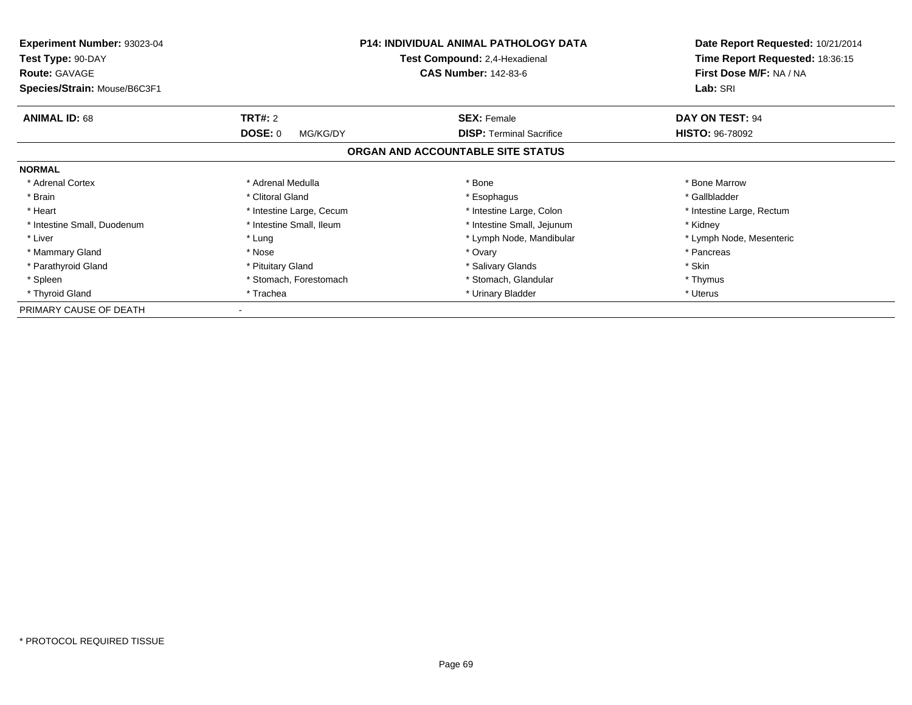| <b>Experiment Number: 93023-04</b><br>Test Type: 90-DAY<br><b>Route: GAVAGE</b> | <b>P14: INDIVIDUAL ANIMAL PATHOLOGY DATA</b><br>Test Compound: 2,4-Hexadienal<br><b>CAS Number: 142-83-6</b> |                                   | Date Report Requested: 10/21/2014<br>Time Report Requested: 18:36:15<br>First Dose M/F: NA / NA |  |
|---------------------------------------------------------------------------------|--------------------------------------------------------------------------------------------------------------|-----------------------------------|-------------------------------------------------------------------------------------------------|--|
| Species/Strain: Mouse/B6C3F1                                                    |                                                                                                              | Lab: SRI                          |                                                                                                 |  |
| <b>ANIMAL ID: 68</b>                                                            | <b>TRT#: 2</b>                                                                                               | <b>SEX: Female</b>                | DAY ON TEST: 94                                                                                 |  |
|                                                                                 | <b>DOSE: 0</b><br>MG/KG/DY                                                                                   | <b>DISP:</b> Terminal Sacrifice   | <b>HISTO: 96-78092</b>                                                                          |  |
|                                                                                 |                                                                                                              | ORGAN AND ACCOUNTABLE SITE STATUS |                                                                                                 |  |
| <b>NORMAL</b>                                                                   |                                                                                                              |                                   |                                                                                                 |  |
| * Adrenal Cortex                                                                | * Adrenal Medulla                                                                                            | * Bone                            | * Bone Marrow                                                                                   |  |
| * Brain                                                                         | * Clitoral Gland                                                                                             | * Esophagus                       | * Gallbladder                                                                                   |  |
| * Heart                                                                         | * Intestine Large, Cecum                                                                                     | * Intestine Large, Colon          | * Intestine Large, Rectum                                                                       |  |
| * Intestine Small, Duodenum                                                     | * Intestine Small, Ileum                                                                                     | * Intestine Small, Jejunum        | * Kidney                                                                                        |  |
| * Liver                                                                         | * Lung                                                                                                       | * Lymph Node, Mandibular          | * Lymph Node, Mesenteric                                                                        |  |
| * Mammary Gland                                                                 | * Nose                                                                                                       | * Ovary                           | * Pancreas                                                                                      |  |
| * Parathyroid Gland                                                             | * Pituitary Gland                                                                                            | * Salivary Glands                 | * Skin                                                                                          |  |
| * Spleen                                                                        | * Stomach, Forestomach                                                                                       | * Stomach, Glandular              | * Thymus                                                                                        |  |
| * Thyroid Gland                                                                 | * Trachea                                                                                                    | * Urinary Bladder                 | * Uterus                                                                                        |  |
| PRIMARY CAUSE OF DEATH                                                          |                                                                                                              |                                   |                                                                                                 |  |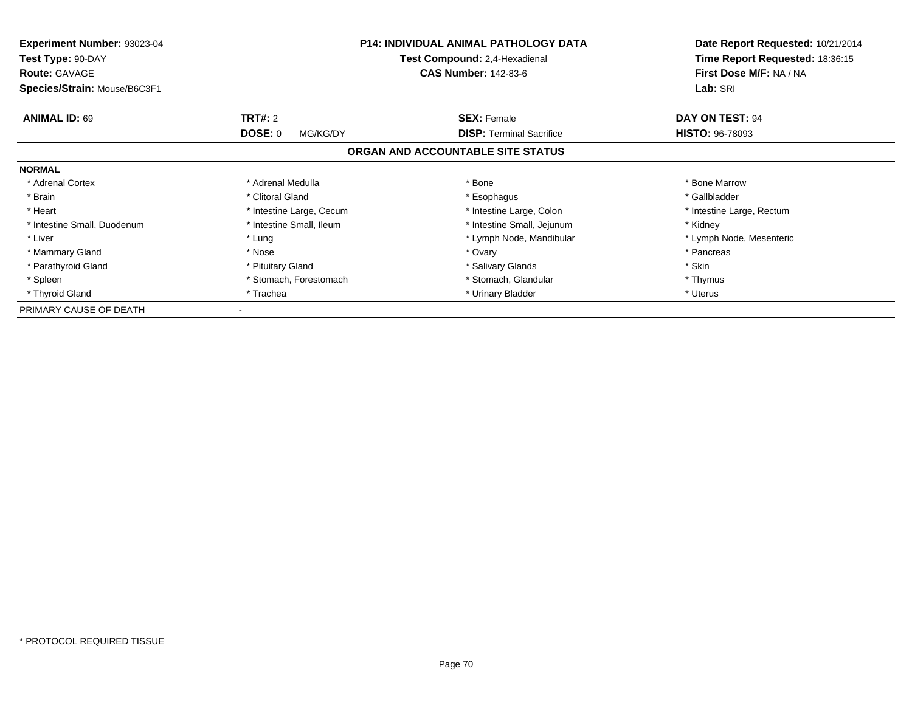| <b>Experiment Number: 93023-04</b><br>Test Type: 90-DAY<br><b>Route: GAVAGE</b> | <b>P14: INDIVIDUAL ANIMAL PATHOLOGY DATA</b><br>Test Compound: 2,4-Hexadienal<br><b>CAS Number: 142-83-6</b> |                                   | Date Report Requested: 10/21/2014<br>Time Report Requested: 18:36:15<br>First Dose M/F: NA / NA |  |
|---------------------------------------------------------------------------------|--------------------------------------------------------------------------------------------------------------|-----------------------------------|-------------------------------------------------------------------------------------------------|--|
| Species/Strain: Mouse/B6C3F1                                                    |                                                                                                              |                                   | Lab: SRI                                                                                        |  |
| <b>ANIMAL ID: 69</b>                                                            | <b>TRT#: 2</b>                                                                                               | <b>SEX: Female</b>                | DAY ON TEST: 94                                                                                 |  |
|                                                                                 | DOSE: 0<br>MG/KG/DY                                                                                          | <b>DISP:</b> Terminal Sacrifice   | <b>HISTO: 96-78093</b>                                                                          |  |
|                                                                                 |                                                                                                              | ORGAN AND ACCOUNTABLE SITE STATUS |                                                                                                 |  |
| <b>NORMAL</b>                                                                   |                                                                                                              |                                   |                                                                                                 |  |
| * Adrenal Cortex                                                                | * Adrenal Medulla                                                                                            | * Bone                            | * Bone Marrow                                                                                   |  |
| * Brain                                                                         | * Clitoral Gland                                                                                             | * Esophagus                       | * Gallbladder                                                                                   |  |
| * Heart                                                                         | * Intestine Large, Cecum                                                                                     | * Intestine Large, Colon          | * Intestine Large, Rectum                                                                       |  |
| * Intestine Small, Duodenum                                                     | * Intestine Small, Ileum                                                                                     | * Intestine Small, Jejunum        | * Kidnev                                                                                        |  |
| * Liver                                                                         | * Lung                                                                                                       | * Lymph Node, Mandibular          | * Lymph Node, Mesenteric                                                                        |  |
| * Mammary Gland                                                                 | * Nose                                                                                                       | * Ovary                           | * Pancreas                                                                                      |  |
| * Parathyroid Gland                                                             | * Pituitary Gland                                                                                            | * Salivary Glands                 | * Skin                                                                                          |  |
| * Spleen                                                                        | * Stomach, Forestomach                                                                                       | * Stomach, Glandular              | * Thymus                                                                                        |  |
| * Thyroid Gland                                                                 | * Trachea                                                                                                    | * Urinary Bladder                 | * Uterus                                                                                        |  |
| PRIMARY CAUSE OF DEATH                                                          |                                                                                                              |                                   |                                                                                                 |  |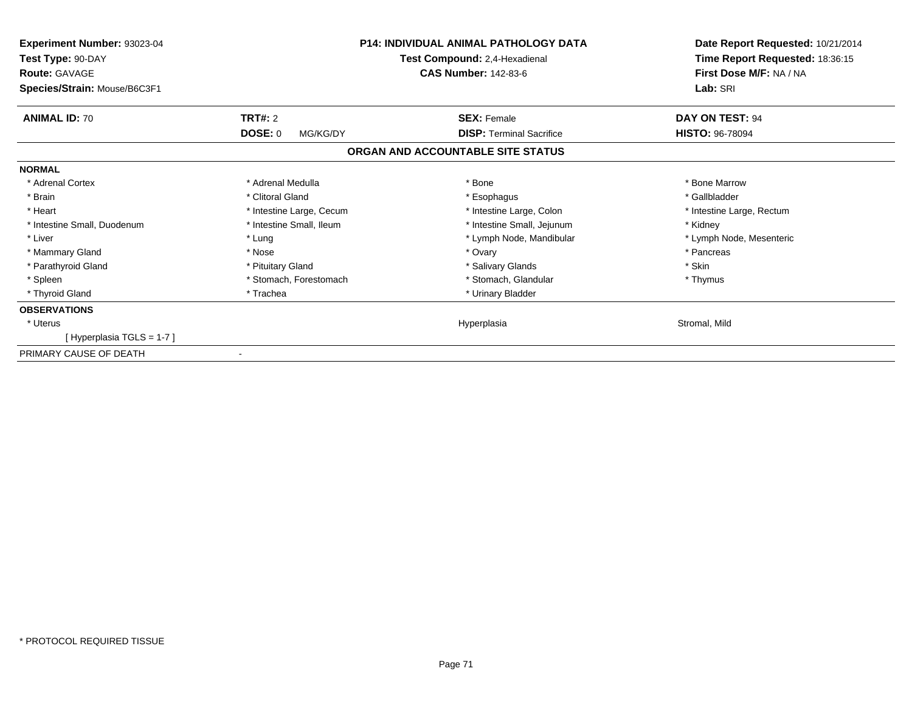| <b>P14: INDIVIDUAL ANIMAL PATHOLOGY DATA</b><br>Experiment Number: 93023-04<br>Test Compound: 2,4-Hexadienal<br>Test Type: 90-DAY<br><b>CAS Number: 142-83-6</b><br><b>Route: GAVAGE</b><br>Species/Strain: Mouse/B6C3F1 |                          |                                   | Date Report Requested: 10/21/2014<br>Time Report Requested: 18:36:15<br>First Dose M/F: NA / NA<br>Lab: SRI |
|--------------------------------------------------------------------------------------------------------------------------------------------------------------------------------------------------------------------------|--------------------------|-----------------------------------|-------------------------------------------------------------------------------------------------------------|
| <b>ANIMAL ID: 70</b>                                                                                                                                                                                                     | <b>TRT#: 2</b>           | <b>SEX: Female</b>                | DAY ON TEST: 94                                                                                             |
|                                                                                                                                                                                                                          | DOSE: 0<br>MG/KG/DY      | <b>DISP: Terminal Sacrifice</b>   | <b>HISTO: 96-78094</b>                                                                                      |
|                                                                                                                                                                                                                          |                          | ORGAN AND ACCOUNTABLE SITE STATUS |                                                                                                             |
| <b>NORMAL</b>                                                                                                                                                                                                            |                          |                                   |                                                                                                             |
| * Adrenal Cortex                                                                                                                                                                                                         | * Adrenal Medulla        | * Bone                            | * Bone Marrow                                                                                               |
| * Brain                                                                                                                                                                                                                  | * Clitoral Gland         | * Esophagus                       | * Gallbladder                                                                                               |
| * Heart                                                                                                                                                                                                                  | * Intestine Large, Cecum | * Intestine Large, Colon          | * Intestine Large, Rectum                                                                                   |
| * Intestine Small, Duodenum                                                                                                                                                                                              | * Intestine Small, Ileum | * Intestine Small, Jejunum        | * Kidney                                                                                                    |
| * Liver                                                                                                                                                                                                                  | * Lung                   | * Lymph Node, Mandibular          | * Lymph Node, Mesenteric                                                                                    |
| * Mammary Gland                                                                                                                                                                                                          | * Nose                   | * Ovary                           | * Pancreas                                                                                                  |
| * Parathyroid Gland                                                                                                                                                                                                      | * Pituitary Gland        | * Salivary Glands                 | * Skin                                                                                                      |
| * Spleen                                                                                                                                                                                                                 | * Stomach, Forestomach   | * Stomach, Glandular              | * Thymus                                                                                                    |
| * Thyroid Gland                                                                                                                                                                                                          | * Trachea                | * Urinary Bladder                 |                                                                                                             |
| <b>OBSERVATIONS</b>                                                                                                                                                                                                      |                          |                                   |                                                                                                             |
| * Uterus                                                                                                                                                                                                                 |                          | Hyperplasia                       | Stromal, Mild                                                                                               |
| [Hyperplasia TGLS = 1-7]                                                                                                                                                                                                 |                          |                                   |                                                                                                             |
| PRIMARY CAUSE OF DEATH                                                                                                                                                                                                   |                          |                                   |                                                                                                             |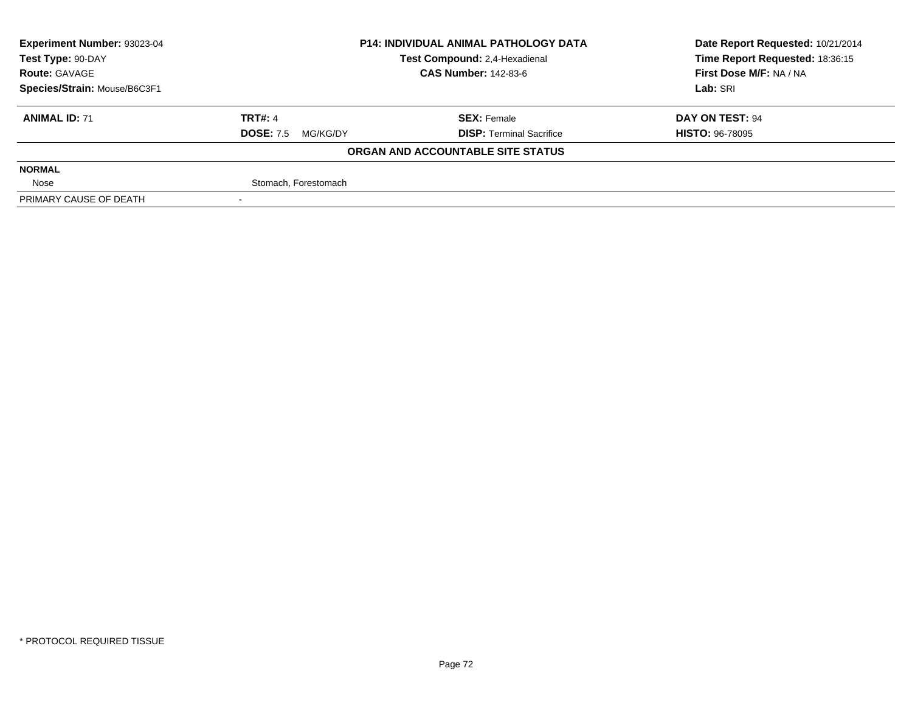| Experiment Number: 93023-04  | <b>P14: INDIVIDUAL ANIMAL PATHOLOGY DATA</b><br>Test Compound: 2,4-Hexadienal<br><b>CAS Number: 142-83-6</b> |                                   | Date Report Requested: 10/21/2014 |
|------------------------------|--------------------------------------------------------------------------------------------------------------|-----------------------------------|-----------------------------------|
| Test Type: 90-DAY            |                                                                                                              |                                   | Time Report Requested: 18:36:15   |
| <b>Route: GAVAGE</b>         |                                                                                                              |                                   | First Dose M/F: NA / NA           |
| Species/Strain: Mouse/B6C3F1 |                                                                                                              |                                   | Lab: SRI                          |
| <b>ANIMAL ID: 71</b>         | <b>TRT#: 4</b>                                                                                               | <b>SEX: Female</b>                | DAY ON TEST: 94                   |
|                              | <b>DOSE: 7.5</b><br>MG/KG/DY                                                                                 | <b>DISP: Terminal Sacrifice</b>   | <b>HISTO: 96-78095</b>            |
|                              |                                                                                                              | ORGAN AND ACCOUNTABLE SITE STATUS |                                   |
| <b>NORMAL</b>                |                                                                                                              |                                   |                                   |
| Nose                         | Stomach, Forestomach                                                                                         |                                   |                                   |
| PRIMARY CAUSE OF DEATH       |                                                                                                              |                                   |                                   |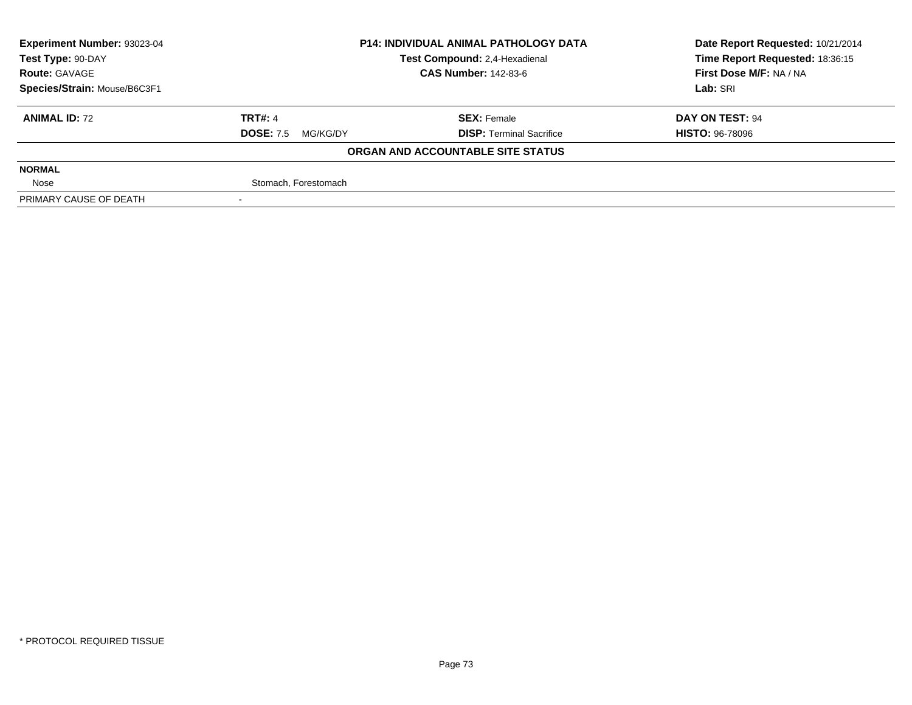| Experiment Number: 93023-04  | <b>P14: INDIVIDUAL ANIMAL PATHOLOGY DATA</b><br>Test Compound: 2,4-Hexadienal |                                   | Date Report Requested: 10/21/2014 |
|------------------------------|-------------------------------------------------------------------------------|-----------------------------------|-----------------------------------|
| Test Type: 90-DAY            |                                                                               |                                   | Time Report Requested: 18:36:15   |
| <b>Route: GAVAGE</b>         |                                                                               | <b>CAS Number: 142-83-6</b>       | First Dose M/F: NA / NA           |
| Species/Strain: Mouse/B6C3F1 |                                                                               |                                   | Lab: SRI                          |
| <b>ANIMAL ID: 72</b>         | <b>TRT#: 4</b>                                                                | <b>SEX: Female</b>                | DAY ON TEST: 94                   |
|                              | <b>DOSE: 7.5</b><br>MG/KG/DY                                                  | <b>DISP: Terminal Sacrifice</b>   | <b>HISTO: 96-78096</b>            |
|                              |                                                                               | ORGAN AND ACCOUNTABLE SITE STATUS |                                   |
| <b>NORMAL</b>                |                                                                               |                                   |                                   |
| Nose                         | Stomach, Forestomach                                                          |                                   |                                   |
| PRIMARY CAUSE OF DEATH       |                                                                               |                                   |                                   |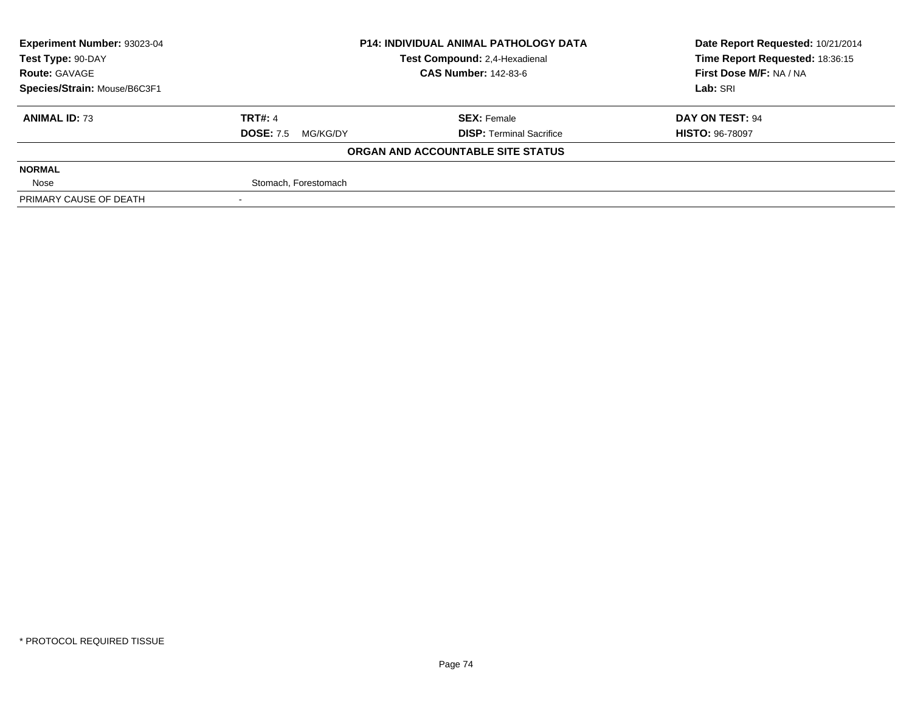| Experiment Number: 93023-04  | <b>P14: INDIVIDUAL ANIMAL PATHOLOGY DATA</b><br>Test Compound: 2,4-Hexadienal |                                   | Date Report Requested: 10/21/2014 |
|------------------------------|-------------------------------------------------------------------------------|-----------------------------------|-----------------------------------|
| Test Type: 90-DAY            |                                                                               |                                   | Time Report Requested: 18:36:15   |
| <b>Route: GAVAGE</b>         |                                                                               | <b>CAS Number: 142-83-6</b>       | First Dose M/F: NA / NA           |
| Species/Strain: Mouse/B6C3F1 |                                                                               |                                   | Lab: SRI                          |
| <b>ANIMAL ID: 73</b>         | <b>TRT#: 4</b>                                                                | <b>SEX: Female</b>                | DAY ON TEST: 94                   |
|                              | <b>DOSE: 7.5</b><br>MG/KG/DY                                                  | <b>DISP: Terminal Sacrifice</b>   | <b>HISTO: 96-78097</b>            |
|                              |                                                                               | ORGAN AND ACCOUNTABLE SITE STATUS |                                   |
| <b>NORMAL</b>                |                                                                               |                                   |                                   |
| Nose                         | Stomach, Forestomach                                                          |                                   |                                   |
| PRIMARY CAUSE OF DEATH       |                                                                               |                                   |                                   |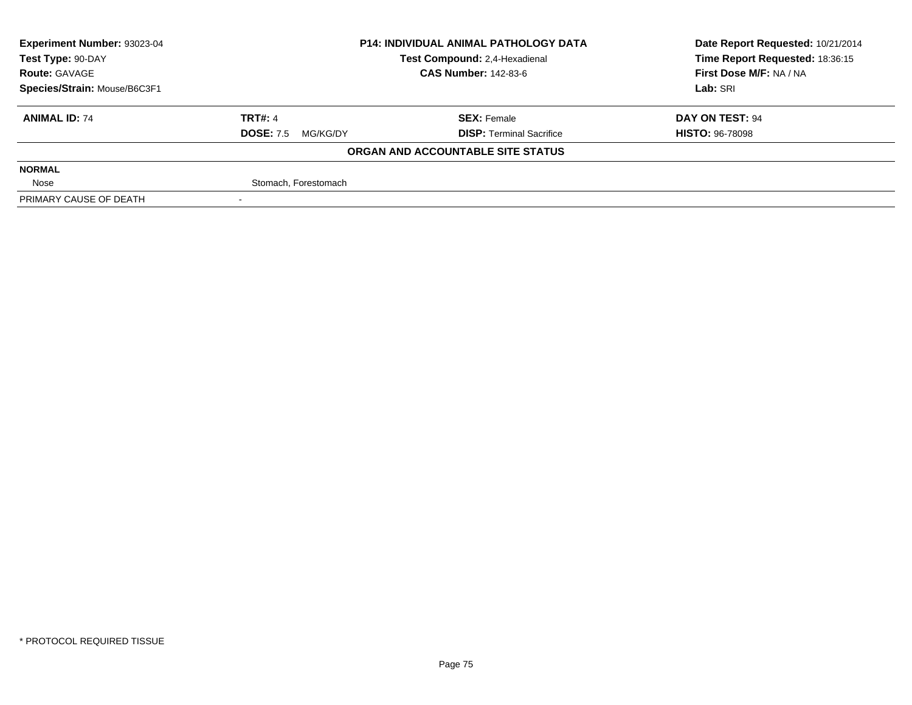| <b>Experiment Number: 93023-04</b>                 | <b>P14: INDIVIDUAL ANIMAL PATHOLOGY DATA</b> |                                   | Date Report Requested: 10/21/2014 |
|----------------------------------------------------|----------------------------------------------|-----------------------------------|-----------------------------------|
| Test Compound: 2,4-Hexadienal<br>Test Type: 90-DAY |                                              |                                   | Time Report Requested: 18:36:15   |
| <b>Route: GAVAGE</b>                               |                                              | <b>CAS Number: 142-83-6</b>       | First Dose M/F: NA / NA           |
| Species/Strain: Mouse/B6C3F1                       |                                              |                                   | Lab: SRI                          |
| <b>ANIMAL ID: 74</b>                               | <b>TRT#: 4</b>                               | <b>SEX: Female</b>                | DAY ON TEST: 94                   |
|                                                    | <b>DOSE: 7.5</b><br>MG/KG/DY                 | <b>DISP: Terminal Sacrifice</b>   | <b>HISTO: 96-78098</b>            |
|                                                    |                                              | ORGAN AND ACCOUNTABLE SITE STATUS |                                   |
| <b>NORMAL</b>                                      |                                              |                                   |                                   |
| Nose                                               | Stomach, Forestomach                         |                                   |                                   |
| PRIMARY CAUSE OF DEATH                             |                                              |                                   |                                   |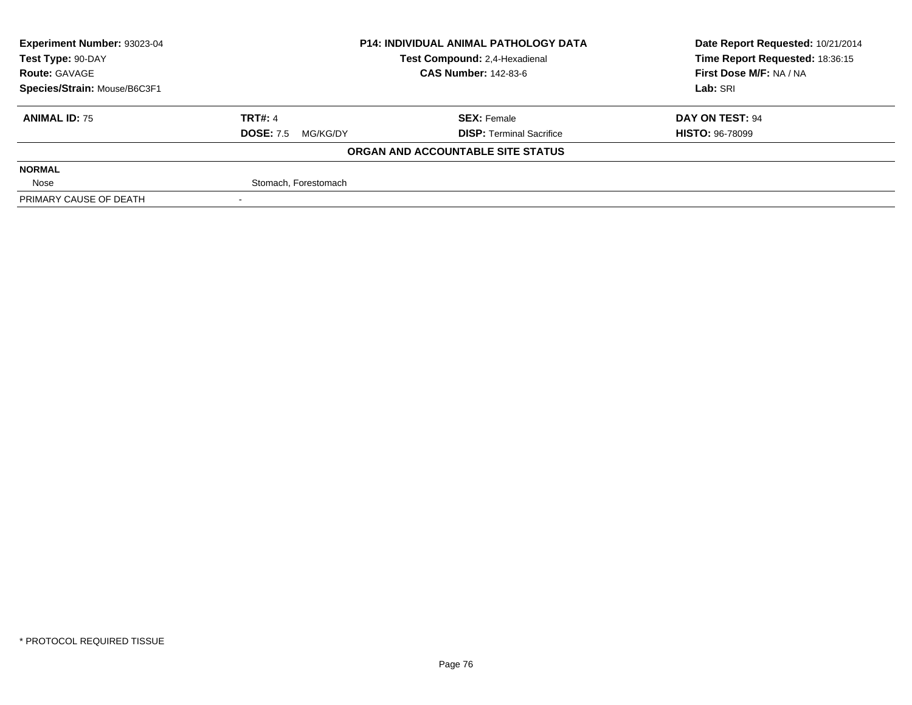| Experiment Number: 93023-04  | <b>P14: INDIVIDUAL ANIMAL PATHOLOGY DATA</b> |                                   | Date Report Requested: 10/21/2014 |
|------------------------------|----------------------------------------------|-----------------------------------|-----------------------------------|
| Test Type: 90-DAY            |                                              | Test Compound: 2,4-Hexadienal     | Time Report Requested: 18:36:15   |
| <b>Route: GAVAGE</b>         |                                              | <b>CAS Number: 142-83-6</b>       | First Dose M/F: NA / NA           |
| Species/Strain: Mouse/B6C3F1 |                                              |                                   | Lab: SRI                          |
| <b>ANIMAL ID: 75</b>         | <b>TRT#: 4</b>                               | <b>SEX: Female</b>                | DAY ON TEST: 94                   |
|                              | <b>DOSE: 7.5</b><br>MG/KG/DY                 | <b>DISP: Terminal Sacrifice</b>   | <b>HISTO: 96-78099</b>            |
|                              |                                              | ORGAN AND ACCOUNTABLE SITE STATUS |                                   |
| <b>NORMAL</b>                |                                              |                                   |                                   |
| Nose                         | Stomach, Forestomach                         |                                   |                                   |
| PRIMARY CAUSE OF DEATH       |                                              |                                   |                                   |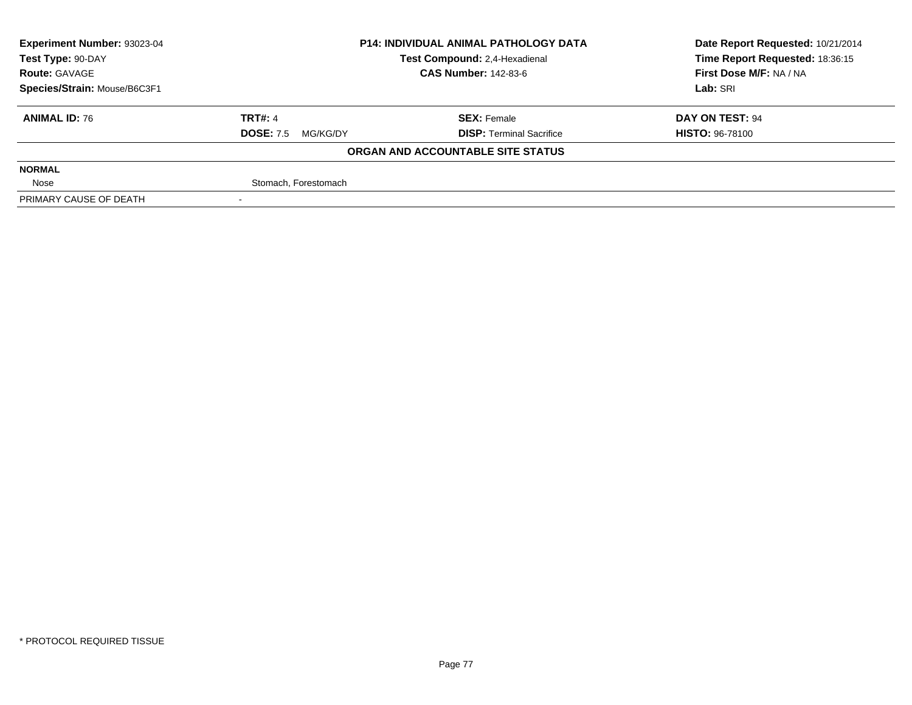| Experiment Number: 93023-04  | <b>P14: INDIVIDUAL ANIMAL PATHOLOGY DATA</b><br>Test Compound: 2,4-Hexadienal |                                   | Date Report Requested: 10/21/2014 |
|------------------------------|-------------------------------------------------------------------------------|-----------------------------------|-----------------------------------|
| Test Type: 90-DAY            |                                                                               |                                   | Time Report Requested: 18:36:15   |
| <b>Route: GAVAGE</b>         |                                                                               | <b>CAS Number: 142-83-6</b>       | First Dose M/F: NA / NA           |
| Species/Strain: Mouse/B6C3F1 |                                                                               |                                   | Lab: SRI                          |
| <b>ANIMAL ID: 76</b>         | <b>TRT#: 4</b>                                                                | <b>SEX: Female</b>                | DAY ON TEST: 94                   |
|                              | <b>DOSE: 7.5</b><br>MG/KG/DY                                                  | <b>DISP: Terminal Sacrifice</b>   | <b>HISTO: 96-78100</b>            |
|                              |                                                                               | ORGAN AND ACCOUNTABLE SITE STATUS |                                   |
| <b>NORMAL</b>                |                                                                               |                                   |                                   |
| Nose                         | Stomach, Forestomach                                                          |                                   |                                   |
| PRIMARY CAUSE OF DEATH       |                                                                               |                                   |                                   |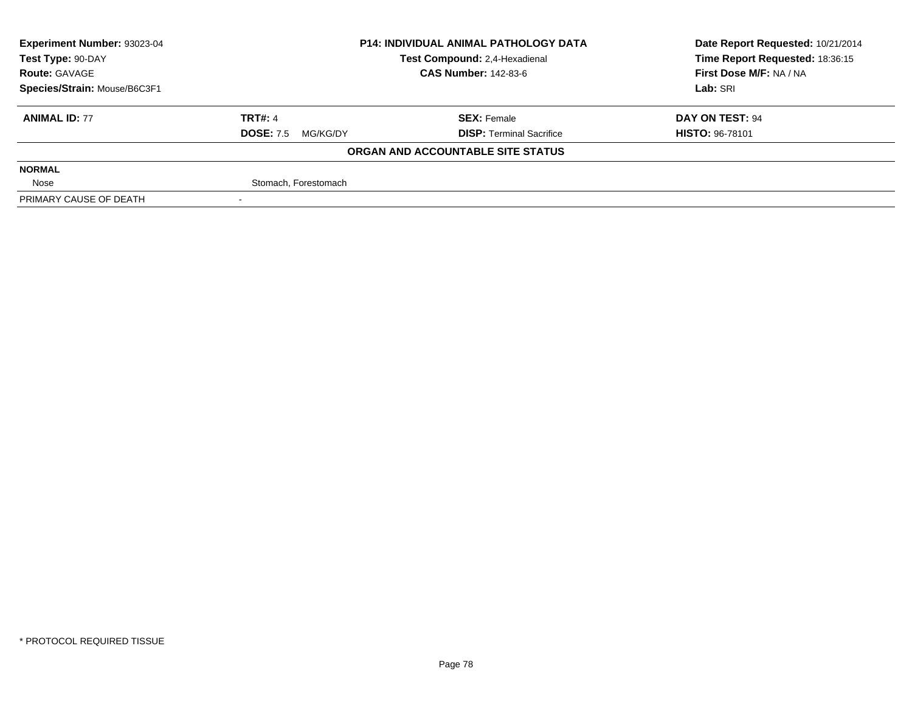| Experiment Number: 93023-04  | <b>P14: INDIVIDUAL ANIMAL PATHOLOGY DATA</b><br>Test Compound: 2,4-Hexadienal |                                   | Date Report Requested: 10/21/2014 |
|------------------------------|-------------------------------------------------------------------------------|-----------------------------------|-----------------------------------|
| Test Type: 90-DAY            |                                                                               |                                   | Time Report Requested: 18:36:15   |
| <b>Route: GAVAGE</b>         |                                                                               | <b>CAS Number: 142-83-6</b>       | First Dose M/F: NA / NA           |
| Species/Strain: Mouse/B6C3F1 |                                                                               |                                   | Lab: SRI                          |
| <b>ANIMAL ID: 77</b>         | <b>TRT#: 4</b>                                                                | <b>SEX: Female</b>                | DAY ON TEST: 94                   |
|                              | <b>DOSE: 7.5</b><br>MG/KG/DY                                                  | <b>DISP: Terminal Sacrifice</b>   | <b>HISTO: 96-78101</b>            |
|                              |                                                                               | ORGAN AND ACCOUNTABLE SITE STATUS |                                   |
| <b>NORMAL</b>                |                                                                               |                                   |                                   |
| Nose                         | Stomach, Forestomach                                                          |                                   |                                   |
| PRIMARY CAUSE OF DEATH       |                                                                               |                                   |                                   |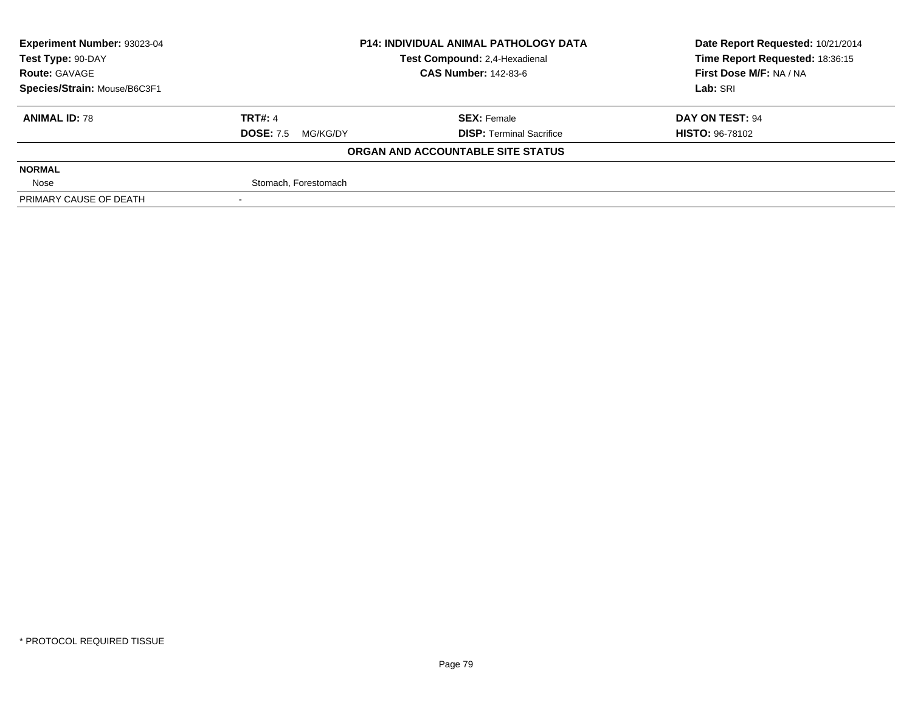| <b>Experiment Number: 93023-04</b>                 | <b>P14: INDIVIDUAL ANIMAL PATHOLOGY DATA</b> |                                   | Date Report Requested: 10/21/2014 |
|----------------------------------------------------|----------------------------------------------|-----------------------------------|-----------------------------------|
| Test Compound: 2,4-Hexadienal<br>Test Type: 90-DAY |                                              |                                   | Time Report Requested: 18:36:15   |
| <b>Route: GAVAGE</b>                               |                                              | <b>CAS Number: 142-83-6</b>       | First Dose M/F: NA / NA           |
| Species/Strain: Mouse/B6C3F1                       |                                              |                                   | Lab: SRI                          |
| <b>ANIMAL ID: 78</b>                               | <b>TRT#: 4</b>                               | <b>SEX: Female</b>                | DAY ON TEST: 94                   |
|                                                    | <b>DOSE: 7.5</b><br>MG/KG/DY                 | <b>DISP: Terminal Sacrifice</b>   | <b>HISTO: 96-78102</b>            |
|                                                    |                                              | ORGAN AND ACCOUNTABLE SITE STATUS |                                   |
| <b>NORMAL</b>                                      |                                              |                                   |                                   |
| Nose                                               | Stomach, Forestomach                         |                                   |                                   |
| PRIMARY CAUSE OF DEATH                             |                                              |                                   |                                   |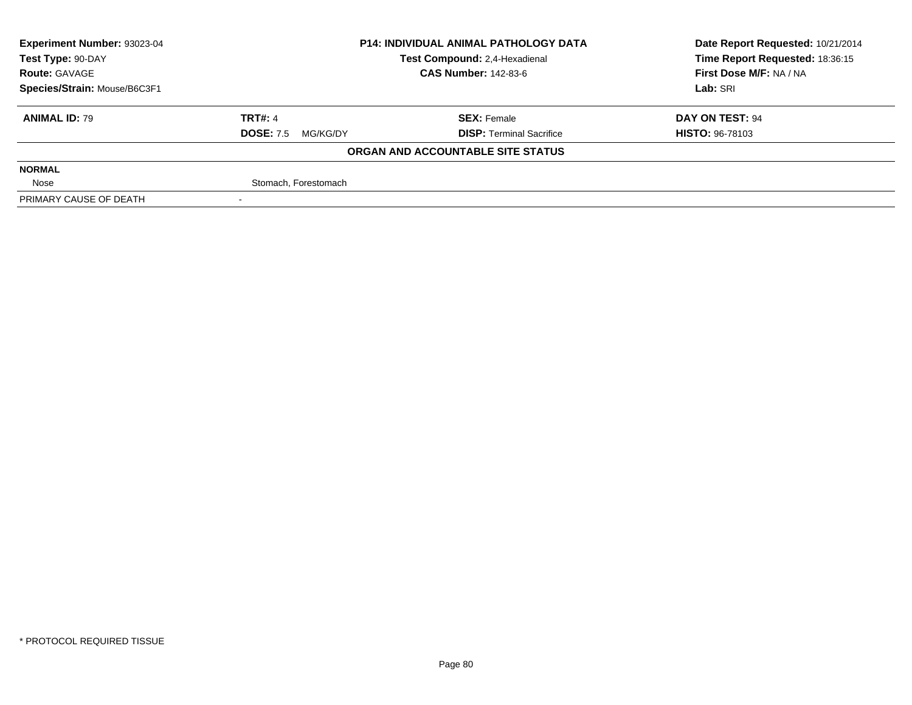| Experiment Number: 93023-04  | <b>P14: INDIVIDUAL ANIMAL PATHOLOGY DATA</b><br>Test Compound: 2,4-Hexadienal |                                   | Date Report Requested: 10/21/2014 |
|------------------------------|-------------------------------------------------------------------------------|-----------------------------------|-----------------------------------|
| Test Type: 90-DAY            |                                                                               |                                   | Time Report Requested: 18:36:15   |
| <b>Route: GAVAGE</b>         |                                                                               | <b>CAS Number: 142-83-6</b>       | First Dose M/F: NA / NA           |
| Species/Strain: Mouse/B6C3F1 |                                                                               |                                   | Lab: SRI                          |
| <b>ANIMAL ID: 79</b>         | <b>TRT#: 4</b>                                                                | <b>SEX: Female</b>                | DAY ON TEST: 94                   |
|                              | <b>DOSE: 7.5</b><br>MG/KG/DY                                                  | <b>DISP: Terminal Sacrifice</b>   | <b>HISTO: 96-78103</b>            |
|                              |                                                                               | ORGAN AND ACCOUNTABLE SITE STATUS |                                   |
| <b>NORMAL</b>                |                                                                               |                                   |                                   |
| Nose                         | Stomach, Forestomach                                                          |                                   |                                   |
| PRIMARY CAUSE OF DEATH       |                                                                               |                                   |                                   |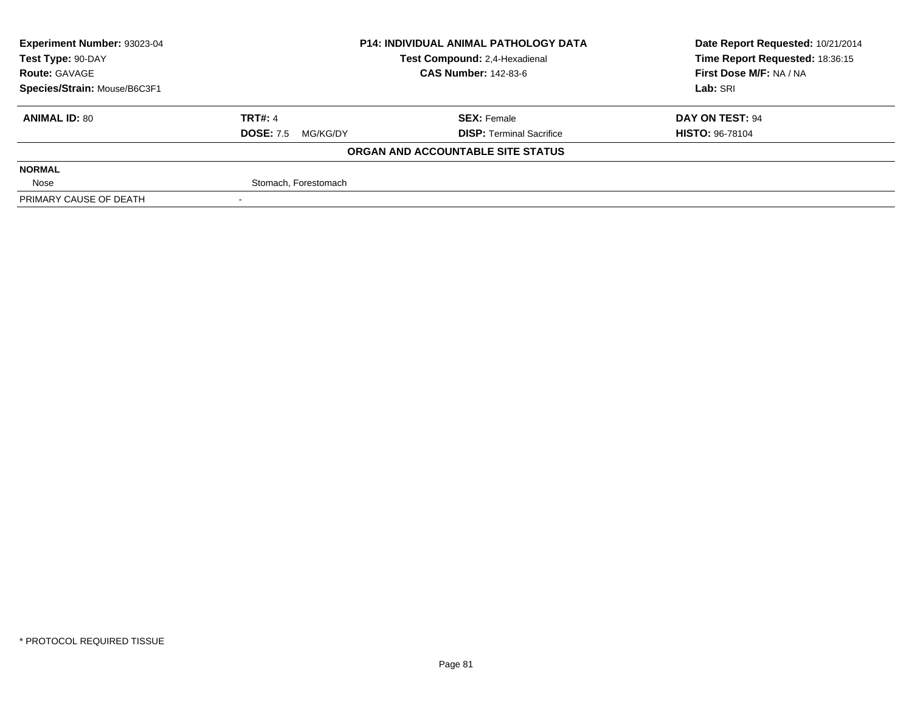| Experiment Number: 93023-04  | <b>P14: INDIVIDUAL ANIMAL PATHOLOGY DATA</b><br>Test Compound: 2,4-Hexadienal |                                   | Date Report Requested: 10/21/2014 |
|------------------------------|-------------------------------------------------------------------------------|-----------------------------------|-----------------------------------|
| Test Type: 90-DAY            |                                                                               |                                   | Time Report Requested: 18:36:15   |
| <b>Route: GAVAGE</b>         |                                                                               | <b>CAS Number: 142-83-6</b>       | First Dose M/F: NA / NA           |
| Species/Strain: Mouse/B6C3F1 |                                                                               |                                   | Lab: SRI                          |
| <b>ANIMAL ID: 80</b>         | <b>TRT#: 4</b>                                                                | <b>SEX: Female</b>                | DAY ON TEST: 94                   |
|                              | <b>DOSE: 7.5</b><br>MG/KG/DY                                                  | <b>DISP: Terminal Sacrifice</b>   | <b>HISTO: 96-78104</b>            |
|                              |                                                                               | ORGAN AND ACCOUNTABLE SITE STATUS |                                   |
| <b>NORMAL</b>                |                                                                               |                                   |                                   |
| Nose                         | Stomach, Forestomach                                                          |                                   |                                   |
| PRIMARY CAUSE OF DEATH       |                                                                               |                                   |                                   |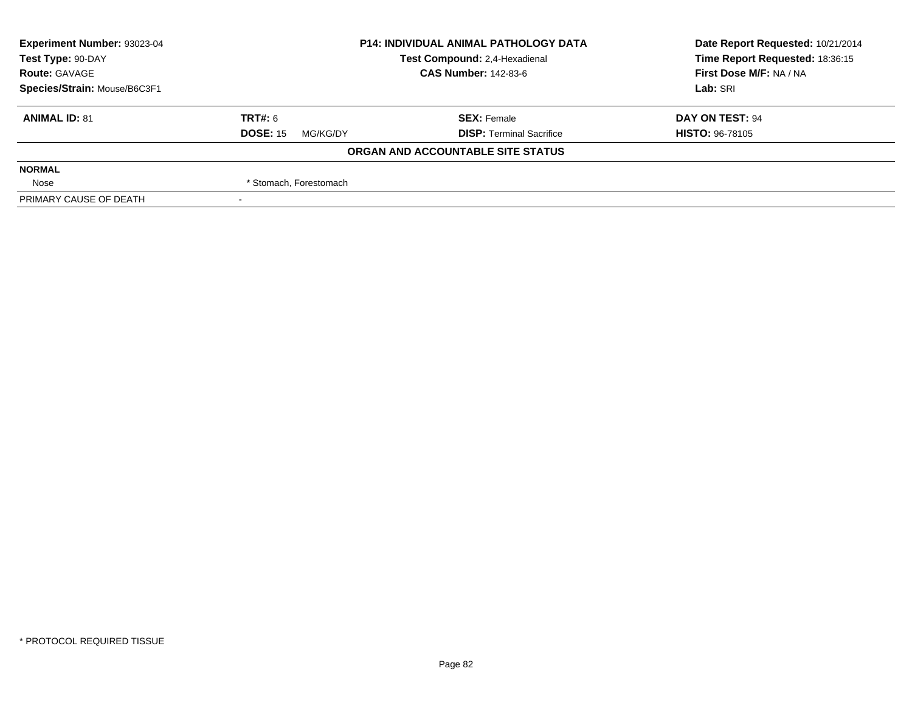| <b>Experiment Number: 93023-04</b> | <b>P14: INDIVIDUAL ANIMAL PATHOLOGY DATA</b><br>Test Compound: 2,4-Hexadienal |                                   | Date Report Requested: 10/21/2014 |
|------------------------------------|-------------------------------------------------------------------------------|-----------------------------------|-----------------------------------|
| Test Type: 90-DAY                  |                                                                               |                                   | Time Report Requested: 18:36:15   |
| <b>Route: GAVAGE</b>               |                                                                               | <b>CAS Number: 142-83-6</b>       | First Dose M/F: NA / NA           |
| Species/Strain: Mouse/B6C3F1       |                                                                               |                                   | Lab: SRI                          |
| <b>ANIMAL ID: 81</b>               | TRT#: 6                                                                       | <b>SEX: Female</b>                | DAY ON TEST: 94                   |
|                                    | <b>DOSE: 15</b><br>MG/KG/DY                                                   | <b>DISP: Terminal Sacrifice</b>   | <b>HISTO: 96-78105</b>            |
|                                    |                                                                               | ORGAN AND ACCOUNTABLE SITE STATUS |                                   |
| <b>NORMAL</b>                      |                                                                               |                                   |                                   |
| Nose                               | * Stomach, Forestomach                                                        |                                   |                                   |
| PRIMARY CAUSE OF DEATH             |                                                                               |                                   |                                   |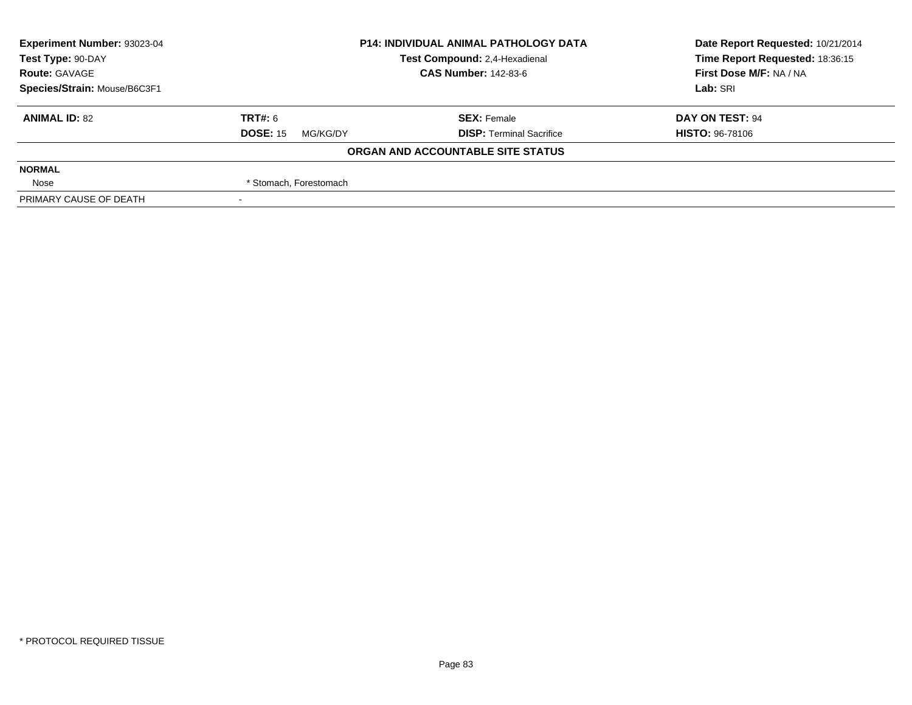| <b>Experiment Number: 93023-04</b> | <b>P14: INDIVIDUAL ANIMAL PATHOLOGY DATA</b><br>Test Compound: 2,4-Hexadienal |                                   | Date Report Requested: 10/21/2014 |
|------------------------------------|-------------------------------------------------------------------------------|-----------------------------------|-----------------------------------|
| Test Type: 90-DAY                  |                                                                               |                                   | Time Report Requested: 18:36:15   |
| <b>Route: GAVAGE</b>               |                                                                               | <b>CAS Number: 142-83-6</b>       | First Dose M/F: NA / NA           |
| Species/Strain: Mouse/B6C3F1       |                                                                               |                                   | Lab: SRI                          |
| <b>ANIMAL ID: 82</b>               | TRT#: 6                                                                       | <b>SEX: Female</b>                | DAY ON TEST: 94                   |
|                                    | <b>DOSE: 15</b><br>MG/KG/DY                                                   | <b>DISP: Terminal Sacrifice</b>   | <b>HISTO: 96-78106</b>            |
|                                    |                                                                               | ORGAN AND ACCOUNTABLE SITE STATUS |                                   |
| <b>NORMAL</b>                      |                                                                               |                                   |                                   |
| Nose                               | * Stomach, Forestomach                                                        |                                   |                                   |
| PRIMARY CAUSE OF DEATH             |                                                                               |                                   |                                   |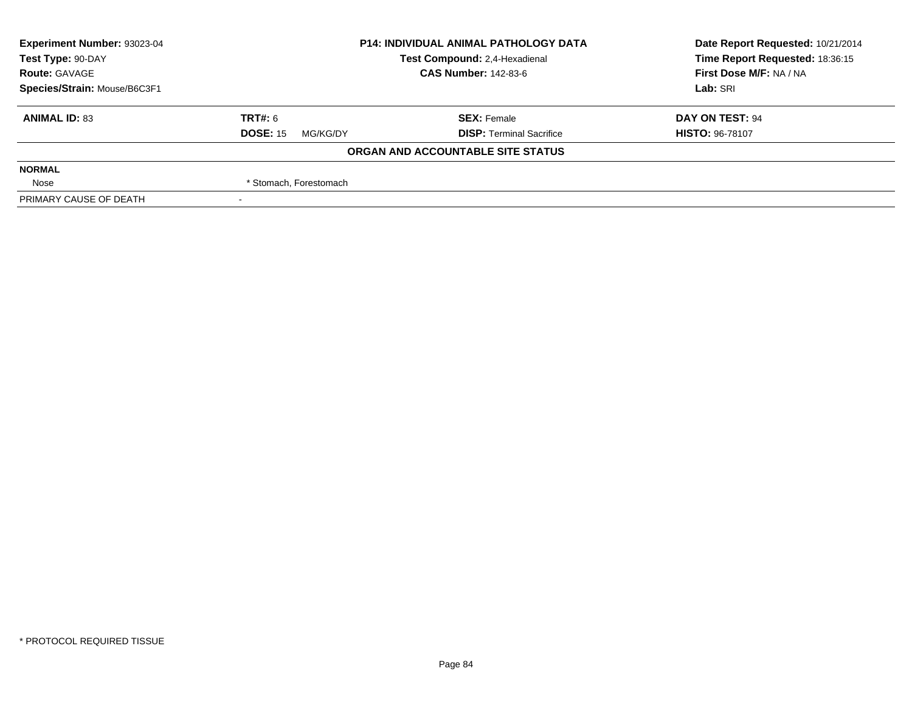| Experiment Number: 93023-04  | <b>P14: INDIVIDUAL ANIMAL PATHOLOGY DATA</b><br>Test Compound: 2,4-Hexadienal |                                   | Date Report Requested: 10/21/2014 |  |
|------------------------------|-------------------------------------------------------------------------------|-----------------------------------|-----------------------------------|--|
| Test Type: 90-DAY            |                                                                               |                                   | Time Report Requested: 18:36:15   |  |
| <b>Route: GAVAGE</b>         |                                                                               | <b>CAS Number: 142-83-6</b>       | First Dose M/F: NA / NA           |  |
| Species/Strain: Mouse/B6C3F1 |                                                                               |                                   | Lab: SRI                          |  |
| <b>ANIMAL ID: 83</b>         | TRT#: 6                                                                       | <b>SEX: Female</b>                | DAY ON TEST: 94                   |  |
|                              | <b>DOSE: 15</b><br>MG/KG/DY                                                   | <b>DISP: Terminal Sacrifice</b>   | <b>HISTO: 96-78107</b>            |  |
|                              |                                                                               | ORGAN AND ACCOUNTABLE SITE STATUS |                                   |  |
| <b>NORMAL</b>                |                                                                               |                                   |                                   |  |
| Nose                         | * Stomach, Forestomach                                                        |                                   |                                   |  |
| PRIMARY CAUSE OF DEATH       |                                                                               |                                   |                                   |  |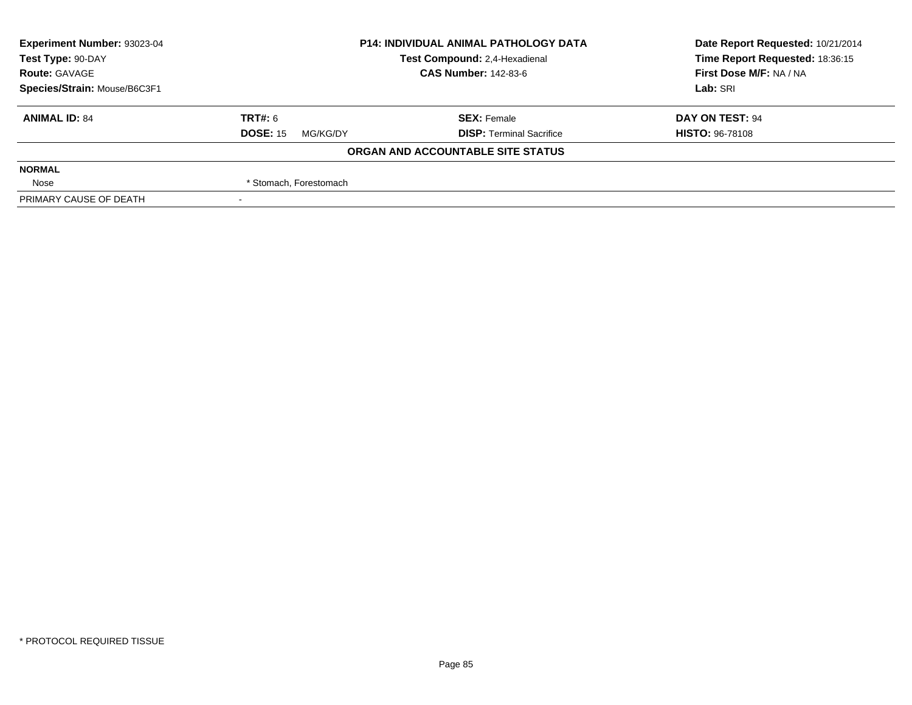| <b>Experiment Number: 93023-04</b> | <b>P14: INDIVIDUAL ANIMAL PATHOLOGY DATA</b> |                                   | Date Report Requested: 10/21/2014 |
|------------------------------------|----------------------------------------------|-----------------------------------|-----------------------------------|
| Test Type: 90-DAY                  |                                              | Test Compound: 2,4-Hexadienal     | Time Report Requested: 18:36:15   |
| <b>Route: GAVAGE</b>               |                                              | <b>CAS Number: 142-83-6</b>       | First Dose M/F: NA / NA           |
| Species/Strain: Mouse/B6C3F1       |                                              |                                   | Lab: SRI                          |
| <b>ANIMAL ID: 84</b>               | TRT#: 6                                      | <b>SEX: Female</b>                | DAY ON TEST: 94                   |
|                                    | <b>DOSE: 15</b><br>MG/KG/DY                  | <b>DISP: Terminal Sacrifice</b>   | <b>HISTO: 96-78108</b>            |
|                                    |                                              | ORGAN AND ACCOUNTABLE SITE STATUS |                                   |
| <b>NORMAL</b>                      |                                              |                                   |                                   |
| Nose                               | * Stomach, Forestomach                       |                                   |                                   |
| PRIMARY CAUSE OF DEATH             |                                              |                                   |                                   |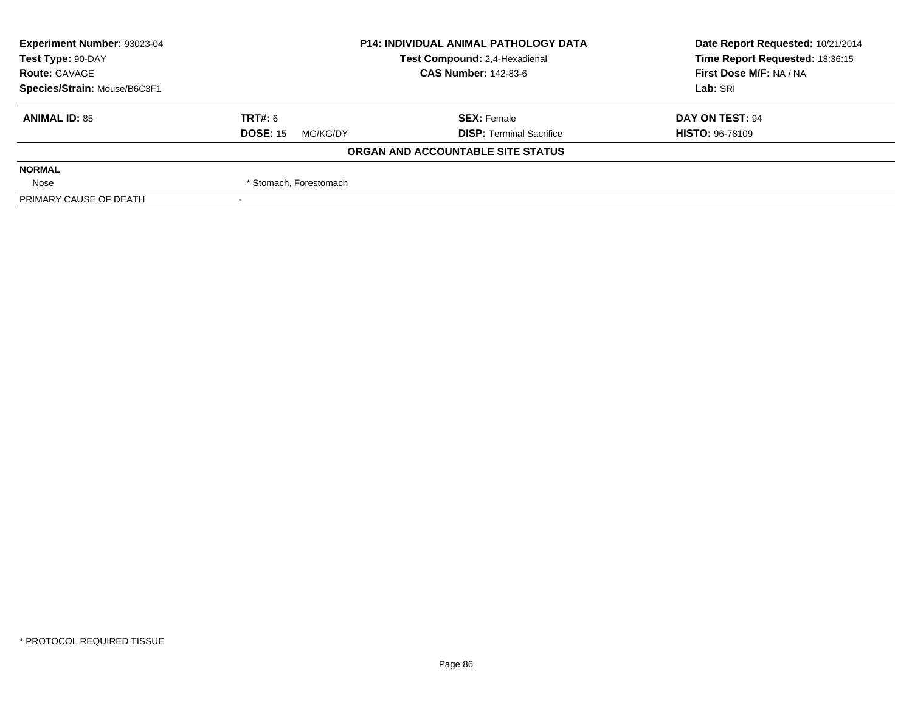| <b>Experiment Number: 93023-04</b> | <b>P14: INDIVIDUAL ANIMAL PATHOLOGY DATA</b> |                                   | Date Report Requested: 10/21/2014 |
|------------------------------------|----------------------------------------------|-----------------------------------|-----------------------------------|
| Test Type: 90-DAY                  |                                              | Test Compound: 2,4-Hexadienal     | Time Report Requested: 18:36:15   |
| <b>Route: GAVAGE</b>               |                                              | <b>CAS Number: 142-83-6</b>       | First Dose M/F: NA / NA           |
| Species/Strain: Mouse/B6C3F1       |                                              |                                   | Lab: SRI                          |
| <b>ANIMAL ID: 85</b>               | TRT#: 6                                      | <b>SEX: Female</b>                | DAY ON TEST: 94                   |
|                                    | <b>DOSE: 15</b><br>MG/KG/DY                  | <b>DISP: Terminal Sacrifice</b>   | <b>HISTO: 96-78109</b>            |
|                                    |                                              | ORGAN AND ACCOUNTABLE SITE STATUS |                                   |
| <b>NORMAL</b>                      |                                              |                                   |                                   |
| Nose                               | * Stomach, Forestomach                       |                                   |                                   |
| PRIMARY CAUSE OF DEATH             |                                              |                                   |                                   |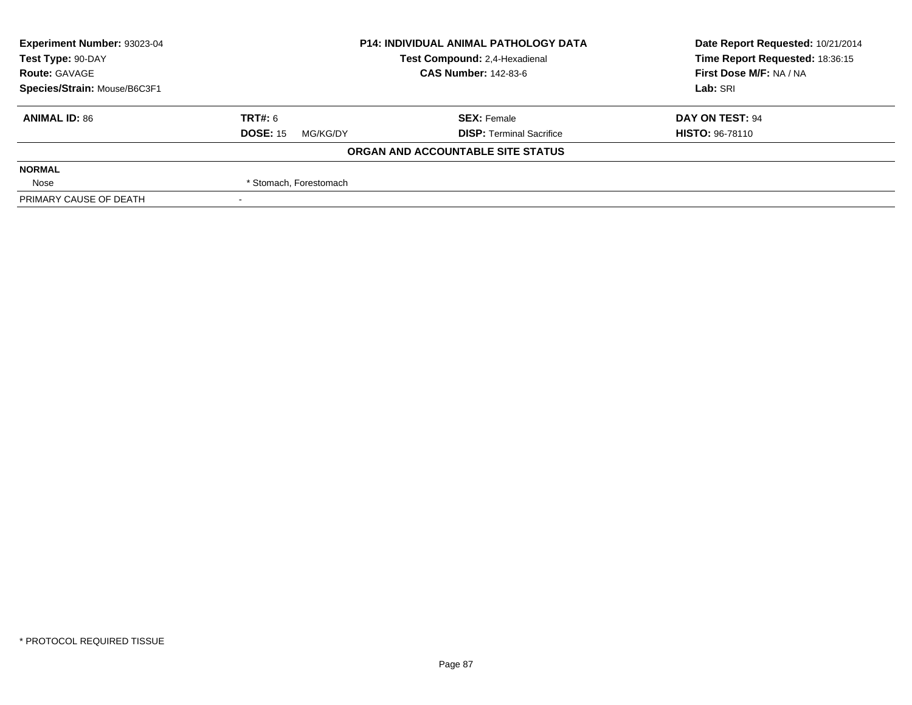| Experiment Number: 93023-04  | <b>P14: INDIVIDUAL ANIMAL PATHOLOGY DATA</b> |                                   | Date Report Requested: 10/21/2014 |  |
|------------------------------|----------------------------------------------|-----------------------------------|-----------------------------------|--|
| Test Type: 90-DAY            |                                              | Test Compound: 2,4-Hexadienal     | Time Report Requested: 18:36:15   |  |
| <b>Route: GAVAGE</b>         |                                              | <b>CAS Number: 142-83-6</b>       | First Dose M/F: NA / NA           |  |
| Species/Strain: Mouse/B6C3F1 |                                              |                                   | Lab: SRI                          |  |
| <b>ANIMAL ID: 86</b>         | TRT#: 6                                      | <b>SEX: Female</b>                | DAY ON TEST: 94                   |  |
|                              | <b>DOSE: 15</b><br>MG/KG/DY                  | <b>DISP: Terminal Sacrifice</b>   | <b>HISTO: 96-78110</b>            |  |
|                              |                                              | ORGAN AND ACCOUNTABLE SITE STATUS |                                   |  |
| <b>NORMAL</b>                |                                              |                                   |                                   |  |
| Nose                         | * Stomach, Forestomach                       |                                   |                                   |  |
| PRIMARY CAUSE OF DEATH       |                                              |                                   |                                   |  |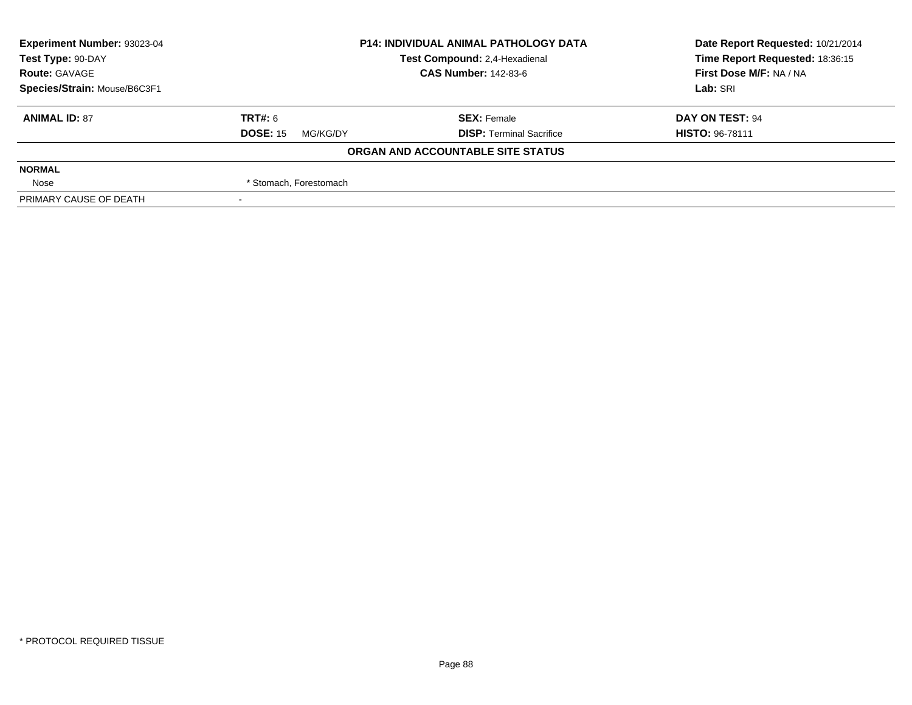| Experiment Number: 93023-04                        | <b>P14: INDIVIDUAL ANIMAL PATHOLOGY DATA</b> |                                   | Date Report Requested: 10/21/2014 |  |
|----------------------------------------------------|----------------------------------------------|-----------------------------------|-----------------------------------|--|
| Test Compound: 2,4-Hexadienal<br>Test Type: 90-DAY |                                              |                                   | Time Report Requested: 18:36:15   |  |
| <b>Route: GAVAGE</b>                               |                                              | <b>CAS Number: 142-83-6</b>       | First Dose M/F: NA / NA           |  |
| Species/Strain: Mouse/B6C3F1                       |                                              |                                   | Lab: SRI                          |  |
| <b>ANIMAL ID: 87</b>                               | TRT#: 6                                      | <b>SEX: Female</b>                | DAY ON TEST: 94                   |  |
|                                                    | <b>DOSE: 15</b><br>MG/KG/DY                  | <b>DISP: Terminal Sacrifice</b>   | <b>HISTO: 96-78111</b>            |  |
|                                                    |                                              | ORGAN AND ACCOUNTABLE SITE STATUS |                                   |  |
| <b>NORMAL</b>                                      |                                              |                                   |                                   |  |
| Nose                                               | * Stomach, Forestomach                       |                                   |                                   |  |
| PRIMARY CAUSE OF DEATH                             |                                              |                                   |                                   |  |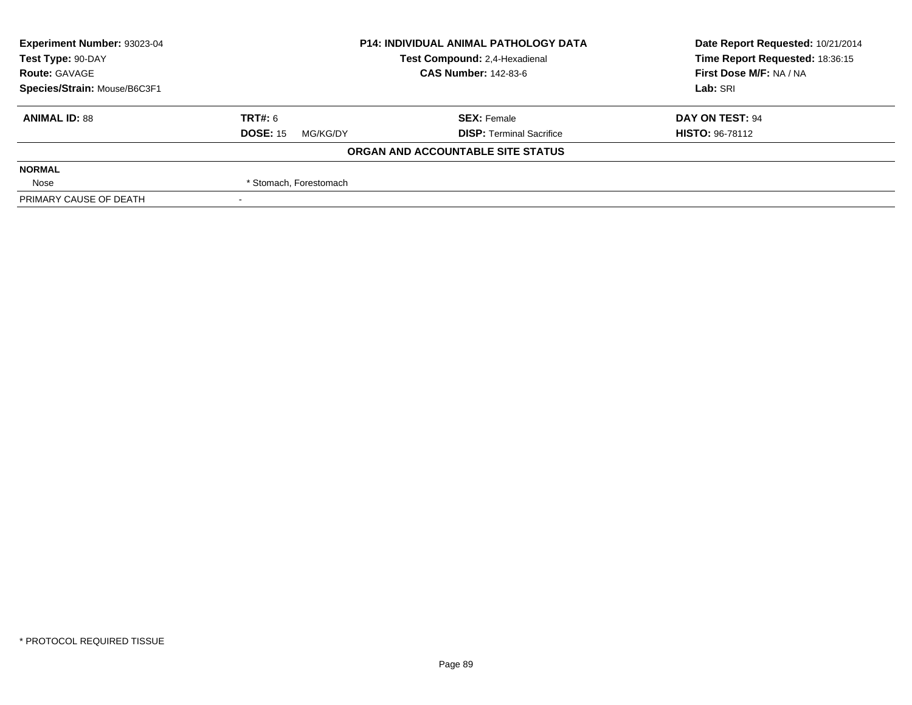| <b>Experiment Number: 93023-04</b> | <b>P14: INDIVIDUAL ANIMAL PATHOLOGY DATA</b> |                                   | Date Report Requested: 10/21/2014 |
|------------------------------------|----------------------------------------------|-----------------------------------|-----------------------------------|
| Test Type: 90-DAY                  |                                              | Test Compound: 2,4-Hexadienal     | Time Report Requested: 18:36:15   |
| <b>Route: GAVAGE</b>               |                                              | <b>CAS Number: 142-83-6</b>       | First Dose M/F: NA / NA           |
| Species/Strain: Mouse/B6C3F1       |                                              |                                   | Lab: SRI                          |
| <b>ANIMAL ID: 88</b>               | TRT#: 6                                      | <b>SEX: Female</b>                | DAY ON TEST: 94                   |
|                                    | <b>DOSE: 15</b><br>MG/KG/DY                  | <b>DISP: Terminal Sacrifice</b>   | <b>HISTO: 96-78112</b>            |
|                                    |                                              | ORGAN AND ACCOUNTABLE SITE STATUS |                                   |
| <b>NORMAL</b>                      |                                              |                                   |                                   |
| Nose                               | * Stomach, Forestomach                       |                                   |                                   |
| PRIMARY CAUSE OF DEATH             |                                              |                                   |                                   |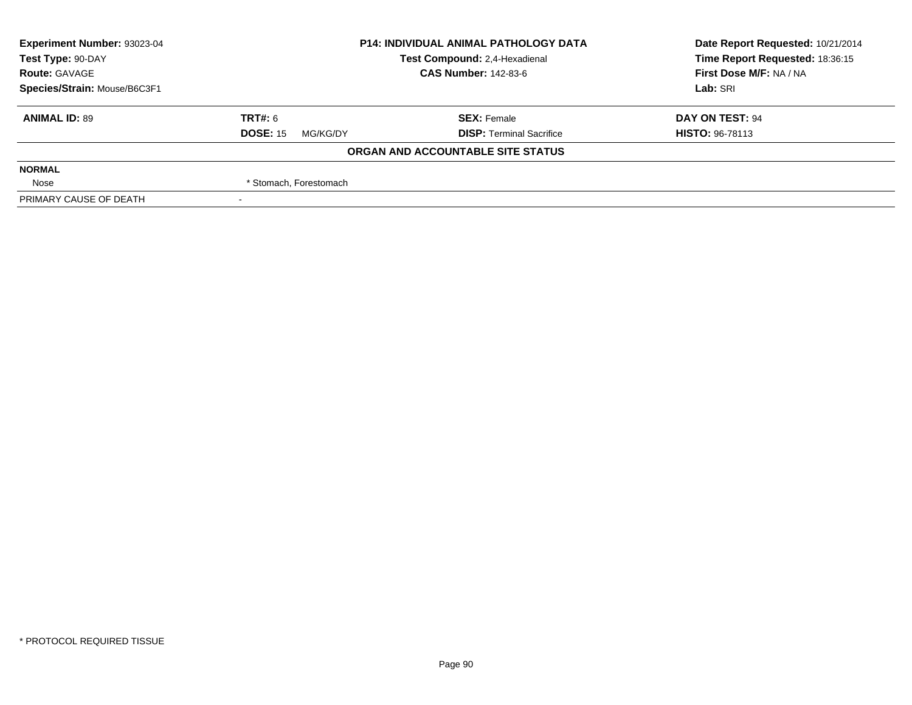| <b>Experiment Number: 93023-04</b> | <b>P14: INDIVIDUAL ANIMAL PATHOLOGY DATA</b> |                                   | Date Report Requested: 10/21/2014 |
|------------------------------------|----------------------------------------------|-----------------------------------|-----------------------------------|
| Test Type: 90-DAY                  |                                              | Test Compound: 2,4-Hexadienal     | Time Report Requested: 18:36:15   |
| <b>Route: GAVAGE</b>               |                                              | <b>CAS Number: 142-83-6</b>       | First Dose M/F: NA / NA           |
| Species/Strain: Mouse/B6C3F1       |                                              |                                   | Lab: SRI                          |
| <b>ANIMAL ID: 89</b>               | TRT#: 6                                      | <b>SEX: Female</b>                | DAY ON TEST: 94                   |
|                                    | <b>DOSE: 15</b><br>MG/KG/DY                  | <b>DISP: Terminal Sacrifice</b>   | <b>HISTO: 96-78113</b>            |
|                                    |                                              | ORGAN AND ACCOUNTABLE SITE STATUS |                                   |
| <b>NORMAL</b>                      |                                              |                                   |                                   |
| Nose                               | * Stomach, Forestomach                       |                                   |                                   |
| PRIMARY CAUSE OF DEATH             |                                              |                                   |                                   |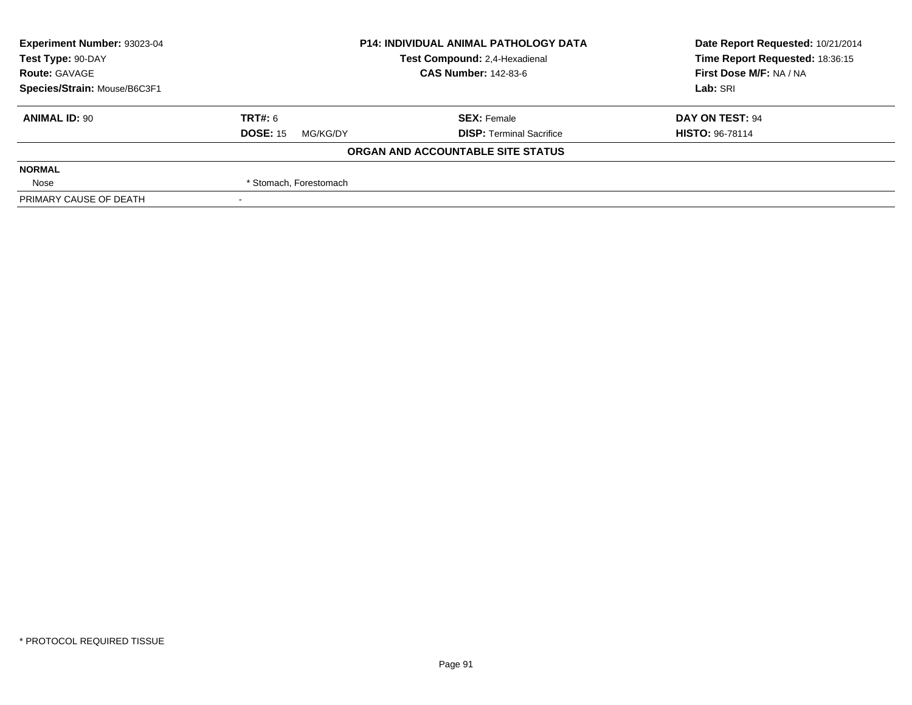| Experiment Number: 93023-04  | <b>P14: INDIVIDUAL ANIMAL PATHOLOGY DATA</b> |                                   | Date Report Requested: 10/21/2014 |  |
|------------------------------|----------------------------------------------|-----------------------------------|-----------------------------------|--|
| Test Type: 90-DAY            |                                              | Test Compound: 2,4-Hexadienal     | Time Report Requested: 18:36:15   |  |
| <b>Route: GAVAGE</b>         |                                              | <b>CAS Number: 142-83-6</b>       | First Dose M/F: NA / NA           |  |
| Species/Strain: Mouse/B6C3F1 |                                              |                                   | Lab: SRI                          |  |
| <b>ANIMAL ID: 90</b>         | TRT#: 6                                      | <b>SEX: Female</b>                | DAY ON TEST: 94                   |  |
|                              | <b>DOSE: 15</b><br>MG/KG/DY                  | <b>DISP: Terminal Sacrifice</b>   | <b>HISTO: 96-78114</b>            |  |
|                              |                                              | ORGAN AND ACCOUNTABLE SITE STATUS |                                   |  |
| <b>NORMAL</b>                |                                              |                                   |                                   |  |
| Nose                         | * Stomach, Forestomach                       |                                   |                                   |  |
| PRIMARY CAUSE OF DEATH       |                                              |                                   |                                   |  |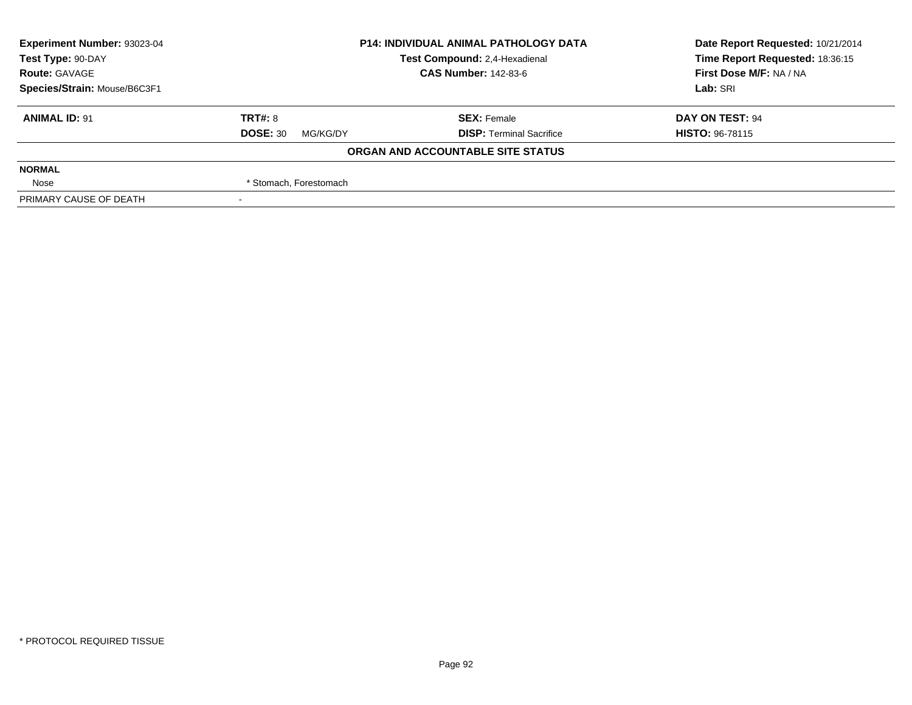| <b>Experiment Number: 93023-04</b> | <b>P14: INDIVIDUAL ANIMAL PATHOLOGY DATA</b><br>Test Compound: 2,4-Hexadienal |                                   | Date Report Requested: 10/21/2014 |
|------------------------------------|-------------------------------------------------------------------------------|-----------------------------------|-----------------------------------|
| Test Type: 90-DAY                  |                                                                               |                                   | Time Report Requested: 18:36:15   |
| <b>Route: GAVAGE</b>               |                                                                               | <b>CAS Number: 142-83-6</b>       | First Dose M/F: NA / NA           |
| Species/Strain: Mouse/B6C3F1       |                                                                               |                                   | Lab: SRI                          |
| <b>ANIMAL ID: 91</b>               | <b>TRT#: 8</b>                                                                | <b>SEX: Female</b>                | DAY ON TEST: 94                   |
|                                    | <b>DOSE: 30</b><br>MG/KG/DY                                                   | <b>DISP: Terminal Sacrifice</b>   | <b>HISTO: 96-78115</b>            |
|                                    |                                                                               | ORGAN AND ACCOUNTABLE SITE STATUS |                                   |
| <b>NORMAL</b>                      |                                                                               |                                   |                                   |
| Nose                               | * Stomach, Forestomach                                                        |                                   |                                   |
| PRIMARY CAUSE OF DEATH             |                                                                               |                                   |                                   |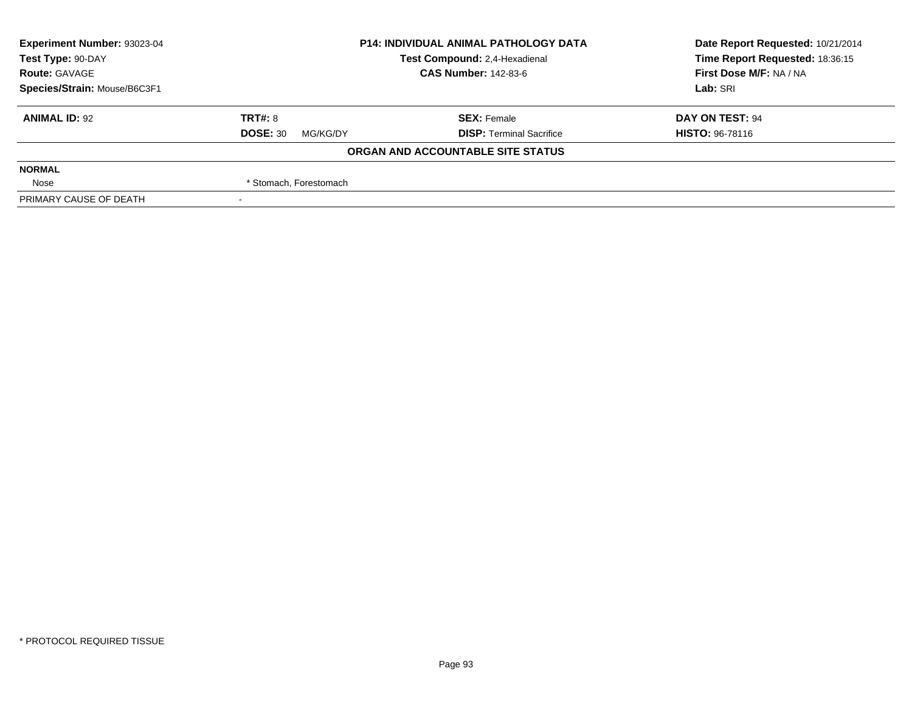| <b>Experiment Number: 93023-04</b> | <b>P14: INDIVIDUAL ANIMAL PATHOLOGY DATA</b><br>Test Compound: 2,4-Hexadienal<br><b>CAS Number: 142-83-6</b> |                                   | Date Report Requested: 10/21/2014 |
|------------------------------------|--------------------------------------------------------------------------------------------------------------|-----------------------------------|-----------------------------------|
| Test Type: 90-DAY                  |                                                                                                              |                                   | Time Report Requested: 18:36:15   |
| <b>Route: GAVAGE</b>               |                                                                                                              |                                   | First Dose M/F: NA / NA           |
| Species/Strain: Mouse/B6C3F1       |                                                                                                              |                                   | Lab: SRI                          |
| <b>ANIMAL ID: 92</b>               | <b>TRT#: 8</b>                                                                                               | <b>SEX: Female</b>                | DAY ON TEST: 94                   |
|                                    | <b>DOSE: 30</b><br>MG/KG/DY                                                                                  | <b>DISP: Terminal Sacrifice</b>   | <b>HISTO: 96-78116</b>            |
|                                    |                                                                                                              | ORGAN AND ACCOUNTABLE SITE STATUS |                                   |
| <b>NORMAL</b>                      |                                                                                                              |                                   |                                   |
| Nose                               | * Stomach, Forestomach                                                                                       |                                   |                                   |
| PRIMARY CAUSE OF DEATH             |                                                                                                              |                                   |                                   |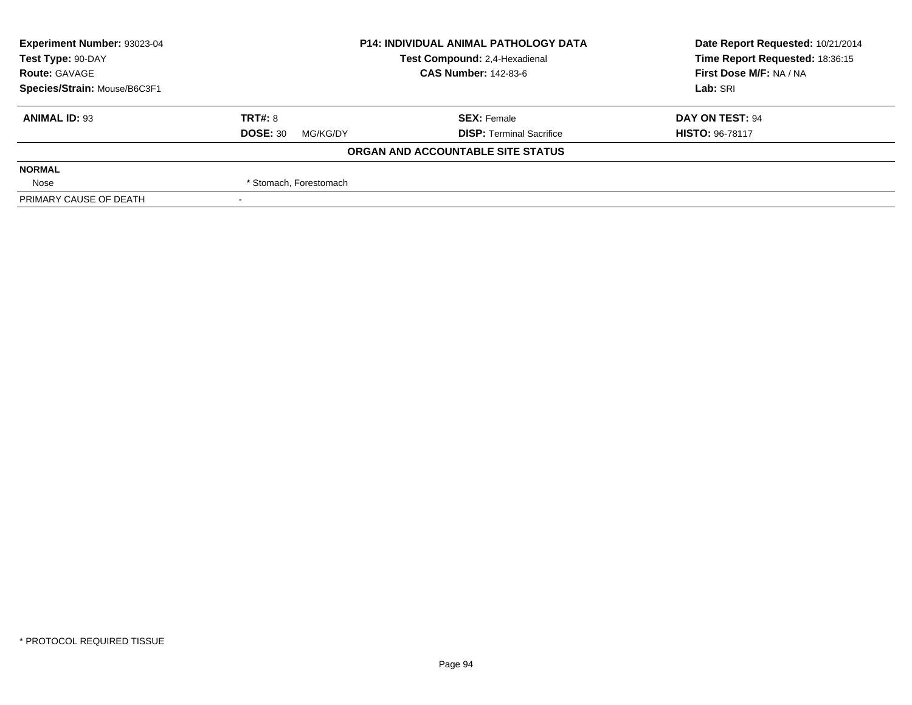| Experiment Number: 93023-04  | <b>P14: INDIVIDUAL ANIMAL PATHOLOGY DATA</b><br>Test Compound: 2,4-Hexadienal |                                   | Date Report Requested: 10/21/2014 |  |
|------------------------------|-------------------------------------------------------------------------------|-----------------------------------|-----------------------------------|--|
| Test Type: 90-DAY            |                                                                               |                                   | Time Report Requested: 18:36:15   |  |
| <b>Route: GAVAGE</b>         |                                                                               | <b>CAS Number: 142-83-6</b>       | First Dose M/F: NA / NA           |  |
| Species/Strain: Mouse/B6C3F1 |                                                                               |                                   | Lab: SRI                          |  |
| <b>ANIMAL ID: 93</b>         | TRT#: 8                                                                       | <b>SEX: Female</b>                | DAY ON TEST: 94                   |  |
|                              | <b>DOSE: 30</b><br>MG/KG/DY                                                   | <b>DISP: Terminal Sacrifice</b>   | <b>HISTO: 96-78117</b>            |  |
|                              |                                                                               | ORGAN AND ACCOUNTABLE SITE STATUS |                                   |  |
| <b>NORMAL</b>                |                                                                               |                                   |                                   |  |
| Nose                         | * Stomach, Forestomach                                                        |                                   |                                   |  |
| PRIMARY CAUSE OF DEATH       |                                                                               |                                   |                                   |  |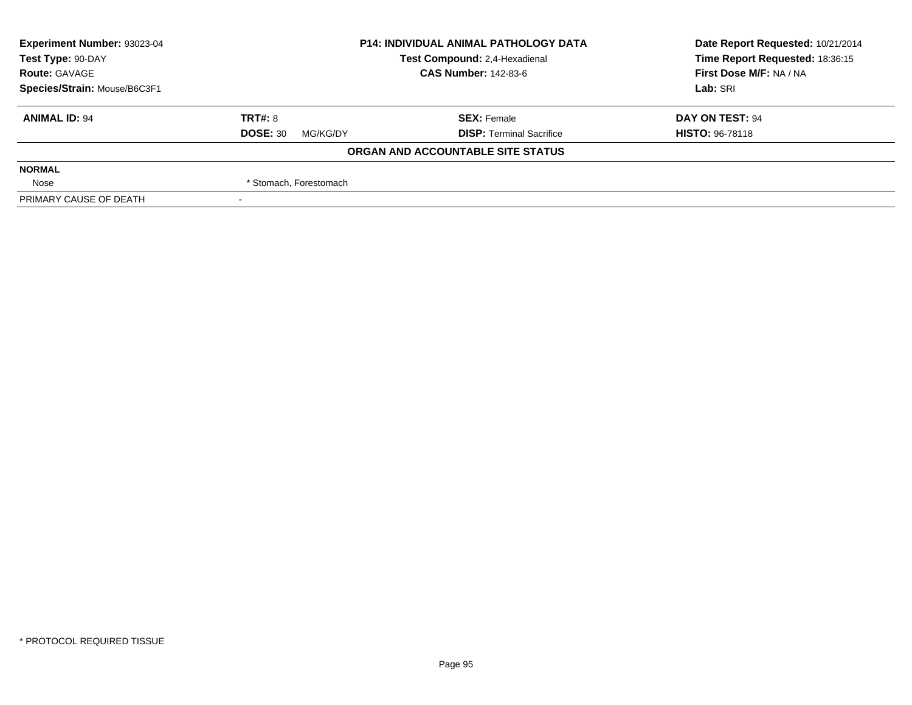| <b>Experiment Number: 93023-04</b> | <b>P14: INDIVIDUAL ANIMAL PATHOLOGY DATA</b> |                                   | Date Report Requested: 10/21/2014 |
|------------------------------------|----------------------------------------------|-----------------------------------|-----------------------------------|
| Test Type: 90-DAY                  |                                              | Test Compound: 2,4-Hexadienal     | Time Report Requested: 18:36:15   |
| <b>Route: GAVAGE</b>               |                                              | <b>CAS Number: 142-83-6</b>       | First Dose M/F: NA / NA           |
| Species/Strain: Mouse/B6C3F1       |                                              |                                   | Lab: SRI                          |
| <b>ANIMAL ID: 94</b>               | <b>TRT#: 8</b>                               | <b>SEX: Female</b>                | DAY ON TEST: 94                   |
|                                    | <b>DOSE: 30</b><br>MG/KG/DY                  | <b>DISP: Terminal Sacrifice</b>   | <b>HISTO: 96-78118</b>            |
|                                    |                                              | ORGAN AND ACCOUNTABLE SITE STATUS |                                   |
| <b>NORMAL</b>                      |                                              |                                   |                                   |
| Nose                               | * Stomach, Forestomach                       |                                   |                                   |
| PRIMARY CAUSE OF DEATH             |                                              |                                   |                                   |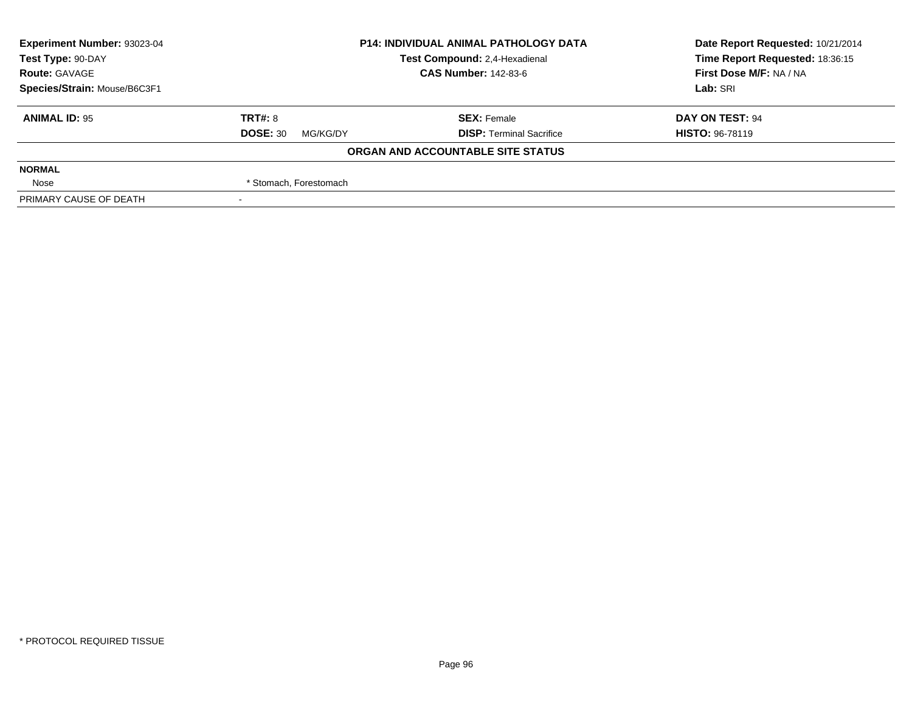| <b>Experiment Number: 93023-04</b> | <b>P14: INDIVIDUAL ANIMAL PATHOLOGY DATA</b><br>Test Compound: 2,4-Hexadienal |                                   | Date Report Requested: 10/21/2014 |
|------------------------------------|-------------------------------------------------------------------------------|-----------------------------------|-----------------------------------|
| Test Type: 90-DAY                  |                                                                               |                                   | Time Report Requested: 18:36:15   |
| <b>Route: GAVAGE</b>               |                                                                               | <b>CAS Number: 142-83-6</b>       | First Dose M/F: NA / NA           |
| Species/Strain: Mouse/B6C3F1       |                                                                               |                                   | Lab: SRI                          |
| <b>ANIMAL ID: 95</b>               | <b>TRT#: 8</b>                                                                | <b>SEX: Female</b>                | DAY ON TEST: 94                   |
|                                    | <b>DOSE: 30</b><br>MG/KG/DY                                                   | <b>DISP: Terminal Sacrifice</b>   | <b>HISTO: 96-78119</b>            |
|                                    |                                                                               | ORGAN AND ACCOUNTABLE SITE STATUS |                                   |
| <b>NORMAL</b>                      |                                                                               |                                   |                                   |
| Nose                               | * Stomach, Forestomach                                                        |                                   |                                   |
| PRIMARY CAUSE OF DEATH             |                                                                               |                                   |                                   |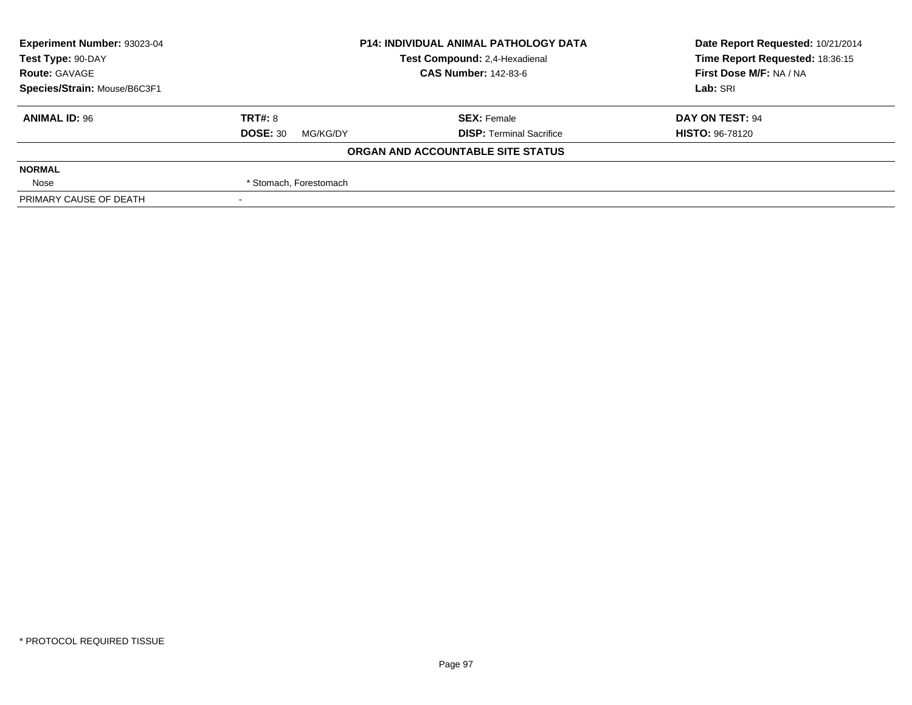| Experiment Number: 93023-04                        | <b>P14: INDIVIDUAL ANIMAL PATHOLOGY DATA</b> |                                   | Date Report Requested: 10/21/2014 |
|----------------------------------------------------|----------------------------------------------|-----------------------------------|-----------------------------------|
| Test Compound: 2,4-Hexadienal<br>Test Type: 90-DAY |                                              | Time Report Requested: 18:36:15   |                                   |
| <b>Route: GAVAGE</b>                               |                                              | <b>CAS Number: 142-83-6</b>       |                                   |
| Species/Strain: Mouse/B6C3F1                       |                                              |                                   | Lab: SRI                          |
| <b>ANIMAL ID: 96</b>                               | TRT#: 8                                      | <b>SEX: Female</b>                | DAY ON TEST: 94                   |
|                                                    | <b>DOSE: 30</b><br>MG/KG/DY                  | <b>DISP: Terminal Sacrifice</b>   | <b>HISTO: 96-78120</b>            |
|                                                    |                                              | ORGAN AND ACCOUNTABLE SITE STATUS |                                   |
| <b>NORMAL</b>                                      |                                              |                                   |                                   |
| Nose                                               | * Stomach, Forestomach                       |                                   |                                   |
| PRIMARY CAUSE OF DEATH                             |                                              |                                   |                                   |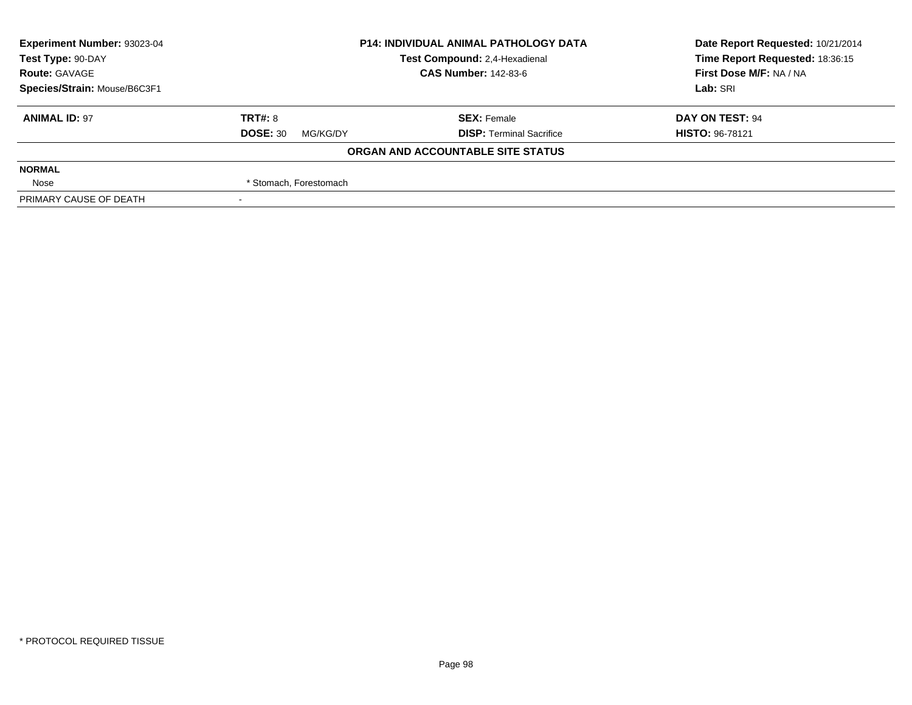| Experiment Number: 93023-04  | <b>P14: INDIVIDUAL ANIMAL PATHOLOGY DATA</b><br>Test Compound: 2,4-Hexadienal<br><b>CAS Number: 142-83-6</b> |                                   | Date Report Requested: 10/21/2014 |
|------------------------------|--------------------------------------------------------------------------------------------------------------|-----------------------------------|-----------------------------------|
| Test Type: 90-DAY            |                                                                                                              |                                   | Time Report Requested: 18:36:15   |
| <b>Route: GAVAGE</b>         |                                                                                                              |                                   | First Dose M/F: NA / NA           |
| Species/Strain: Mouse/B6C3F1 |                                                                                                              | Lab: SRI                          |                                   |
| <b>ANIMAL ID: 97</b>         | TRT#: 8                                                                                                      | <b>SEX: Female</b>                | DAY ON TEST: 94                   |
|                              | <b>DOSE: 30</b><br>MG/KG/DY                                                                                  | <b>DISP: Terminal Sacrifice</b>   | <b>HISTO: 96-78121</b>            |
|                              |                                                                                                              | ORGAN AND ACCOUNTABLE SITE STATUS |                                   |
| <b>NORMAL</b>                |                                                                                                              |                                   |                                   |
| Nose                         | * Stomach, Forestomach                                                                                       |                                   |                                   |
| PRIMARY CAUSE OF DEATH       |                                                                                                              |                                   |                                   |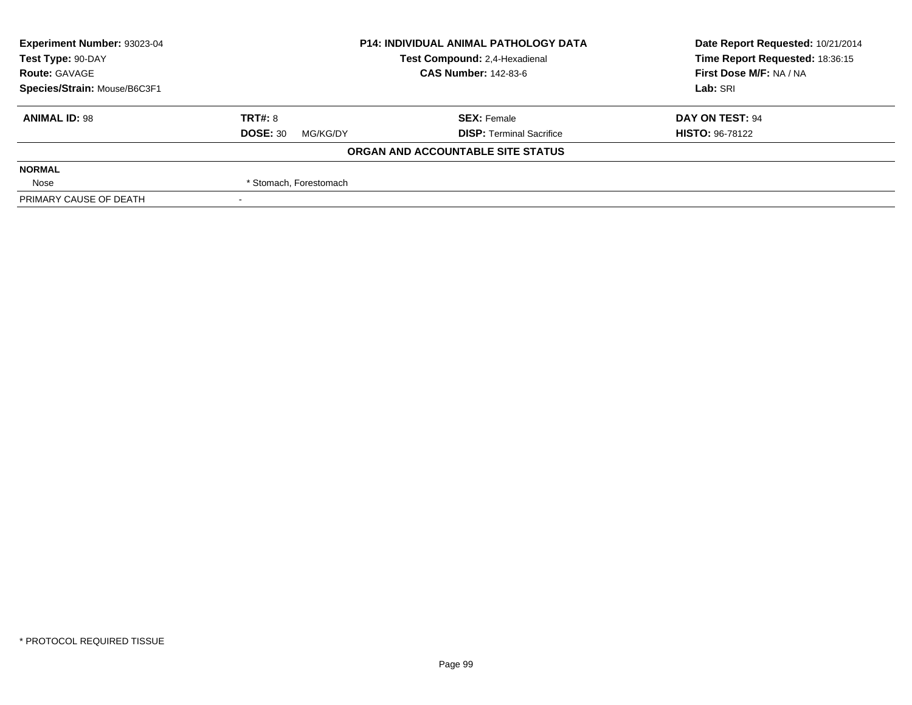| <b>Experiment Number: 93023-04</b> | <b>P14: INDIVIDUAL ANIMAL PATHOLOGY DATA</b><br>Test Compound: 2,4-Hexadienal<br><b>CAS Number: 142-83-6</b> |                                   | Date Report Requested: 10/21/2014 |
|------------------------------------|--------------------------------------------------------------------------------------------------------------|-----------------------------------|-----------------------------------|
| Test Type: 90-DAY                  |                                                                                                              |                                   | Time Report Requested: 18:36:15   |
| <b>Route: GAVAGE</b>               |                                                                                                              |                                   | First Dose M/F: NA / NA           |
| Species/Strain: Mouse/B6C3F1       |                                                                                                              |                                   | Lab: SRI                          |
| <b>ANIMAL ID: 98</b>               | <b>TRT#: 8</b>                                                                                               | <b>SEX: Female</b>                | DAY ON TEST: 94                   |
|                                    | <b>DOSE: 30</b><br>MG/KG/DY                                                                                  | <b>DISP: Terminal Sacrifice</b>   | <b>HISTO: 96-78122</b>            |
|                                    |                                                                                                              | ORGAN AND ACCOUNTABLE SITE STATUS |                                   |
| <b>NORMAL</b>                      |                                                                                                              |                                   |                                   |
| Nose                               | * Stomach, Forestomach                                                                                       |                                   |                                   |
| PRIMARY CAUSE OF DEATH             |                                                                                                              |                                   |                                   |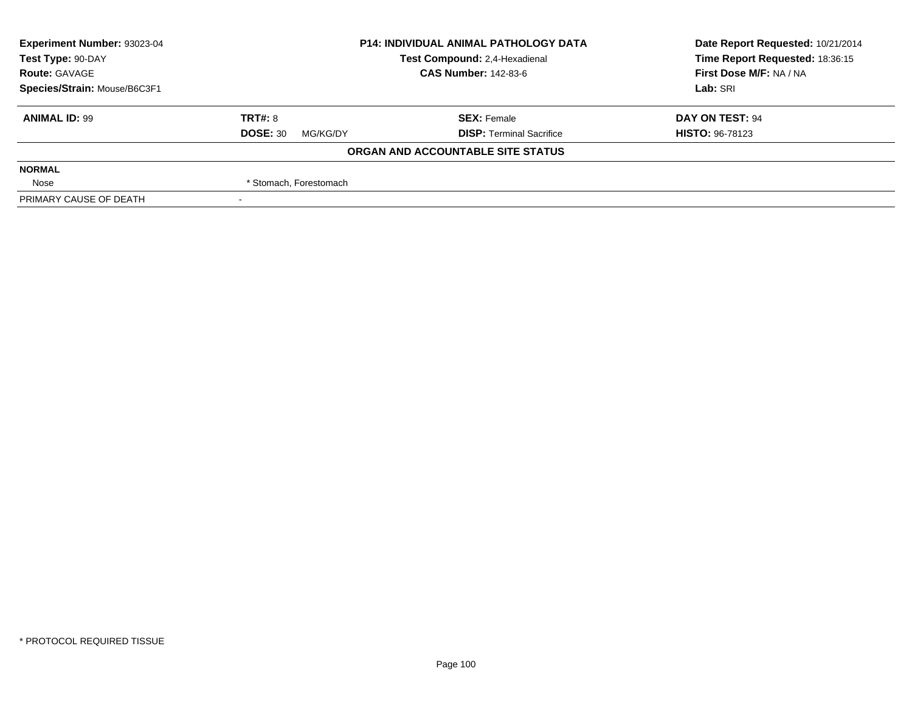| Experiment Number: 93023-04  | <b>P14: INDIVIDUAL ANIMAL PATHOLOGY DATA</b><br>Test Compound: 2,4-Hexadienal |                                   | Date Report Requested: 10/21/2014 |
|------------------------------|-------------------------------------------------------------------------------|-----------------------------------|-----------------------------------|
| Test Type: 90-DAY            |                                                                               |                                   | Time Report Requested: 18:36:15   |
| <b>Route: GAVAGE</b>         |                                                                               | <b>CAS Number: 142-83-6</b>       |                                   |
| Species/Strain: Mouse/B6C3F1 |                                                                               |                                   | Lab: SRI                          |
| <b>ANIMAL ID: 99</b>         | TRT#: 8                                                                       | <b>SEX: Female</b>                | DAY ON TEST: 94                   |
|                              | <b>DOSE: 30</b><br>MG/KG/DY                                                   | <b>DISP: Terminal Sacrifice</b>   | <b>HISTO: 96-78123</b>            |
|                              |                                                                               | ORGAN AND ACCOUNTABLE SITE STATUS |                                   |
| <b>NORMAL</b>                |                                                                               |                                   |                                   |
| Nose                         | * Stomach, Forestomach                                                        |                                   |                                   |
| PRIMARY CAUSE OF DEATH       |                                                                               |                                   |                                   |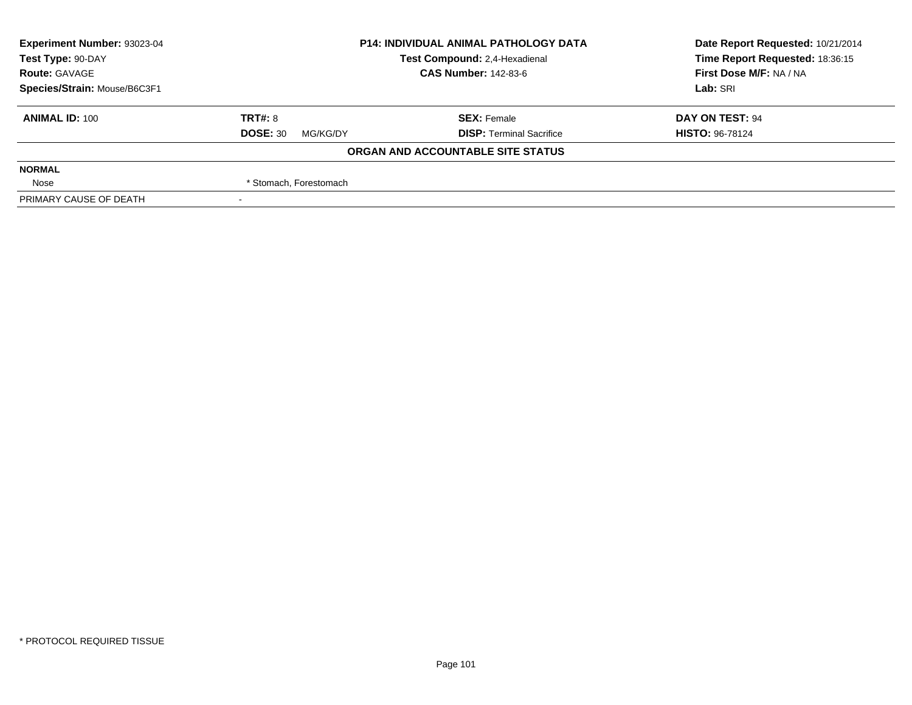| Experiment Number: 93023-04                        | <b>P14: INDIVIDUAL ANIMAL PATHOLOGY DATA</b> |                                   | Date Report Requested: 10/21/2014 |
|----------------------------------------------------|----------------------------------------------|-----------------------------------|-----------------------------------|
| Test Type: 90-DAY<br>Test Compound: 2,4-Hexadienal |                                              | Time Report Requested: 18:36:15   |                                   |
| <b>Route: GAVAGE</b>                               | <b>CAS Number: 142-83-6</b>                  |                                   | First Dose M/F: NA / NA           |
| Species/Strain: Mouse/B6C3F1                       |                                              |                                   | Lab: SRI                          |
| <b>ANIMAL ID: 100</b>                              | TRT#: 8                                      | <b>SEX: Female</b>                | DAY ON TEST: 94                   |
|                                                    | <b>DOSE: 30</b><br>MG/KG/DY                  | <b>DISP: Terminal Sacrifice</b>   | <b>HISTO: 96-78124</b>            |
|                                                    |                                              | ORGAN AND ACCOUNTABLE SITE STATUS |                                   |
| <b>NORMAL</b>                                      |                                              |                                   |                                   |
| Nose                                               | * Stomach, Forestomach                       |                                   |                                   |
| PRIMARY CAUSE OF DEATH                             |                                              |                                   |                                   |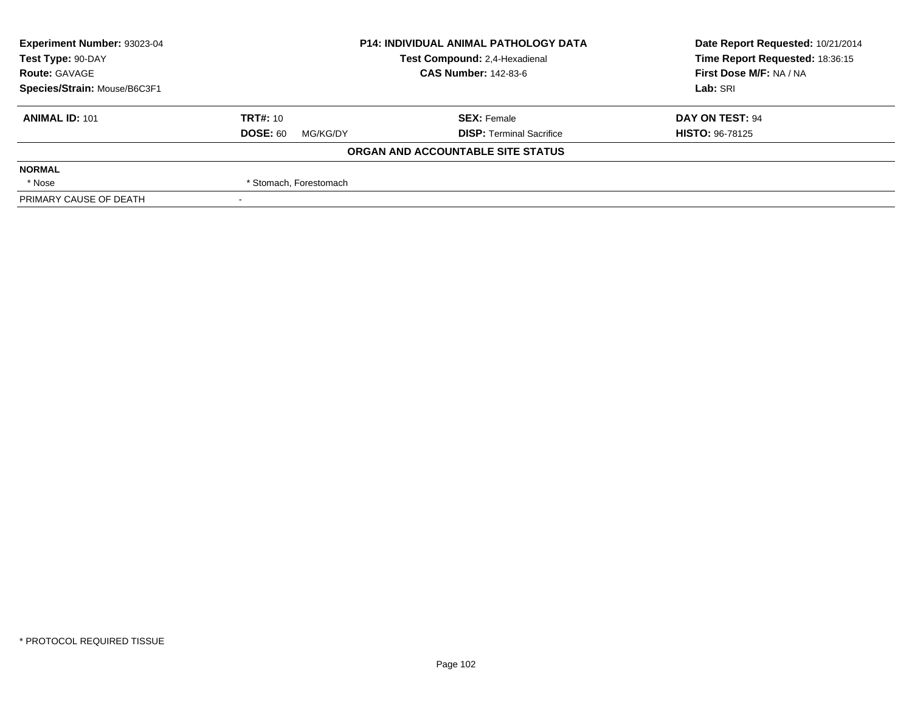| Experiment Number: 93023-04  | <b>P14: INDIVIDUAL ANIMAL PATHOLOGY DATA</b><br>Test Compound: 2,4-Hexadienal |                                   | Date Report Requested: 10/21/2014 |
|------------------------------|-------------------------------------------------------------------------------|-----------------------------------|-----------------------------------|
| Test Type: 90-DAY            |                                                                               |                                   | Time Report Requested: 18:36:15   |
| <b>Route: GAVAGE</b>         |                                                                               | <b>CAS Number: 142-83-6</b>       |                                   |
| Species/Strain: Mouse/B6C3F1 |                                                                               | Lab: SRI                          |                                   |
| <b>ANIMAL ID: 101</b>        | <b>TRT#: 10</b>                                                               | <b>SEX: Female</b>                | DAY ON TEST: 94                   |
|                              | <b>DOSE: 60</b><br>MG/KG/DY                                                   | <b>DISP: Terminal Sacrifice</b>   | <b>HISTO: 96-78125</b>            |
|                              |                                                                               | ORGAN AND ACCOUNTABLE SITE STATUS |                                   |
| <b>NORMAL</b>                |                                                                               |                                   |                                   |
| * Nose                       | * Stomach, Forestomach                                                        |                                   |                                   |
| PRIMARY CAUSE OF DEATH       |                                                                               |                                   |                                   |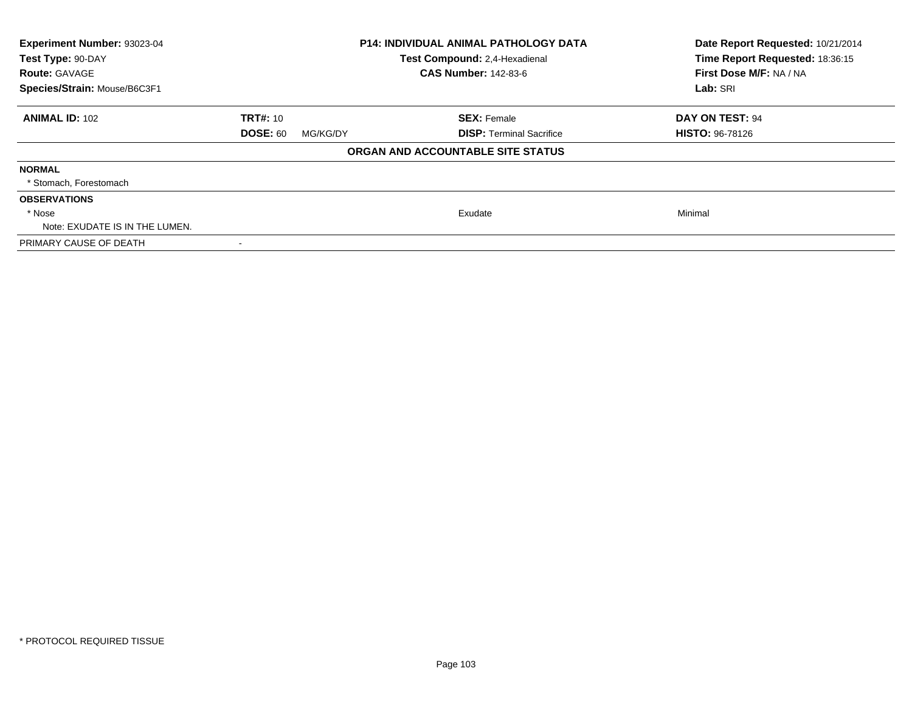| Experiment Number: 93023-04<br>Test Type: 90-DAY<br><b>Route: GAVAGE</b><br>Species/Strain: Mouse/B6C3F1 | <b>P14: INDIVIDUAL ANIMAL PATHOLOGY DATA</b><br>Test Compound: 2,4-Hexadienal<br><b>CAS Number: 142-83-6</b> |                                   | Date Report Requested: 10/21/2014<br>Time Report Requested: 18:36:15<br>First Dose M/F: NA / NA<br>Lab: SRI |
|----------------------------------------------------------------------------------------------------------|--------------------------------------------------------------------------------------------------------------|-----------------------------------|-------------------------------------------------------------------------------------------------------------|
|                                                                                                          |                                                                                                              |                                   |                                                                                                             |
| <b>ANIMAL ID: 102</b>                                                                                    | <b>TRT#: 10</b>                                                                                              | <b>SEX: Female</b>                | DAY ON TEST: 94                                                                                             |
|                                                                                                          | <b>DOSE: 60</b><br>MG/KG/DY                                                                                  | <b>DISP:</b> Terminal Sacrifice   | <b>HISTO: 96-78126</b>                                                                                      |
|                                                                                                          |                                                                                                              | ORGAN AND ACCOUNTABLE SITE STATUS |                                                                                                             |
| <b>NORMAL</b>                                                                                            |                                                                                                              |                                   |                                                                                                             |
| * Stomach, Forestomach                                                                                   |                                                                                                              |                                   |                                                                                                             |
| <b>OBSERVATIONS</b>                                                                                      |                                                                                                              |                                   |                                                                                                             |
| * Nose                                                                                                   |                                                                                                              | Exudate                           | Minimal                                                                                                     |
| Note: EXUDATE IS IN THE LUMEN.                                                                           |                                                                                                              |                                   |                                                                                                             |
| PRIMARY CAUSE OF DEATH                                                                                   |                                                                                                              |                                   |                                                                                                             |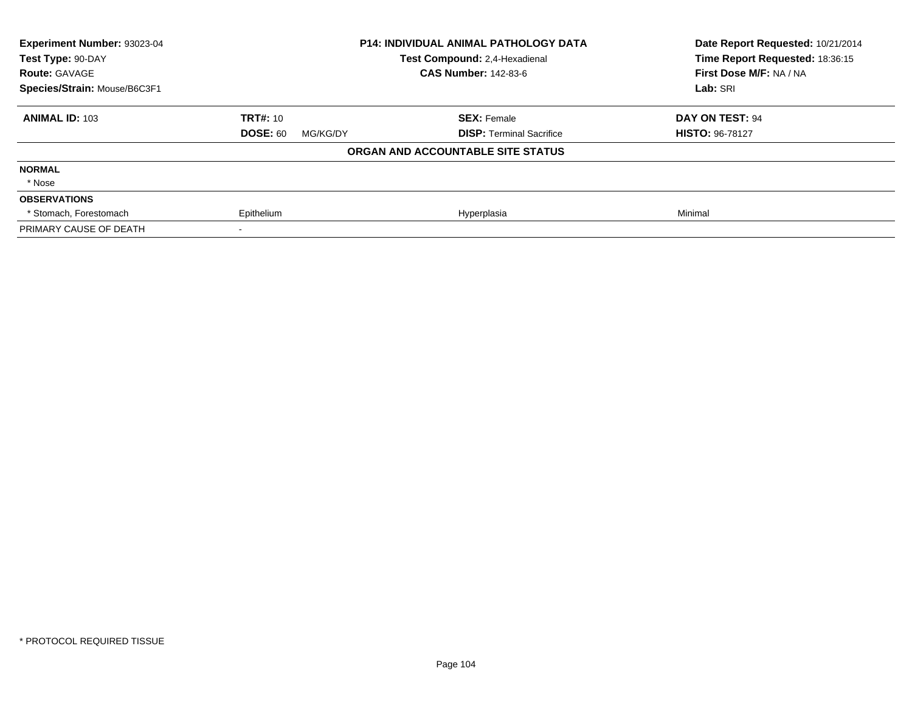| <b>Experiment Number: 93023-04</b> |                             | <b>P14: INDIVIDUAL ANIMAL PATHOLOGY DATA</b> | Date Report Requested: 10/21/2014 |
|------------------------------------|-----------------------------|----------------------------------------------|-----------------------------------|
| Test Type: 90-DAY                  |                             | Test Compound: 2,4-Hexadienal                | Time Report Requested: 18:36:15   |
| <b>Route: GAVAGE</b>               |                             | <b>CAS Number: 142-83-6</b>                  | First Dose M/F: NA / NA           |
| Species/Strain: Mouse/B6C3F1       |                             |                                              | Lab: SRI                          |
| <b>ANIMAL ID: 103</b>              | <b>TRT#: 10</b>             | <b>SEX: Female</b>                           | DAY ON TEST: 94                   |
|                                    | <b>DOSE: 60</b><br>MG/KG/DY | <b>DISP:</b> Terminal Sacrifice              | <b>HISTO: 96-78127</b>            |
|                                    |                             | ORGAN AND ACCOUNTABLE SITE STATUS            |                                   |
| <b>NORMAL</b>                      |                             |                                              |                                   |
| * Nose                             |                             |                                              |                                   |
| <b>OBSERVATIONS</b>                |                             |                                              |                                   |
| * Stomach. Forestomach             | Epithelium                  | Hyperplasia                                  | Minimal                           |
| PRIMARY CAUSE OF DEATH             |                             |                                              |                                   |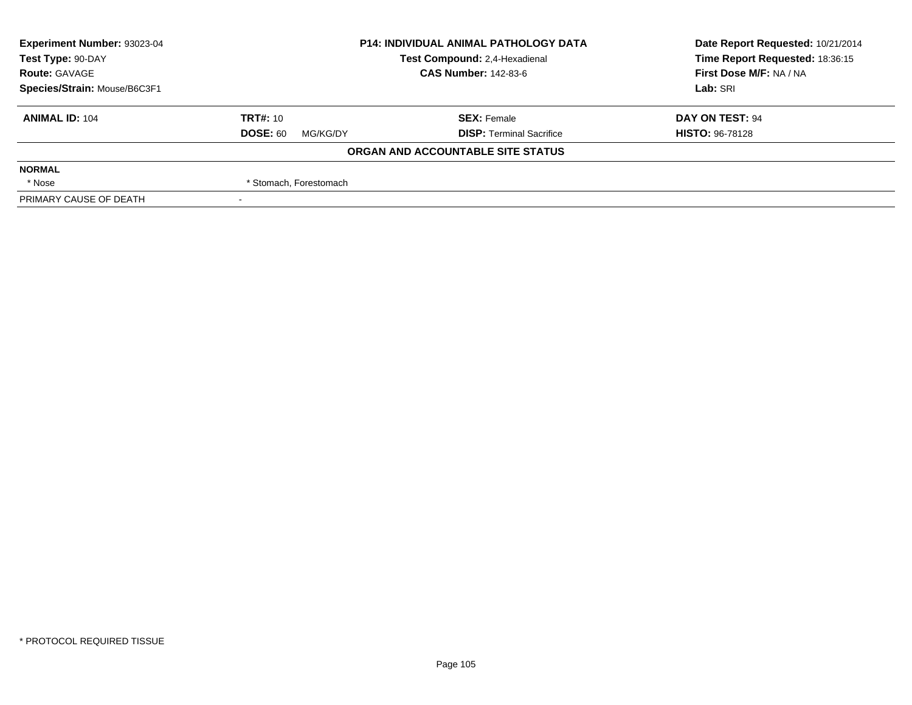| <b>Experiment Number: 93023-04</b>                 | <b>P14: INDIVIDUAL ANIMAL PATHOLOGY DATA</b> |                                   | Date Report Requested: 10/21/2014 |
|----------------------------------------------------|----------------------------------------------|-----------------------------------|-----------------------------------|
| Test Compound: 2,4-Hexadienal<br>Test Type: 90-DAY |                                              |                                   | Time Report Requested: 18:36:15   |
| <b>Route: GAVAGE</b>                               | <b>CAS Number: 142-83-6</b>                  |                                   | First Dose M/F: NA / NA           |
| Species/Strain: Mouse/B6C3F1                       |                                              |                                   | Lab: SRI                          |
| <b>ANIMAL ID: 104</b>                              | <b>TRT#: 10</b>                              | <b>SEX: Female</b>                | DAY ON TEST: 94                   |
|                                                    | <b>DOSE: 60</b><br>MG/KG/DY                  | <b>DISP: Terminal Sacrifice</b>   | <b>HISTO: 96-78128</b>            |
|                                                    |                                              | ORGAN AND ACCOUNTABLE SITE STATUS |                                   |
| <b>NORMAL</b>                                      |                                              |                                   |                                   |
| * Nose                                             | * Stomach, Forestomach                       |                                   |                                   |
| PRIMARY CAUSE OF DEATH                             |                                              |                                   |                                   |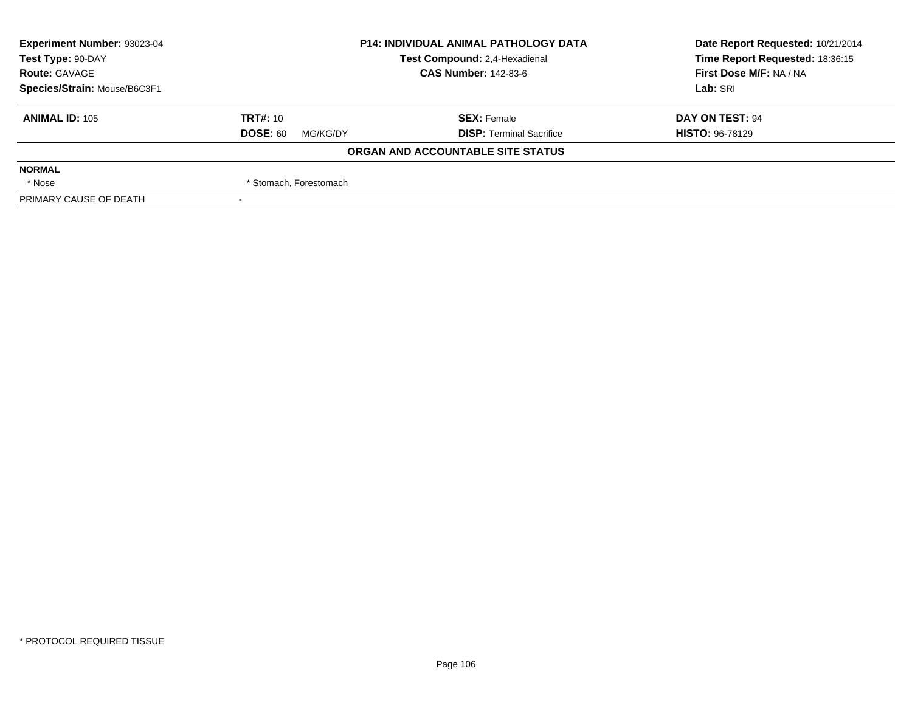| Experiment Number: 93023-04                        | <b>P14: INDIVIDUAL ANIMAL PATHOLOGY DATA</b> |                                   | Date Report Requested: 10/21/2014 |
|----------------------------------------------------|----------------------------------------------|-----------------------------------|-----------------------------------|
| Test Compound: 2,4-Hexadienal<br>Test Type: 90-DAY |                                              | Time Report Requested: 18:36:15   |                                   |
| <b>Route: GAVAGE</b>                               |                                              | <b>CAS Number: 142-83-6</b>       |                                   |
| Species/Strain: Mouse/B6C3F1                       |                                              | Lab: SRI                          |                                   |
| <b>ANIMAL ID: 105</b>                              | <b>TRT#: 10</b>                              | <b>SEX: Female</b>                | DAY ON TEST: 94                   |
|                                                    | <b>DOSE: 60</b><br>MG/KG/DY                  | <b>DISP: Terminal Sacrifice</b>   | <b>HISTO: 96-78129</b>            |
|                                                    |                                              | ORGAN AND ACCOUNTABLE SITE STATUS |                                   |
| <b>NORMAL</b>                                      |                                              |                                   |                                   |
| * Nose                                             | * Stomach, Forestomach                       |                                   |                                   |
| PRIMARY CAUSE OF DEATH                             |                                              |                                   |                                   |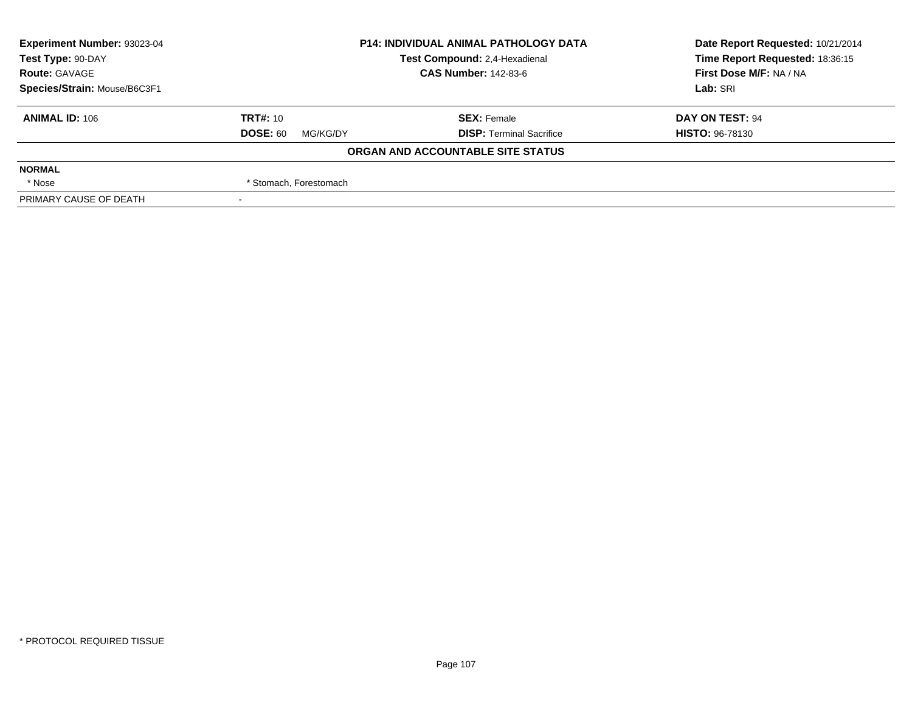| Experiment Number: 93023-04                        | <b>P14: INDIVIDUAL ANIMAL PATHOLOGY DATA</b> |                                   | Date Report Requested: 10/21/2014 |
|----------------------------------------------------|----------------------------------------------|-----------------------------------|-----------------------------------|
| Test Compound: 2,4-Hexadienal<br>Test Type: 90-DAY |                                              | Time Report Requested: 18:36:15   |                                   |
| <b>Route: GAVAGE</b>                               |                                              | <b>CAS Number: 142-83-6</b>       |                                   |
| Species/Strain: Mouse/B6C3F1                       |                                              |                                   | Lab: SRI                          |
| <b>ANIMAL ID: 106</b>                              | <b>TRT#: 10</b>                              | <b>SEX: Female</b>                | DAY ON TEST: 94                   |
|                                                    | <b>DOSE: 60</b><br>MG/KG/DY                  | <b>DISP: Terminal Sacrifice</b>   | <b>HISTO: 96-78130</b>            |
|                                                    |                                              | ORGAN AND ACCOUNTABLE SITE STATUS |                                   |
| <b>NORMAL</b>                                      |                                              |                                   |                                   |
| * Nose                                             | * Stomach, Forestomach                       |                                   |                                   |
| PRIMARY CAUSE OF DEATH                             |                                              |                                   |                                   |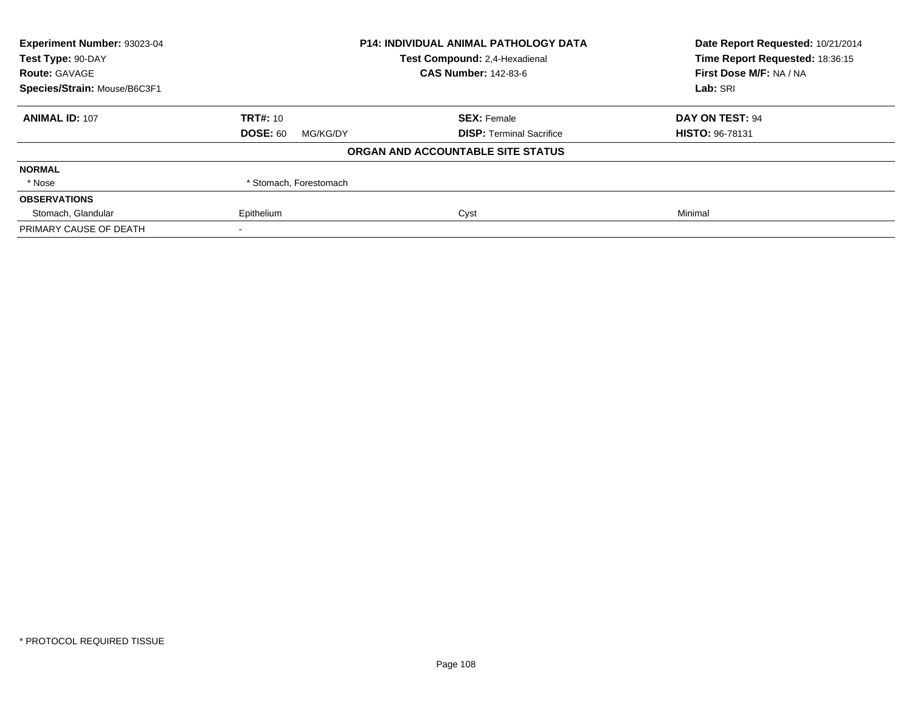| Experiment Number: 93023-04  | <b>P14: INDIVIDUAL ANIMAL PATHOLOGY DATA</b> |                                   | Date Report Requested: 10/21/2014 |
|------------------------------|----------------------------------------------|-----------------------------------|-----------------------------------|
| Test Type: 90-DAY            |                                              | Test Compound: 2,4-Hexadienal     | Time Report Requested: 18:36:15   |
| <b>Route: GAVAGE</b>         |                                              | <b>CAS Number: 142-83-6</b>       | First Dose M/F: NA / NA           |
| Species/Strain: Mouse/B6C3F1 |                                              |                                   | Lab: SRI                          |
| <b>ANIMAL ID: 107</b>        | <b>TRT#: 10</b>                              | <b>SEX: Female</b>                | DAY ON TEST: 94                   |
|                              | <b>DOSE: 60</b><br>MG/KG/DY                  | <b>DISP:</b> Terminal Sacrifice   | <b>HISTO: 96-78131</b>            |
|                              |                                              | ORGAN AND ACCOUNTABLE SITE STATUS |                                   |
| <b>NORMAL</b>                |                                              |                                   |                                   |
| * Nose                       | * Stomach, Forestomach                       |                                   |                                   |
| <b>OBSERVATIONS</b>          |                                              |                                   |                                   |
| Stomach, Glandular           | Epithelium                                   | Cyst                              | Minimal                           |
| PRIMARY CAUSE OF DEATH       |                                              |                                   |                                   |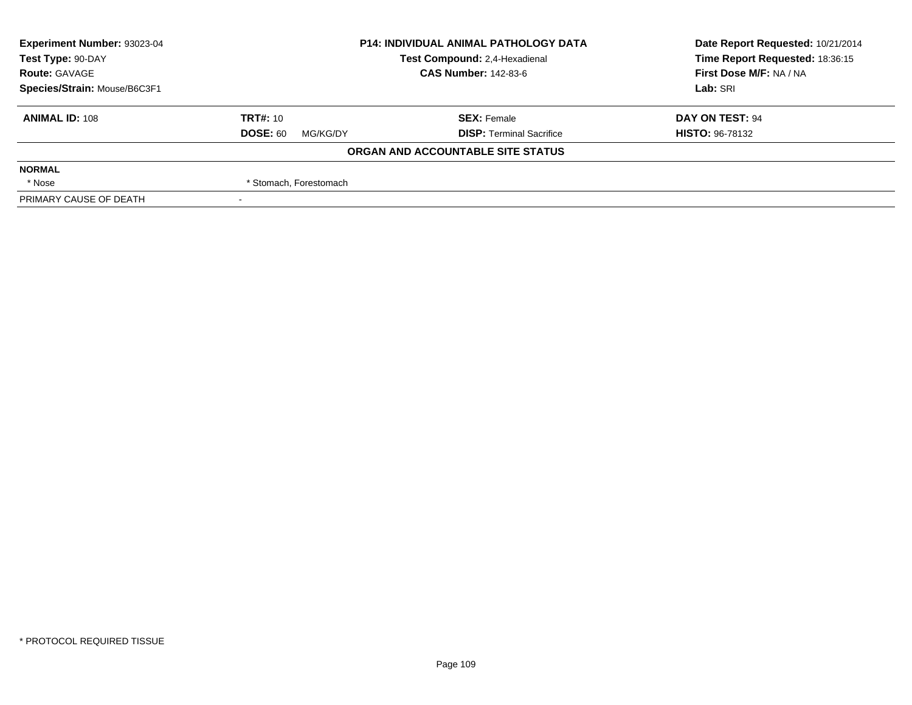| <b>Experiment Number: 93023-04</b> | <b>P14: INDIVIDUAL ANIMAL PATHOLOGY DATA</b><br>Test Compound: 2,4-Hexadienal |                                   | Date Report Requested: 10/21/2014 |  |
|------------------------------------|-------------------------------------------------------------------------------|-----------------------------------|-----------------------------------|--|
| Test Type: 90-DAY                  |                                                                               |                                   | Time Report Requested: 18:36:15   |  |
| <b>Route: GAVAGE</b>               |                                                                               | <b>CAS Number: 142-83-6</b>       | First Dose M/F: NA / NA           |  |
| Species/Strain: Mouse/B6C3F1       |                                                                               |                                   | Lab: SRI                          |  |
| <b>ANIMAL ID: 108</b>              | <b>TRT#: 10</b>                                                               | <b>SEX: Female</b>                | DAY ON TEST: 94                   |  |
|                                    | <b>DOSE: 60</b><br>MG/KG/DY                                                   | <b>DISP: Terminal Sacrifice</b>   | <b>HISTO: 96-78132</b>            |  |
|                                    |                                                                               | ORGAN AND ACCOUNTABLE SITE STATUS |                                   |  |
| <b>NORMAL</b>                      |                                                                               |                                   |                                   |  |
| * Nose                             | * Stomach, Forestomach                                                        |                                   |                                   |  |
| PRIMARY CAUSE OF DEATH             |                                                                               |                                   |                                   |  |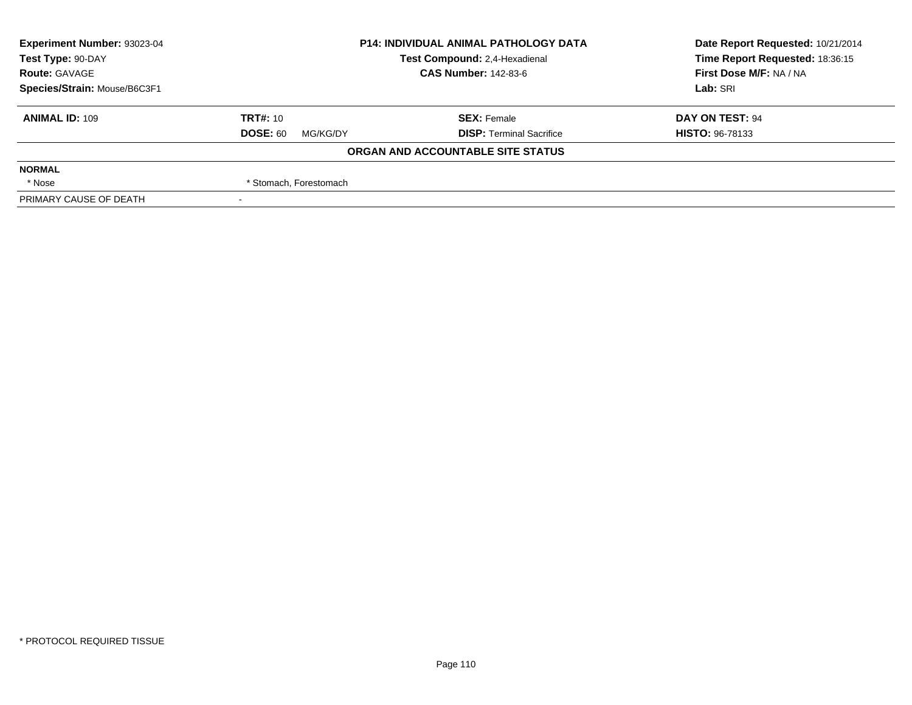| Experiment Number: 93023-04  | <b>P14: INDIVIDUAL ANIMAL PATHOLOGY DATA</b> |                                   | Date Report Requested: 10/21/2014 |  |
|------------------------------|----------------------------------------------|-----------------------------------|-----------------------------------|--|
| Test Type: 90-DAY            |                                              | Test Compound: 2,4-Hexadienal     | Time Report Requested: 18:36:15   |  |
| <b>Route: GAVAGE</b>         |                                              | <b>CAS Number: 142-83-6</b>       | First Dose M/F: NA / NA           |  |
| Species/Strain: Mouse/B6C3F1 |                                              |                                   | Lab: SRI                          |  |
| <b>ANIMAL ID: 109</b>        | TRT#: 10                                     | <b>SEX: Female</b>                | DAY ON TEST: 94                   |  |
|                              | <b>DOSE: 60</b><br>MG/KG/DY                  | <b>DISP: Terminal Sacrifice</b>   | <b>HISTO: 96-78133</b>            |  |
|                              |                                              | ORGAN AND ACCOUNTABLE SITE STATUS |                                   |  |
| <b>NORMAL</b>                |                                              |                                   |                                   |  |
| * Nose                       | * Stomach, Forestomach                       |                                   |                                   |  |
| PRIMARY CAUSE OF DEATH       |                                              |                                   |                                   |  |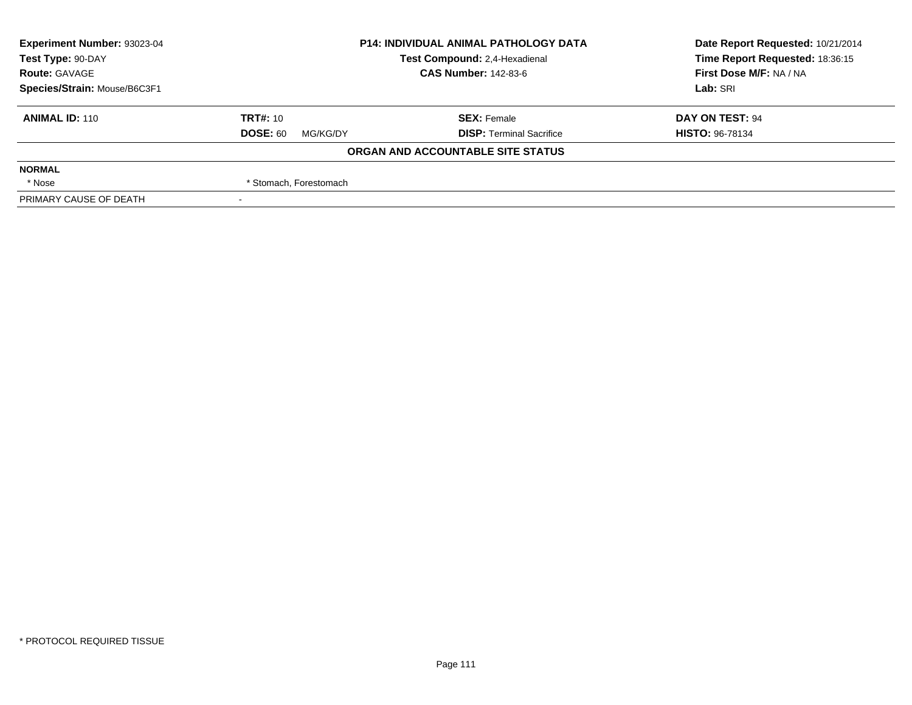| Experiment Number: 93023-04  | <b>P14: INDIVIDUAL ANIMAL PATHOLOGY DATA</b> |                                   | Date Report Requested: 10/21/2014 |  |
|------------------------------|----------------------------------------------|-----------------------------------|-----------------------------------|--|
| Test Type: 90-DAY            |                                              | Test Compound: 2,4-Hexadienal     | Time Report Requested: 18:36:15   |  |
| <b>Route: GAVAGE</b>         |                                              | <b>CAS Number: 142-83-6</b>       | First Dose M/F: NA / NA           |  |
| Species/Strain: Mouse/B6C3F1 |                                              |                                   | Lab: SRI                          |  |
| <b>ANIMAL ID: 110</b>        | <b>TRT#:</b> $10$                            | <b>SEX: Female</b>                | DAY ON TEST: 94                   |  |
|                              | <b>DOSE: 60</b><br>MG/KG/DY                  | <b>DISP: Terminal Sacrifice</b>   | <b>HISTO: 96-78134</b>            |  |
|                              |                                              | ORGAN AND ACCOUNTABLE SITE STATUS |                                   |  |
| <b>NORMAL</b>                |                                              |                                   |                                   |  |
| * Nose                       | * Stomach, Forestomach                       |                                   |                                   |  |
| PRIMARY CAUSE OF DEATH       |                                              |                                   |                                   |  |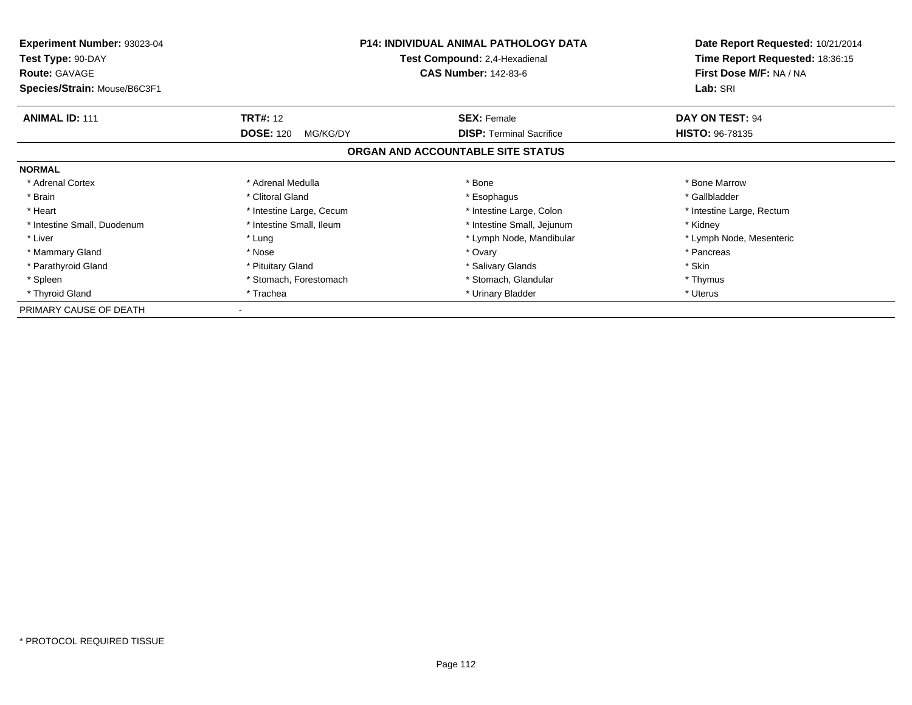| <b>Experiment Number: 93023-04</b><br>Test Type: 90-DAY<br><b>Route: GAVAGE</b> | <b>P14: INDIVIDUAL ANIMAL PATHOLOGY DATA</b><br>Test Compound: 2,4-Hexadienal<br><b>CAS Number: 142-83-6</b> |                                   | Date Report Requested: 10/21/2014<br>Time Report Requested: 18:36:15<br>First Dose M/F: NA / NA |  |
|---------------------------------------------------------------------------------|--------------------------------------------------------------------------------------------------------------|-----------------------------------|-------------------------------------------------------------------------------------------------|--|
| Species/Strain: Mouse/B6C3F1                                                    |                                                                                                              | Lab: SRI                          |                                                                                                 |  |
| <b>ANIMAL ID: 111</b>                                                           | <b>TRT#: 12</b>                                                                                              | <b>SEX: Female</b>                | DAY ON TEST: 94                                                                                 |  |
|                                                                                 | <b>DOSE: 120</b><br>MG/KG/DY                                                                                 | <b>DISP:</b> Terminal Sacrifice   | <b>HISTO: 96-78135</b>                                                                          |  |
|                                                                                 |                                                                                                              | ORGAN AND ACCOUNTABLE SITE STATUS |                                                                                                 |  |
| <b>NORMAL</b>                                                                   |                                                                                                              |                                   |                                                                                                 |  |
| * Adrenal Cortex                                                                | * Adrenal Medulla                                                                                            | * Bone                            | * Bone Marrow                                                                                   |  |
| * Brain                                                                         | * Clitoral Gland                                                                                             | * Esophagus                       | * Gallbladder                                                                                   |  |
| * Heart                                                                         | * Intestine Large, Cecum                                                                                     | * Intestine Large, Colon          | * Intestine Large, Rectum                                                                       |  |
| * Intestine Small, Duodenum                                                     | * Intestine Small, Ileum                                                                                     | * Intestine Small, Jejunum        | * Kidney                                                                                        |  |
| * Liver                                                                         | * Lung                                                                                                       | * Lymph Node, Mandibular          | * Lymph Node, Mesenteric                                                                        |  |
| * Mammary Gland                                                                 | * Nose                                                                                                       | * Ovary                           | * Pancreas                                                                                      |  |
| * Parathyroid Gland                                                             | * Pituitary Gland                                                                                            | * Salivary Glands                 | * Skin                                                                                          |  |
| * Spleen                                                                        | * Stomach, Forestomach                                                                                       | * Stomach, Glandular              | * Thymus                                                                                        |  |
| * Thyroid Gland                                                                 | * Trachea                                                                                                    | * Urinary Bladder                 | * Uterus                                                                                        |  |
| PRIMARY CAUSE OF DEATH                                                          |                                                                                                              |                                   |                                                                                                 |  |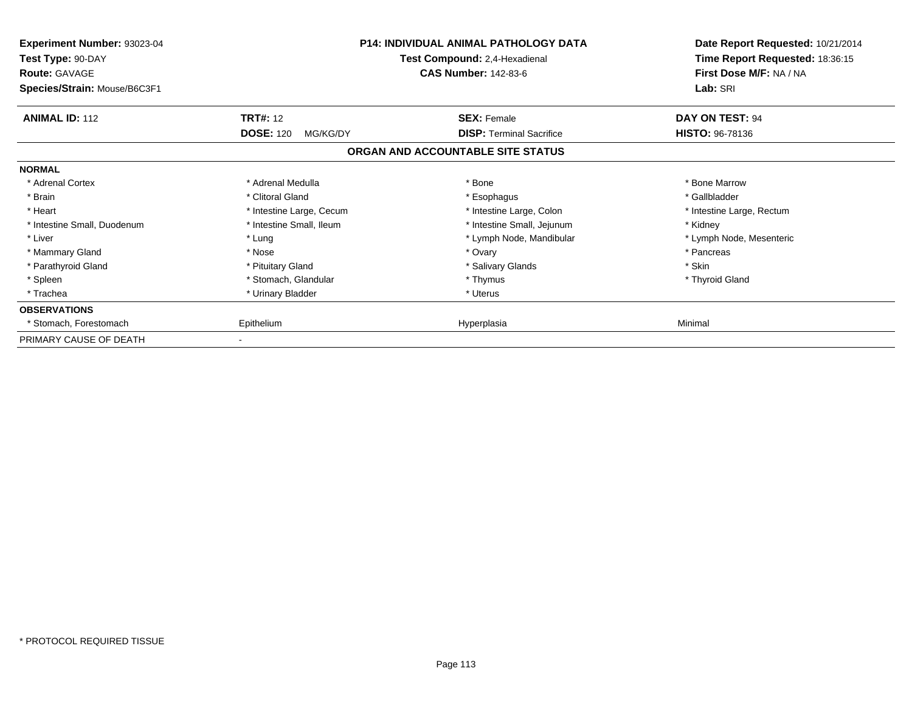| <b>Experiment Number: 93023-04</b><br>Test Type: 90-DAY<br><b>Route: GAVAGE</b><br>Species/Strain: Mouse/B6C3F1 |                              | <b>P14: INDIVIDUAL ANIMAL PATHOLOGY DATA</b><br>Test Compound: 2,4-Hexadienal<br><b>CAS Number: 142-83-6</b> | Date Report Requested: 10/21/2014<br>Time Report Requested: 18:36:15<br>First Dose M/F: NA / NA<br>Lab: SRI |
|-----------------------------------------------------------------------------------------------------------------|------------------------------|--------------------------------------------------------------------------------------------------------------|-------------------------------------------------------------------------------------------------------------|
| <b>ANIMAL ID: 112</b>                                                                                           | <b>TRT#: 12</b>              | <b>SEX: Female</b>                                                                                           | DAY ON TEST: 94                                                                                             |
|                                                                                                                 | <b>DOSE: 120</b><br>MG/KG/DY | <b>DISP: Terminal Sacrifice</b>                                                                              | <b>HISTO: 96-78136</b>                                                                                      |
|                                                                                                                 |                              | ORGAN AND ACCOUNTABLE SITE STATUS                                                                            |                                                                                                             |
| <b>NORMAL</b>                                                                                                   |                              |                                                                                                              |                                                                                                             |
| * Adrenal Cortex                                                                                                | * Adrenal Medulla            | * Bone                                                                                                       | * Bone Marrow                                                                                               |
| * Brain                                                                                                         | * Clitoral Gland             | * Esophagus                                                                                                  | * Gallbladder                                                                                               |
| * Heart                                                                                                         | * Intestine Large, Cecum     | * Intestine Large, Colon                                                                                     | * Intestine Large, Rectum                                                                                   |
| * Intestine Small, Duodenum                                                                                     | * Intestine Small, Ileum     | * Intestine Small, Jejunum                                                                                   | * Kidney                                                                                                    |
| * Liver                                                                                                         | * Lung                       | * Lymph Node, Mandibular                                                                                     | * Lymph Node, Mesenteric                                                                                    |
| * Mammary Gland                                                                                                 | * Nose                       | * Ovary                                                                                                      | * Pancreas                                                                                                  |
| * Parathyroid Gland                                                                                             | * Pituitary Gland            | * Salivary Glands                                                                                            | * Skin                                                                                                      |
| * Spleen                                                                                                        | * Stomach, Glandular         | * Thymus                                                                                                     | * Thyroid Gland                                                                                             |
| * Trachea                                                                                                       | * Urinary Bladder            | * Uterus                                                                                                     |                                                                                                             |
| <b>OBSERVATIONS</b>                                                                                             |                              |                                                                                                              |                                                                                                             |
| * Stomach, Forestomach                                                                                          | Epithelium                   | Hyperplasia                                                                                                  | Minimal                                                                                                     |
| PRIMARY CAUSE OF DEATH                                                                                          |                              |                                                                                                              |                                                                                                             |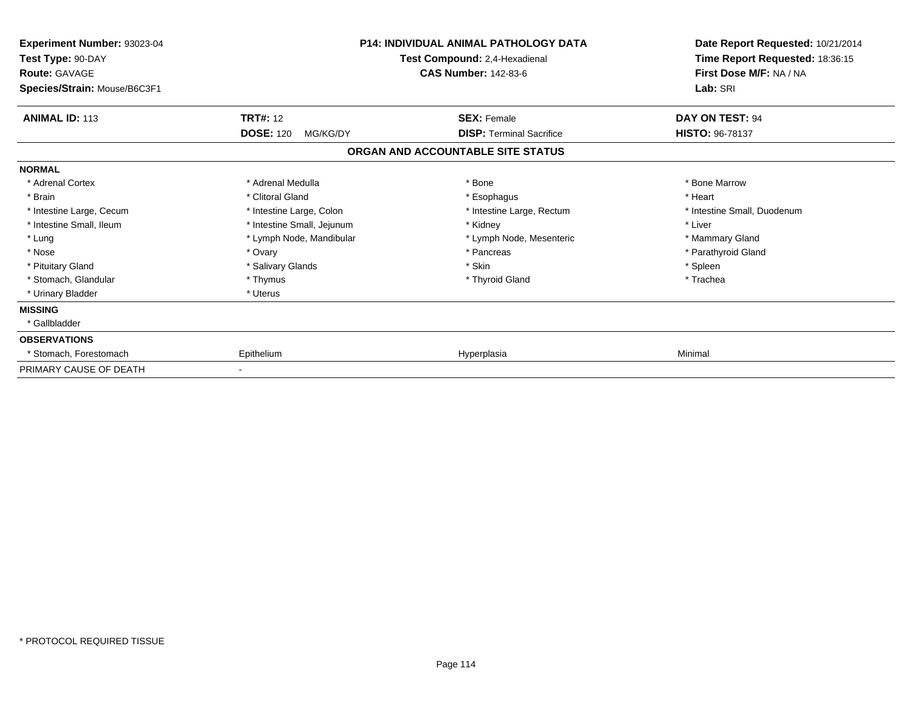| Experiment Number: 93023-04<br>Test Type: 90-DAY<br><b>Route: GAVAGE</b><br>Species/Strain: Mouse/B6C3F1 | <b>P14: INDIVIDUAL ANIMAL PATHOLOGY DATA</b><br>Test Compound: 2,4-Hexadienal<br><b>CAS Number: 142-83-6</b> |                                                                      | Date Report Requested: 10/21/2014<br>Time Report Requested: 18:36:15<br>First Dose M/F: NA / NA<br>Lab: SRI |
|----------------------------------------------------------------------------------------------------------|--------------------------------------------------------------------------------------------------------------|----------------------------------------------------------------------|-------------------------------------------------------------------------------------------------------------|
| <b>ANIMAL ID: 113</b>                                                                                    | <b>TRT#: 12</b>                                                                                              | <b>SEX: Female</b>                                                   | DAY ON TEST: 94                                                                                             |
|                                                                                                          | <b>DOSE: 120</b><br>MG/KG/DY                                                                                 | <b>DISP: Terminal Sacrifice</b><br>ORGAN AND ACCOUNTABLE SITE STATUS | HISTO: 96-78137                                                                                             |
| <b>NORMAL</b>                                                                                            |                                                                                                              |                                                                      |                                                                                                             |
| * Adrenal Cortex                                                                                         | * Adrenal Medulla                                                                                            | * Bone                                                               | * Bone Marrow                                                                                               |
| * Brain                                                                                                  | * Clitoral Gland                                                                                             | * Esophagus                                                          | * Heart                                                                                                     |
| * Intestine Large, Cecum                                                                                 | * Intestine Large, Colon                                                                                     | * Intestine Large, Rectum                                            | * Intestine Small, Duodenum                                                                                 |
| * Intestine Small, Ileum                                                                                 | * Intestine Small, Jejunum                                                                                   | * Kidney                                                             | * Liver                                                                                                     |
| * Lung                                                                                                   | * Lymph Node, Mandibular                                                                                     | * Lymph Node, Mesenteric                                             | * Mammary Gland                                                                                             |
| * Nose                                                                                                   | * Ovary                                                                                                      | * Pancreas                                                           | * Parathyroid Gland                                                                                         |
| * Pituitary Gland                                                                                        | * Salivary Glands                                                                                            | * Skin                                                               | * Spleen                                                                                                    |
| * Stomach, Glandular                                                                                     | * Thymus                                                                                                     | * Thyroid Gland                                                      | * Trachea                                                                                                   |
| * Urinary Bladder                                                                                        | * Uterus                                                                                                     |                                                                      |                                                                                                             |
| <b>MISSING</b>                                                                                           |                                                                                                              |                                                                      |                                                                                                             |
| * Gallbladder                                                                                            |                                                                                                              |                                                                      |                                                                                                             |
| <b>OBSERVATIONS</b>                                                                                      |                                                                                                              |                                                                      |                                                                                                             |
| * Stomach, Forestomach                                                                                   | Epithelium                                                                                                   | Hyperplasia                                                          | Minimal                                                                                                     |
| PRIMARY CAUSE OF DEATH                                                                                   |                                                                                                              |                                                                      |                                                                                                             |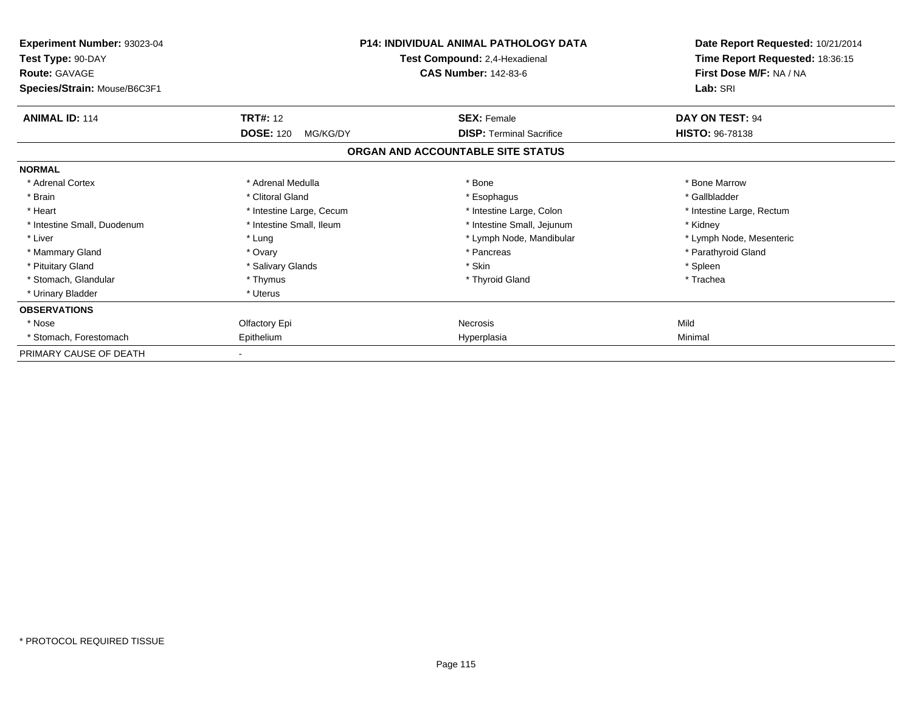| Experiment Number: 93023-04<br>Test Type: 90-DAY<br><b>Route: GAVAGE</b><br>Species/Strain: Mouse/B6C3F1 |                              | <b>P14: INDIVIDUAL ANIMAL PATHOLOGY DATA</b><br>Test Compound: 2,4-Hexadienal<br><b>CAS Number: 142-83-6</b> | Date Report Requested: 10/21/2014<br>Time Report Requested: 18:36:15<br>First Dose M/F: NA / NA<br>Lab: SRI |
|----------------------------------------------------------------------------------------------------------|------------------------------|--------------------------------------------------------------------------------------------------------------|-------------------------------------------------------------------------------------------------------------|
| <b>ANIMAL ID: 114</b>                                                                                    | <b>TRT#: 12</b>              | <b>SEX: Female</b>                                                                                           | DAY ON TEST: 94                                                                                             |
|                                                                                                          | <b>DOSE: 120</b><br>MG/KG/DY | <b>DISP: Terminal Sacrifice</b>                                                                              | <b>HISTO: 96-78138</b>                                                                                      |
|                                                                                                          |                              | ORGAN AND ACCOUNTABLE SITE STATUS                                                                            |                                                                                                             |
| <b>NORMAL</b>                                                                                            |                              |                                                                                                              |                                                                                                             |
| * Adrenal Cortex                                                                                         | * Adrenal Medulla            | * Bone                                                                                                       | * Bone Marrow                                                                                               |
| * Brain                                                                                                  | * Clitoral Gland             | * Esophagus                                                                                                  | * Gallbladder                                                                                               |
| * Heart                                                                                                  | * Intestine Large, Cecum     | * Intestine Large, Colon                                                                                     | * Intestine Large, Rectum                                                                                   |
| * Intestine Small, Duodenum                                                                              | * Intestine Small, Ileum     | * Intestine Small, Jejunum                                                                                   | * Kidney                                                                                                    |
| * Liver                                                                                                  | * Lung                       | * Lymph Node, Mandibular                                                                                     | * Lymph Node, Mesenteric                                                                                    |
| * Mammary Gland                                                                                          | * Ovary                      | * Pancreas                                                                                                   | * Parathyroid Gland                                                                                         |
| * Pituitary Gland                                                                                        | * Salivary Glands            | * Skin                                                                                                       | * Spleen                                                                                                    |
| * Stomach, Glandular                                                                                     | * Thymus                     | * Thyroid Gland                                                                                              | * Trachea                                                                                                   |
| * Urinary Bladder                                                                                        | * Uterus                     |                                                                                                              |                                                                                                             |
| <b>OBSERVATIONS</b>                                                                                      |                              |                                                                                                              |                                                                                                             |
| * Nose                                                                                                   | Olfactory Epi                | Necrosis                                                                                                     | Mild                                                                                                        |
| * Stomach, Forestomach                                                                                   | Epithelium                   | Hyperplasia                                                                                                  | Minimal                                                                                                     |
| PRIMARY CAUSE OF DEATH                                                                                   |                              |                                                                                                              |                                                                                                             |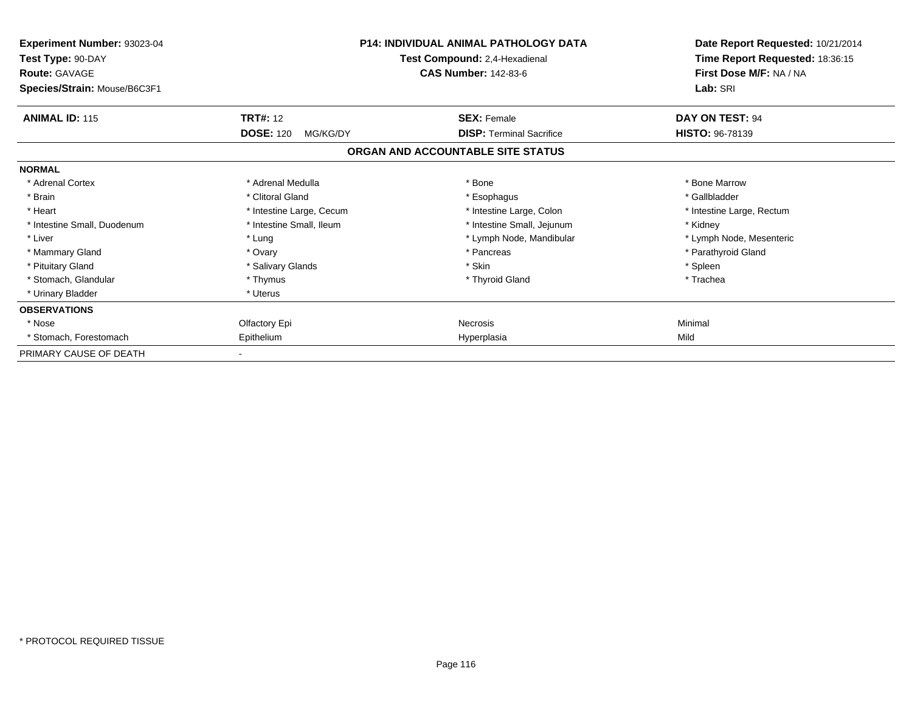| Experiment Number: 93023-04<br>Test Type: 90-DAY<br><b>Route: GAVAGE</b><br>Species/Strain: Mouse/B6C3F1 |                              | <b>P14: INDIVIDUAL ANIMAL PATHOLOGY DATA</b><br>Test Compound: 2,4-Hexadienal<br><b>CAS Number: 142-83-6</b> | Date Report Requested: 10/21/2014<br>Time Report Requested: 18:36:15<br>First Dose M/F: NA / NA<br>Lab: SRI |
|----------------------------------------------------------------------------------------------------------|------------------------------|--------------------------------------------------------------------------------------------------------------|-------------------------------------------------------------------------------------------------------------|
| <b>ANIMAL ID: 115</b>                                                                                    | <b>TRT#: 12</b>              | <b>SEX: Female</b>                                                                                           | DAY ON TEST: 94                                                                                             |
|                                                                                                          | <b>DOSE: 120</b><br>MG/KG/DY | <b>DISP: Terminal Sacrifice</b>                                                                              | <b>HISTO: 96-78139</b>                                                                                      |
|                                                                                                          |                              | ORGAN AND ACCOUNTABLE SITE STATUS                                                                            |                                                                                                             |
| <b>NORMAL</b>                                                                                            |                              |                                                                                                              |                                                                                                             |
| * Adrenal Cortex                                                                                         | * Adrenal Medulla            | * Bone                                                                                                       | * Bone Marrow                                                                                               |
| * Brain                                                                                                  | * Clitoral Gland             | * Esophagus                                                                                                  | * Gallbladder                                                                                               |
| * Heart                                                                                                  | * Intestine Large, Cecum     | * Intestine Large, Colon                                                                                     | * Intestine Large, Rectum                                                                                   |
| * Intestine Small, Duodenum                                                                              | * Intestine Small, Ileum     | * Intestine Small, Jejunum                                                                                   | * Kidney                                                                                                    |
| * Liver                                                                                                  | * Lung                       | * Lymph Node, Mandibular                                                                                     | * Lymph Node, Mesenteric                                                                                    |
| * Mammary Gland                                                                                          | * Ovary                      | * Pancreas                                                                                                   | * Parathyroid Gland                                                                                         |
| * Pituitary Gland                                                                                        | * Salivary Glands            | * Skin                                                                                                       | * Spleen                                                                                                    |
| * Stomach, Glandular                                                                                     | * Thymus                     | * Thyroid Gland                                                                                              | * Trachea                                                                                                   |
| * Urinary Bladder                                                                                        | * Uterus                     |                                                                                                              |                                                                                                             |
| <b>OBSERVATIONS</b>                                                                                      |                              |                                                                                                              |                                                                                                             |
| * Nose                                                                                                   | Olfactory Epi                | Necrosis                                                                                                     | Minimal                                                                                                     |
| * Stomach, Forestomach                                                                                   | Epithelium                   | Hyperplasia                                                                                                  | Mild                                                                                                        |
| PRIMARY CAUSE OF DEATH                                                                                   |                              |                                                                                                              |                                                                                                             |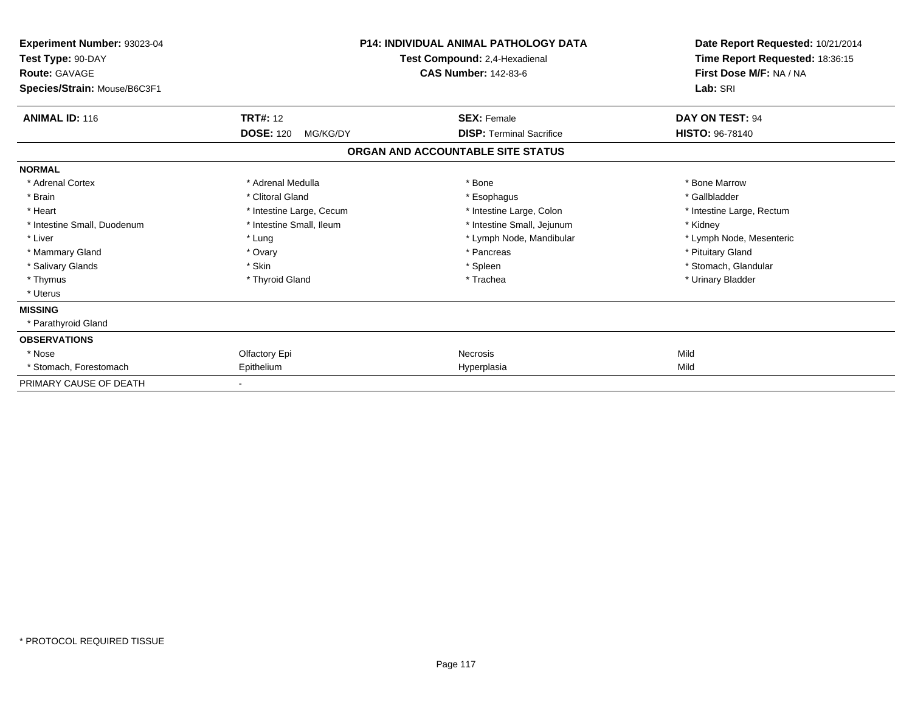| Experiment Number: 93023-04<br>Test Type: 90-DAY<br><b>Route: GAVAGE</b><br>Species/Strain: Mouse/B6C3F1 | <b>P14: INDIVIDUAL ANIMAL PATHOLOGY DATA</b><br>Test Compound: 2,4-Hexadienal<br><b>CAS Number: 142-83-6</b> |                                   | Date Report Requested: 10/21/2014<br>Time Report Requested: 18:36:15<br>First Dose M/F: NA / NA<br>Lab: SRI |  |
|----------------------------------------------------------------------------------------------------------|--------------------------------------------------------------------------------------------------------------|-----------------------------------|-------------------------------------------------------------------------------------------------------------|--|
| <b>ANIMAL ID: 116</b>                                                                                    | <b>TRT#: 12</b>                                                                                              | <b>SEX: Female</b>                | DAY ON TEST: 94                                                                                             |  |
|                                                                                                          | <b>DOSE: 120</b><br>MG/KG/DY                                                                                 | <b>DISP: Terminal Sacrifice</b>   | <b>HISTO: 96-78140</b>                                                                                      |  |
|                                                                                                          |                                                                                                              | ORGAN AND ACCOUNTABLE SITE STATUS |                                                                                                             |  |
| <b>NORMAL</b>                                                                                            |                                                                                                              |                                   |                                                                                                             |  |
| * Adrenal Cortex                                                                                         | * Adrenal Medulla                                                                                            | * Bone                            | * Bone Marrow                                                                                               |  |
| * Brain                                                                                                  | * Clitoral Gland                                                                                             | * Esophagus                       | * Gallbladder                                                                                               |  |
| * Heart                                                                                                  | * Intestine Large, Cecum                                                                                     | * Intestine Large, Colon          | * Intestine Large, Rectum                                                                                   |  |
| * Intestine Small, Duodenum                                                                              | * Intestine Small, Ileum                                                                                     | * Intestine Small, Jejunum        | * Kidney                                                                                                    |  |
| * Liver                                                                                                  | * Lung                                                                                                       | * Lymph Node, Mandibular          | * Lymph Node, Mesenteric                                                                                    |  |
| * Mammary Gland                                                                                          | * Ovary                                                                                                      | * Pancreas                        | * Pituitary Gland                                                                                           |  |
| * Salivary Glands                                                                                        | * Skin                                                                                                       | * Spleen                          | * Stomach, Glandular                                                                                        |  |
| * Thymus                                                                                                 | * Thyroid Gland                                                                                              | * Trachea                         | * Urinary Bladder                                                                                           |  |
| * Uterus                                                                                                 |                                                                                                              |                                   |                                                                                                             |  |
| <b>MISSING</b>                                                                                           |                                                                                                              |                                   |                                                                                                             |  |
| * Parathyroid Gland                                                                                      |                                                                                                              |                                   |                                                                                                             |  |
| <b>OBSERVATIONS</b>                                                                                      |                                                                                                              |                                   |                                                                                                             |  |
| * Nose                                                                                                   | Olfactory Epi                                                                                                | <b>Necrosis</b>                   | Mild                                                                                                        |  |
| * Stomach, Forestomach                                                                                   | Epithelium                                                                                                   | Hyperplasia                       | Mild                                                                                                        |  |
| PRIMARY CAUSE OF DEATH                                                                                   |                                                                                                              |                                   |                                                                                                             |  |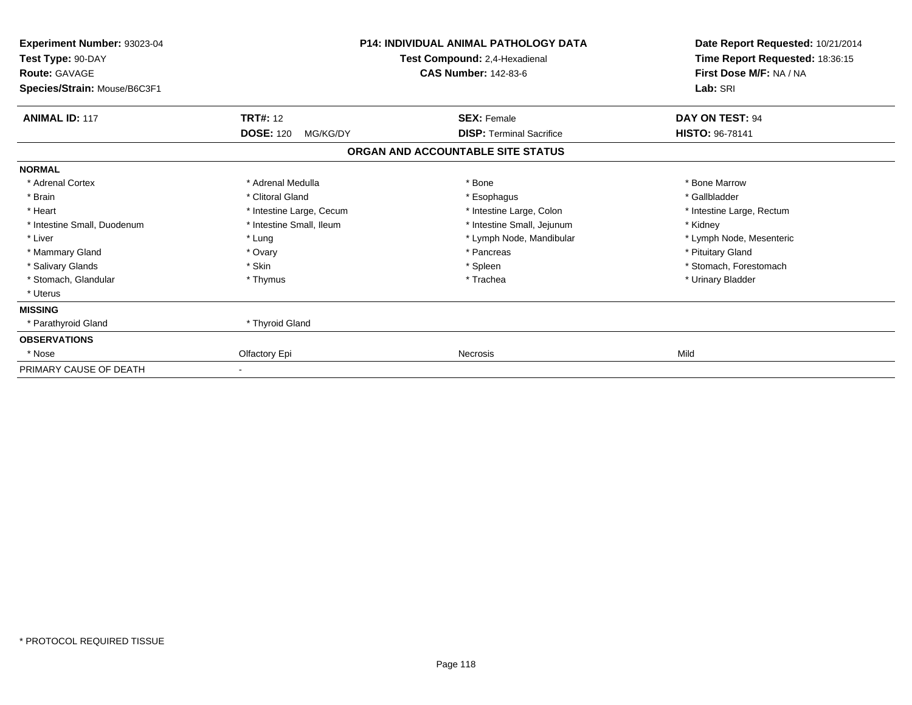| Experiment Number: 93023-04<br>Test Type: 90-DAY<br><b>Route: GAVAGE</b><br>Species/Strain: Mouse/B6C3F1 | <b>P14: INDIVIDUAL ANIMAL PATHOLOGY DATA</b><br>Test Compound: 2,4-Hexadienal<br><b>CAS Number: 142-83-6</b> |                                                       | Date Report Requested: 10/21/2014<br>Time Report Requested: 18:36:15<br>First Dose M/F: NA / NA<br>Lab: SRI |
|----------------------------------------------------------------------------------------------------------|--------------------------------------------------------------------------------------------------------------|-------------------------------------------------------|-------------------------------------------------------------------------------------------------------------|
| <b>ANIMAL ID: 117</b>                                                                                    | <b>TRT#: 12</b><br><b>DOSE: 120</b><br>MG/KG/DY                                                              | <b>SEX: Female</b><br><b>DISP: Terminal Sacrifice</b> | DAY ON TEST: 94<br><b>HISTO: 96-78141</b>                                                                   |
|                                                                                                          |                                                                                                              | ORGAN AND ACCOUNTABLE SITE STATUS                     |                                                                                                             |
| <b>NORMAL</b>                                                                                            |                                                                                                              |                                                       |                                                                                                             |
| * Adrenal Cortex                                                                                         | * Adrenal Medulla                                                                                            | * Bone                                                | * Bone Marrow                                                                                               |
| * Brain                                                                                                  | * Clitoral Gland                                                                                             | * Esophagus                                           | * Gallbladder                                                                                               |
| * Heart                                                                                                  | * Intestine Large, Cecum                                                                                     | * Intestine Large, Colon                              | * Intestine Large, Rectum                                                                                   |
| * Intestine Small, Duodenum                                                                              | * Intestine Small, Ileum                                                                                     | * Intestine Small, Jejunum                            | * Kidney                                                                                                    |
| * Liver                                                                                                  | * Lung                                                                                                       | * Lymph Node, Mandibular                              | * Lymph Node, Mesenteric                                                                                    |
| * Mammary Gland                                                                                          | * Ovary                                                                                                      | * Pancreas                                            | * Pituitary Gland                                                                                           |
| * Salivary Glands                                                                                        | * Skin                                                                                                       | * Spleen                                              | * Stomach, Forestomach                                                                                      |
| * Stomach, Glandular                                                                                     | * Thymus                                                                                                     | * Trachea                                             | * Urinary Bladder                                                                                           |
| * Uterus                                                                                                 |                                                                                                              |                                                       |                                                                                                             |
| <b>MISSING</b>                                                                                           |                                                                                                              |                                                       |                                                                                                             |
| * Parathyroid Gland                                                                                      | * Thyroid Gland                                                                                              |                                                       |                                                                                                             |
| <b>OBSERVATIONS</b>                                                                                      |                                                                                                              |                                                       |                                                                                                             |
| * Nose                                                                                                   | Olfactory Epi                                                                                                | <b>Necrosis</b>                                       | Mild                                                                                                        |
| PRIMARY CAUSE OF DEATH                                                                                   |                                                                                                              |                                                       |                                                                                                             |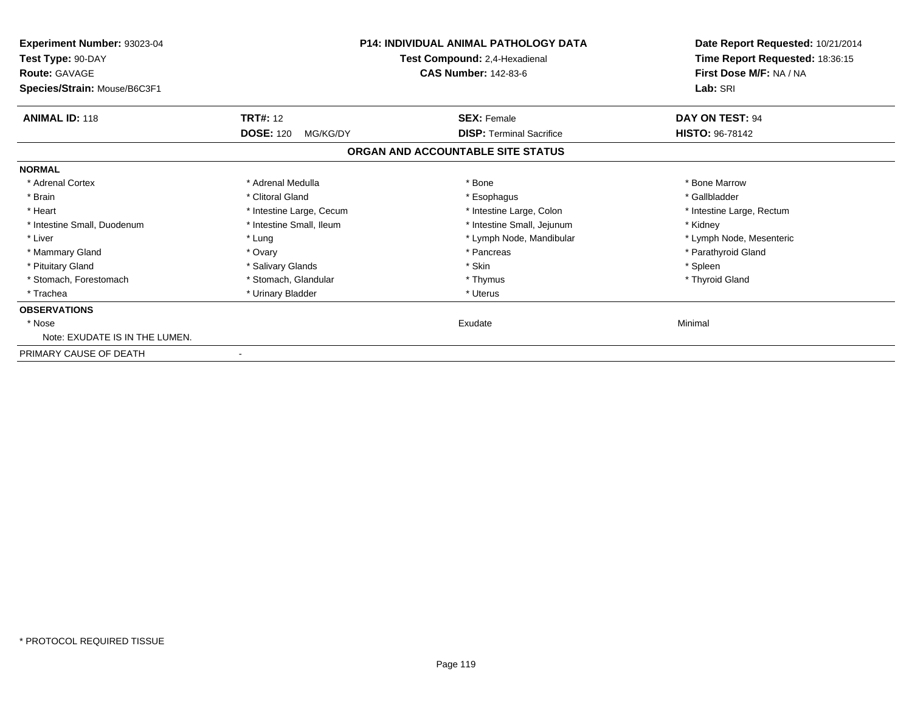| Experiment Number: 93023-04<br>Test Type: 90-DAY     |                              | <b>P14: INDIVIDUAL ANIMAL PATHOLOGY DATA</b><br>Test Compound: 2,4-Hexadienal | Date Report Requested: 10/21/2014<br>Time Report Requested: 18:36:15<br>First Dose M/F: NA / NA<br>Lab: SRI |
|------------------------------------------------------|------------------------------|-------------------------------------------------------------------------------|-------------------------------------------------------------------------------------------------------------|
| <b>Route: GAVAGE</b><br>Species/Strain: Mouse/B6C3F1 |                              | <b>CAS Number: 142-83-6</b>                                                   |                                                                                                             |
| <b>ANIMAL ID: 118</b>                                | <b>TRT#: 12</b>              | <b>SEX: Female</b>                                                            | DAY ON TEST: 94                                                                                             |
|                                                      | <b>DOSE: 120</b><br>MG/KG/DY | <b>DISP: Terminal Sacrifice</b>                                               | <b>HISTO: 96-78142</b>                                                                                      |
|                                                      |                              | ORGAN AND ACCOUNTABLE SITE STATUS                                             |                                                                                                             |
| <b>NORMAL</b>                                        |                              |                                                                               |                                                                                                             |
| * Adrenal Cortex                                     | * Adrenal Medulla            | * Bone                                                                        | * Bone Marrow                                                                                               |
| * Brain                                              | * Clitoral Gland             | * Esophagus                                                                   | * Gallbladder                                                                                               |
| * Heart                                              | * Intestine Large, Cecum     | * Intestine Large, Colon                                                      | * Intestine Large, Rectum                                                                                   |
| * Intestine Small, Duodenum                          | * Intestine Small, Ileum     | * Intestine Small, Jejunum                                                    | * Kidney                                                                                                    |
| * Liver                                              | * Lung                       | * Lymph Node, Mandibular                                                      | * Lymph Node, Mesenteric                                                                                    |
| * Mammary Gland                                      | * Ovary                      | * Pancreas                                                                    | * Parathyroid Gland                                                                                         |
| * Pituitary Gland                                    | * Salivary Glands            | * Skin                                                                        | * Spleen                                                                                                    |
| * Stomach, Forestomach                               | * Stomach, Glandular         | * Thymus                                                                      | * Thyroid Gland                                                                                             |
| * Trachea                                            | * Urinary Bladder            | * Uterus                                                                      |                                                                                                             |
| <b>OBSERVATIONS</b>                                  |                              |                                                                               |                                                                                                             |
| * Nose                                               |                              | Exudate                                                                       | Minimal                                                                                                     |
| Note: EXUDATE IS IN THE LUMEN.                       |                              |                                                                               |                                                                                                             |
| PRIMARY CAUSE OF DEATH                               |                              |                                                                               |                                                                                                             |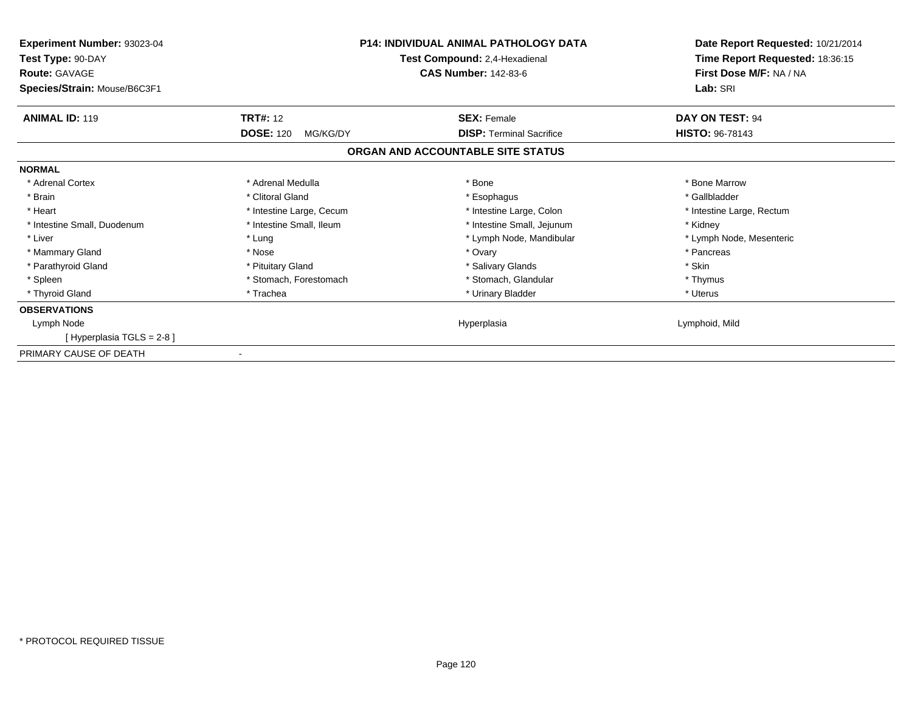| Experiment Number: 93023-04<br>Test Type: 90-DAY<br><b>Route: GAVAGE</b> | <b>P14: INDIVIDUAL ANIMAL PATHOLOGY DATA</b><br>Test Compound: 2,4-Hexadienal<br><b>CAS Number: 142-83-6</b> |                                   | Date Report Requested: 10/21/2014<br>Time Report Requested: 18:36:15<br>First Dose M/F: NA / NA |  |
|--------------------------------------------------------------------------|--------------------------------------------------------------------------------------------------------------|-----------------------------------|-------------------------------------------------------------------------------------------------|--|
| Species/Strain: Mouse/B6C3F1                                             |                                                                                                              |                                   | Lab: SRI                                                                                        |  |
| <b>ANIMAL ID: 119</b>                                                    | <b>TRT#: 12</b>                                                                                              | <b>SEX: Female</b>                | DAY ON TEST: 94                                                                                 |  |
|                                                                          | <b>DOSE: 120</b><br>MG/KG/DY                                                                                 | <b>DISP: Terminal Sacrifice</b>   | <b>HISTO: 96-78143</b>                                                                          |  |
|                                                                          |                                                                                                              | ORGAN AND ACCOUNTABLE SITE STATUS |                                                                                                 |  |
| <b>NORMAL</b>                                                            |                                                                                                              |                                   |                                                                                                 |  |
| * Adrenal Cortex                                                         | * Adrenal Medulla                                                                                            | * Bone                            | * Bone Marrow                                                                                   |  |
| * Brain                                                                  | * Clitoral Gland                                                                                             | * Esophagus                       | * Gallbladder                                                                                   |  |
| * Heart                                                                  | * Intestine Large, Cecum                                                                                     | * Intestine Large, Colon          | * Intestine Large, Rectum                                                                       |  |
| * Intestine Small, Duodenum                                              | * Intestine Small, Ileum                                                                                     | * Intestine Small, Jejunum        | * Kidney                                                                                        |  |
| * Liver                                                                  | * Lung                                                                                                       | * Lymph Node, Mandibular          | * Lymph Node, Mesenteric                                                                        |  |
| * Mammary Gland                                                          | * Nose                                                                                                       | * Ovary                           | * Pancreas                                                                                      |  |
| * Parathyroid Gland                                                      | * Pituitary Gland                                                                                            | * Salivary Glands                 | * Skin                                                                                          |  |
| * Spleen                                                                 | * Stomach, Forestomach                                                                                       | * Stomach, Glandular              | * Thymus                                                                                        |  |
| * Thyroid Gland                                                          | * Trachea                                                                                                    | * Urinary Bladder                 | * Uterus                                                                                        |  |
| <b>OBSERVATIONS</b>                                                      |                                                                                                              |                                   |                                                                                                 |  |
| Lymph Node                                                               |                                                                                                              | Hyperplasia                       | Lymphoid, Mild                                                                                  |  |
| [Hyperplasia TGLS = 2-8]                                                 |                                                                                                              |                                   |                                                                                                 |  |
| PRIMARY CAUSE OF DEATH                                                   |                                                                                                              |                                   |                                                                                                 |  |